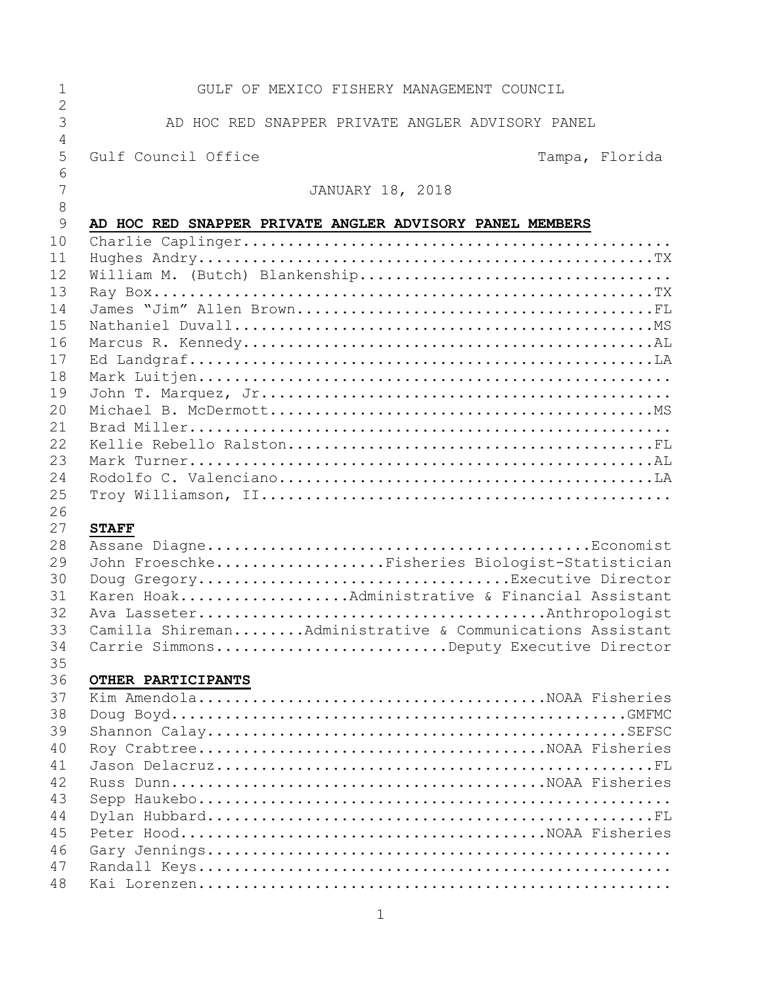| GULF OF MEXICO FISHERY MANAGEMENT COUNCIL                 |
|-----------------------------------------------------------|
| AD HOC RED SNAPPER PRIVATE ANGLER ADVISORY PANEL          |
| Gulf Council Office<br>Tampa, Florida                     |
| <b>JANUARY 18, 2018</b>                                   |
| AD HOC RED SNAPPER PRIVATE ANGLER ADVISORY PANEL MEMBERS  |
|                                                           |
|                                                           |
|                                                           |
|                                                           |
|                                                           |
|                                                           |
|                                                           |
|                                                           |
|                                                           |
|                                                           |
|                                                           |
|                                                           |
|                                                           |
|                                                           |
|                                                           |
|                                                           |
| <b>STAFF</b>                                              |
|                                                           |
| John FroeschkeFisheries Biologist-Statistician            |
| Doug GregoryExecutive Director                            |
| Karen HoakAdministrative & Financial Assistant            |
|                                                           |
| Camilla ShiremanAdministrative & Communications Assistant |
| Carrie SimmonsDeputy Executive Director                   |
|                                                           |
| OTHER PARTICIPANTS                                        |
|                                                           |
|                                                           |
|                                                           |
|                                                           |
|                                                           |
|                                                           |
|                                                           |
|                                                           |
|                                                           |
|                                                           |
|                                                           |
|                                                           |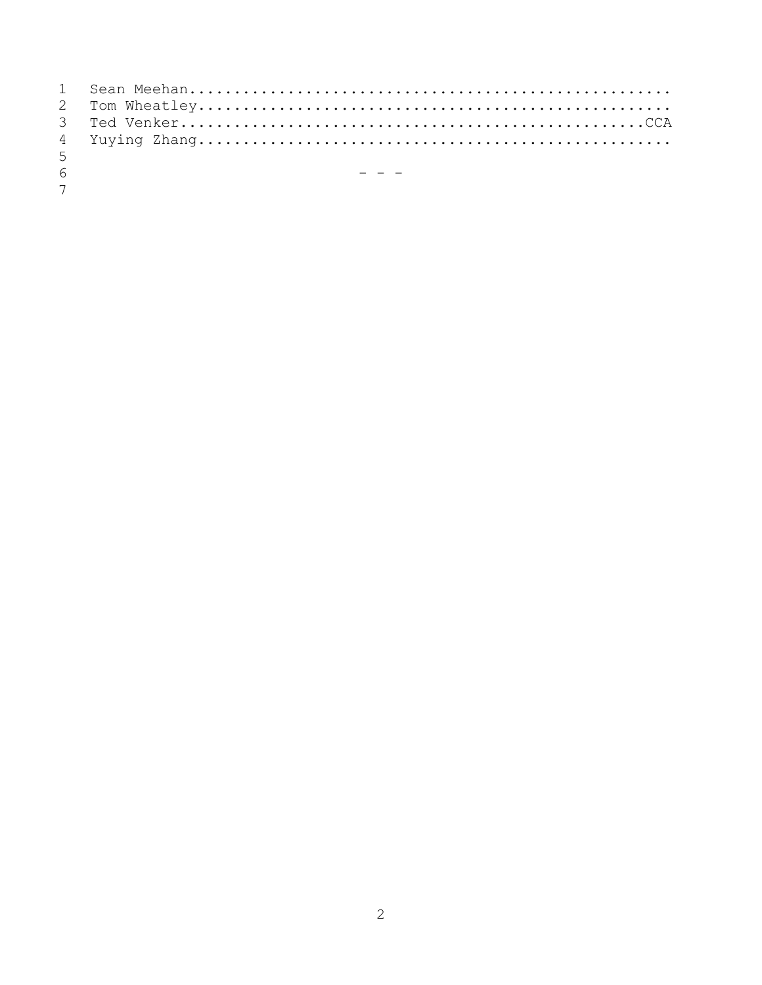| - 5            |                                                                                                                 |
|----------------|-----------------------------------------------------------------------------------------------------------------|
| - 6            | 1999 - Paul Barbara, actor a construction and the construction of the construction of the construction of the c |
| $\overline{7}$ |                                                                                                                 |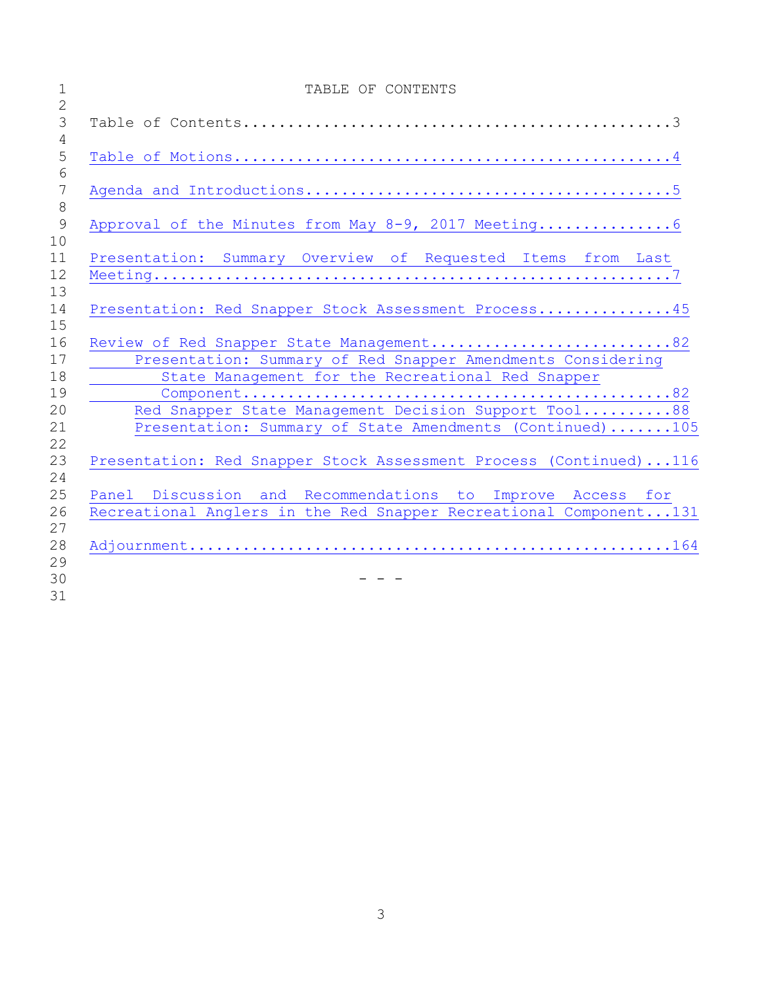| $\mathbf 1$          | TABLE OF CONTENTS                                                                                                               |
|----------------------|---------------------------------------------------------------------------------------------------------------------------------|
| 2<br>$\mathfrak{Z}$  |                                                                                                                                 |
| 4<br>5               |                                                                                                                                 |
| 6<br>$7\phantom{.0}$ |                                                                                                                                 |
| 8<br>9               | Approval of the Minutes from May 8-9, 2017 Meeting 6                                                                            |
| 10<br>11<br>12       | Presentation: Summary Overview of Requested Items from Last                                                                     |
| 13<br>14             | Presentation: Red Snapper Stock Assessment Process45                                                                            |
| 15<br>16             |                                                                                                                                 |
| 17                   | Review of Red Snapper State Management82<br>Presentation: Summary of Red Snapper Amendments Considering                         |
| 18<br>19             | State Management for the Recreational Red Snapper                                                                               |
| 20<br>21             | Red Snapper State Management Decision Support Tool88<br>Presentation: Summary of State Amendments (Continued)105                |
| 22<br>23             | Presentation: Red Snapper Stock Assessment Process (Continued)116                                                               |
| 24                   |                                                                                                                                 |
| 25<br>26             | Panel Discussion and Recommendations to Improve Access for<br>Recreational Anglers in the Red Snapper Recreational Component131 |
| 27<br>28             |                                                                                                                                 |
| 29<br>30             |                                                                                                                                 |
| 31                   |                                                                                                                                 |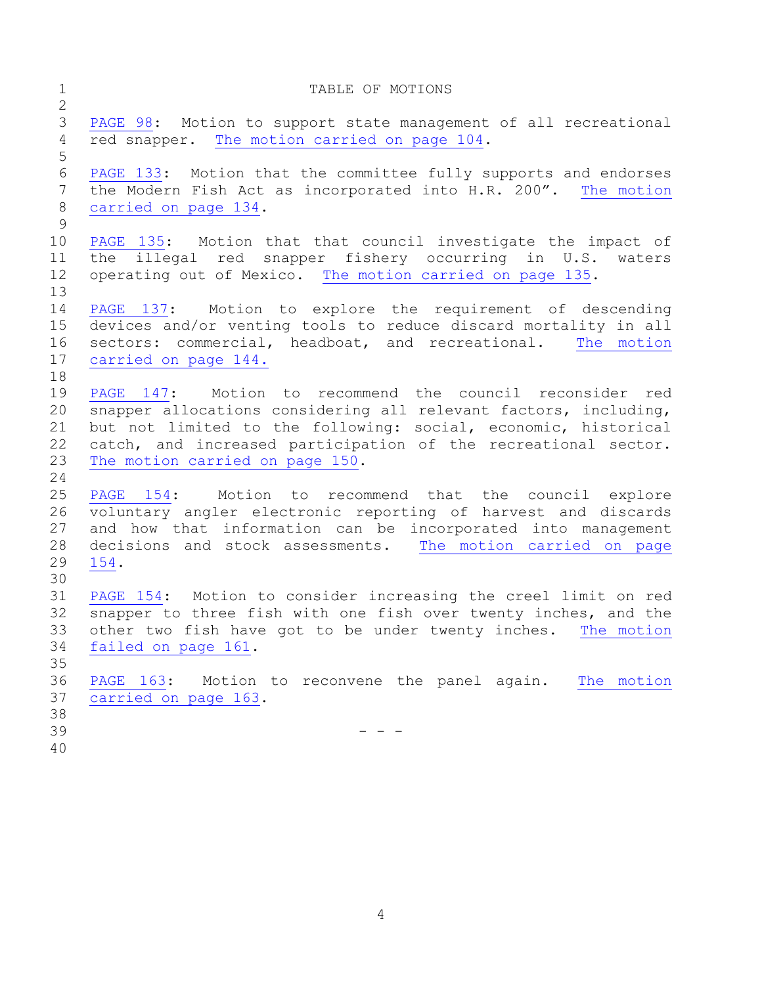<span id="page-3-0"></span>

| $\mathbf 1$<br>$\mathbf{2}$                  | TABLE OF MOTIONS                                                                                                                                                                                                                                                                                    |
|----------------------------------------------|-----------------------------------------------------------------------------------------------------------------------------------------------------------------------------------------------------------------------------------------------------------------------------------------------------|
| $\mathcal{S}$<br>$\overline{4}$<br>5         | PAGE 98: Motion to support state management of all recreational<br>red snapper. The motion carried on page 104.                                                                                                                                                                                     |
| $\sqrt{6}$<br>$\overline{7}$<br>$\,8\,$<br>9 | PAGE 133: Motion that the committee fully supports and endorses<br>the Modern Fish Act as incorporated into H.R. 200". The motion<br>carried on page 134.                                                                                                                                           |
| 10<br>11<br>12<br>13                         | PAGE 135: Motion that that council investigate the impact of<br>the illegal red snapper fishery occurring in U.S.<br>waters<br>operating out of Mexico. The motion carried on page 135.                                                                                                             |
| 14<br>15<br>16<br>17<br>18                   | PAGE 137: Motion to explore the requirement of descending<br>devices and/or venting tools to reduce discard mortality in all<br>sectors: commercial, headboat, and recreational. The motion<br>carried on page 144.                                                                                 |
| 19<br>20<br>21<br>22<br>23<br>24             | PAGE 147: Motion to recommend the council reconsider red<br>snapper allocations considering all relevant factors, including,<br>but not limited to the following: social, economic, historical<br>catch, and increased participation of the recreational sector.<br>The motion carried on page 150. |
| 25<br>26<br>27<br>28<br>29<br>30             | PAGE 154:<br>Motion to recommend that the council explore<br>voluntary angler electronic reporting of harvest and discards<br>and how that information can be incorporated into management<br>decisions and stock assessments. The motion carried on page<br>154.                                   |
| 31<br>32<br>33<br>34<br>35<br>36             | PAGE 154: Motion to consider increasing the creel limit on red<br>snapper to three fish with one fish over twenty inches, and the<br>other two fish have got to be under twenty inches. The motion<br>failed on page 161.<br>PAGE 163: Motion to reconvene the panel again. The motion              |
| 37<br>38<br>39<br>40                         | carried on page 163.                                                                                                                                                                                                                                                                                |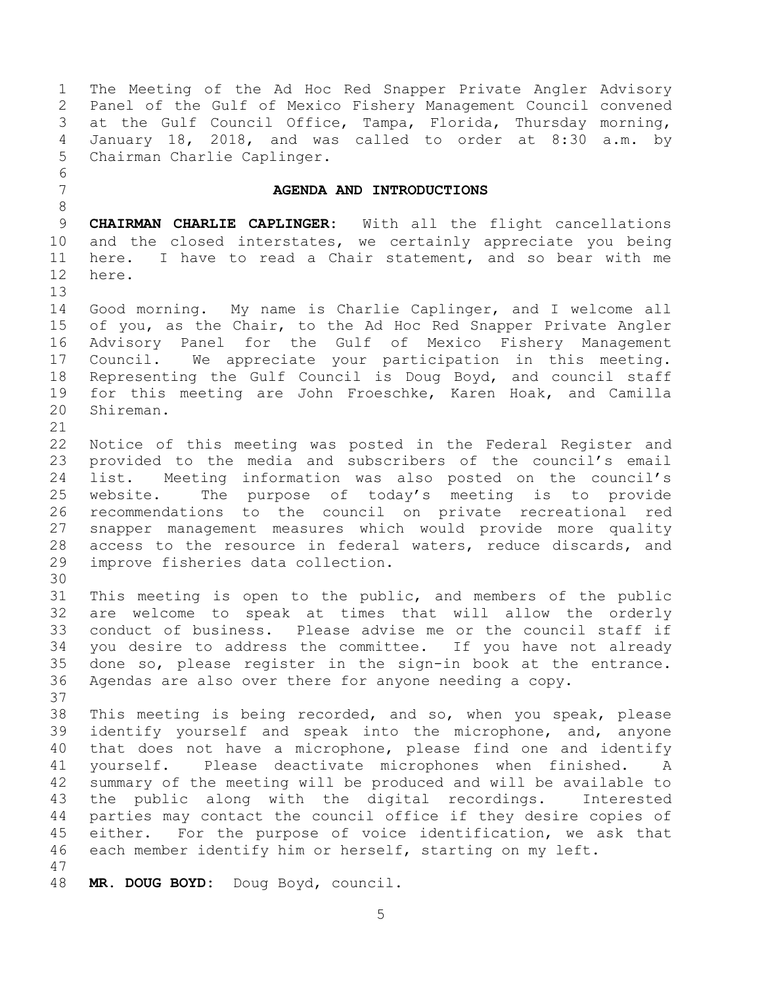<span id="page-4-0"></span> at the Gulf Council Office, Tampa, Florida, Thursday morning, January 18, 2018, and was called to order at 8:30 a.m. by Chairman Charlie Caplinger. **AGENDA AND INTRODUCTIONS CHAIRMAN CHARLIE CAPLINGER:** With all the flight cancellations and the closed interstates, we certainly appreciate you being here. I have to read a Chair statement, and so bear with me here. Good morning. My name is Charlie Caplinger, and I welcome all of you, as the Chair, to the Ad Hoc Red Snapper Private Angler Advisory Panel for the Gulf of Mexico Fishery Management Council. We appreciate your participation in this meeting. Representing the Gulf Council is Doug Boyd, and council staff for this meeting are John Froeschke, Karen Hoak, and Camilla Shireman. Notice of this meeting was posted in the Federal Register and provided to the media and subscribers of the council's email list. Meeting information was also posted on the council's website. The purpose of today's meeting is to provide recommendations to the council on private recreational red snapper management measures which would provide more quality access to the resource in federal waters, reduce discards, and improve fisheries data collection. This meeting is open to the public, and members of the public are welcome to speak at times that will allow the orderly conduct of business. Please advise me or the council staff if you desire to address the committee. If you have not already done so, please register in the sign-in book at the entrance. Agendas are also over there for anyone needing a copy. This meeting is being recorded, and so, when you speak, please identify yourself and speak into the microphone, and, anyone that does not have a microphone, please find one and identify yourself. Please deactivate microphones when finished. A summary of the meeting will be produced and will be available to the public along with the digital recordings. Interested parties may contact the council office if they desire copies of either. For the purpose of voice identification, we ask that each member identify him or herself, starting on my left. **MR. DOUG BOYD:** Doug Boyd, council.

 The Meeting of the Ad Hoc Red Snapper Private Angler Advisory Panel of the Gulf of Mexico Fishery Management Council convened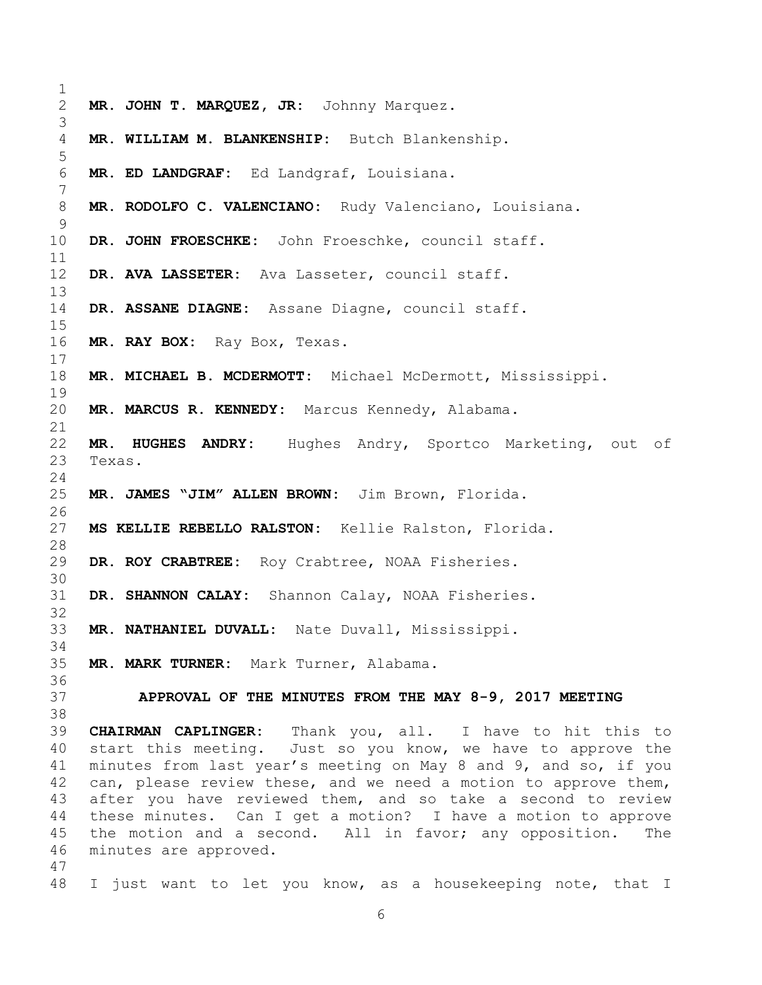<span id="page-5-0"></span> **MR. JOHN T. MARQUEZ, JR:** Johnny Marquez. **MR. WILLIAM M. BLANKENSHIP:** Butch Blankenship. **MR. ED LANDGRAF:** Ed Landgraf, Louisiana. **MR. RODOLFO C. VALENCIANO:** Rudy Valenciano, Louisiana. **DR. JOHN FROESCHKE:** John Froeschke, council staff. **DR. AVA LASSETER:** Ava Lasseter, council staff. **DR. ASSANE DIAGNE:** Assane Diagne, council staff. **MR. RAY BOX:** Ray Box, Texas. **MR. MICHAEL B. MCDERMOTT:** Michael McDermott, Mississippi. **MR. MARCUS R. KENNEDY:** Marcus Kennedy, Alabama. **MR. HUGHES ANDRY:** Hughes Andry, Sportco Marketing, out of Texas. **MR. JAMES "JIM" ALLEN BROWN:** Jim Brown, Florida. **MS KELLIE REBELLO RALSTON:** Kellie Ralston, Florida. **DR. ROY CRABTREE:** Roy Crabtree, NOAA Fisheries. **DR. SHANNON CALAY:** Shannon Calay, NOAA Fisheries. **MR. NATHANIEL DUVALL:** Nate Duvall, Mississippi. **MR. MARK TURNER:** Mark Turner, Alabama. **APPROVAL OF THE MINUTES FROM THE MAY 8-9, 2017 MEETING CHAIRMAN CAPLINGER:** Thank you, all. I have to hit this to start this meeting. Just so you know, we have to approve the minutes from last year's meeting on May 8 and 9, and so, if you can, please review these, and we need a motion to approve them, after you have reviewed them, and so take a second to review these minutes. Can I get a motion? I have a motion to approve the motion and a second. All in favor; any opposition. The minutes are approved. I just want to let you know, as a housekeeping note, that I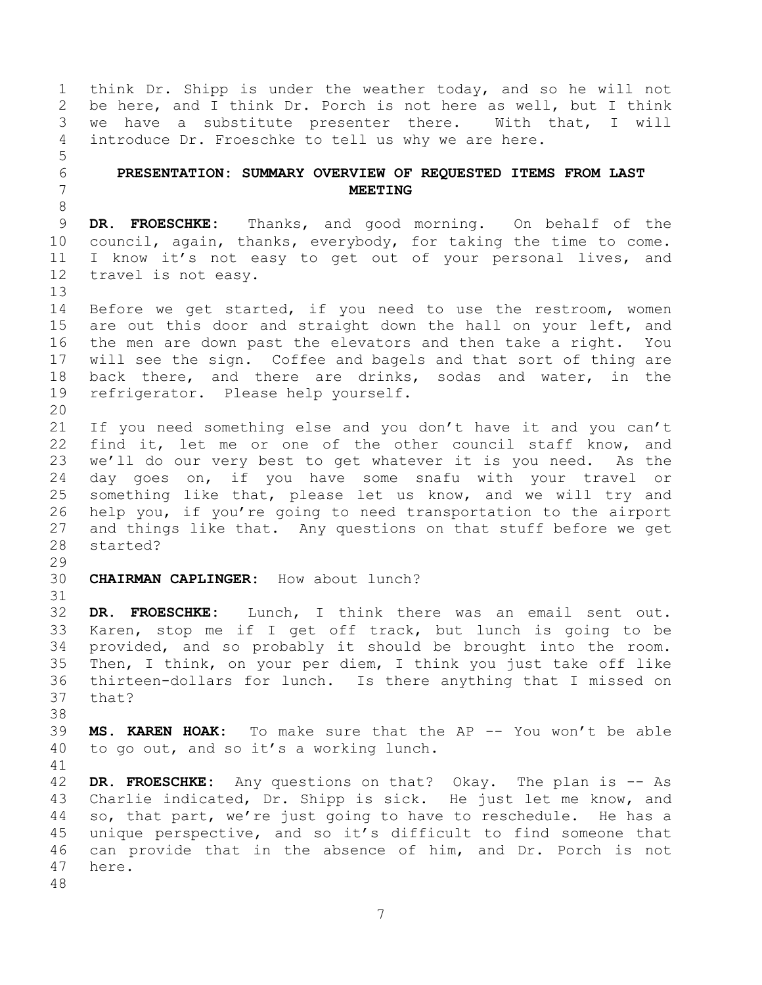think Dr. Shipp is under the weather today, and so he will not be here, and I think Dr. Porch is not here as well, but I think we have a substitute presenter there. With that, I will introduce Dr. Froeschke to tell us why we are here. 

## <span id="page-6-0"></span> **PRESENTATION: SUMMARY OVERVIEW OF REQUESTED ITEMS FROM LAST MEETING**

 **DR. FROESCHKE:** Thanks, and good morning. On behalf of the council, again, thanks, everybody, for taking the time to come. I know it's not easy to get out of your personal lives, and travel is not easy.

 Before we get started, if you need to use the restroom, women are out this door and straight down the hall on your left, and the men are down past the elevators and then take a right. You will see the sign. Coffee and bagels and that sort of thing are back there, and there are drinks, sodas and water, in the refrigerator. Please help yourself.

 If you need something else and you don't have it and you can't 22 find it, let me or one of the other council staff know, and we'll do our very best to get whatever it is you need. As the day goes on, if you have some snafu with your travel or something like that, please let us know, and we will try and help you, if you're going to need transportation to the airport and things like that. Any questions on that stuff before we get started?

**CHAIRMAN CAPLINGER:** How about lunch?

 **DR. FROESCHKE:** Lunch, I think there was an email sent out. Karen, stop me if I get off track, but lunch is going to be provided, and so probably it should be brought into the room. Then, I think, on your per diem, I think you just take off like thirteen-dollars for lunch. Is there anything that I missed on that?

 **MS. KAREN HOAK:** To make sure that the AP -- You won't be able to go out, and so it's a working lunch.

 **DR. FROESCHKE:** Any questions on that? Okay. The plan is -- As Charlie indicated, Dr. Shipp is sick. He just let me know, and so, that part, we're just going to have to reschedule. He has a unique perspective, and so it's difficult to find someone that can provide that in the absence of him, and Dr. Porch is not here.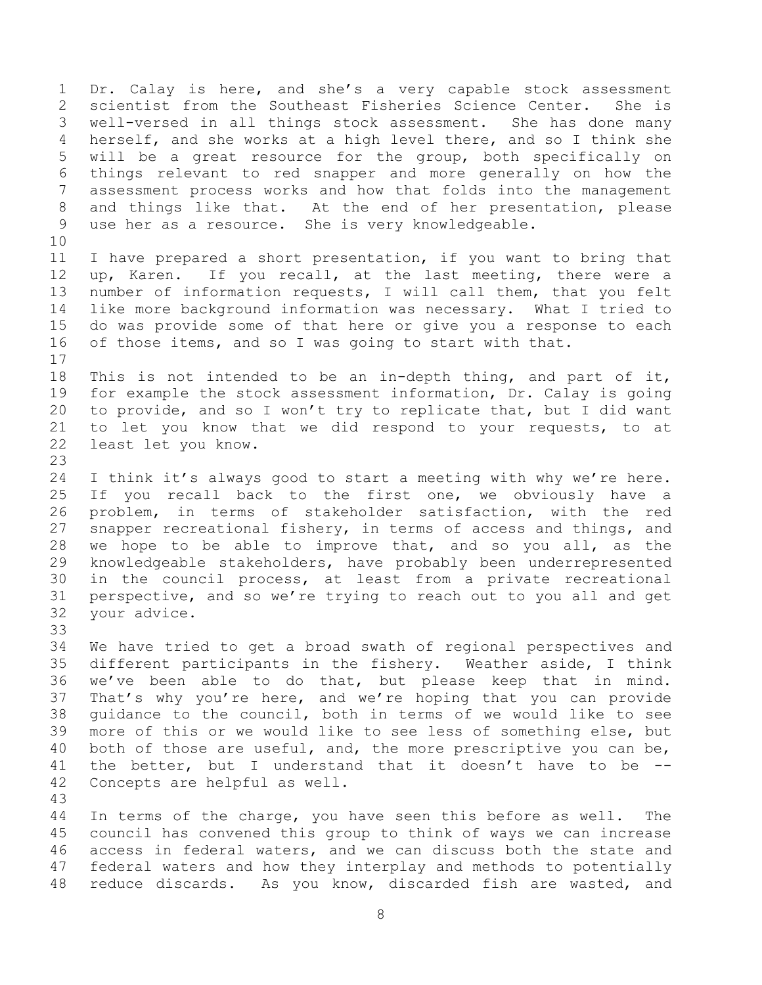Dr. Calay is here, and she's a very capable stock assessment scientist from the Southeast Fisheries Science Center. She is well-versed in all things stock assessment. She has done many herself, and she works at a high level there, and so I think she will be a great resource for the group, both specifically on things relevant to red snapper and more generally on how the assessment process works and how that folds into the management and things like that. At the end of her presentation, please use her as a resource. She is very knowledgeable. I have prepared a short presentation, if you want to bring that up, Karen. If you recall, at the last meeting, there were a number of information requests, I will call them, that you felt

- like more background information was necessary. What I tried to do was provide some of that here or give you a response to each of those items, and so I was going to start with that.
- This is not intended to be an in-depth thing, and part of it, for example the stock assessment information, Dr. Calay is going to provide, and so I won't try to replicate that, but I did want to let you know that we did respond to your requests, to at least let you know.
- I think it's always good to start a meeting with why we're here. If you recall back to the first one, we obviously have a problem, in terms of stakeholder satisfaction, with the red 27 snapper recreational fishery, in terms of access and things, and we hope to be able to improve that, and so you all, as the knowledgeable stakeholders, have probably been underrepresented in the council process, at least from a private recreational perspective, and so we're trying to reach out to you all and get your advice.
- 

 We have tried to get a broad swath of regional perspectives and different participants in the fishery. Weather aside, I think we've been able to do that, but please keep that in mind. That's why you're here, and we're hoping that you can provide guidance to the council, both in terms of we would like to see more of this or we would like to see less of something else, but 40 both of those are useful, and, the more prescriptive you can be, the better, but I understand that it doesn't have to be -- Concepts are helpful as well.

 In terms of the charge, you have seen this before as well. The council has convened this group to think of ways we can increase access in federal waters, and we can discuss both the state and federal waters and how they interplay and methods to potentially reduce discards. As you know, discarded fish are wasted, and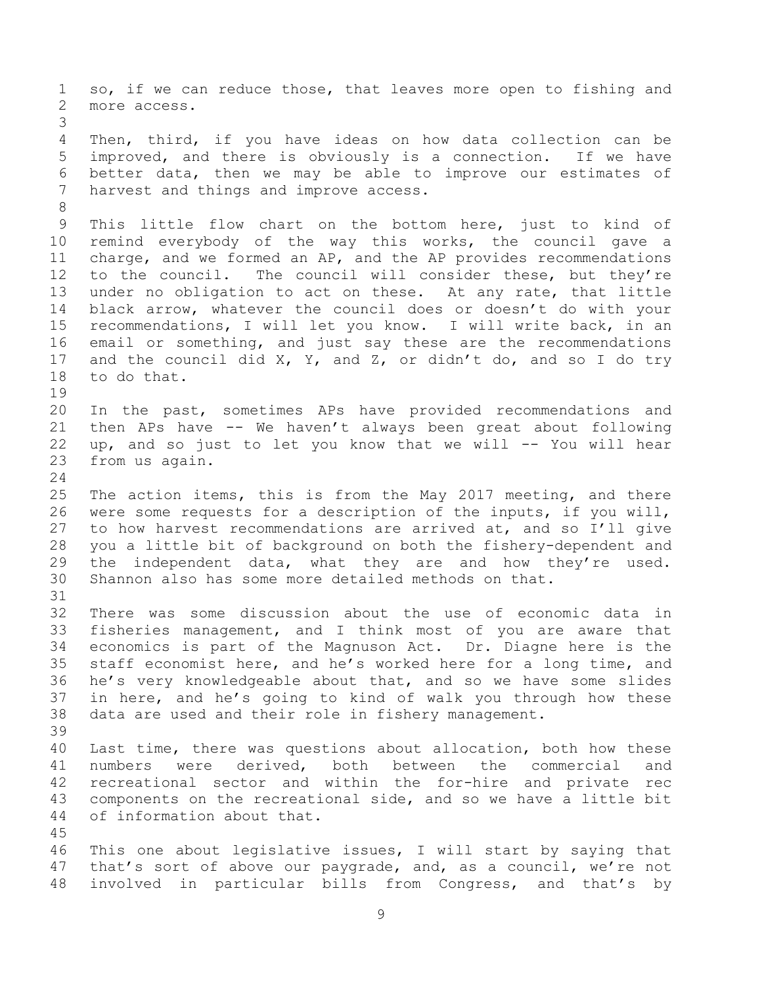so, if we can reduce those, that leaves more open to fishing and more access. Then, third, if you have ideas on how data collection can be improved, and there is obviously is a connection. If we have better data, then we may be able to improve our estimates of harvest and things and improve access. This little flow chart on the bottom here, just to kind of remind everybody of the way this works, the council gave a charge, and we formed an AP, and the AP provides recommendations to the council. The council will consider these, but they're under no obligation to act on these. At any rate, that little black arrow, whatever the council does or doesn't do with your recommendations, I will let you know. I will write back, in an email or something, and just say these are the recommendations and the council did X, Y, and Z, or didn't do, and so I do try to do that. In the past, sometimes APs have provided recommendations and then APs have -- We haven't always been great about following up, and so just to let you know that we will -- You will hear from us again. The action items, this is from the May 2017 meeting, and there were some requests for a description of the inputs, if you will, to how harvest recommendations are arrived at, and so I'll give you a little bit of background on both the fishery-dependent and 29 the independent data, what they are and how they're used. Shannon also has some more detailed methods on that. There was some discussion about the use of economic data in fisheries management, and I think most of you are aware that economics is part of the Magnuson Act. Dr. Diagne here is the staff economist here, and he's worked here for a long time, and he's very knowledgeable about that, and so we have some slides in here, and he's going to kind of walk you through how these data are used and their role in fishery management. Last time, there was questions about allocation, both how these numbers were derived, both between the commercial and recreational sector and within the for-hire and private rec components on the recreational side, and so we have a little bit of information about that. This one about legislative issues, I will start by saying that that's sort of above our paygrade, and, as a council, we're not involved in particular bills from Congress, and that's by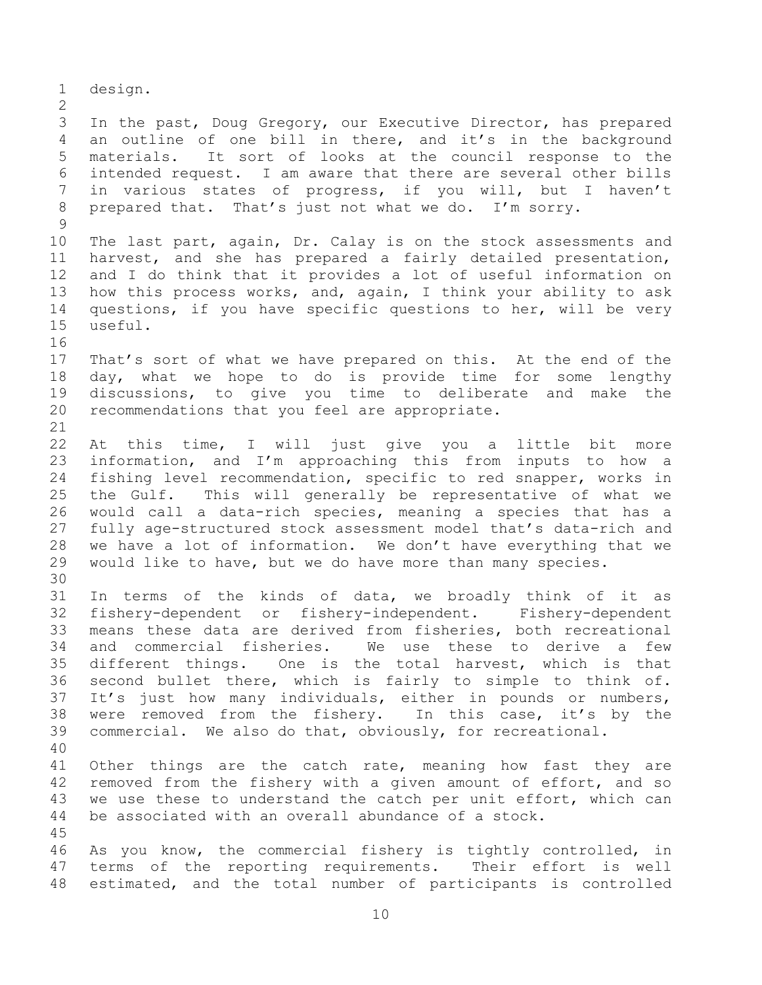design. In the past, Doug Gregory, our Executive Director, has prepared an outline of one bill in there, and it's in the background materials. It sort of looks at the council response to the intended request. I am aware that there are several other bills in various states of progress, if you will, but I haven't prepared that. That's just not what we do. I'm sorry. The last part, again, Dr. Calay is on the stock assessments and harvest, and she has prepared a fairly detailed presentation, and I do think that it provides a lot of useful information on how this process works, and, again, I think your ability to ask questions, if you have specific questions to her, will be very useful. That's sort of what we have prepared on this. At the end of the day, what we hope to do is provide time for some lengthy discussions, to give you time to deliberate and make the recommendations that you feel are appropriate. At this time, I will just give you a little bit more information, and I'm approaching this from inputs to how a fishing level recommendation, specific to red snapper, works in the Gulf. This will generally be representative of what we would call a data-rich species, meaning a species that has a fully age-structured stock assessment model that's data-rich and we have a lot of information. We don't have everything that we would like to have, but we do have more than many species. In terms of the kinds of data, we broadly think of it as fishery-dependent or fishery-independent. Fishery-dependent means these data are derived from fisheries, both recreational and commercial fisheries. We use these to derive a few different things. One is the total harvest, which is that second bullet there, which is fairly to simple to think of. It's just how many individuals, either in pounds or numbers, were removed from the fishery. In this case, it's by the commercial. We also do that, obviously, for recreational. Other things are the catch rate, meaning how fast they are removed from the fishery with a given amount of effort, and so we use these to understand the catch per unit effort, which can be associated with an overall abundance of a stock. As you know, the commercial fishery is tightly controlled, in terms of the reporting requirements. Their effort is well estimated, and the total number of participants is controlled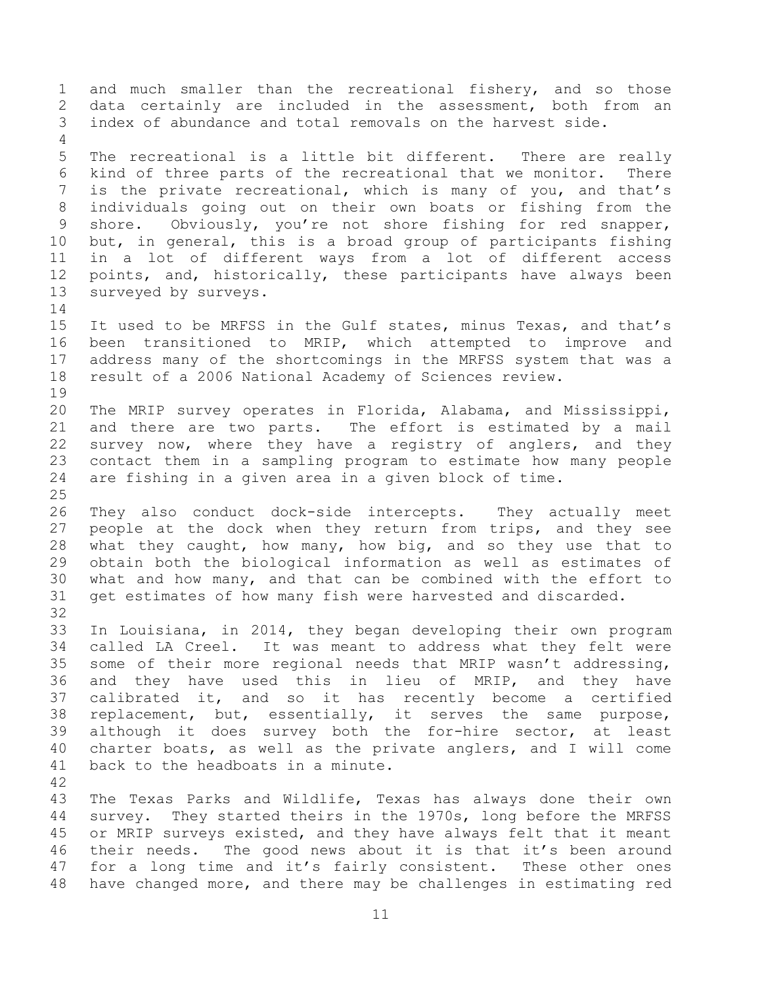and much smaller than the recreational fishery, and so those data certainly are included in the assessment, both from an index of abundance and total removals on the harvest side. The recreational is a little bit different. There are really kind of three parts of the recreational that we monitor. There is the private recreational, which is many of you, and that's individuals going out on their own boats or fishing from the shore. Obviously, you're not shore fishing for red snapper, but, in general, this is a broad group of participants fishing in a lot of different ways from a lot of different access points, and, historically, these participants have always been surveyed by surveys. It used to be MRFSS in the Gulf states, minus Texas, and that's been transitioned to MRIP, which attempted to improve and address many of the shortcomings in the MRFSS system that was a result of a 2006 National Academy of Sciences review. The MRIP survey operates in Florida, Alabama, and Mississippi, and there are two parts. The effort is estimated by a mail survey now, where they have a registry of anglers, and they contact them in a sampling program to estimate how many people are fishing in a given area in a given block of time. They also conduct dock-side intercepts. They actually meet people at the dock when they return from trips, and they see what they caught, how many, how big, and so they use that to obtain both the biological information as well as estimates of what and how many, and that can be combined with the effort to get estimates of how many fish were harvested and discarded. In Louisiana, in 2014, they began developing their own program called LA Creel. It was meant to address what they felt were some of their more regional needs that MRIP wasn't addressing, and they have used this in lieu of MRIP, and they have calibrated it, and so it has recently become a certified replacement, but, essentially, it serves the same purpose, although it does survey both the for-hire sector, at least charter boats, as well as the private anglers, and I will come back to the headboats in a minute. The Texas Parks and Wildlife, Texas has always done their own survey. They started theirs in the 1970s, long before the MRFSS or MRIP surveys existed, and they have always felt that it meant their needs. The good news about it is that it's been around for a long time and it's fairly consistent. These other ones have changed more, and there may be challenges in estimating red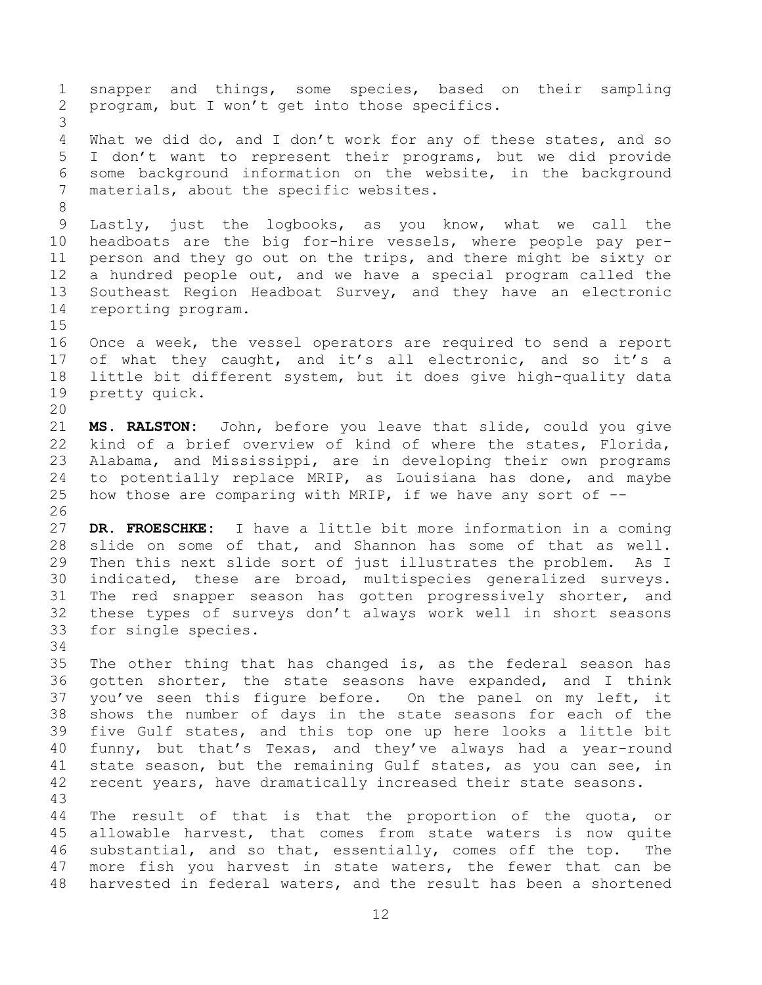snapper and things, some species, based on their sampling program, but I won't get into those specifics. What we did do, and I don't work for any of these states, and so I don't want to represent their programs, but we did provide some background information on the website, in the background materials, about the specific websites. Lastly, just the logbooks, as you know, what we call the headboats are the big for-hire vessels, where people pay per- person and they go out on the trips, and there might be sixty or a hundred people out, and we have a special program called the Southeast Region Headboat Survey, and they have an electronic reporting program. Once a week, the vessel operators are required to send a report of what they caught, and it's all electronic, and so it's a little bit different system, but it does give high-quality data pretty quick. **MS. RALSTON:** John, before you leave that slide, could you give kind of a brief overview of kind of where the states, Florida, Alabama, and Mississippi, are in developing their own programs to potentially replace MRIP, as Louisiana has done, and maybe 25 how those are comparing with MRIP, if we have any sort of  $-$ - **DR. FROESCHKE:** I have a little bit more information in a coming slide on some of that, and Shannon has some of that as well. Then this next slide sort of just illustrates the problem. As I indicated, these are broad, multispecies generalized surveys. The red snapper season has gotten progressively shorter, and these types of surveys don't always work well in short seasons for single species. The other thing that has changed is, as the federal season has gotten shorter, the state seasons have expanded, and I think you've seen this figure before. On the panel on my left, it shows the number of days in the state seasons for each of the five Gulf states, and this top one up here looks a little bit funny, but that's Texas, and they've always had a year-round state season, but the remaining Gulf states, as you can see, in recent years, have dramatically increased their state seasons. The result of that is that the proportion of the quota, or allowable harvest, that comes from state waters is now quite substantial, and so that, essentially, comes off the top. The more fish you harvest in state waters, the fewer that can be harvested in federal waters, and the result has been a shortened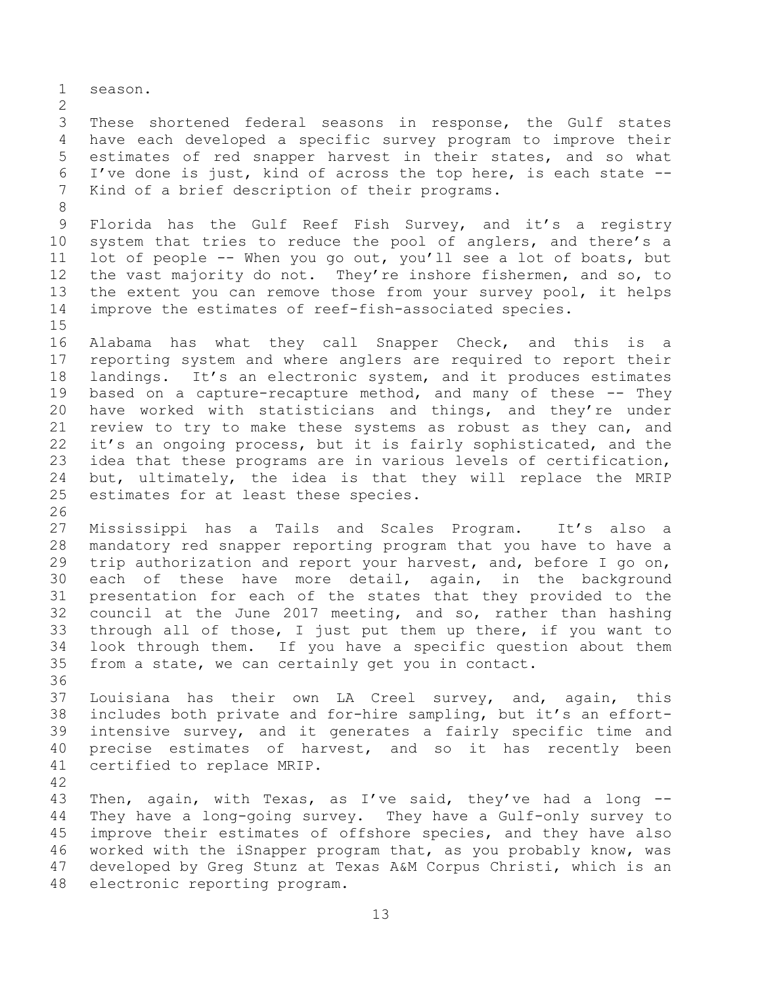season.

 These shortened federal seasons in response, the Gulf states have each developed a specific survey program to improve their estimates of red snapper harvest in their states, and so what I've done is just, kind of across the top here, is each state -- Kind of a brief description of their programs.

 Florida has the Gulf Reef Fish Survey, and it's a registry system that tries to reduce the pool of anglers, and there's a lot of people -- When you go out, you'll see a lot of boats, but the vast majority do not. They're inshore fishermen, and so, to the extent you can remove those from your survey pool, it helps improve the estimates of reef-fish-associated species.

 Alabama has what they call Snapper Check, and this is a reporting system and where anglers are required to report their landings. It's an electronic system, and it produces estimates based on a capture-recapture method, and many of these -- They have worked with statisticians and things, and they're under review to try to make these systems as robust as they can, and it's an ongoing process, but it is fairly sophisticated, and the idea that these programs are in various levels of certification, but, ultimately, the idea is that they will replace the MRIP estimates for at least these species.

 Mississippi has a Tails and Scales Program. It's also a mandatory red snapper reporting program that you have to have a trip authorization and report your harvest, and, before I go on, each of these have more detail, again, in the background presentation for each of the states that they provided to the council at the June 2017 meeting, and so, rather than hashing through all of those, I just put them up there, if you want to look through them. If you have a specific question about them from a state, we can certainly get you in contact.

 Louisiana has their own LA Creel survey, and, again, this includes both private and for-hire sampling, but it's an effort- intensive survey, and it generates a fairly specific time and precise estimates of harvest, and so it has recently been certified to replace MRIP.

 Then, again, with Texas, as I've said, they've had a long -- They have a long-going survey. They have a Gulf-only survey to improve their estimates of offshore species, and they have also worked with the iSnapper program that, as you probably know, was developed by Greg Stunz at Texas A&M Corpus Christi, which is an electronic reporting program.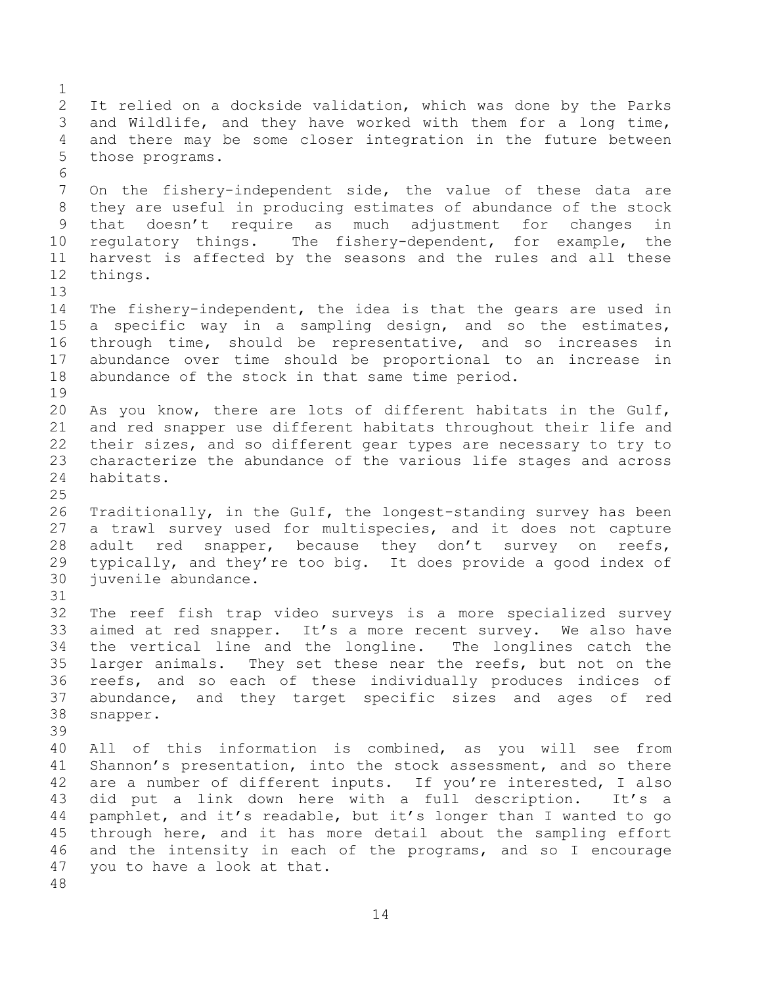It relied on a dockside validation, which was done by the Parks and Wildlife, and they have worked with them for a long time, and there may be some closer integration in the future between those programs. On the fishery-independent side, the value of these data are they are useful in producing estimates of abundance of the stock that doesn't require as much adjustment for changes in regulatory things. The fishery-dependent, for example, the harvest is affected by the seasons and the rules and all these things. The fishery-independent, the idea is that the gears are used in a specific way in a sampling design, and so the estimates, through time, should be representative, and so increases in abundance over time should be proportional to an increase in abundance of the stock in that same time period. As you know, there are lots of different habitats in the Gulf, and red snapper use different habitats throughout their life and their sizes, and so different gear types are necessary to try to characterize the abundance of the various life stages and across habitats. Traditionally, in the Gulf, the longest-standing survey has been a trawl survey used for multispecies, and it does not capture 28 adult red snapper, because they don't survey on reefs, typically, and they're too big. It does provide a good index of juvenile abundance. The reef fish trap video surveys is a more specialized survey aimed at red snapper. It's a more recent survey. We also have the vertical line and the longline. The longlines catch the larger animals. They set these near the reefs, but not on the reefs, and so each of these individually produces indices of abundance, and they target specific sizes and ages of red snapper. All of this information is combined, as you will see from Shannon's presentation, into the stock assessment, and so there are a number of different inputs. If you're interested, I also did put a link down here with a full description. It's a pamphlet, and it's readable, but it's longer than I wanted to go through here, and it has more detail about the sampling effort and the intensity in each of the programs, and so I encourage you to have a look at that.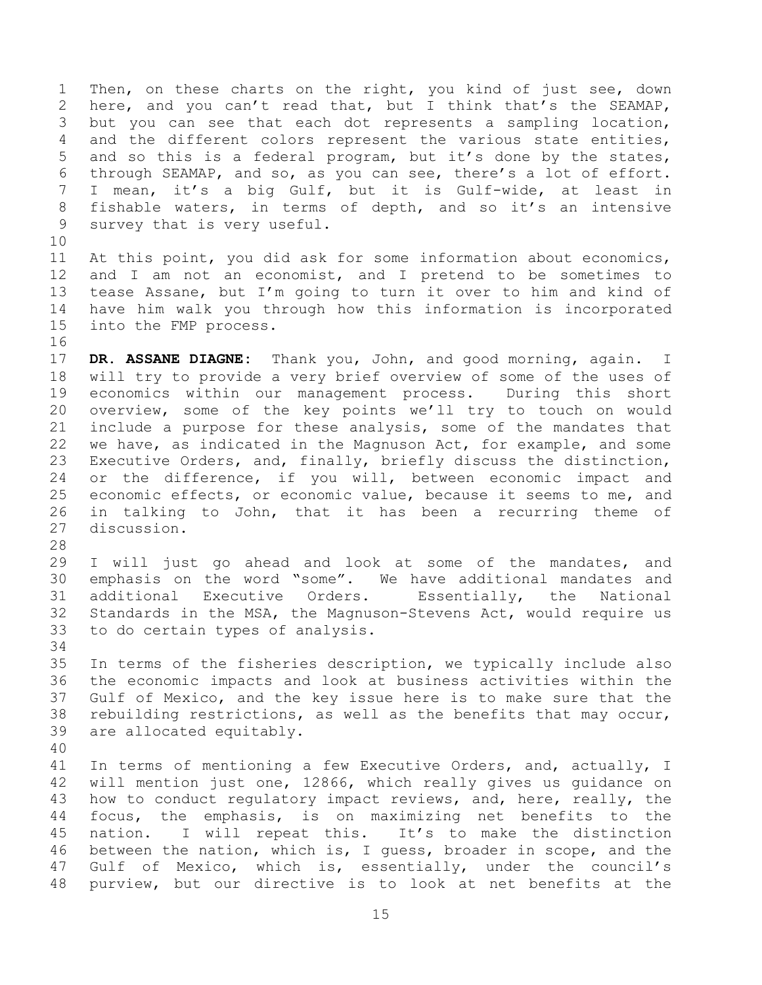Then, on these charts on the right, you kind of just see, down here, and you can't read that, but I think that's the SEAMAP, but you can see that each dot represents a sampling location, and the different colors represent the various state entities, and so this is a federal program, but it's done by the states, through SEAMAP, and so, as you can see, there's a lot of effort. I mean, it's a big Gulf, but it is Gulf-wide, at least in fishable waters, in terms of depth, and so it's an intensive survey that is very useful.

 At this point, you did ask for some information about economics, and I am not an economist, and I pretend to be sometimes to tease Assane, but I'm going to turn it over to him and kind of have him walk you through how this information is incorporated into the FMP process.

 **DR. ASSANE DIAGNE:** Thank you, John, and good morning, again. I will try to provide a very brief overview of some of the uses of economics within our management process. During this short overview, some of the key points we'll try to touch on would include a purpose for these analysis, some of the mandates that we have, as indicated in the Magnuson Act, for example, and some Executive Orders, and, finally, briefly discuss the distinction, 24 or the difference, if you will, between economic impact and economic effects, or economic value, because it seems to me, and in talking to John, that it has been a recurring theme of discussion.

 I will just go ahead and look at some of the mandates, and emphasis on the word "some". We have additional mandates and additional Executive Orders. Essentially, the National Standards in the MSA, the Magnuson-Stevens Act, would require us to do certain types of analysis.

 In terms of the fisheries description, we typically include also the economic impacts and look at business activities within the Gulf of Mexico, and the key issue here is to make sure that the rebuilding restrictions, as well as the benefits that may occur, are allocated equitably.

 In terms of mentioning a few Executive Orders, and, actually, I will mention just one, 12866, which really gives us guidance on 43 how to conduct regulatory impact reviews, and, here, really, the focus, the emphasis, is on maximizing net benefits to the nation. I will repeat this. It's to make the distinction between the nation, which is, I guess, broader in scope, and the Gulf of Mexico, which is, essentially, under the council's purview, but our directive is to look at net benefits at the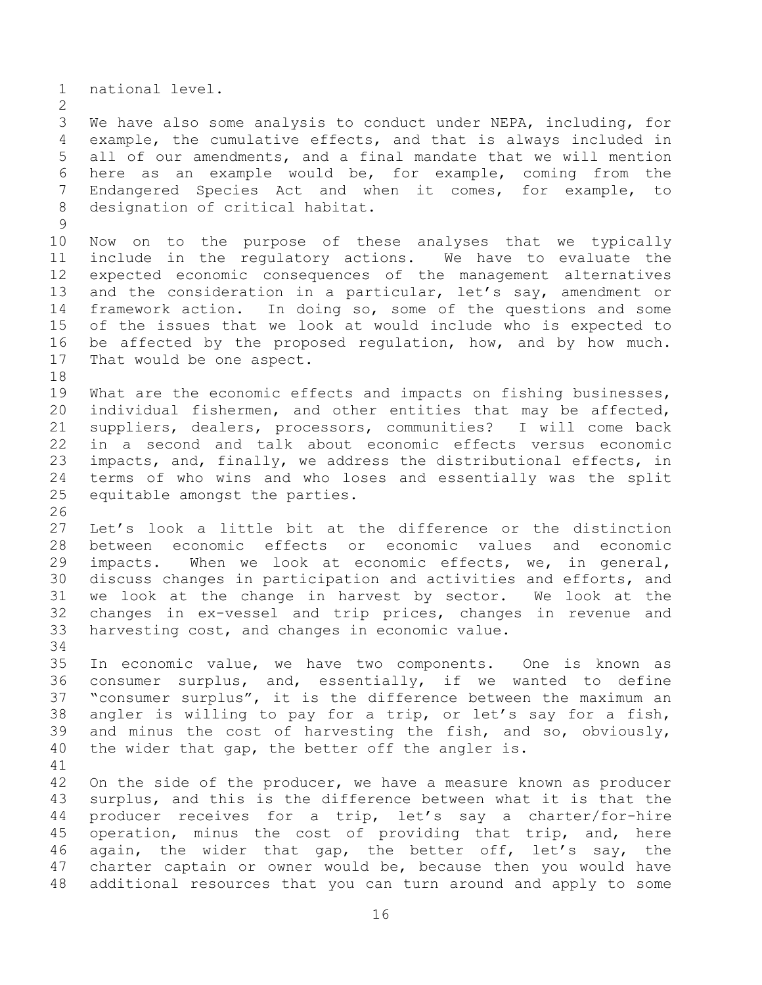national level. We have also some analysis to conduct under NEPA, including, for example, the cumulative effects, and that is always included in all of our amendments, and a final mandate that we will mention here as an example would be, for example, coming from the Endangered Species Act and when it comes, for example, to designation of critical habitat. Now on to the purpose of these analyses that we typically include in the regulatory actions. We have to evaluate the expected economic consequences of the management alternatives and the consideration in a particular, let's say, amendment or framework action. In doing so, some of the questions and some of the issues that we look at would include who is expected to be affected by the proposed regulation, how, and by how much. That would be one aspect. 19 What are the economic effects and impacts on fishing businesses, individual fishermen, and other entities that may be affected, suppliers, dealers, processors, communities? I will come back in a second and talk about economic effects versus economic impacts, and, finally, we address the distributional effects, in terms of who wins and who loses and essentially was the split equitable amongst the parties. Let's look a little bit at the difference or the distinction between economic effects or economic values and economic impacts. When we look at economic effects, we, in general, discuss changes in participation and activities and efforts, and we look at the change in harvest by sector. We look at the changes in ex-vessel and trip prices, changes in revenue and harvesting cost, and changes in economic value. In economic value, we have two components. One is known as consumer surplus, and, essentially, if we wanted to define "consumer surplus", it is the difference between the maximum an angler is willing to pay for a trip, or let's say for a fish, and minus the cost of harvesting the fish, and so, obviously, the wider that gap, the better off the angler is. On the side of the producer, we have a measure known as producer surplus, and this is the difference between what it is that the producer receives for a trip, let's say a charter/for-hire operation, minus the cost of providing that trip, and, here again, the wider that gap, the better off, let's say, the charter captain or owner would be, because then you would have additional resources that you can turn around and apply to some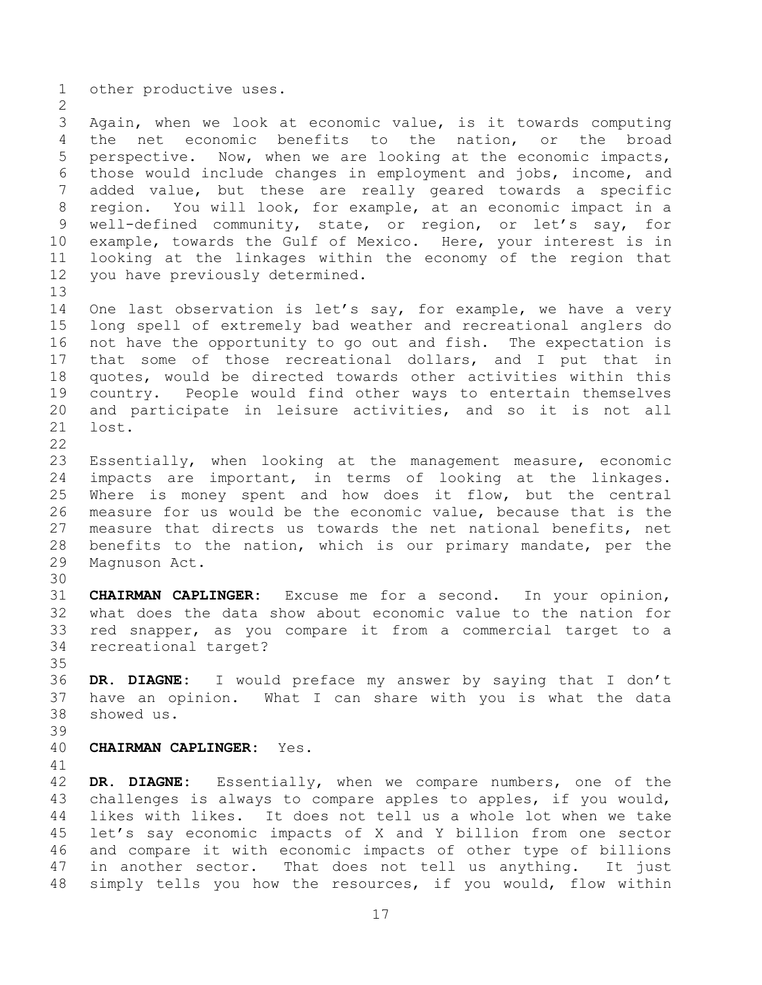other productive uses.

 Again, when we look at economic value, is it towards computing the net economic benefits to the nation, or the broad perspective. Now, when we are looking at the economic impacts, those would include changes in employment and jobs, income, and added value, but these are really geared towards a specific region. You will look, for example, at an economic impact in a well-defined community, state, or region, or let's say, for example, towards the Gulf of Mexico. Here, your interest is in looking at the linkages within the economy of the region that you have previously determined.

 One last observation is let's say, for example, we have a very long spell of extremely bad weather and recreational anglers do not have the opportunity to go out and fish. The expectation is that some of those recreational dollars, and I put that in quotes, would be directed towards other activities within this country. People would find other ways to entertain themselves and participate in leisure activities, and so it is not all lost. 

 Essentially, when looking at the management measure, economic impacts are important, in terms of looking at the linkages. Where is money spent and how does it flow, but the central measure for us would be the economic value, because that is the measure that directs us towards the net national benefits, net benefits to the nation, which is our primary mandate, per the Magnuson Act.

 **CHAIRMAN CAPLINGER:** Excuse me for a second. In your opinion, what does the data show about economic value to the nation for red snapper, as you compare it from a commercial target to a recreational target?

 **DR. DIAGNE:** I would preface my answer by saying that I don't have an opinion. What I can share with you is what the data showed us.

**CHAIRMAN CAPLINGER:** Yes.

 **DR. DIAGNE:** Essentially, when we compare numbers, one of the challenges is always to compare apples to apples, if you would, likes with likes. It does not tell us a whole lot when we take let's say economic impacts of X and Y billion from one sector and compare it with economic impacts of other type of billions in another sector. That does not tell us anything. It just simply tells you how the resources, if you would, flow within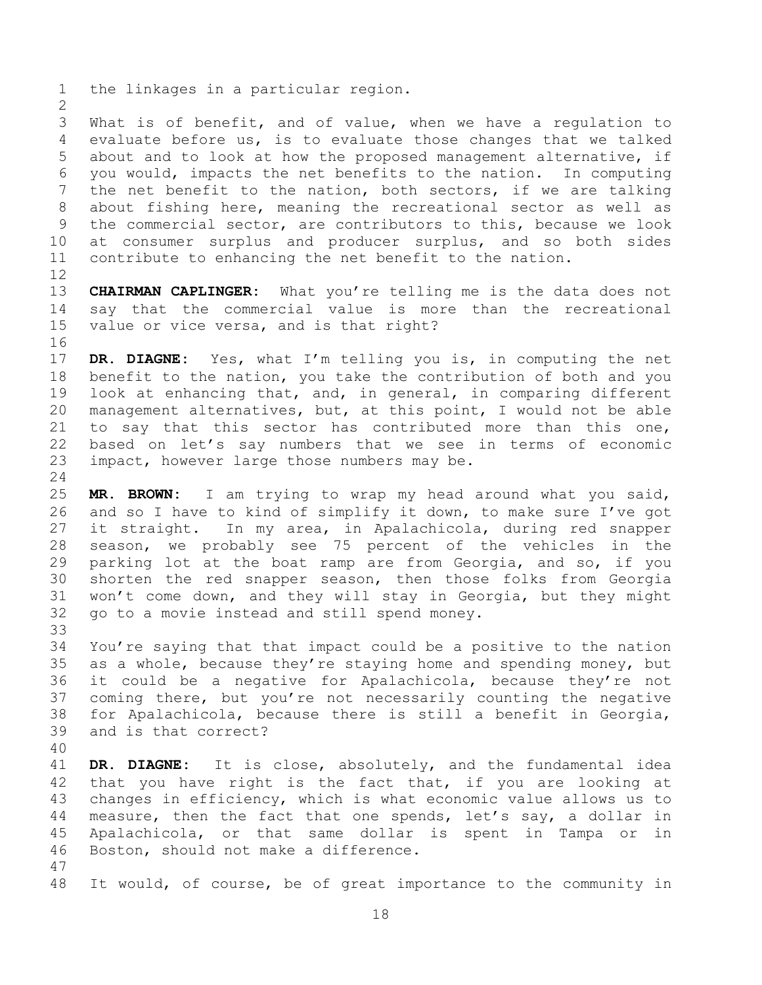the linkages in a particular region.

 What is of benefit, and of value, when we have a regulation to evaluate before us, is to evaluate those changes that we talked about and to look at how the proposed management alternative, if you would, impacts the net benefits to the nation. In computing the net benefit to the nation, both sectors, if we are talking about fishing here, meaning the recreational sector as well as the commercial sector, are contributors to this, because we look at consumer surplus and producer surplus, and so both sides contribute to enhancing the net benefit to the nation.

 **CHAIRMAN CAPLINGER:** What you're telling me is the data does not say that the commercial value is more than the recreational value or vice versa, and is that right?

 **DR. DIAGNE:** Yes, what I'm telling you is, in computing the net benefit to the nation, you take the contribution of both and you look at enhancing that, and, in general, in comparing different management alternatives, but, at this point, I would not be able to say that this sector has contributed more than this one, based on let's say numbers that we see in terms of economic impact, however large those numbers may be.

 **MR. BROWN:** I am trying to wrap my head around what you said, and so I have to kind of simplify it down, to make sure I've got it straight. In my area, in Apalachicola, during red snapper season, we probably see 75 percent of the vehicles in the parking lot at the boat ramp are from Georgia, and so, if you shorten the red snapper season, then those folks from Georgia won't come down, and they will stay in Georgia, but they might go to a movie instead and still spend money. 

 You're saying that that impact could be a positive to the nation as a whole, because they're staying home and spending money, but it could be a negative for Apalachicola, because they're not coming there, but you're not necessarily counting the negative for Apalachicola, because there is still a benefit in Georgia, and is that correct?

 **DR. DIAGNE:** It is close, absolutely, and the fundamental idea that you have right is the fact that, if you are looking at changes in efficiency, which is what economic value allows us to measure, then the fact that one spends, let's say, a dollar in Apalachicola, or that same dollar is spent in Tampa or in Boston, should not make a difference.

It would, of course, be of great importance to the community in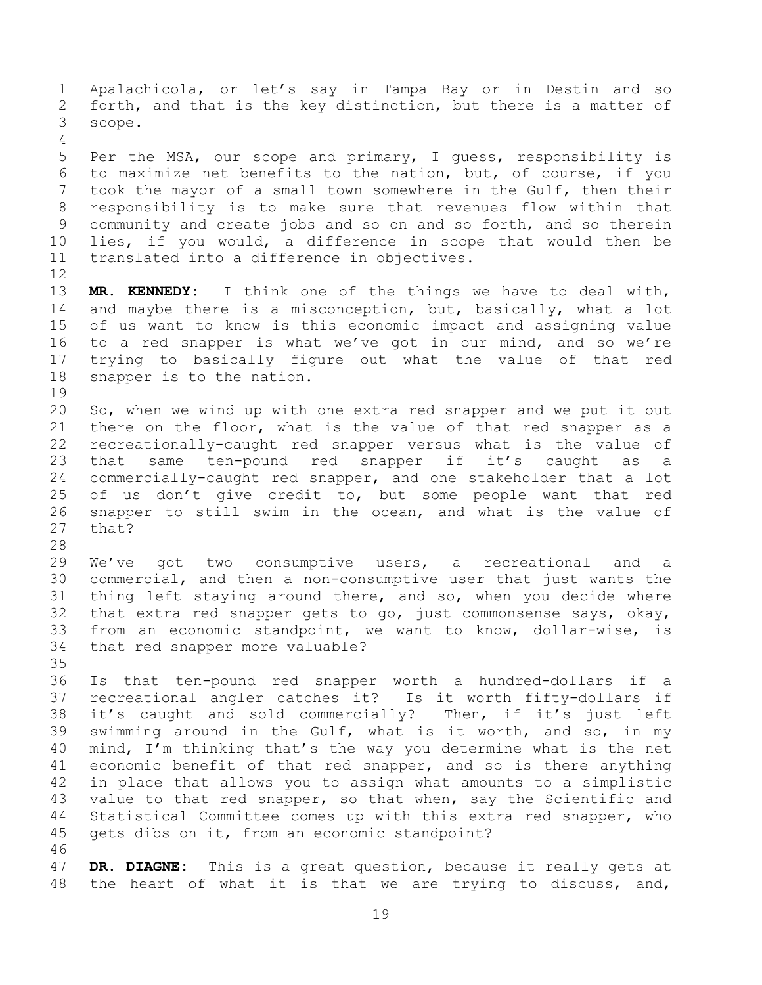Apalachicola, or let's say in Tampa Bay or in Destin and so forth, and that is the key distinction, but there is a matter of scope. Per the MSA, our scope and primary, I guess, responsibility is to maximize net benefits to the nation, but, of course, if you took the mayor of a small town somewhere in the Gulf, then their responsibility is to make sure that revenues flow within that community and create jobs and so on and so forth, and so therein lies, if you would, a difference in scope that would then be translated into a difference in objectives. **MR. KENNEDY:** I think one of the things we have to deal with, and maybe there is a misconception, but, basically, what a lot of us want to know is this economic impact and assigning value to a red snapper is what we've got in our mind, and so we're trying to basically figure out what the value of that red snapper is to the nation. So, when we wind up with one extra red snapper and we put it out there on the floor, what is the value of that red snapper as a recreationally-caught red snapper versus what is the value of that same ten-pound red snapper if it's caught as a commercially-caught red snapper, and one stakeholder that a lot 25 of us don't give credit to, but some people want that red snapper to still swim in the ocean, and what is the value of that? We've got two consumptive users, a recreational and a commercial, and then a non-consumptive user that just wants the thing left staying around there, and so, when you decide where that extra red snapper gets to go, just commonsense says, okay, from an economic standpoint, we want to know, dollar-wise, is that red snapper more valuable? Is that ten-pound red snapper worth a hundred-dollars if a recreational angler catches it? Is it worth fifty-dollars if it's caught and sold commercially? Then, if it's just left swimming around in the Gulf, what is it worth, and so, in my mind, I'm thinking that's the way you determine what is the net economic benefit of that red snapper, and so is there anything in place that allows you to assign what amounts to a simplistic 43 value to that red snapper, so that when, say the Scientific and Statistical Committee comes up with this extra red snapper, who gets dibs on it, from an economic standpoint? **DR. DIAGNE:** This is a great question, because it really gets at the heart of what it is that we are trying to discuss, and,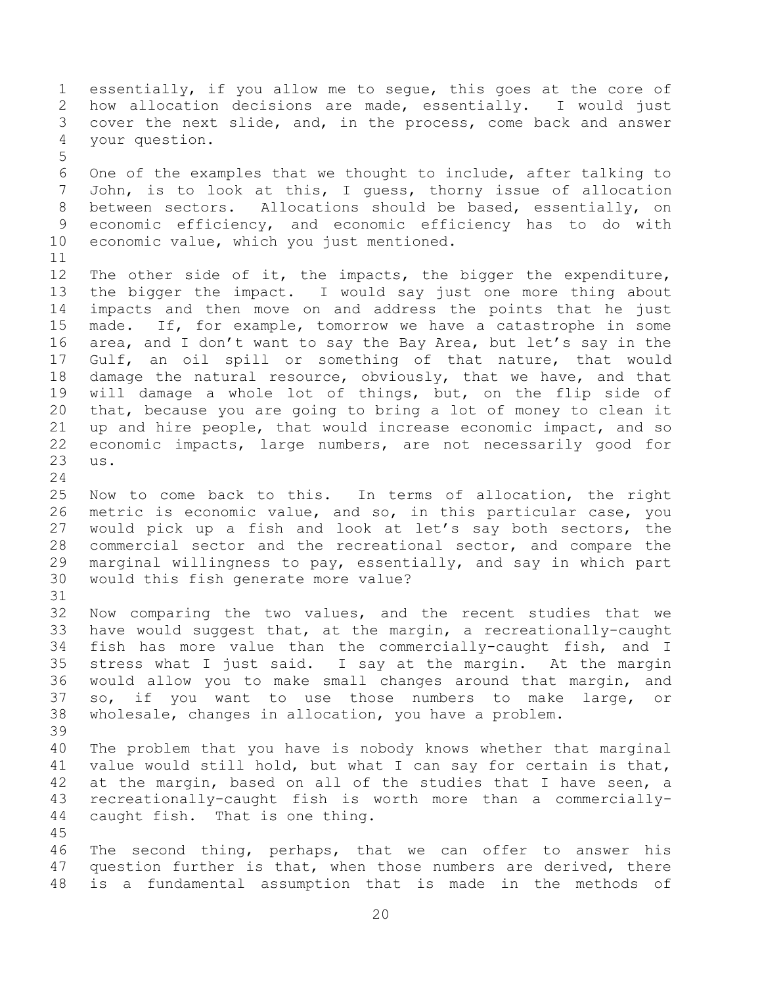essentially, if you allow me to segue, this goes at the core of how allocation decisions are made, essentially. I would just cover the next slide, and, in the process, come back and answer your question. One of the examples that we thought to include, after talking to John, is to look at this, I guess, thorny issue of allocation between sectors. Allocations should be based, essentially, on economic efficiency, and economic efficiency has to do with economic value, which you just mentioned. The other side of it, the impacts, the bigger the expenditure, the bigger the impact. I would say just one more thing about impacts and then move on and address the points that he just made. If, for example, tomorrow we have a catastrophe in some area, and I don't want to say the Bay Area, but let's say in the Gulf, an oil spill or something of that nature, that would damage the natural resource, obviously, that we have, and that will damage a whole lot of things, but, on the flip side of that, because you are going to bring a lot of money to clean it up and hire people, that would increase economic impact, and so economic impacts, large numbers, are not necessarily good for us. Now to come back to this. In terms of allocation, the right metric is economic value, and so, in this particular case, you would pick up a fish and look at let's say both sectors, the commercial sector and the recreational sector, and compare the marginal willingness to pay, essentially, and say in which part would this fish generate more value? Now comparing the two values, and the recent studies that we have would suggest that, at the margin, a recreationally-caught fish has more value than the commercially-caught fish, and I stress what I just said. I say at the margin. At the margin would allow you to make small changes around that margin, and so, if you want to use those numbers to make large, or wholesale, changes in allocation, you have a problem. The problem that you have is nobody knows whether that marginal value would still hold, but what I can say for certain is that, at the margin, based on all of the studies that I have seen, a recreationally-caught fish is worth more than a commercially- caught fish. That is one thing. The second thing, perhaps, that we can offer to answer his question further is that, when those numbers are derived, there is a fundamental assumption that is made in the methods of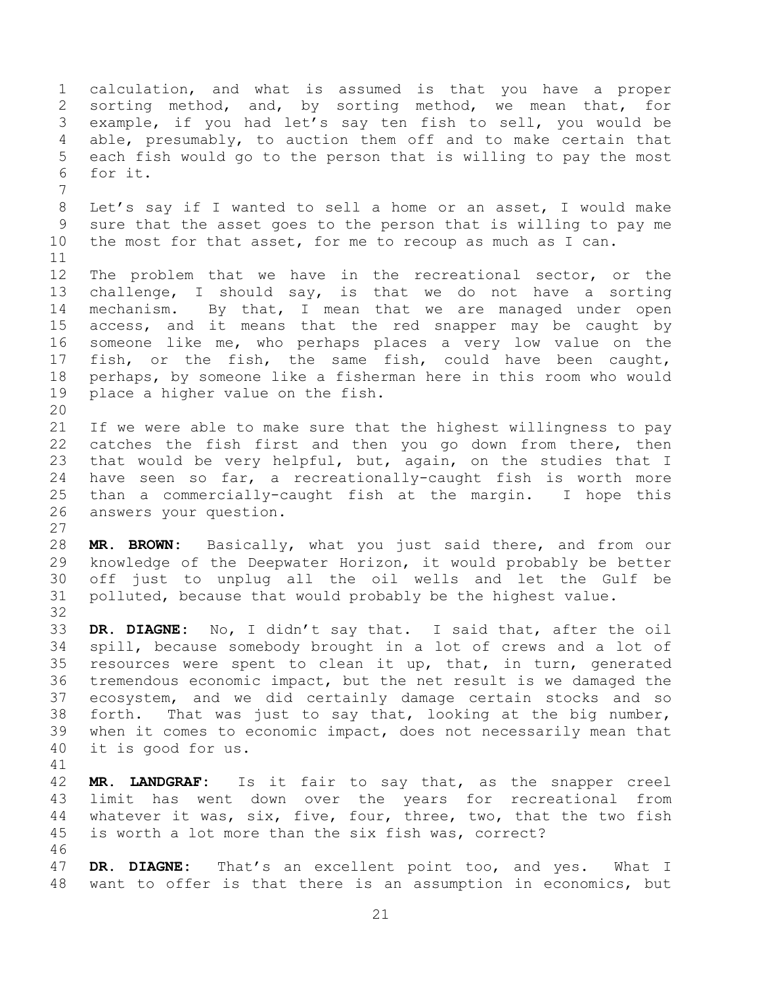calculation, and what is assumed is that you have a proper sorting method, and, by sorting method, we mean that, for example, if you had let's say ten fish to sell, you would be able, presumably, to auction them off and to make certain that each fish would go to the person that is willing to pay the most for it. Let's say if I wanted to sell a home or an asset, I would make sure that the asset goes to the person that is willing to pay me the most for that asset, for me to recoup as much as I can. The problem that we have in the recreational sector, or the challenge, I should say, is that we do not have a sorting mechanism. By that, I mean that we are managed under open access, and it means that the red snapper may be caught by someone like me, who perhaps places a very low value on the fish, or the fish, the same fish, could have been caught, perhaps, by someone like a fisherman here in this room who would place a higher value on the fish. If we were able to make sure that the highest willingness to pay 22 catches the fish first and then you go down from there, then that would be very helpful, but, again, on the studies that I have seen so far, a recreationally-caught fish is worth more than a commercially-caught fish at the margin. I hope this answers your question. **MR. BROWN:** Basically, what you just said there, and from our knowledge of the Deepwater Horizon, it would probably be better off just to unplug all the oil wells and let the Gulf be polluted, because that would probably be the highest value. **DR. DIAGNE:** No, I didn't say that. I said that, after the oil spill, because somebody brought in a lot of crews and a lot of resources were spent to clean it up, that, in turn, generated tremendous economic impact, but the net result is we damaged the ecosystem, and we did certainly damage certain stocks and so forth. That was just to say that, looking at the big number, when it comes to economic impact, does not necessarily mean that it is good for us. **MR. LANDGRAF:** Is it fair to say that, as the snapper creel limit has went down over the years for recreational from whatever it was, six, five, four, three, two, that the two fish is worth a lot more than the six fish was, correct? **DR. DIAGNE:** That's an excellent point too, and yes. What I want to offer is that there is an assumption in economics, but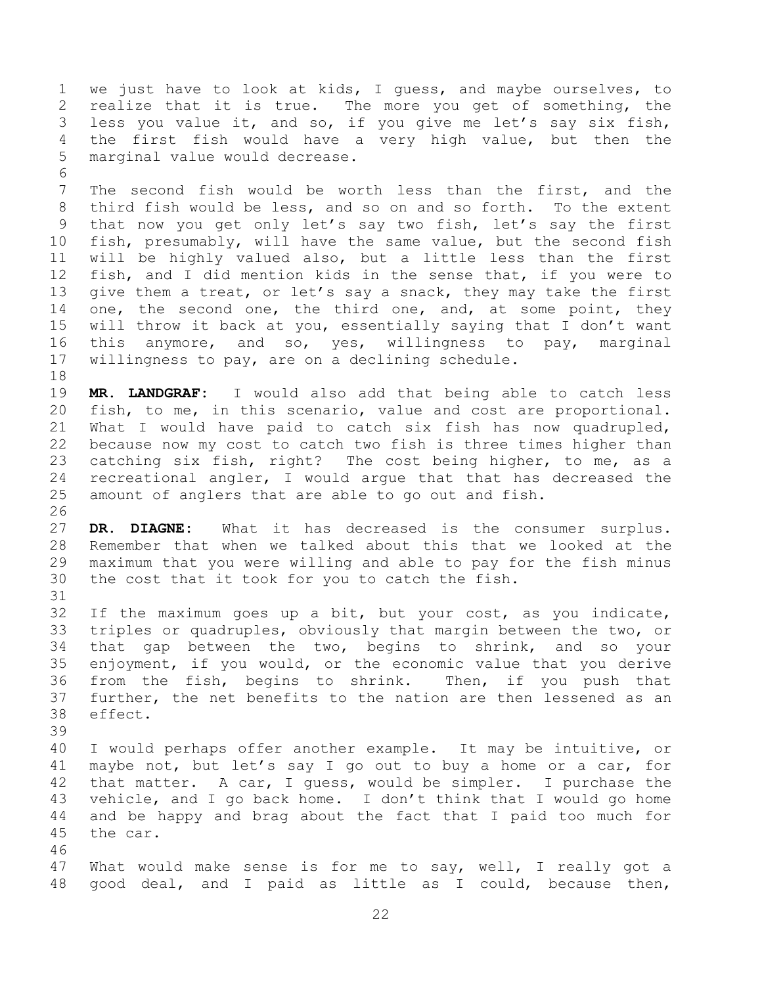we just have to look at kids, I guess, and maybe ourselves, to realize that it is true. The more you get of something, the less you value it, and so, if you give me let's say six fish, the first fish would have a very high value, but then the marginal value would decrease.

 The second fish would be worth less than the first, and the third fish would be less, and so on and so forth. To the extent that now you get only let's say two fish, let's say the first fish, presumably, will have the same value, but the second fish will be highly valued also, but a little less than the first fish, and I did mention kids in the sense that, if you were to give them a treat, or let's say a snack, they may take the first 14 one, the second one, the third one, and, at some point, they will throw it back at you, essentially saying that I don't want this anymore, and so, yes, willingness to pay, marginal willingness to pay, are on a declining schedule.

 **MR. LANDGRAF:** I would also add that being able to catch less fish, to me, in this scenario, value and cost are proportional. What I would have paid to catch six fish has now quadrupled, because now my cost to catch two fish is three times higher than catching six fish, right? The cost being higher, to me, as a recreational angler, I would argue that that has decreased the amount of anglers that are able to go out and fish.

 **DR. DIAGNE:** What it has decreased is the consumer surplus. Remember that when we talked about this that we looked at the maximum that you were willing and able to pay for the fish minus the cost that it took for you to catch the fish.

 If the maximum goes up a bit, but your cost, as you indicate, triples or quadruples, obviously that margin between the two, or that gap between the two, begins to shrink, and so your enjoyment, if you would, or the economic value that you derive from the fish, begins to shrink. Then, if you push that further, the net benefits to the nation are then lessened as an effect.

 I would perhaps offer another example. It may be intuitive, or maybe not, but let's say I go out to buy a home or a car, for that matter. A car, I guess, would be simpler. I purchase the vehicle, and I go back home. I don't think that I would go home and be happy and brag about the fact that I paid too much for the car. 

 What would make sense is for me to say, well, I really got a good deal, and I paid as little as I could, because then,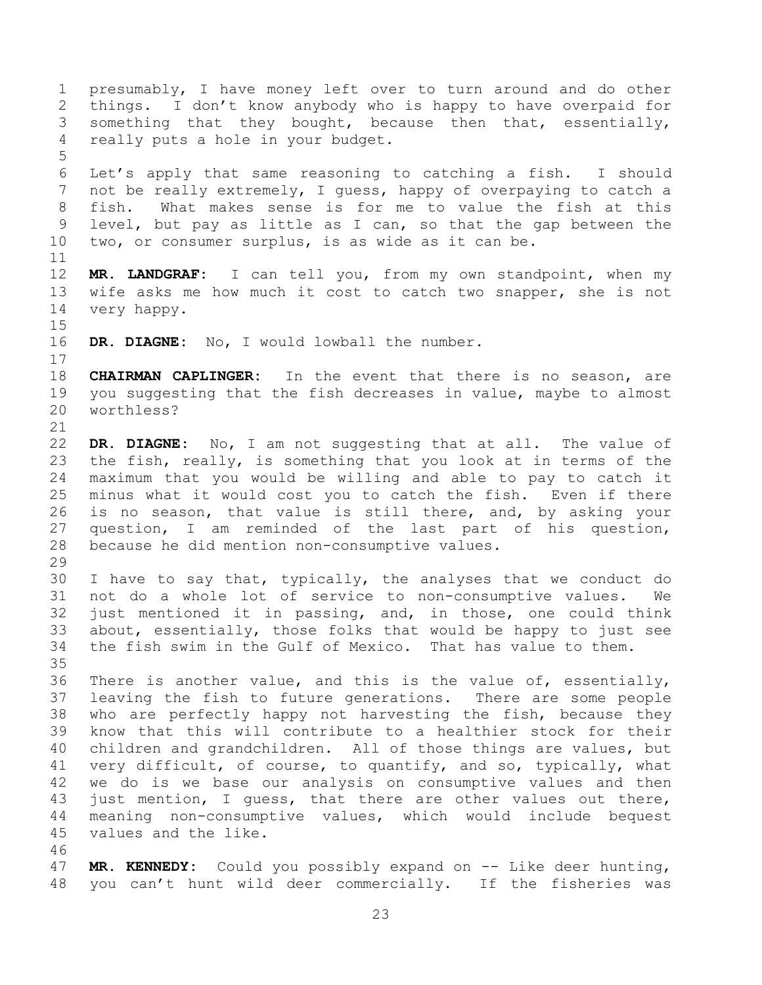presumably, I have money left over to turn around and do other things. I don't know anybody who is happy to have overpaid for something that they bought, because then that, essentially, really puts a hole in your budget. Let's apply that same reasoning to catching a fish. I should not be really extremely, I guess, happy of overpaying to catch a fish. What makes sense is for me to value the fish at this level, but pay as little as I can, so that the gap between the two, or consumer surplus, is as wide as it can be. **MR. LANDGRAF:** I can tell you, from my own standpoint, when my wife asks me how much it cost to catch two snapper, she is not very happy. **DR. DIAGNE:** No, I would lowball the number. **CHAIRMAN CAPLINGER:** In the event that there is no season, are you suggesting that the fish decreases in value, maybe to almost worthless? **DR. DIAGNE:** No, I am not suggesting that at all. The value of the fish, really, is something that you look at in terms of the maximum that you would be willing and able to pay to catch it minus what it would cost you to catch the fish. Even if there is no season, that value is still there, and, by asking your question, I am reminded of the last part of his question, because he did mention non-consumptive values. I have to say that, typically, the analyses that we conduct do not do a whole lot of service to non-consumptive values. We just mentioned it in passing, and, in those, one could think about, essentially, those folks that would be happy to just see the fish swim in the Gulf of Mexico. That has value to them. There is another value, and this is the value of, essentially, leaving the fish to future generations. There are some people who are perfectly happy not harvesting the fish, because they know that this will contribute to a healthier stock for their children and grandchildren. All of those things are values, but very difficult, of course, to quantify, and so, typically, what we do is we base our analysis on consumptive values and then just mention, I guess, that there are other values out there, meaning non-consumptive values, which would include bequest values and the like. **MR. KENNEDY:** Could you possibly expand on -- Like deer hunting, you can't hunt wild deer commercially. If the fisheries was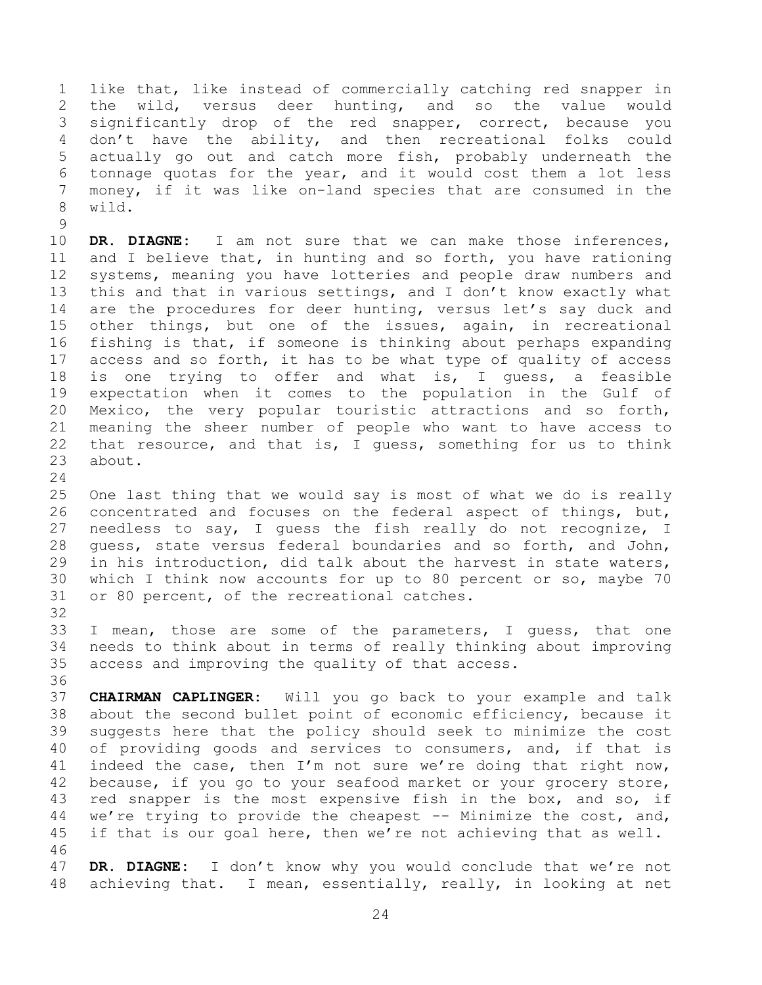like that, like instead of commercially catching red snapper in the wild, versus deer hunting, and so the value would significantly drop of the red snapper, correct, because you don't have the ability, and then recreational folks could actually go out and catch more fish, probably underneath the tonnage quotas for the year, and it would cost them a lot less money, if it was like on-land species that are consumed in the wild.

 **DR. DIAGNE:** I am not sure that we can make those inferences, and I believe that, in hunting and so forth, you have rationing systems, meaning you have lotteries and people draw numbers and this and that in various settings, and I don't know exactly what are the procedures for deer hunting, versus let's say duck and other things, but one of the issues, again, in recreational fishing is that, if someone is thinking about perhaps expanding access and so forth, it has to be what type of quality of access is one trying to offer and what is, I guess, a feasible expectation when it comes to the population in the Gulf of Mexico, the very popular touristic attractions and so forth, meaning the sheer number of people who want to have access to that resource, and that is, I guess, something for us to think about.

 One last thing that we would say is most of what we do is really concentrated and focuses on the federal aspect of things, but, needless to say, I guess the fish really do not recognize, I guess, state versus federal boundaries and so forth, and John, in his introduction, did talk about the harvest in state waters, which I think now accounts for up to 80 percent or so, maybe 70 or 80 percent, of the recreational catches.

 I mean, those are some of the parameters, I guess, that one needs to think about in terms of really thinking about improving access and improving the quality of that access.

 **CHAIRMAN CAPLINGER:** Will you go back to your example and talk about the second bullet point of economic efficiency, because it suggests here that the policy should seek to minimize the cost of providing goods and services to consumers, and, if that is indeed the case, then I'm not sure we're doing that right now, because, if you go to your seafood market or your grocery store, 43 red snapper is the most expensive fish in the box, and so, if we're trying to provide the cheapest -- Minimize the cost, and, 45 if that is our goal here, then we're not achieving that as well. 

 **DR. DIAGNE:** I don't know why you would conclude that we're not achieving that. I mean, essentially, really, in looking at net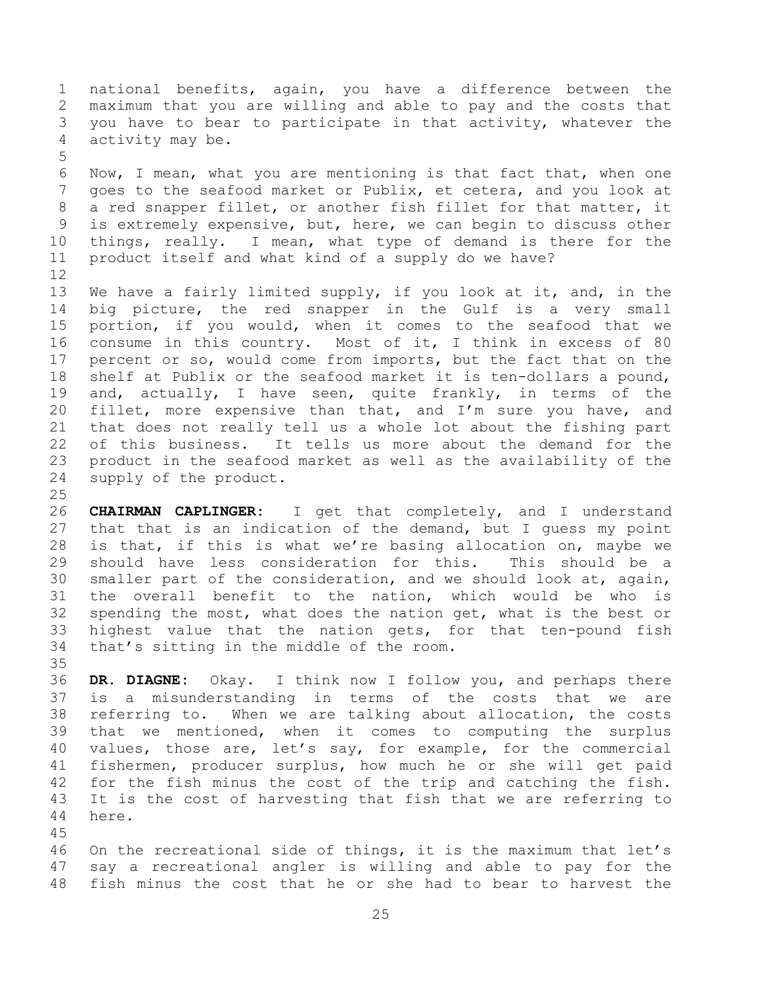national benefits, again, you have a difference between the maximum that you are willing and able to pay and the costs that you have to bear to participate in that activity, whatever the activity may be.

 Now, I mean, what you are mentioning is that fact that, when one goes to the seafood market or Publix, et cetera, and you look at a red snapper fillet, or another fish fillet for that matter, it is extremely expensive, but, here, we can begin to discuss other things, really. I mean, what type of demand is there for the product itself and what kind of a supply do we have?

 We have a fairly limited supply, if you look at it, and, in the big picture, the red snapper in the Gulf is a very small portion, if you would, when it comes to the seafood that we consume in this country. Most of it, I think in excess of 80 percent or so, would come from imports, but the fact that on the shelf at Publix or the seafood market it is ten-dollars a pound, and, actually, I have seen, quite frankly, in terms of the fillet, more expensive than that, and I'm sure you have, and that does not really tell us a whole lot about the fishing part of this business. It tells us more about the demand for the product in the seafood market as well as the availability of the supply of the product.

 **CHAIRMAN CAPLINGER:** I get that completely, and I understand that that is an indication of the demand, but I guess my point is that, if this is what we're basing allocation on, maybe we should have less consideration for this. This should be a smaller part of the consideration, and we should look at, again, the overall benefit to the nation, which would be who is spending the most, what does the nation get, what is the best or highest value that the nation gets, for that ten-pound fish that's sitting in the middle of the room.

 **DR. DIAGNE:** Okay. I think now I follow you, and perhaps there is a misunderstanding in terms of the costs that we are referring to. When we are talking about allocation, the costs that we mentioned, when it comes to computing the surplus values, those are, let's say, for example, for the commercial fishermen, producer surplus, how much he or she will get paid for the fish minus the cost of the trip and catching the fish. It is the cost of harvesting that fish that we are referring to here.

 On the recreational side of things, it is the maximum that let's say a recreational angler is willing and able to pay for the fish minus the cost that he or she had to bear to harvest the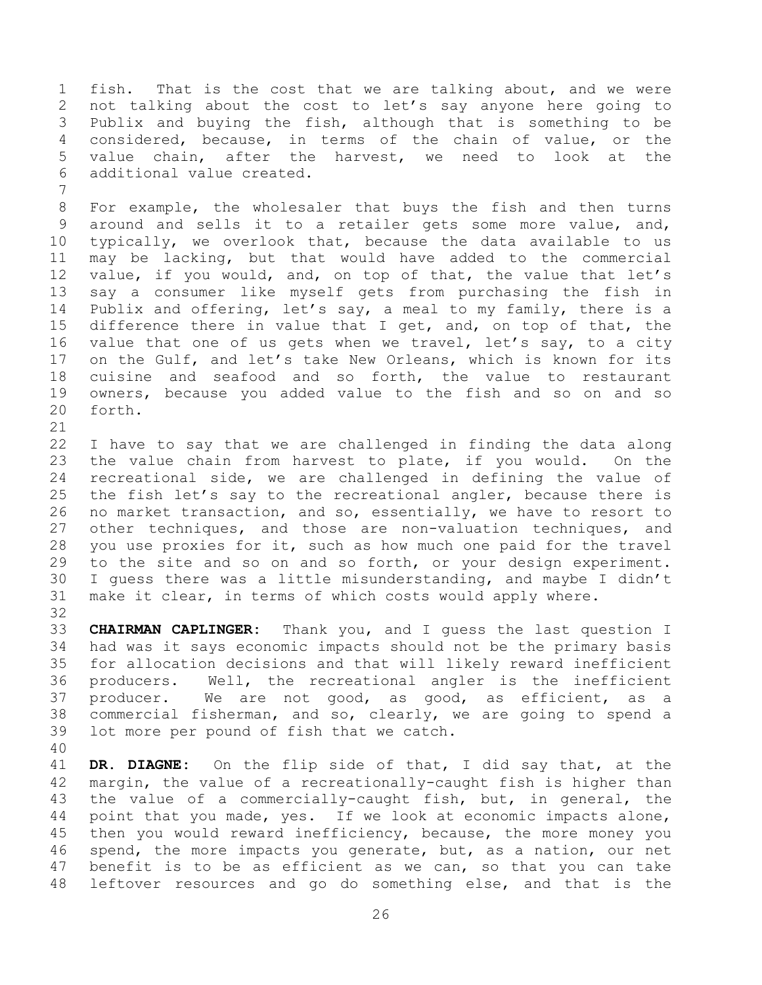fish. That is the cost that we are talking about, and we were not talking about the cost to let's say anyone here going to Publix and buying the fish, although that is something to be considered, because, in terms of the chain of value, or the value chain, after the harvest, we need to look at the additional value created.

 For example, the wholesaler that buys the fish and then turns around and sells it to a retailer gets some more value, and, typically, we overlook that, because the data available to us may be lacking, but that would have added to the commercial value, if you would, and, on top of that, the value that let's say a consumer like myself gets from purchasing the fish in Publix and offering, let's say, a meal to my family, there is a difference there in value that I get, and, on top of that, the 16 value that one of us gets when we travel, let's say, to a city on the Gulf, and let's take New Orleans, which is known for its cuisine and seafood and so forth, the value to restaurant owners, because you added value to the fish and so on and so forth.

 I have to say that we are challenged in finding the data along the value chain from harvest to plate, if you would. On the recreational side, we are challenged in defining the value of the fish let's say to the recreational angler, because there is no market transaction, and so, essentially, we have to resort to other techniques, and those are non-valuation techniques, and you use proxies for it, such as how much one paid for the travel to the site and so on and so forth, or your design experiment. I guess there was a little misunderstanding, and maybe I didn't make it clear, in terms of which costs would apply where.

 **CHAIRMAN CAPLINGER:** Thank you, and I guess the last question I had was it says economic impacts should not be the primary basis for allocation decisions and that will likely reward inefficient producers. Well, the recreational angler is the inefficient producer. We are not good, as good, as efficient, as a commercial fisherman, and so, clearly, we are going to spend a lot more per pound of fish that we catch.

 **DR. DIAGNE:** On the flip side of that, I did say that, at the margin, the value of a recreationally-caught fish is higher than the value of a commercially-caught fish, but, in general, the point that you made, yes. If we look at economic impacts alone, then you would reward inefficiency, because, the more money you spend, the more impacts you generate, but, as a nation, our net benefit is to be as efficient as we can, so that you can take leftover resources and go do something else, and that is the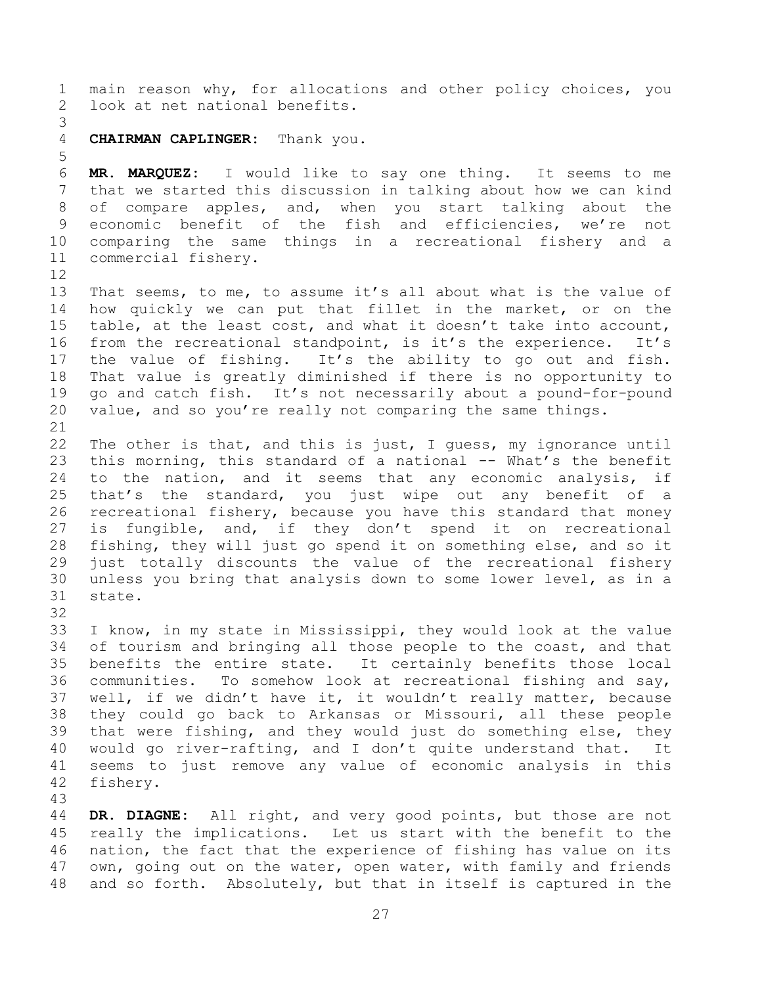main reason why, for allocations and other policy choices, you look at net national benefits.

## 

**CHAIRMAN CAPLINGER:** Thank you.

 **MR. MARQUEZ:** I would like to say one thing. It seems to me that we started this discussion in talking about how we can kind of compare apples, and, when you start talking about the economic benefit of the fish and efficiencies, we're not comparing the same things in a recreational fishery and a commercial fishery.

 That seems, to me, to assume it's all about what is the value of how quickly we can put that fillet in the market, or on the table, at the least cost, and what it doesn't take into account, from the recreational standpoint, is it's the experience. It's the value of fishing. It's the ability to go out and fish. That value is greatly diminished if there is no opportunity to go and catch fish. It's not necessarily about a pound-for-pound value, and so you're really not comparing the same things.

 The other is that, and this is just, I guess, my ignorance until 23 this morning, this standard of a national -- What's the benefit to the nation, and it seems that any economic analysis, if that's the standard, you just wipe out any benefit of a recreational fishery, because you have this standard that money is fungible, and, if they don't spend it on recreational fishing, they will just go spend it on something else, and so it just totally discounts the value of the recreational fishery unless you bring that analysis down to some lower level, as in a state.

 I know, in my state in Mississippi, they would look at the value of tourism and bringing all those people to the coast, and that benefits the entire state. It certainly benefits those local communities. To somehow look at recreational fishing and say, well, if we didn't have it, it wouldn't really matter, because they could go back to Arkansas or Missouri, all these people that were fishing, and they would just do something else, they would go river-rafting, and I don't quite understand that. It seems to just remove any value of economic analysis in this fishery.

 **DR. DIAGNE:** All right, and very good points, but those are not really the implications. Let us start with the benefit to the nation, the fact that the experience of fishing has value on its own, going out on the water, open water, with family and friends and so forth. Absolutely, but that in itself is captured in the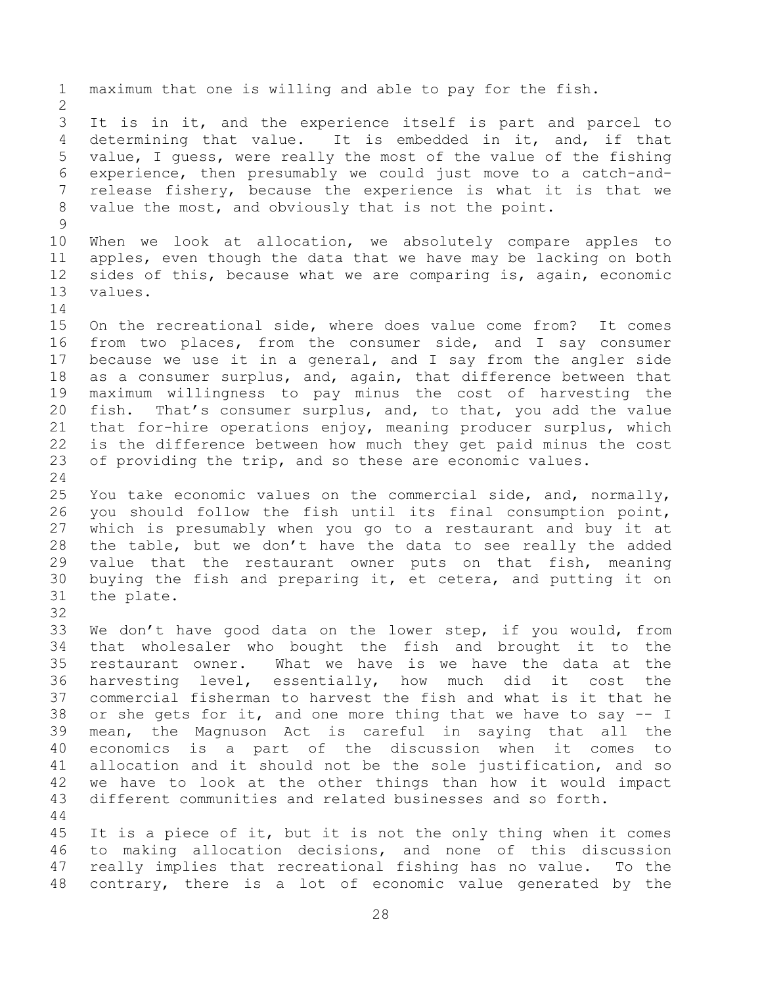maximum that one is willing and able to pay for the fish. It is in it, and the experience itself is part and parcel to determining that value. It is embedded in it, and, if that value, I guess, were really the most of the value of the fishing experience, then presumably we could just move to a catch-and- release fishery, because the experience is what it is that we value the most, and obviously that is not the point. When we look at allocation, we absolutely compare apples to apples, even though the data that we have may be lacking on both sides of this, because what we are comparing is, again, economic values. On the recreational side, where does value come from? It comes from two places, from the consumer side, and I say consumer because we use it in a general, and I say from the angler side as a consumer surplus, and, again, that difference between that maximum willingness to pay minus the cost of harvesting the fish. That's consumer surplus, and, to that, you add the value that for-hire operations enjoy, meaning producer surplus, which is the difference between how much they get paid minus the cost of providing the trip, and so these are economic values. You take economic values on the commercial side, and, normally, you should follow the fish until its final consumption point, which is presumably when you go to a restaurant and buy it at the table, but we don't have the data to see really the added value that the restaurant owner puts on that fish, meaning buying the fish and preparing it, et cetera, and putting it on the plate. We don't have good data on the lower step, if you would, from that wholesaler who bought the fish and brought it to the restaurant owner. What we have is we have the data at the harvesting level, essentially, how much did it cost the commercial fisherman to harvest the fish and what is it that he or she gets for it, and one more thing that we have to say -- I mean, the Magnuson Act is careful in saying that all the economics is a part of the discussion when it comes to allocation and it should not be the sole justification, and so we have to look at the other things than how it would impact different communities and related businesses and so forth. It is a piece of it, but it is not the only thing when it comes to making allocation decisions, and none of this discussion really implies that recreational fishing has no value. To the

contrary, there is a lot of economic value generated by the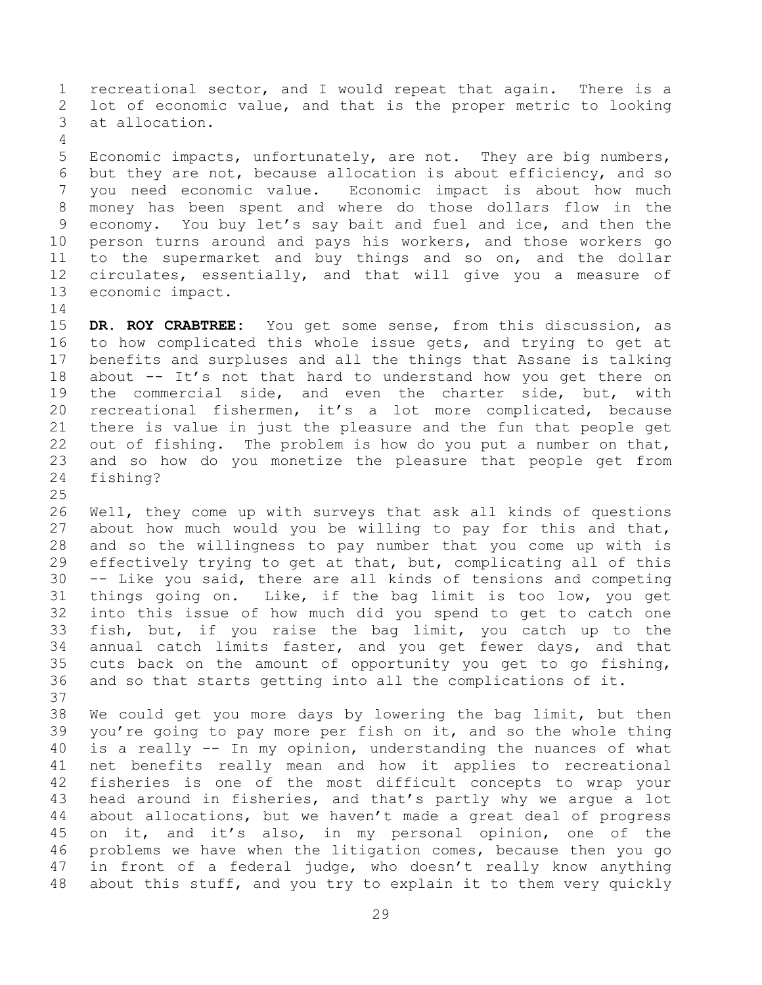recreational sector, and I would repeat that again. There is a lot of economic value, and that is the proper metric to looking at allocation.

 Economic impacts, unfortunately, are not. They are big numbers, but they are not, because allocation is about efficiency, and so you need economic value. Economic impact is about how much money has been spent and where do those dollars flow in the economy. You buy let's say bait and fuel and ice, and then the person turns around and pays his workers, and those workers go to the supermarket and buy things and so on, and the dollar circulates, essentially, and that will give you a measure of economic impact.

 **DR. ROY CRABTREE:** You get some sense, from this discussion, as to how complicated this whole issue gets, and trying to get at benefits and surpluses and all the things that Assane is talking about -- It's not that hard to understand how you get there on the commercial side, and even the charter side, but, with recreational fishermen, it's a lot more complicated, because there is value in just the pleasure and the fun that people get out of fishing. The problem is how do you put a number on that, and so how do you monetize the pleasure that people get from fishing?

 Well, they come up with surveys that ask all kinds of questions about how much would you be willing to pay for this and that, and so the willingness to pay number that you come up with is effectively trying to get at that, but, complicating all of this -- Like you said, there are all kinds of tensions and competing things going on. Like, if the bag limit is too low, you get into this issue of how much did you spend to get to catch one fish, but, if you raise the bag limit, you catch up to the annual catch limits faster, and you get fewer days, and that cuts back on the amount of opportunity you get to go fishing, and so that starts getting into all the complications of it. 

 We could get you more days by lowering the bag limit, but then you're going to pay more per fish on it, and so the whole thing is a really -- In my opinion, understanding the nuances of what net benefits really mean and how it applies to recreational fisheries is one of the most difficult concepts to wrap your head around in fisheries, and that's partly why we argue a lot about allocations, but we haven't made a great deal of progress on it, and it's also, in my personal opinion, one of the problems we have when the litigation comes, because then you go in front of a federal judge, who doesn't really know anything about this stuff, and you try to explain it to them very quickly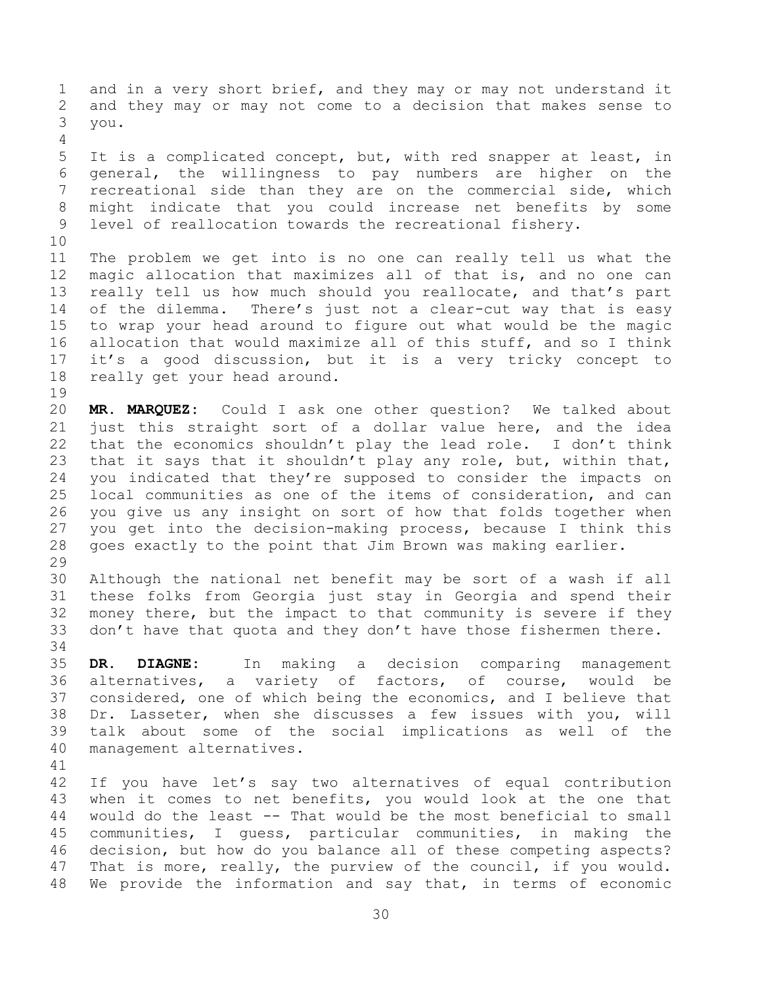and in a very short brief, and they may or may not understand it and they may or may not come to a decision that makes sense to you. It is a complicated concept, but, with red snapper at least, in general, the willingness to pay numbers are higher on the recreational side than they are on the commercial side, which might indicate that you could increase net benefits by some level of reallocation towards the recreational fishery. The problem we get into is no one can really tell us what the magic allocation that maximizes all of that is, and no one can really tell us how much should you reallocate, and that's part of the dilemma. There's just not a clear-cut way that is easy to wrap your head around to figure out what would be the magic allocation that would maximize all of this stuff, and so I think it's a good discussion, but it is a very tricky concept to really get your head around. **MR. MARQUEZ:** Could I ask one other question? We talked about just this straight sort of a dollar value here, and the idea that the economics shouldn't play the lead role. I don't think that it says that it shouldn't play any role, but, within that, you indicated that they're supposed to consider the impacts on local communities as one of the items of consideration, and can you give us any insight on sort of how that folds together when you get into the decision-making process, because I think this goes exactly to the point that Jim Brown was making earlier. Although the national net benefit may be sort of a wash if all these folks from Georgia just stay in Georgia and spend their money there, but the impact to that community is severe if they 33 don't have that quota and they don't have those fishermen there. **DR. DIAGNE:** In making a decision comparing management alternatives, a variety of factors, of course, would be considered, one of which being the economics, and I believe that Dr. Lasseter, when she discusses a few issues with you, will talk about some of the social implications as well of the management alternatives. If you have let's say two alternatives of equal contribution when it comes to net benefits, you would look at the one that would do the least -- That would be the most beneficial to small communities, I guess, particular communities, in making the decision, but how do you balance all of these competing aspects? That is more, really, the purview of the council, if you would. We provide the information and say that, in terms of economic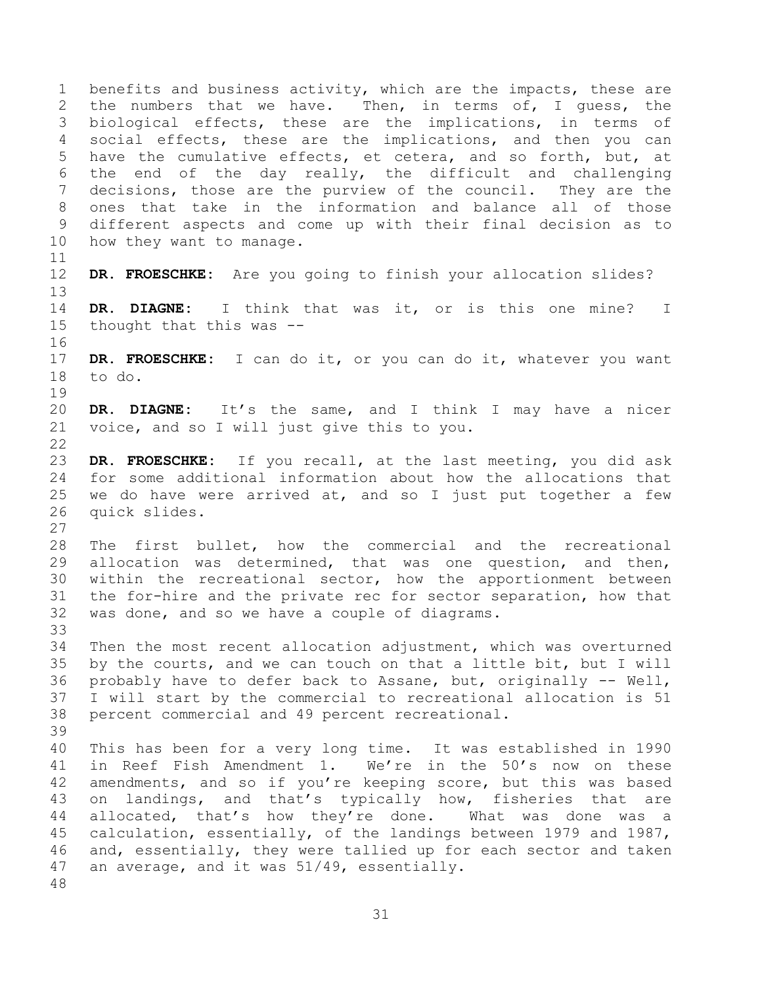benefits and business activity, which are the impacts, these are the numbers that we have. Then, in terms of, I guess, the biological effects, these are the implications, in terms of social effects, these are the implications, and then you can have the cumulative effects, et cetera, and so forth, but, at the end of the day really, the difficult and challenging decisions, those are the purview of the council. They are the ones that take in the information and balance all of those different aspects and come up with their final decision as to how they want to manage. **DR. FROESCHKE:** Are you going to finish your allocation slides? **DR. DIAGNE:** I think that was it, or is this one mine? I thought that this was -- **DR. FROESCHKE:** I can do it, or you can do it, whatever you want to do. **DR. DIAGNE:** It's the same, and I think I may have a nicer voice, and so I will just give this to you. **DR. FROESCHKE:** If you recall, at the last meeting, you did ask for some additional information about how the allocations that we do have were arrived at, and so I just put together a few quick slides. The first bullet, how the commercial and the recreational allocation was determined, that was one question, and then, within the recreational sector, how the apportionment between the for-hire and the private rec for sector separation, how that was done, and so we have a couple of diagrams. Then the most recent allocation adjustment, which was overturned by the courts, and we can touch on that a little bit, but I will probably have to defer back to Assane, but, originally -- Well, I will start by the commercial to recreational allocation is 51 percent commercial and 49 percent recreational. This has been for a very long time. It was established in 1990 in Reef Fish Amendment 1. We're in the 50's now on these amendments, and so if you're keeping score, but this was based on landings, and that's typically how, fisheries that are allocated, that's how they're done. What was done was a calculation, essentially, of the landings between 1979 and 1987, and, essentially, they were tallied up for each sector and taken an average, and it was 51/49, essentially.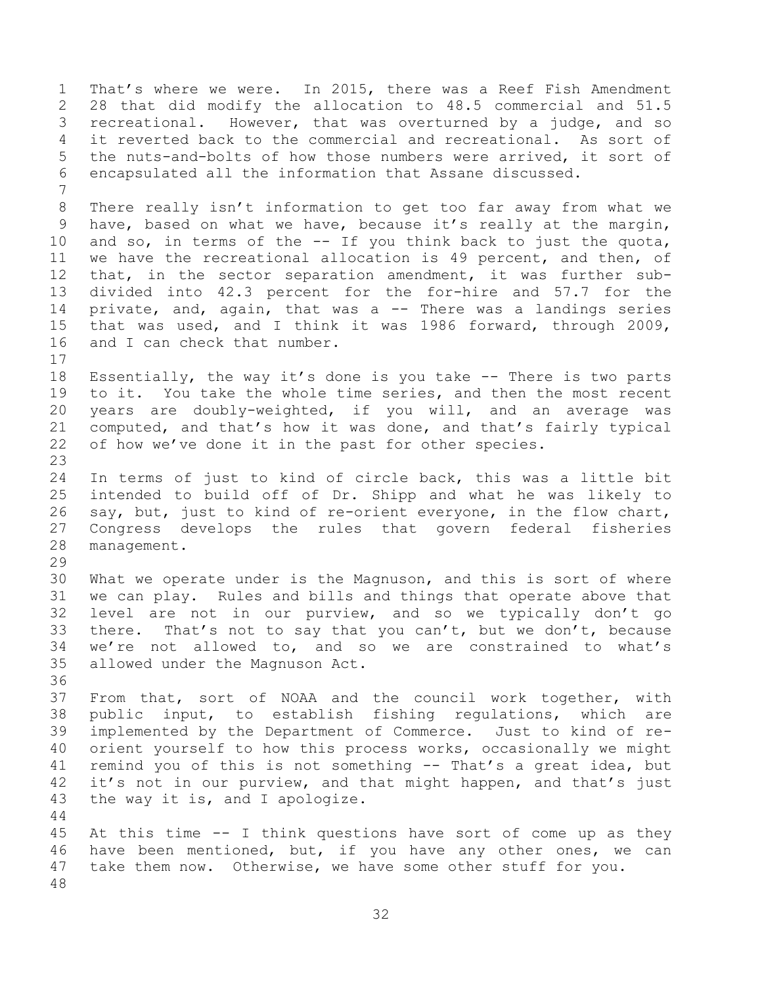That's where we were. In 2015, there was a Reef Fish Amendment 28 that did modify the allocation to 48.5 commercial and 51.5 recreational. However, that was overturned by a judge, and so it reverted back to the commercial and recreational. As sort of the nuts-and-bolts of how those numbers were arrived, it sort of encapsulated all the information that Assane discussed. There really isn't information to get too far away from what we have, based on what we have, because it's really at the margin, and so, in terms of the -- If you think back to just the quota, we have the recreational allocation is 49 percent, and then, of that, in the sector separation amendment, it was further sub- divided into 42.3 percent for the for-hire and 57.7 for the private, and, again, that was a -- There was a landings series that was used, and I think it was 1986 forward, through 2009, and I can check that number. Essentially, the way it's done is you take -- There is two parts to it. You take the whole time series, and then the most recent years are doubly-weighted, if you will, and an average was computed, and that's how it was done, and that's fairly typical of how we've done it in the past for other species. In terms of just to kind of circle back, this was a little bit intended to build off of Dr. Shipp and what he was likely to say, but, just to kind of re-orient everyone, in the flow chart, Congress develops the rules that govern federal fisheries management. What we operate under is the Magnuson, and this is sort of where we can play. Rules and bills and things that operate above that level are not in our purview, and so we typically don't go there. That's not to say that you can't, but we don't, because we're not allowed to, and so we are constrained to what's allowed under the Magnuson Act. From that, sort of NOAA and the council work together, with public input, to establish fishing regulations, which are implemented by the Department of Commerce. Just to kind of re- orient yourself to how this process works, occasionally we might remind you of this is not something -- That's a great idea, but it's not in our purview, and that might happen, and that's just the way it is, and I apologize. At this time -- I think questions have sort of come up as they have been mentioned, but, if you have any other ones, we can take them now. Otherwise, we have some other stuff for you.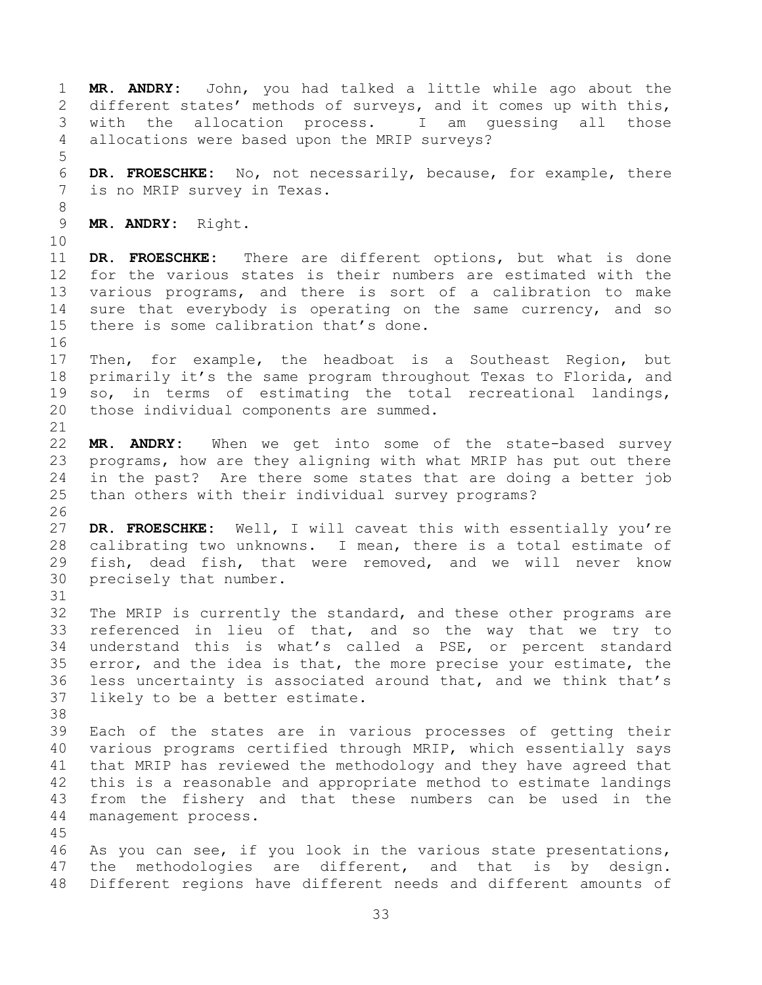**MR. ANDRY:** John, you had talked a little while ago about the different states' methods of surveys, and it comes up with this, with the allocation process. I am guessing all those allocations were based upon the MRIP surveys? **DR. FROESCHKE:** No, not necessarily, because, for example, there is no MRIP survey in Texas. **MR. ANDRY:** Right. **DR. FROESCHKE:** There are different options, but what is done for the various states is their numbers are estimated with the various programs, and there is sort of a calibration to make sure that everybody is operating on the same currency, and so there is some calibration that's done. Then, for example, the headboat is a Southeast Region, but primarily it's the same program throughout Texas to Florida, and so, in terms of estimating the total recreational landings, those individual components are summed. **MR. ANDRY:** When we get into some of the state-based survey programs, how are they aligning with what MRIP has put out there in the past? Are there some states that are doing a better job than others with their individual survey programs? **DR. FROESCHKE:** Well, I will caveat this with essentially you're calibrating two unknowns. I mean, there is a total estimate of fish, dead fish, that were removed, and we will never know precisely that number. The MRIP is currently the standard, and these other programs are referenced in lieu of that, and so the way that we try to understand this is what's called a PSE, or percent standard error, and the idea is that, the more precise your estimate, the less uncertainty is associated around that, and we think that's likely to be a better estimate. Each of the states are in various processes of getting their various programs certified through MRIP, which essentially says that MRIP has reviewed the methodology and they have agreed that this is a reasonable and appropriate method to estimate landings from the fishery and that these numbers can be used in the management process. As you can see, if you look in the various state presentations, the methodologies are different, and that is by design. Different regions have different needs and different amounts of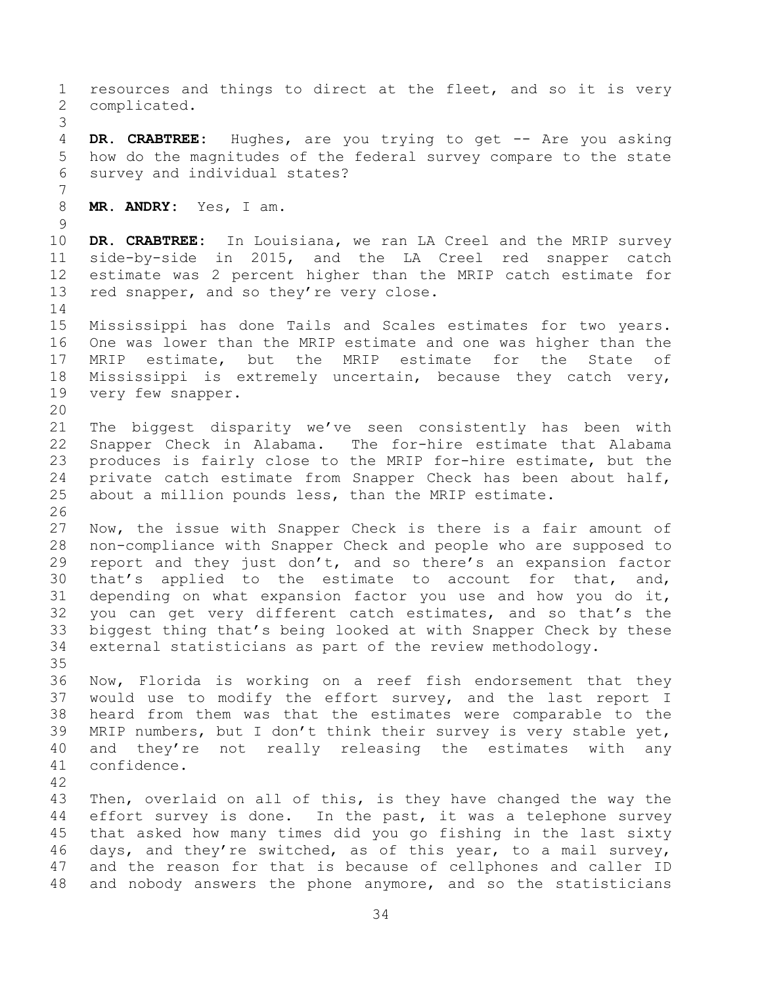resources and things to direct at the fleet, and so it is very complicated. **DR. CRABTREE:** Hughes, are you trying to get -- Are you asking how do the magnitudes of the federal survey compare to the state survey and individual states? **MR. ANDRY:** Yes, I am. **DR. CRABTREE:** In Louisiana, we ran LA Creel and the MRIP survey side-by-side in 2015, and the LA Creel red snapper catch estimate was 2 percent higher than the MRIP catch estimate for 13 red snapper, and so they're very close. Mississippi has done Tails and Scales estimates for two years. One was lower than the MRIP estimate and one was higher than the MRIP estimate, but the MRIP estimate for the State of Mississippi is extremely uncertain, because they catch very, very few snapper. The biggest disparity we've seen consistently has been with Snapper Check in Alabama. The for-hire estimate that Alabama produces is fairly close to the MRIP for-hire estimate, but the private catch estimate from Snapper Check has been about half, about a million pounds less, than the MRIP estimate. Now, the issue with Snapper Check is there is a fair amount of non-compliance with Snapper Check and people who are supposed to report and they just don't, and so there's an expansion factor that's applied to the estimate to account for that, and, depending on what expansion factor you use and how you do it, you can get very different catch estimates, and so that's the biggest thing that's being looked at with Snapper Check by these external statisticians as part of the review methodology. Now, Florida is working on a reef fish endorsement that they would use to modify the effort survey, and the last report I heard from them was that the estimates were comparable to the MRIP numbers, but I don't think their survey is very stable yet, and they're not really releasing the estimates with any confidence. Then, overlaid on all of this, is they have changed the way the effort survey is done. In the past, it was a telephone survey that asked how many times did you go fishing in the last sixty days, and they're switched, as of this year, to a mail survey, and the reason for that is because of cellphones and caller ID and nobody answers the phone anymore, and so the statisticians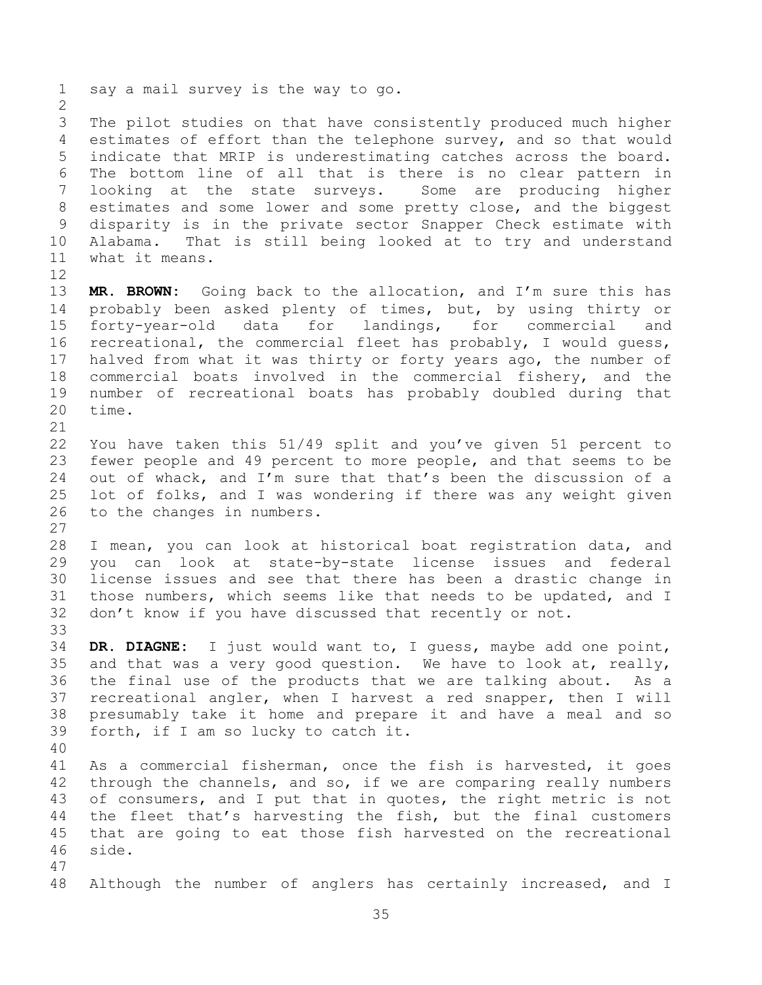The pilot studies on that have consistently produced much higher estimates of effort than the telephone survey, and so that would indicate that MRIP is underestimating catches across the board. The bottom line of all that is there is no clear pattern in looking at the state surveys. Some are producing higher estimates and some lower and some pretty close, and the biggest disparity is in the private sector Snapper Check estimate with Alabama. That is still being looked at to try and understand what it means. 

say a mail survey is the way to go.

 **MR. BROWN:** Going back to the allocation, and I'm sure this has probably been asked plenty of times, but, by using thirty or forty-year-old data for landings, for commercial and recreational, the commercial fleet has probably, I would guess, halved from what it was thirty or forty years ago, the number of commercial boats involved in the commercial fishery, and the number of recreational boats has probably doubled during that time.

 You have taken this 51/49 split and you've given 51 percent to fewer people and 49 percent to more people, and that seems to be out of whack, and I'm sure that that's been the discussion of a lot of folks, and I was wondering if there was any weight given to the changes in numbers.

 I mean, you can look at historical boat registration data, and you can look at state-by-state license issues and federal license issues and see that there has been a drastic change in those numbers, which seems like that needs to be updated, and I don't know if you have discussed that recently or not. 

 **DR. DIAGNE:** I just would want to, I guess, maybe add one point, and that was a very good question. We have to look at, really, the final use of the products that we are talking about. As a recreational angler, when I harvest a red snapper, then I will presumably take it home and prepare it and have a meal and so forth, if I am so lucky to catch it.

 As a commercial fisherman, once the fish is harvested, it goes through the channels, and so, if we are comparing really numbers of consumers, and I put that in quotes, the right metric is not the fleet that's harvesting the fish, but the final customers that are going to eat those fish harvested on the recreational side.

Although the number of anglers has certainly increased, and I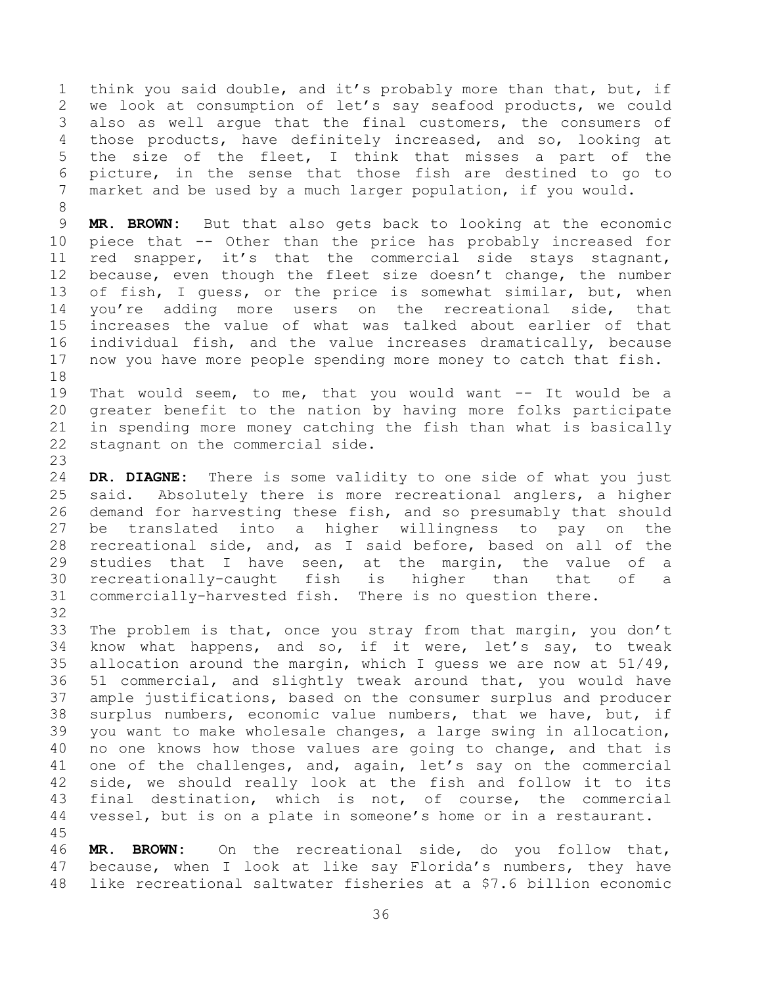think you said double, and it's probably more than that, but, if we look at consumption of let's say seafood products, we could also as well argue that the final customers, the consumers of those products, have definitely increased, and so, looking at the size of the fleet, I think that misses a part of the picture, in the sense that those fish are destined to go to market and be used by a much larger population, if you would.

 **MR. BROWN:** But that also gets back to looking at the economic piece that -- Other than the price has probably increased for red snapper, it's that the commercial side stays stagnant, because, even though the fleet size doesn't change, the number of fish, I guess, or the price is somewhat similar, but, when you're adding more users on the recreational side, that increases the value of what was talked about earlier of that individual fish, and the value increases dramatically, because now you have more people spending more money to catch that fish. 

 That would seem, to me, that you would want -- It would be a greater benefit to the nation by having more folks participate in spending more money catching the fish than what is basically stagnant on the commercial side.

 **DR. DIAGNE:** There is some validity to one side of what you just said. Absolutely there is more recreational anglers, a higher demand for harvesting these fish, and so presumably that should be translated into a higher willingness to pay on the recreational side, and, as I said before, based on all of the studies that I have seen, at the margin, the value of a recreationally-caught fish is higher than that of a commercially-harvested fish. There is no question there.

 The problem is that, once you stray from that margin, you don't know what happens, and so, if it were, let's say, to tweak allocation around the margin, which I guess we are now at 51/49, 51 commercial, and slightly tweak around that, you would have ample justifications, based on the consumer surplus and producer surplus numbers, economic value numbers, that we have, but, if you want to make wholesale changes, a large swing in allocation, no one knows how those values are going to change, and that is one of the challenges, and, again, let's say on the commercial side, we should really look at the fish and follow it to its final destination, which is not, of course, the commercial vessel, but is on a plate in someone's home or in a restaurant. 

 **MR. BROWN:** On the recreational side, do you follow that, because, when I look at like say Florida's numbers, they have like recreational saltwater fisheries at a \$7.6 billion economic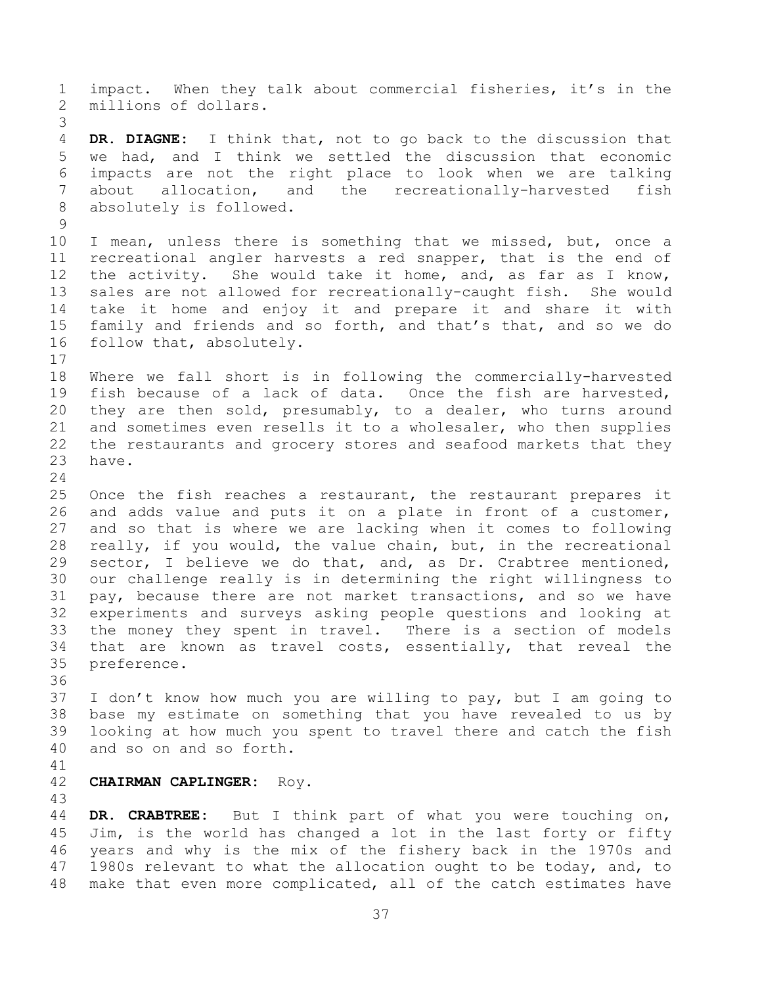impact. When they talk about commercial fisheries, it's in the millions of dollars. **DR. DIAGNE:** I think that, not to go back to the discussion that we had, and I think we settled the discussion that economic impacts are not the right place to look when we are talking about allocation, and the recreationally-harvested fish absolutely is followed. I mean, unless there is something that we missed, but, once a recreational angler harvests a red snapper, that is the end of the activity. She would take it home, and, as far as I know, sales are not allowed for recreationally-caught fish. She would take it home and enjoy it and prepare it and share it with family and friends and so forth, and that's that, and so we do follow that, absolutely. Where we fall short is in following the commercially-harvested fish because of a lack of data. Once the fish are harvested, they are then sold, presumably, to a dealer, who turns around and sometimes even resells it to a wholesaler, who then supplies the restaurants and grocery stores and seafood markets that they have. Once the fish reaches a restaurant, the restaurant prepares it and adds value and puts it on a plate in front of a customer, and so that is where we are lacking when it comes to following really, if you would, the value chain, but, in the recreational sector, I believe we do that, and, as Dr. Crabtree mentioned, our challenge really is in determining the right willingness to pay, because there are not market transactions, and so we have experiments and surveys asking people questions and looking at the money they spent in travel. There is a section of models that are known as travel costs, essentially, that reveal the preference. I don't know how much you are willing to pay, but I am going to base my estimate on something that you have revealed to us by looking at how much you spent to travel there and catch the fish and so on and so forth. **CHAIRMAN CAPLINGER:** Roy. **DR. CRABTREE:** But I think part of what you were touching on, Jim, is the world has changed a lot in the last forty or fifty years and why is the mix of the fishery back in the 1970s and

47 1980s relevant to what the allocation ought to be today, and, to make that even more complicated, all of the catch estimates have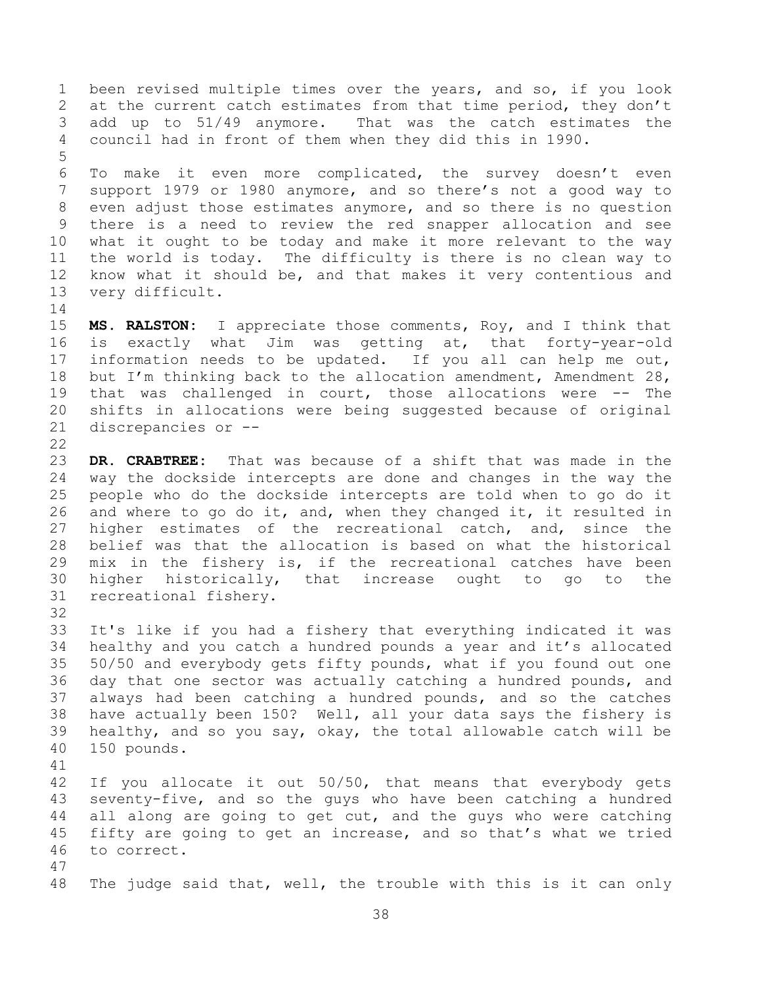been revised multiple times over the years, and so, if you look 2 at the current catch estimates from that time period, they don't add up to 51/49 anymore. That was the catch estimates the council had in front of them when they did this in 1990. 

 To make it even more complicated, the survey doesn't even support 1979 or 1980 anymore, and so there's not a good way to even adjust those estimates anymore, and so there is no question there is a need to review the red snapper allocation and see what it ought to be today and make it more relevant to the way the world is today. The difficulty is there is no clean way to know what it should be, and that makes it very contentious and very difficult.

 **MS. RALSTON:** I appreciate those comments, Roy, and I think that is exactly what Jim was getting at, that forty-year-old information needs to be updated. If you all can help me out, 18 but I'm thinking back to the allocation amendment, Amendment 28, that was challenged in court, those allocations were -- The shifts in allocations were being suggested because of original discrepancies or --

 **DR. CRABTREE:** That was because of a shift that was made in the way the dockside intercepts are done and changes in the way the people who do the dockside intercepts are told when to go do it and where to go do it, and, when they changed it, it resulted in higher estimates of the recreational catch, and, since the belief was that the allocation is based on what the historical mix in the fishery is, if the recreational catches have been higher historically, that increase ought to go to the recreational fishery.

 It's like if you had a fishery that everything indicated it was healthy and you catch a hundred pounds a year and it's allocated 50/50 and everybody gets fifty pounds, what if you found out one day that one sector was actually catching a hundred pounds, and always had been catching a hundred pounds, and so the catches have actually been 150? Well, all your data says the fishery is healthy, and so you say, okay, the total allowable catch will be 150 pounds. 

 If you allocate it out 50/50, that means that everybody gets seventy-five, and so the guys who have been catching a hundred all along are going to get cut, and the guys who were catching fifty are going to get an increase, and so that's what we tried to correct. 

The judge said that, well, the trouble with this is it can only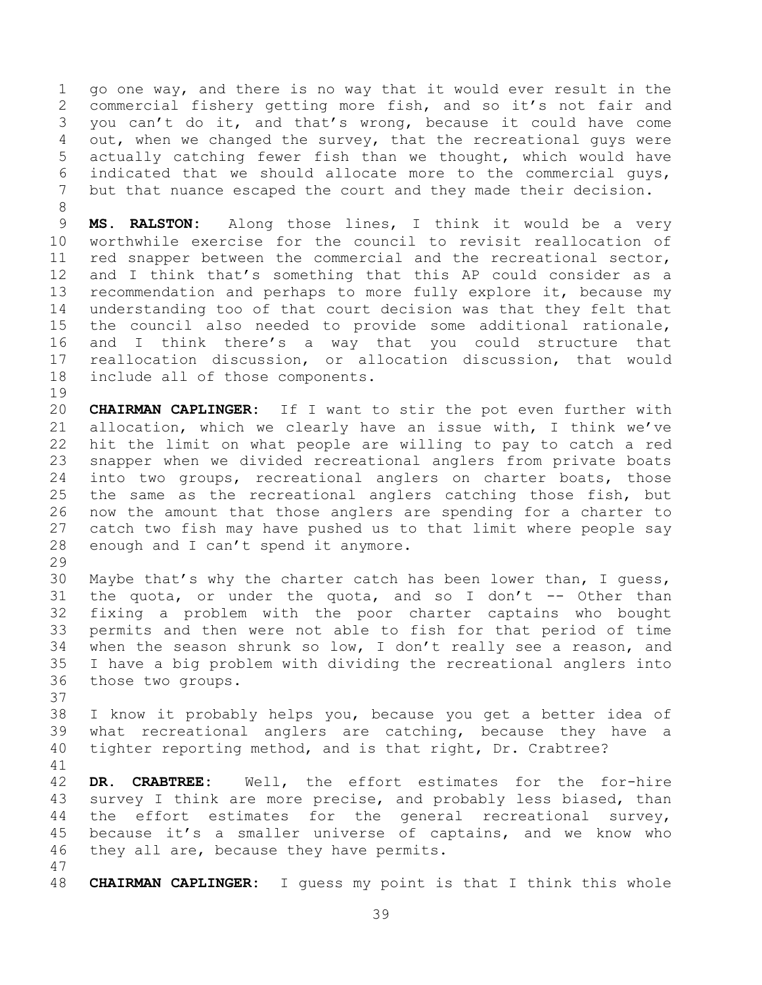go one way, and there is no way that it would ever result in the commercial fishery getting more fish, and so it's not fair and you can't do it, and that's wrong, because it could have come out, when we changed the survey, that the recreational guys were actually catching fewer fish than we thought, which would have indicated that we should allocate more to the commercial guys, but that nuance escaped the court and they made their decision. 

 **MS. RALSTON:** Along those lines, I think it would be a very worthwhile exercise for the council to revisit reallocation of red snapper between the commercial and the recreational sector, and I think that's something that this AP could consider as a recommendation and perhaps to more fully explore it, because my understanding too of that court decision was that they felt that the council also needed to provide some additional rationale, and I think there's a way that you could structure that reallocation discussion, or allocation discussion, that would include all of those components.

 **CHAIRMAN CAPLINGER:** If I want to stir the pot even further with allocation, which we clearly have an issue with, I think we've hit the limit on what people are willing to pay to catch a red snapper when we divided recreational anglers from private boats into two groups, recreational anglers on charter boats, those the same as the recreational anglers catching those fish, but now the amount that those anglers are spending for a charter to catch two fish may have pushed us to that limit where people say enough and I can't spend it anymore.

 Maybe that's why the charter catch has been lower than, I guess, 31 the quota, or under the quota, and so I don't  $-$ - Other than fixing a problem with the poor charter captains who bought permits and then were not able to fish for that period of time when the season shrunk so low, I don't really see a reason, and I have a big problem with dividing the recreational anglers into those two groups.

 I know it probably helps you, because you get a better idea of what recreational anglers are catching, because they have a tighter reporting method, and is that right, Dr. Crabtree?

 **DR. CRABTREE:** Well, the effort estimates for the for-hire survey I think are more precise, and probably less biased, than the effort estimates for the general recreational survey, because it's a smaller universe of captains, and we know who 46 they all are, because they have permits.

**CHAIRMAN CAPLINGER:** I guess my point is that I think this whole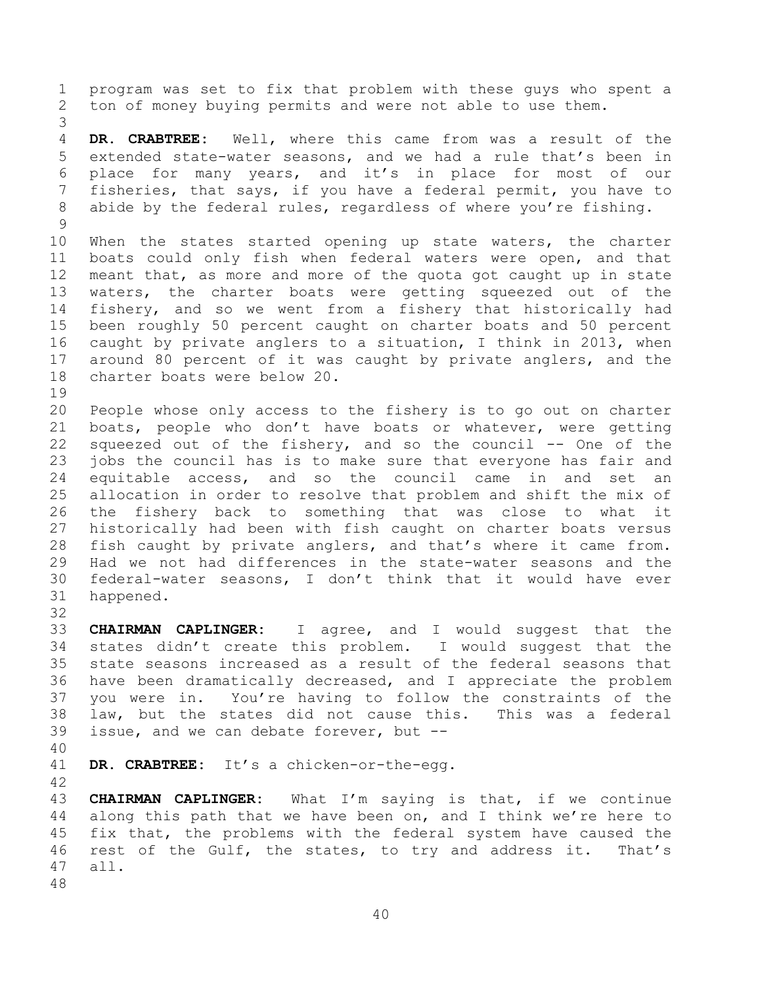program was set to fix that problem with these guys who spent a ton of money buying permits and were not able to use them.

 **DR. CRABTREE:** Well, where this came from was a result of the extended state-water seasons, and we had a rule that's been in place for many years, and it's in place for most of our fisheries, that says, if you have a federal permit, you have to abide by the federal rules, regardless of where you're fishing. 

 When the states started opening up state waters, the charter boats could only fish when federal waters were open, and that meant that, as more and more of the quota got caught up in state waters, the charter boats were getting squeezed out of the fishery, and so we went from a fishery that historically had been roughly 50 percent caught on charter boats and 50 percent caught by private anglers to a situation, I think in 2013, when around 80 percent of it was caught by private anglers, and the charter boats were below 20.

 People whose only access to the fishery is to go out on charter boats, people who don't have boats or whatever, were getting squeezed out of the fishery, and so the council -- One of the jobs the council has is to make sure that everyone has fair and equitable access, and so the council came in and set an allocation in order to resolve that problem and shift the mix of the fishery back to something that was close to what it historically had been with fish caught on charter boats versus fish caught by private anglers, and that's where it came from. Had we not had differences in the state-water seasons and the federal-water seasons, I don't think that it would have ever happened.

 **CHAIRMAN CAPLINGER:** I agree, and I would suggest that the states didn't create this problem. I would suggest that the state seasons increased as a result of the federal seasons that have been dramatically decreased, and I appreciate the problem you were in. You're having to follow the constraints of the law, but the states did not cause this. This was a federal issue, and we can debate forever, but --

**DR. CRABTREE:** It's a chicken-or-the-egg.

 **CHAIRMAN CAPLINGER:** What I'm saying is that, if we continue along this path that we have been on, and I think we're here to fix that, the problems with the federal system have caused the rest of the Gulf, the states, to try and address it. That's all.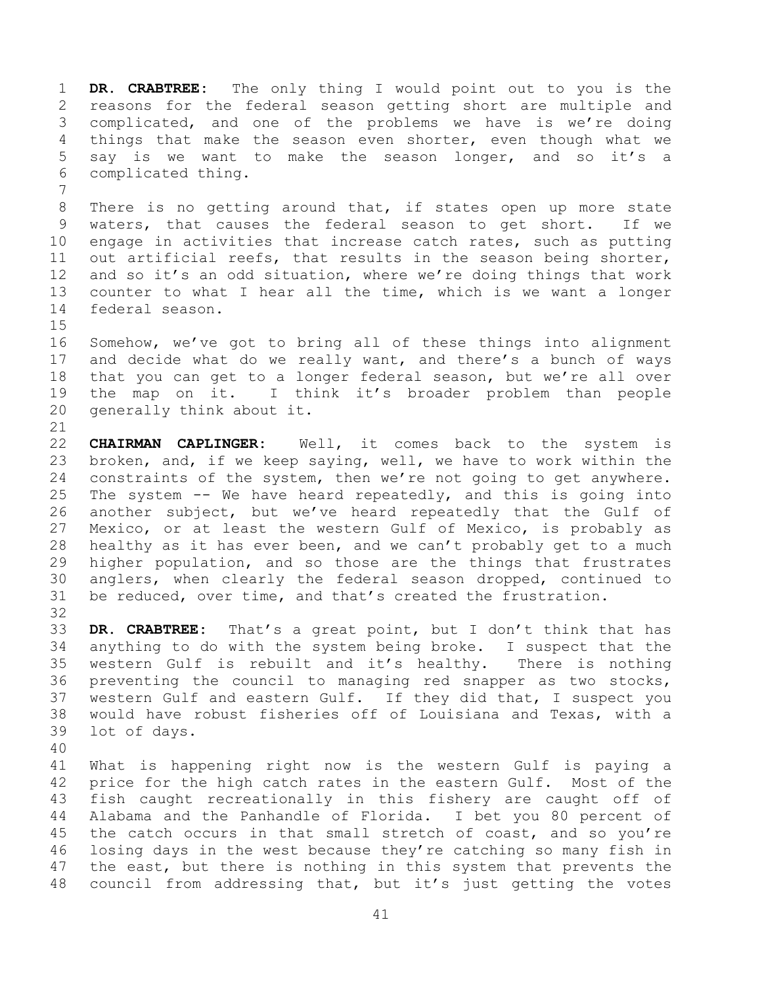**DR. CRABTREE:** The only thing I would point out to you is the reasons for the federal season getting short are multiple and complicated, and one of the problems we have is we're doing things that make the season even shorter, even though what we say is we want to make the season longer, and so it's a complicated thing.

 There is no getting around that, if states open up more state waters, that causes the federal season to get short. If we engage in activities that increase catch rates, such as putting out artificial reefs, that results in the season being shorter, and so it's an odd situation, where we're doing things that work counter to what I hear all the time, which is we want a longer federal season.

 Somehow, we've got to bring all of these things into alignment and decide what do we really want, and there's a bunch of ways that you can get to a longer federal season, but we're all over the map on it. I think it's broader problem than people generally think about it.

 **CHAIRMAN CAPLINGER:** Well, it comes back to the system is broken, and, if we keep saying, well, we have to work within the 24 constraints of the system, then we're not going to get anywhere. The system -- We have heard repeatedly, and this is going into another subject, but we've heard repeatedly that the Gulf of Mexico, or at least the western Gulf of Mexico, is probably as healthy as it has ever been, and we can't probably get to a much higher population, and so those are the things that frustrates anglers, when clearly the federal season dropped, continued to be reduced, over time, and that's created the frustration.

 **DR. CRABTREE:** That's a great point, but I don't think that has anything to do with the system being broke. I suspect that the western Gulf is rebuilt and it's healthy. There is nothing preventing the council to managing red snapper as two stocks, western Gulf and eastern Gulf. If they did that, I suspect you would have robust fisheries off of Louisiana and Texas, with a lot of days.

 What is happening right now is the western Gulf is paying a price for the high catch rates in the eastern Gulf. Most of the fish caught recreationally in this fishery are caught off of Alabama and the Panhandle of Florida. I bet you 80 percent of 45 the catch occurs in that small stretch of coast, and so you're losing days in the west because they're catching so many fish in 47 the east, but there is nothing in this system that prevents the council from addressing that, but it's just getting the votes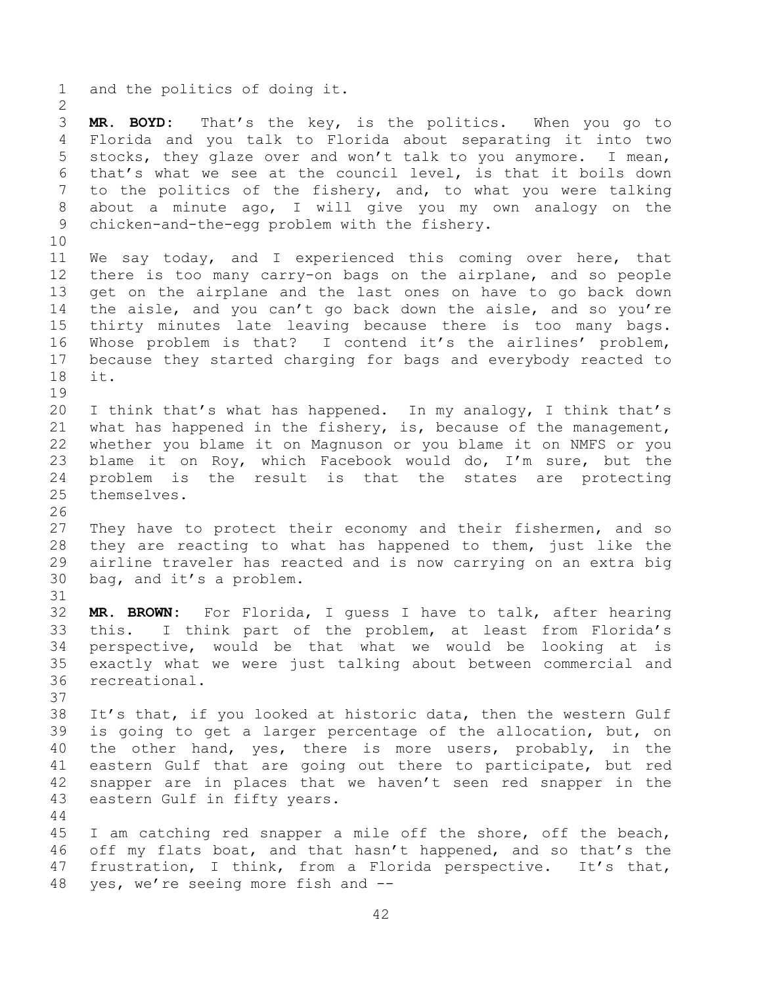and the politics of doing it. **MR. BOYD:** That's the key, is the politics. When you go to Florida and you talk to Florida about separating it into two stocks, they glaze over and won't talk to you anymore. I mean, that's what we see at the council level, is that it boils down to the politics of the fishery, and, to what you were talking about a minute ago, I will give you my own analogy on the chicken-and-the-egg problem with the fishery. We say today, and I experienced this coming over here, that there is too many carry-on bags on the airplane, and so people get on the airplane and the last ones on have to go back down the aisle, and you can't go back down the aisle, and so you're thirty minutes late leaving because there is too many bags. Whose problem is that? I contend it's the airlines' problem, because they started charging for bags and everybody reacted to it. I think that's what has happened. In my analogy, I think that's what has happened in the fishery, is, because of the management, whether you blame it on Magnuson or you blame it on NMFS or you blame it on Roy, which Facebook would do, I'm sure, but the problem is the result is that the states are protecting themselves. They have to protect their economy and their fishermen, and so they are reacting to what has happened to them, just like the airline traveler has reacted and is now carrying on an extra big bag, and it's a problem. **MR. BROWN:** For Florida, I guess I have to talk, after hearing this. I think part of the problem, at least from Florida's perspective, would be that what we would be looking at is exactly what we were just talking about between commercial and recreational. It's that, if you looked at historic data, then the western Gulf is going to get a larger percentage of the allocation, but, on the other hand, yes, there is more users, probably, in the eastern Gulf that are going out there to participate, but red snapper are in places that we haven't seen red snapper in the eastern Gulf in fifty years. I am catching red snapper a mile off the shore, off the beach, off my flats boat, and that hasn't happened, and so that's the frustration, I think, from a Florida perspective. It's that,

yes, we're seeing more fish and --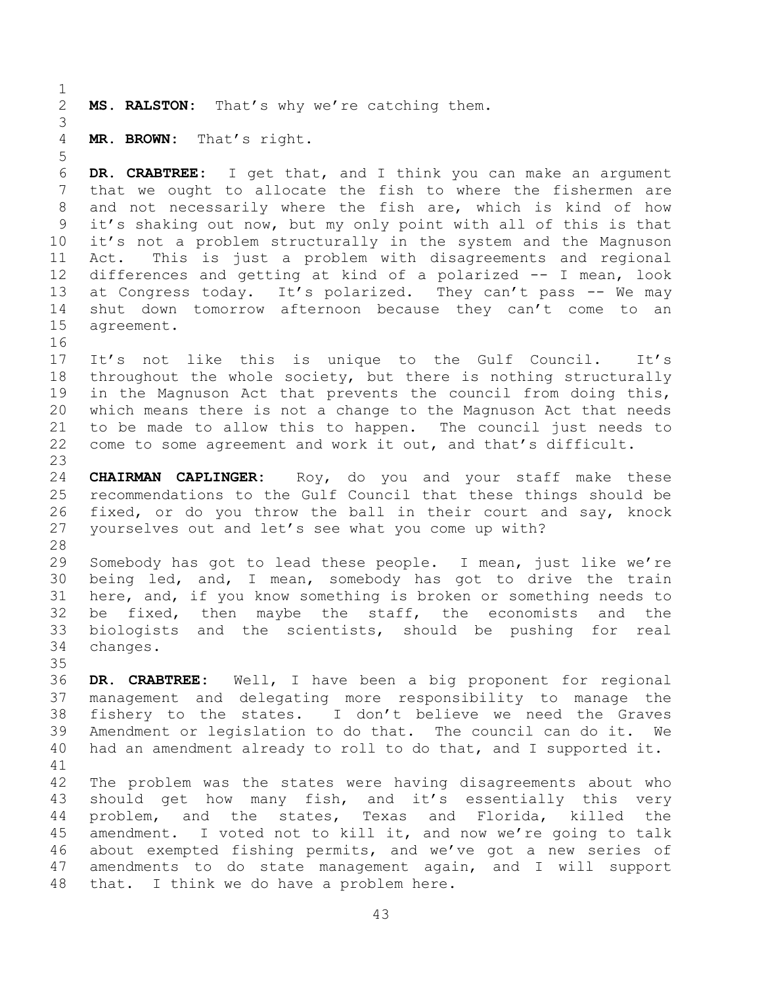**MS. RALSTON:** That's why we're catching them.

**MR. BROWN:** That's right.

 **DR. CRABTREE:** I get that, and I think you can make an argument that we ought to allocate the fish to where the fishermen are and not necessarily where the fish are, which is kind of how it's shaking out now, but my only point with all of this is that it's not a problem structurally in the system and the Magnuson Act. This is just a problem with disagreements and regional differences and getting at kind of a polarized -- I mean, look 13 at Congress today. It's polarized. They can't pass -- We may shut down tomorrow afternoon because they can't come to an agreement.

 It's not like this is unique to the Gulf Council. It's throughout the whole society, but there is nothing structurally in the Magnuson Act that prevents the council from doing this, which means there is not a change to the Magnuson Act that needs to be made to allow this to happen. The council just needs to come to some agreement and work it out, and that's difficult.

 **CHAIRMAN CAPLINGER:** Roy, do you and your staff make these recommendations to the Gulf Council that these things should be fixed, or do you throw the ball in their court and say, knock yourselves out and let's see what you come up with? 

 Somebody has got to lead these people. I mean, just like we're being led, and, I mean, somebody has got to drive the train here, and, if you know something is broken or something needs to be fixed, then maybe the staff, the economists and the biologists and the scientists, should be pushing for real changes.

 **DR. CRABTREE:** Well, I have been a big proponent for regional management and delegating more responsibility to manage the fishery to the states. I don't believe we need the Graves Amendment or legislation to do that. The council can do it. We had an amendment already to roll to do that, and I supported it. 

 The problem was the states were having disagreements about who should get how many fish, and it's essentially this very problem, and the states, Texas and Florida, killed the amendment. I voted not to kill it, and now we're going to talk about exempted fishing permits, and we've got a new series of amendments to do state management again, and I will support that. I think we do have a problem here.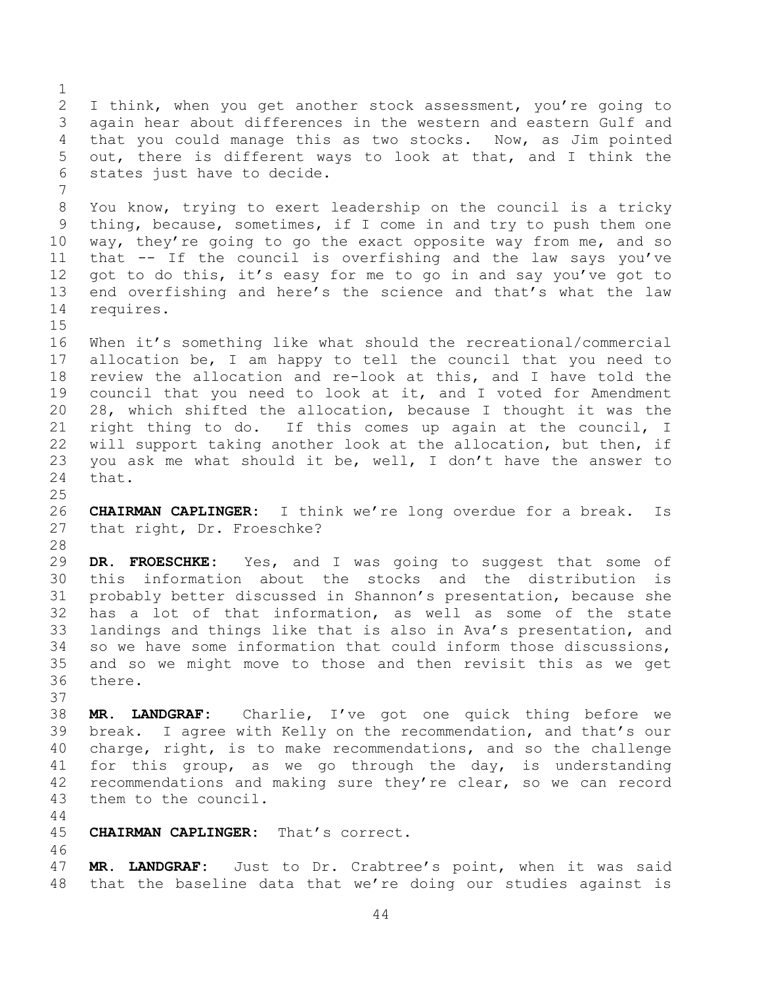I think, when you get another stock assessment, you're going to again hear about differences in the western and eastern Gulf and that you could manage this as two stocks. Now, as Jim pointed out, there is different ways to look at that, and I think the states just have to decide. You know, trying to exert leadership on the council is a tricky thing, because, sometimes, if I come in and try to push them one way, they're going to go the exact opposite way from me, and so that -- If the council is overfishing and the law says you've 12 got to do this, it's easy for me to go in and say you've got to end overfishing and here's the science and that's what the law requires. When it's something like what should the recreational/commercial allocation be, I am happy to tell the council that you need to review the allocation and re-look at this, and I have told the council that you need to look at it, and I voted for Amendment 28, which shifted the allocation, because I thought it was the right thing to do. If this comes up again at the council, I will support taking another look at the allocation, but then, if you ask me what should it be, well, I don't have the answer to that. **CHAIRMAN CAPLINGER:** I think we're long overdue for a break. Is that right, Dr. Froeschke?

 **DR. FROESCHKE:** Yes, and I was going to suggest that some of this information about the stocks and the distribution is probably better discussed in Shannon's presentation, because she has a lot of that information, as well as some of the state landings and things like that is also in Ava's presentation, and so we have some information that could inform those discussions, and so we might move to those and then revisit this as we get there.

 **MR. LANDGRAF:** Charlie, I've got one quick thing before we break. I agree with Kelly on the recommendation, and that's our charge, right, is to make recommendations, and so the challenge for this group, as we go through the day, is understanding recommendations and making sure they're clear, so we can record them to the council.

## **CHAIRMAN CAPLINGER:** That's correct.

 **MR. LANDGRAF:** Just to Dr. Crabtree's point, when it was said that the baseline data that we're doing our studies against is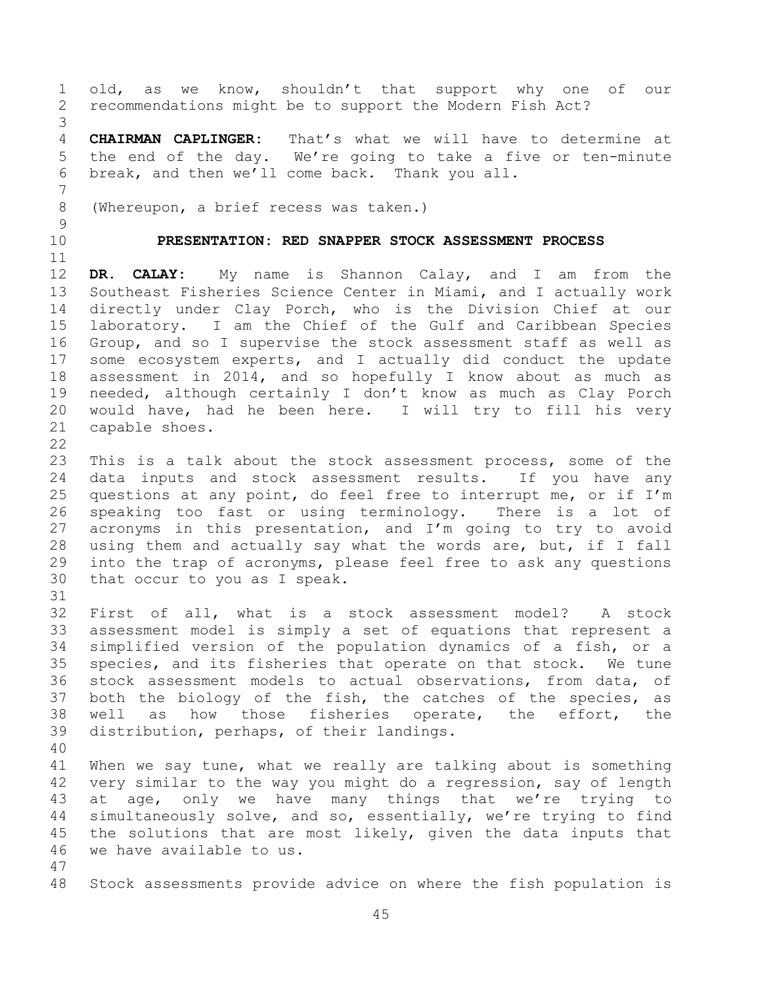old, as we know, shouldn't that support why one of our recommendations might be to support the Modern Fish Act? **CHAIRMAN CAPLINGER:** That's what we will have to determine at the end of the day. We're going to take a five or ten-minute break, and then we'll come back. Thank you all. (Whereupon, a brief recess was taken.) **PRESENTATION: RED SNAPPER STOCK ASSESSMENT PROCESS DR. CALAY:** My name is Shannon Calay, and I am from the Southeast Fisheries Science Center in Miami, and I actually work directly under Clay Porch, who is the Division Chief at our laboratory. I am the Chief of the Gulf and Caribbean Species Group, and so I supervise the stock assessment staff as well as some ecosystem experts, and I actually did conduct the update assessment in 2014, and so hopefully I know about as much as needed, although certainly I don't know as much as Clay Porch would have, had he been here. I will try to fill his very capable shoes. This is a talk about the stock assessment process, some of the data inputs and stock assessment results. If you have any 25 questions at any point, do feel free to interrupt me, or if  $I'm$  speaking too fast or using terminology. There is a lot of acronyms in this presentation, and I'm going to try to avoid using them and actually say what the words are, but, if I fall into the trap of acronyms, please feel free to ask any questions that occur to you as I speak. First of all, what is a stock assessment model? A stock assessment model is simply a set of equations that represent a simplified version of the population dynamics of a fish, or a species, and its fisheries that operate on that stock. We tune stock assessment models to actual observations, from data, of both the biology of the fish, the catches of the species, as well as how those fisheries operate, the effort, the distribution, perhaps, of their landings. When we say tune, what we really are talking about is something very similar to the way you might do a regression, say of length at age, only we have many things that we're trying to simultaneously solve, and so, essentially, we're trying to find the solutions that are most likely, given the data inputs that we have available to us. Stock assessments provide advice on where the fish population is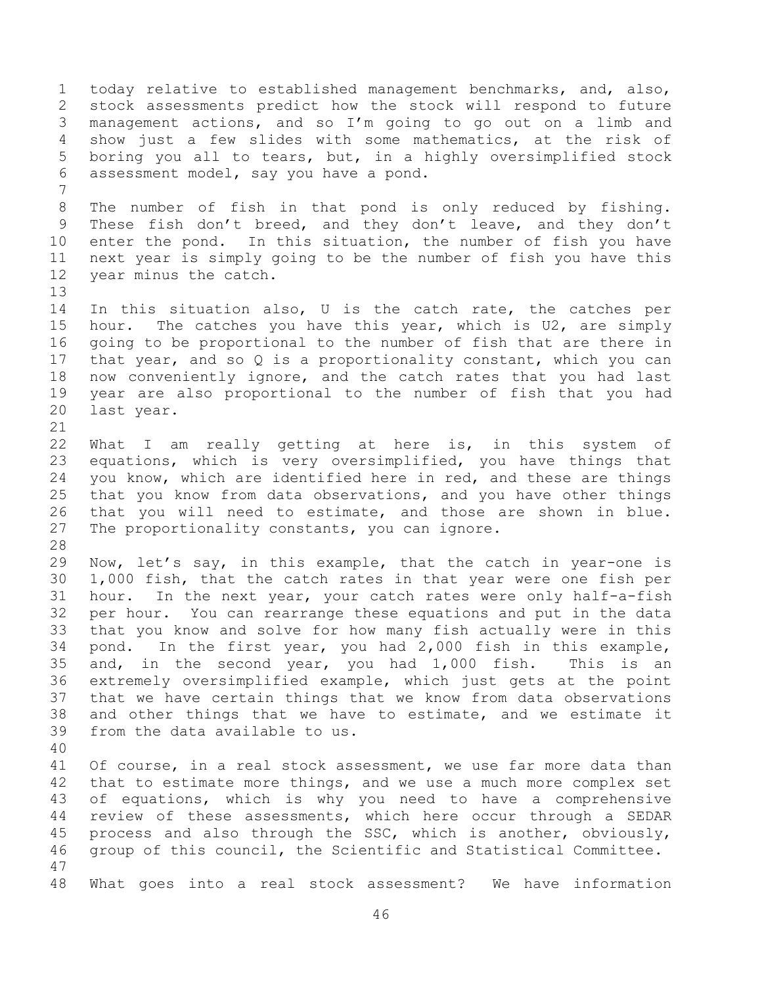today relative to established management benchmarks, and, also, stock assessments predict how the stock will respond to future management actions, and so I'm going to go out on a limb and show just a few slides with some mathematics, at the risk of boring you all to tears, but, in a highly oversimplified stock assessment model, say you have a pond. The number of fish in that pond is only reduced by fishing. These fish don't breed, and they don't leave, and they don't enter the pond. In this situation, the number of fish you have next year is simply going to be the number of fish you have this year minus the catch. In this situation also, U is the catch rate, the catches per hour. The catches you have this year, which is U2, are simply going to be proportional to the number of fish that are there in that year, and so Q is a proportionality constant, which you can now conveniently ignore, and the catch rates that you had last year are also proportional to the number of fish that you had last year. What I am really getting at here is, in this system of equations, which is very oversimplified, you have things that you know, which are identified here in red, and these are things that you know from data observations, and you have other things that you will need to estimate, and those are shown in blue. The proportionality constants, you can ignore. Now, let's say, in this example, that the catch in year-one is 1,000 fish, that the catch rates in that year were one fish per hour. In the next year, your catch rates were only half-a-fish per hour. You can rearrange these equations and put in the data that you know and solve for how many fish actually were in this pond. In the first year, you had 2,000 fish in this example, and, in the second year, you had 1,000 fish. This is an extremely oversimplified example, which just gets at the point that we have certain things that we know from data observations and other things that we have to estimate, and we estimate it from the data available to us. Of course, in a real stock assessment, we use far more data than that to estimate more things, and we use a much more complex set of equations, which is why you need to have a comprehensive review of these assessments, which here occur through a SEDAR process and also through the SSC, which is another, obviously, group of this council, the Scientific and Statistical Committee. What goes into a real stock assessment? We have information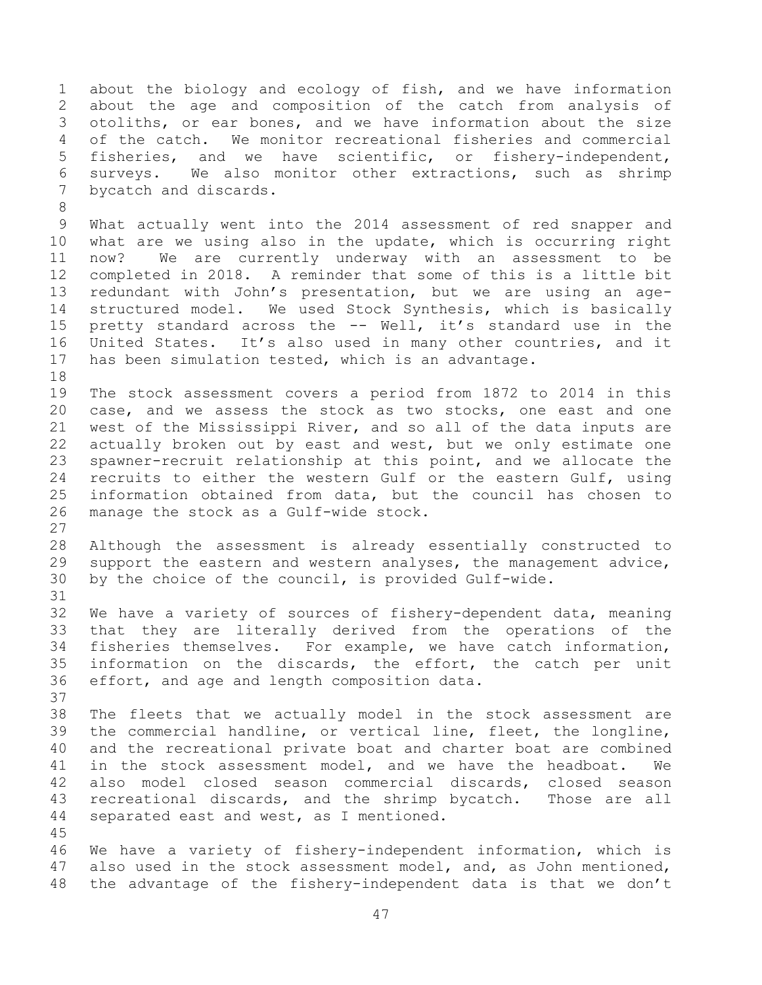about the biology and ecology of fish, and we have information about the age and composition of the catch from analysis of otoliths, or ear bones, and we have information about the size of the catch. We monitor recreational fisheries and commercial fisheries, and we have scientific, or fishery-independent, surveys. We also monitor other extractions, such as shrimp bycatch and discards.

 What actually went into the 2014 assessment of red snapper and what are we using also in the update, which is occurring right now? We are currently underway with an assessment to be completed in 2018. A reminder that some of this is a little bit redundant with John's presentation, but we are using an age- structured model. We used Stock Synthesis, which is basically pretty standard across the -- Well, it's standard use in the United States. It's also used in many other countries, and it has been simulation tested, which is an advantage.

 The stock assessment covers a period from 1872 to 2014 in this case, and we assess the stock as two stocks, one east and one west of the Mississippi River, and so all of the data inputs are actually broken out by east and west, but we only estimate one spawner-recruit relationship at this point, and we allocate the recruits to either the western Gulf or the eastern Gulf, using information obtained from data, but the council has chosen to manage the stock as a Gulf-wide stock.

 Although the assessment is already essentially constructed to support the eastern and western analyses, the management advice, by the choice of the council, is provided Gulf-wide.

 We have a variety of sources of fishery-dependent data, meaning that they are literally derived from the operations of the fisheries themselves. For example, we have catch information, information on the discards, the effort, the catch per unit effort, and age and length composition data.

 The fleets that we actually model in the stock assessment are the commercial handline, or vertical line, fleet, the longline, and the recreational private boat and charter boat are combined in the stock assessment model, and we have the headboat. We also model closed season commercial discards, closed season recreational discards, and the shrimp bycatch. Those are all separated east and west, as I mentioned.

 We have a variety of fishery-independent information, which is also used in the stock assessment model, and, as John mentioned, the advantage of the fishery-independent data is that we don't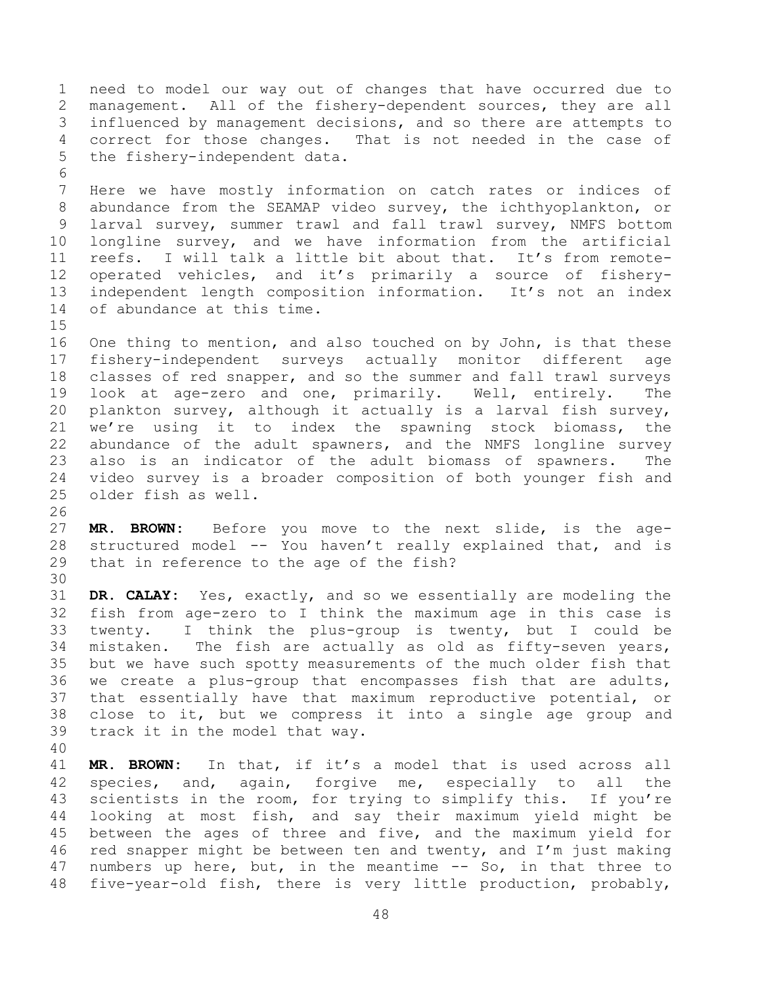need to model our way out of changes that have occurred due to management. All of the fishery-dependent sources, they are all influenced by management decisions, and so there are attempts to correct for those changes. That is not needed in the case of the fishery-independent data. Here we have mostly information on catch rates or indices of abundance from the SEAMAP video survey, the ichthyoplankton, or larval survey, summer trawl and fall trawl survey, NMFS bottom longline survey, and we have information from the artificial reefs. I will talk a little bit about that. It's from remote- operated vehicles, and it's primarily a source of fishery- independent length composition information. It's not an index of abundance at this time. One thing to mention, and also touched on by John, is that these fishery-independent surveys actually monitor different age classes of red snapper, and so the summer and fall trawl surveys look at age-zero and one, primarily. Well, entirely. The plankton survey, although it actually is a larval fish survey, we're using it to index the spawning stock biomass, the abundance of the adult spawners, and the NMFS longline survey also is an indicator of the adult biomass of spawners. The video survey is a broader composition of both younger fish and older fish as well.

 **MR. BROWN:** Before you move to the next slide, is the age- structured model -- You haven't really explained that, and is that in reference to the age of the fish?

 **DR. CALAY:** Yes, exactly, and so we essentially are modeling the fish from age-zero to I think the maximum age in this case is twenty. I think the plus-group is twenty, but I could be mistaken. The fish are actually as old as fifty-seven years, but we have such spotty measurements of the much older fish that we create a plus-group that encompasses fish that are adults, that essentially have that maximum reproductive potential, or close to it, but we compress it into a single age group and track it in the model that way.

 **MR. BROWN:** In that, if it's a model that is used across all species, and, again, forgive me, especially to all the scientists in the room, for trying to simplify this. If you're looking at most fish, and say their maximum yield might be between the ages of three and five, and the maximum yield for red snapper might be between ten and twenty, and I'm just making numbers up here, but, in the meantime -- So, in that three to five-year-old fish, there is very little production, probably,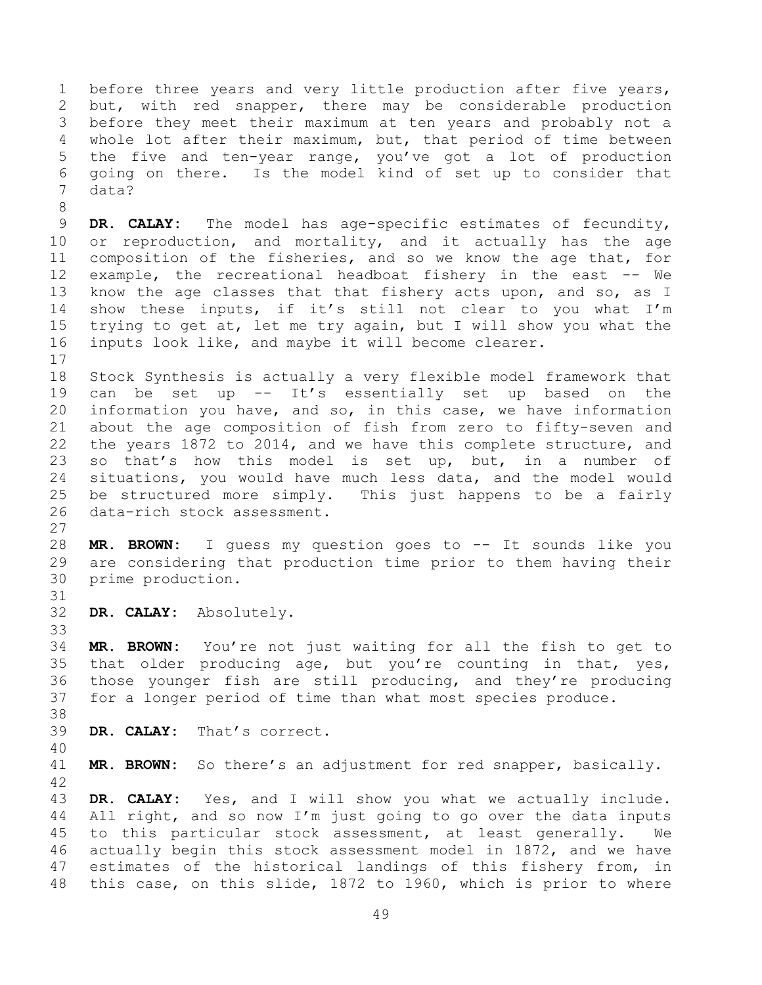before three years and very little production after five years, but, with red snapper, there may be considerable production before they meet their maximum at ten years and probably not a whole lot after their maximum, but, that period of time between the five and ten-year range, you've got a lot of production going on there. Is the model kind of set up to consider that data?

 **DR. CALAY:** The model has age-specific estimates of fecundity, 10 or reproduction, and mortality, and it actually has the age composition of the fisheries, and so we know the age that, for example, the recreational headboat fishery in the east -- We know the age classes that that fishery acts upon, and so, as I show these inputs, if it's still not clear to you what I'm trying to get at, let me try again, but I will show you what the inputs look like, and maybe it will become clearer. 

 Stock Synthesis is actually a very flexible model framework that can be set up -- It's essentially set up based on the information you have, and so, in this case, we have information about the age composition of fish from zero to fifty-seven and the years 1872 to 2014, and we have this complete structure, and so that's how this model is set up, but, in a number of situations, you would have much less data, and the model would be structured more simply. This just happens to be a fairly data-rich stock assessment.

 **MR. BROWN:** I guess my question goes to -- It sounds like you are considering that production time prior to them having their prime production.

**DR. CALAY:** Absolutely.

 **MR. BROWN:** You're not just waiting for all the fish to get to that older producing age, but you're counting in that, yes, those younger fish are still producing, and they're producing for a longer period of time than what most species produce.

**DR. CALAY:** That's correct.

**MR. BROWN:** So there's an adjustment for red snapper, basically.

 **DR. CALAY:** Yes, and I will show you what we actually include. All right, and so now I'm just going to go over the data inputs to this particular stock assessment, at least generally. We actually begin this stock assessment model in 1872, and we have estimates of the historical landings of this fishery from, in this case, on this slide, 1872 to 1960, which is prior to where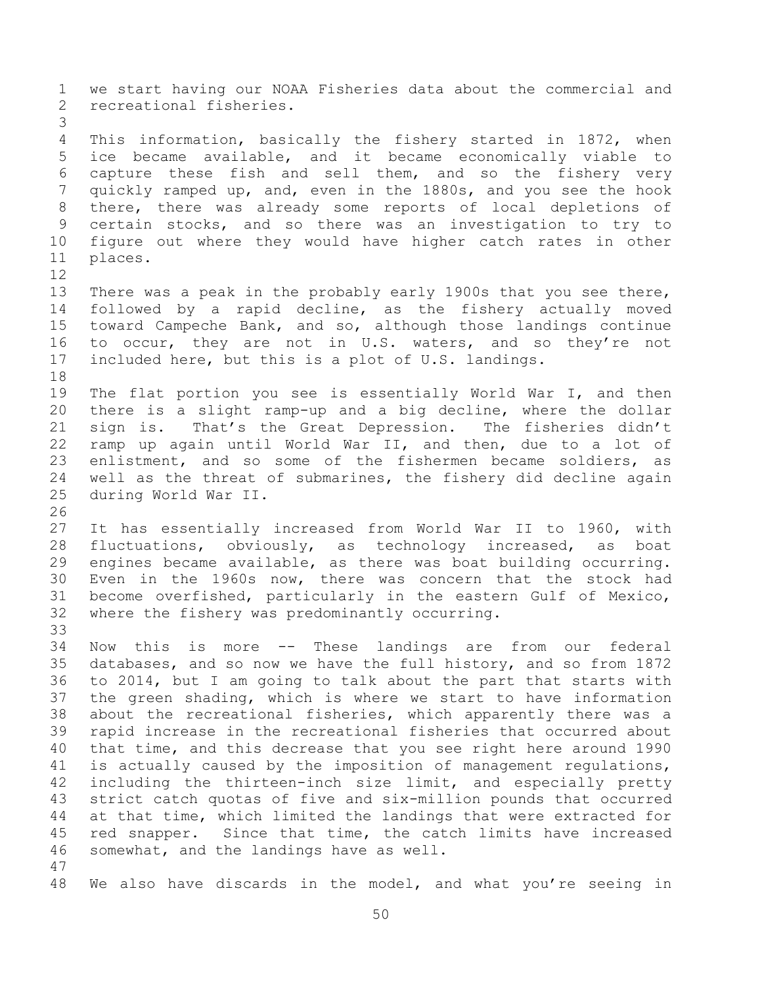we start having our NOAA Fisheries data about the commercial and recreational fisheries. This information, basically the fishery started in 1872, when ice became available, and it became economically viable to capture these fish and sell them, and so the fishery very quickly ramped up, and, even in the 1880s, and you see the hook there, there was already some reports of local depletions of certain stocks, and so there was an investigation to try to figure out where they would have higher catch rates in other places. There was a peak in the probably early 1900s that you see there, followed by a rapid decline, as the fishery actually moved toward Campeche Bank, and so, although those landings continue 16 to occur, they are not in U.S. waters, and so they're not included here, but this is a plot of U.S. landings. The flat portion you see is essentially World War I, and then there is a slight ramp-up and a big decline, where the dollar sign is. That's the Great Depression. The fisheries didn't ramp up again until World War II, and then, due to a lot of enlistment, and so some of the fishermen became soldiers, as well as the threat of submarines, the fishery did decline again during World War II. It has essentially increased from World War II to 1960, with fluctuations, obviously, as technology increased, as boat engines became available, as there was boat building occurring. Even in the 1960s now, there was concern that the stock had become overfished, particularly in the eastern Gulf of Mexico, where the fishery was predominantly occurring. Now this is more -- These landings are from our federal databases, and so now we have the full history, and so from 1872 to 2014, but I am going to talk about the part that starts with the green shading, which is where we start to have information about the recreational fisheries, which apparently there was a rapid increase in the recreational fisheries that occurred about that time, and this decrease that you see right here around 1990 is actually caused by the imposition of management regulations, including the thirteen-inch size limit, and especially pretty strict catch quotas of five and six-million pounds that occurred at that time, which limited the landings that were extracted for red snapper. Since that time, the catch limits have increased somewhat, and the landings have as well. We also have discards in the model, and what you're seeing in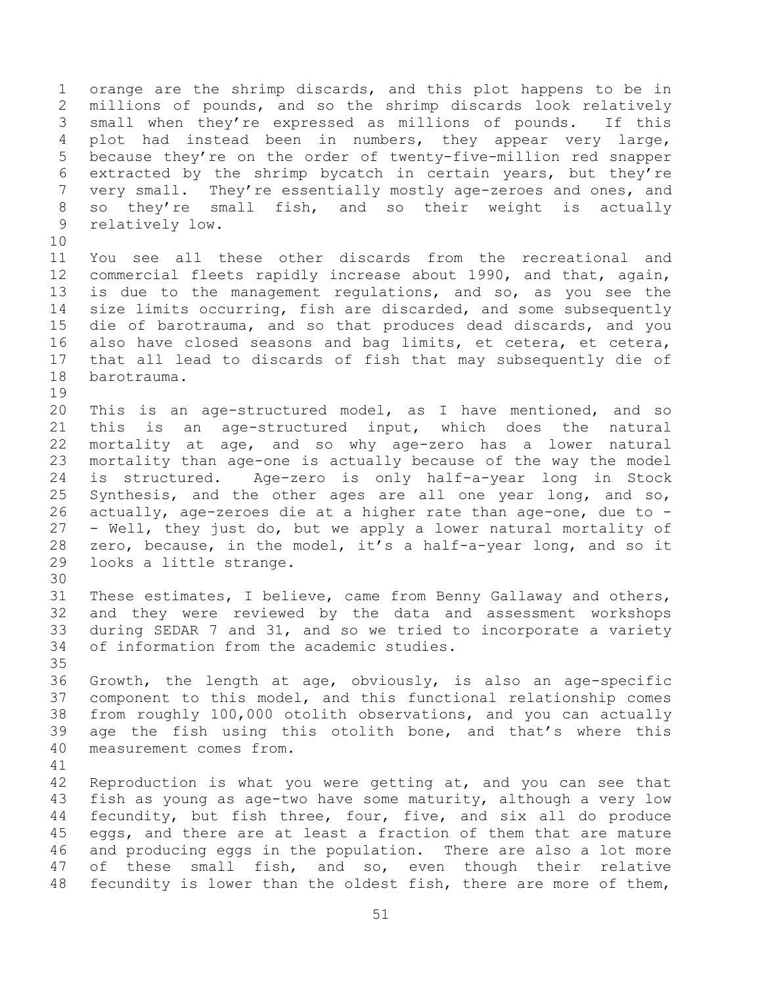orange are the shrimp discards, and this plot happens to be in millions of pounds, and so the shrimp discards look relatively small when they're expressed as millions of pounds. If this plot had instead been in numbers, they appear very large, because they're on the order of twenty-five-million red snapper extracted by the shrimp bycatch in certain years, but they're very small. They're essentially mostly age-zeroes and ones, and so they're small fish, and so their weight is actually relatively low. You see all these other discards from the recreational and commercial fleets rapidly increase about 1990, and that, again, is due to the management regulations, and so, as you see the size limits occurring, fish are discarded, and some subsequently die of barotrauma, and so that produces dead discards, and you also have closed seasons and bag limits, et cetera, et cetera, that all lead to discards of fish that may subsequently die of barotrauma. This is an age-structured model, as I have mentioned, and so this is an age-structured input, which does the natural mortality at age, and so why age-zero has a lower natural mortality than age-one is actually because of the way the model is structured. Age-zero is only half-a-year long in Stock Synthesis, and the other ages are all one year long, and so, actually, age-zeroes die at a higher rate than age-one, due to - - Well, they just do, but we apply a lower natural mortality of zero, because, in the model, it's a half-a-year long, and so it looks a little strange. These estimates, I believe, came from Benny Gallaway and others, and they were reviewed by the data and assessment workshops during SEDAR 7 and 31, and so we tried to incorporate a variety of information from the academic studies. Growth, the length at age, obviously, is also an age-specific component to this model, and this functional relationship comes from roughly 100,000 otolith observations, and you can actually age the fish using this otolith bone, and that's where this measurement comes from. Reproduction is what you were getting at, and you can see that fish as young as age-two have some maturity, although a very low fecundity, but fish three, four, five, and six all do produce eggs, and there are at least a fraction of them that are mature and producing eggs in the population. There are also a lot more of these small fish, and so, even though their relative fecundity is lower than the oldest fish, there are more of them,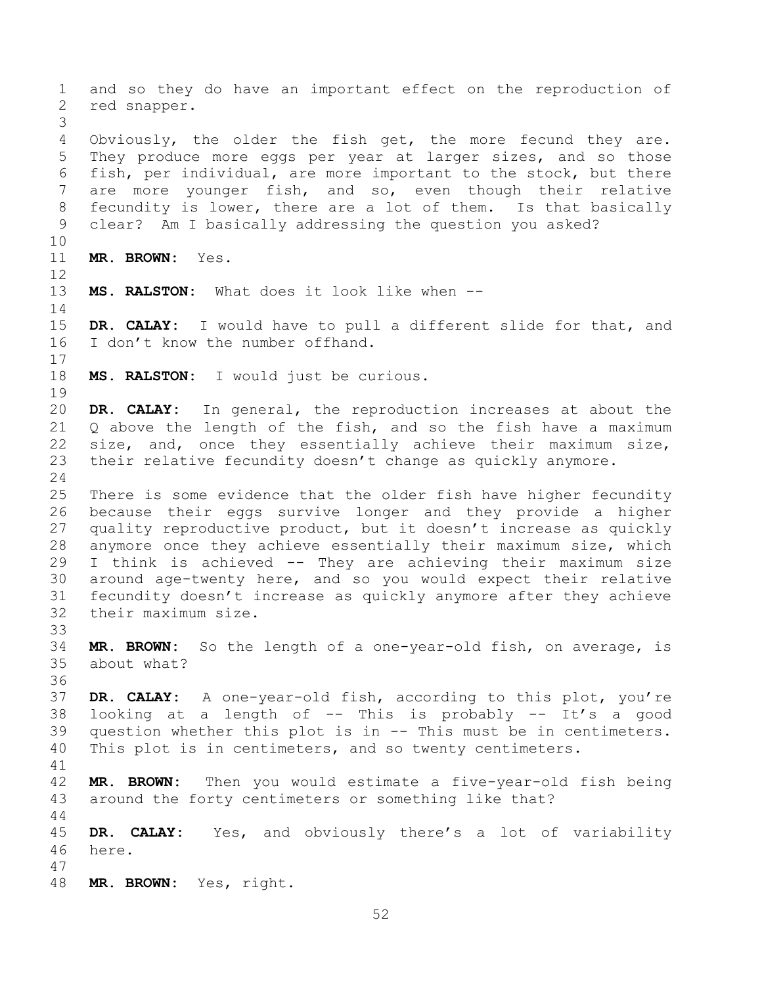and so they do have an important effect on the reproduction of red snapper. Obviously, the older the fish get, the more fecund they are. They produce more eggs per year at larger sizes, and so those fish, per individual, are more important to the stock, but there are more younger fish, and so, even though their relative fecundity is lower, there are a lot of them. Is that basically clear? Am I basically addressing the question you asked? **MR. BROWN:** Yes. **MS. RALSTON:** What does it look like when -- **DR. CALAY:** I would have to pull a different slide for that, and I don't know the number offhand. **MS. RALSTON:** I would just be curious. **DR. CALAY:** In general, the reproduction increases at about the Q above the length of the fish, and so the fish have a maximum size, and, once they essentially achieve their maximum size, their relative fecundity doesn't change as quickly anymore. There is some evidence that the older fish have higher fecundity because their eggs survive longer and they provide a higher quality reproductive product, but it doesn't increase as quickly anymore once they achieve essentially their maximum size, which I think is achieved -- They are achieving their maximum size around age-twenty here, and so you would expect their relative fecundity doesn't increase as quickly anymore after they achieve their maximum size. **MR. BROWN:** So the length of a one-year-old fish, on average, is about what? **DR. CALAY:** A one-year-old fish, according to this plot, you're 38 looking at a length of  $--$  This is probably  $--$  It's a good question whether this plot is in -- This must be in centimeters. This plot is in centimeters, and so twenty centimeters. **MR. BROWN:** Then you would estimate a five-year-old fish being around the forty centimeters or something like that? **DR. CALAY:** Yes, and obviously there's a lot of variability here. **MR. BROWN:** Yes, right.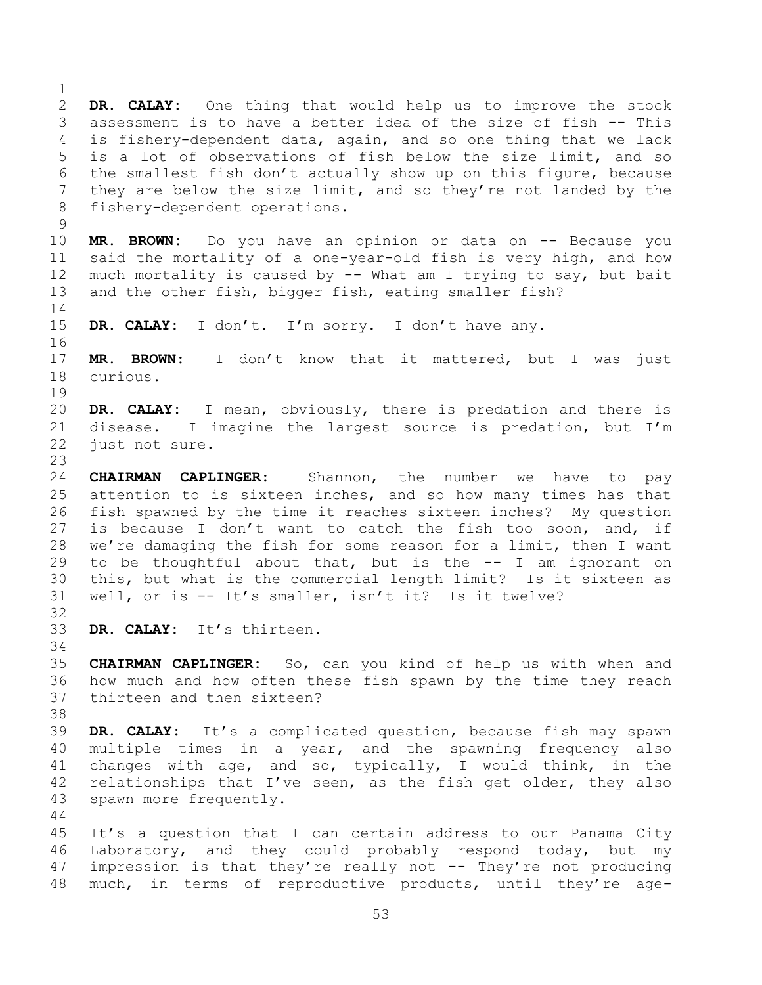**DR. CALAY:** One thing that would help us to improve the stock assessment is to have a better idea of the size of fish -- This is fishery-dependent data, again, and so one thing that we lack is a lot of observations of fish below the size limit, and so the smallest fish don't actually show up on this figure, because they are below the size limit, and so they're not landed by the fishery-dependent operations. **MR. BROWN:** Do you have an opinion or data on -- Because you said the mortality of a one-year-old fish is very high, and how much mortality is caused by -- What am I trying to say, but bait and the other fish, bigger fish, eating smaller fish? **DR. CALAY:** I don't. I'm sorry. I don't have any. **MR. BROWN:** I don't know that it mattered, but I was just curious. **DR. CALAY:** I mean, obviously, there is predation and there is disease. I imagine the largest source is predation, but I'm just not sure. **CHAIRMAN CAPLINGER:** Shannon, the number we have to pay attention to is sixteen inches, and so how many times has that fish spawned by the time it reaches sixteen inches? My question is because I don't want to catch the fish too soon, and, if we're damaging the fish for some reason for a limit, then I want to be thoughtful about that, but is the -- I am ignorant on this, but what is the commercial length limit? Is it sixteen as well, or is -- It's smaller, isn't it? Is it twelve? **DR. CALAY:** It's thirteen. **CHAIRMAN CAPLINGER:** So, can you kind of help us with when and how much and how often these fish spawn by the time they reach thirteen and then sixteen? **DR. CALAY:** It's a complicated question, because fish may spawn multiple times in a year, and the spawning frequency also changes with age, and so, typically, I would think, in the relationships that I've seen, as the fish get older, they also spawn more frequently. It's a question that I can certain address to our Panama City

 Laboratory, and they could probably respond today, but my impression is that they're really not -- They're not producing much, in terms of reproductive products, until they're age-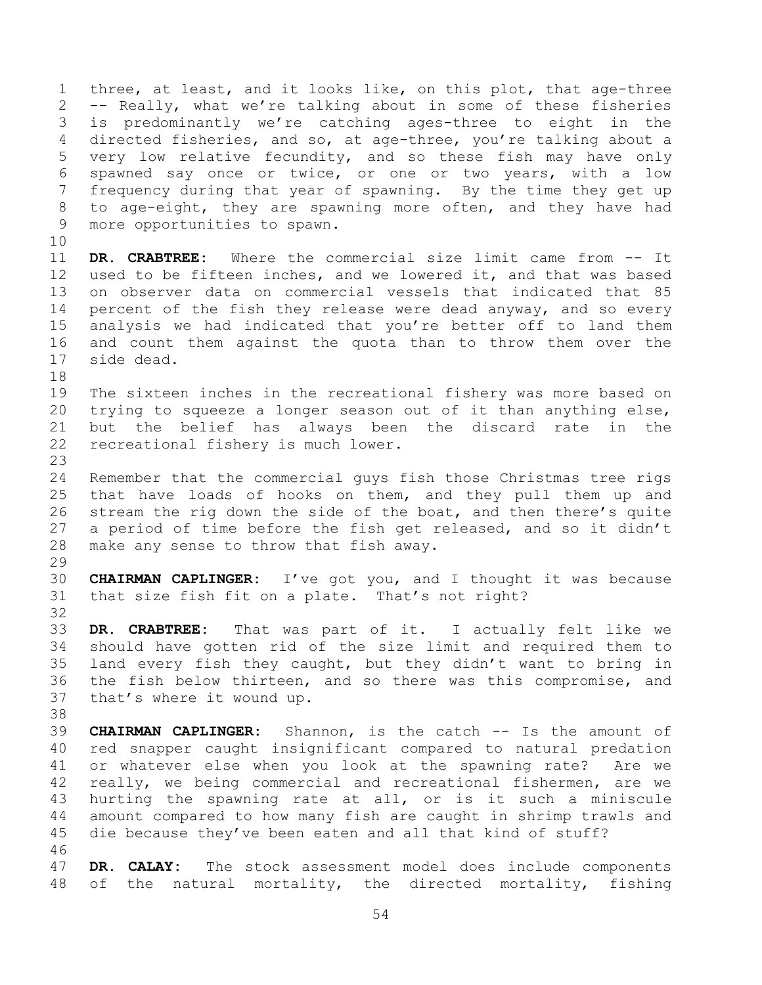three, at least, and it looks like, on this plot, that age-three -- Really, what we're talking about in some of these fisheries is predominantly we're catching ages-three to eight in the directed fisheries, and so, at age-three, you're talking about a very low relative fecundity, and so these fish may have only spawned say once or twice, or one or two years, with a low frequency during that year of spawning. By the time they get up to age-eight, they are spawning more often, and they have had more opportunities to spawn. **DR. CRABTREE:** Where the commercial size limit came from -- It used to be fifteen inches, and we lowered it, and that was based on observer data on commercial vessels that indicated that 85 percent of the fish they release were dead anyway, and so every analysis we had indicated that you're better off to land them and count them against the quota than to throw them over the side dead. The sixteen inches in the recreational fishery was more based on trying to squeeze a longer season out of it than anything else, but the belief has always been the discard rate in the recreational fishery is much lower. Remember that the commercial guys fish those Christmas tree rigs that have loads of hooks on them, and they pull them up and stream the rig down the side of the boat, and then there's quite a period of time before the fish get released, and so it didn't make any sense to throw that fish away. **CHAIRMAN CAPLINGER:** I've got you, and I thought it was because that size fish fit on a plate. That's not right? **DR. CRABTREE:** That was part of it. I actually felt like we should have gotten rid of the size limit and required them to land every fish they caught, but they didn't want to bring in the fish below thirteen, and so there was this compromise, and that's where it wound up. **CHAIRMAN CAPLINGER:** Shannon, is the catch -- Is the amount of red snapper caught insignificant compared to natural predation or whatever else when you look at the spawning rate? Are we really, we being commercial and recreational fishermen, are we hurting the spawning rate at all, or is it such a miniscule amount compared to how many fish are caught in shrimp trawls and die because they've been eaten and all that kind of stuff?

 **DR. CALAY:** The stock assessment model does include components of the natural mortality, the directed mortality, fishing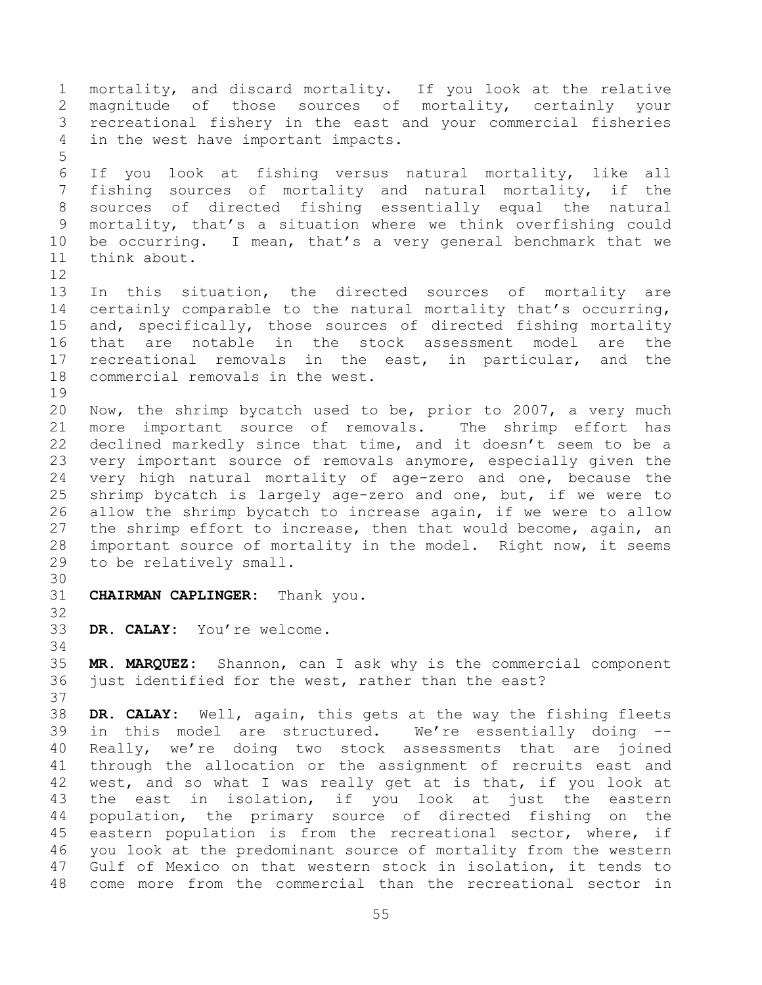mortality, and discard mortality. If you look at the relative magnitude of those sources of mortality, certainly your recreational fishery in the east and your commercial fisheries in the west have important impacts. If you look at fishing versus natural mortality, like all fishing sources of mortality and natural mortality, if the sources of directed fishing essentially equal the natural mortality, that's a situation where we think overfishing could be occurring. I mean, that's a very general benchmark that we think about. In this situation, the directed sources of mortality are certainly comparable to the natural mortality that's occurring, and, specifically, those sources of directed fishing mortality that are notable in the stock assessment model are the recreational removals in the east, in particular, and the commercial removals in the west. Now, the shrimp bycatch used to be, prior to 2007, a very much more important source of removals. The shrimp effort has declined markedly since that time, and it doesn't seem to be a very important source of removals anymore, especially given the very high natural mortality of age-zero and one, because the shrimp bycatch is largely age-zero and one, but, if we were to allow the shrimp bycatch to increase again, if we were to allow the shrimp effort to increase, then that would become, again, an important source of mortality in the model. Right now, it seems to be relatively small. **CHAIRMAN CAPLINGER:** Thank you. **DR. CALAY:** You're welcome. **MR. MARQUEZ:** Shannon, can I ask why is the commercial component just identified for the west, rather than the east? **DR. CALAY:** Well, again, this gets at the way the fishing fleets in this model are structured. We're essentially doing -- Really, we're doing two stock assessments that are joined through the allocation or the assignment of recruits east and west, and so what I was really get at is that, if you look at the east in isolation, if you look at just the eastern population, the primary source of directed fishing on the eastern population is from the recreational sector, where, if you look at the predominant source of mortality from the western Gulf of Mexico on that western stock in isolation, it tends to come more from the commercial than the recreational sector in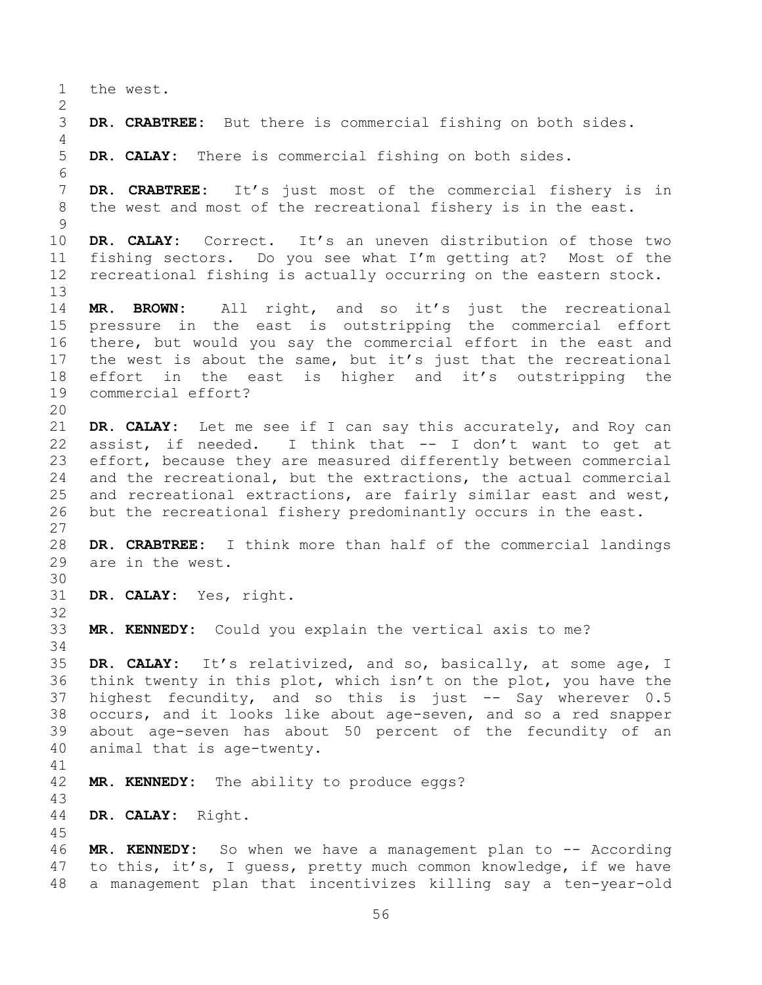the west. **DR. CRABTREE:** But there is commercial fishing on both sides. **DR. CALAY:** There is commercial fishing on both sides. **DR. CRABTREE:** It's just most of the commercial fishery is in the west and most of the recreational fishery is in the east. **DR. CALAY:** Correct. It's an uneven distribution of those two fishing sectors. Do you see what I'm getting at? Most of the recreational fishing is actually occurring on the eastern stock. **MR. BROWN:** All right, and so it's just the recreational pressure in the east is outstripping the commercial effort there, but would you say the commercial effort in the east and 17 the west is about the same, but it's just that the recreational effort in the east is higher and it's outstripping the commercial effort? **DR. CALAY:** Let me see if I can say this accurately, and Roy can assist, if needed. I think that -- I don't want to get at effort, because they are measured differently between commercial and the recreational, but the extractions, the actual commercial and recreational extractions, are fairly similar east and west, but the recreational fishery predominantly occurs in the east. **DR. CRABTREE:** I think more than half of the commercial landings are in the west. **DR. CALAY:** Yes, right. **MR. KENNEDY:** Could you explain the vertical axis to me? **DR. CALAY:** It's relativized, and so, basically, at some age, I think twenty in this plot, which isn't on the plot, you have the highest fecundity, and so this is just -- Say wherever 0.5 occurs, and it looks like about age-seven, and so a red snapper about age-seven has about 50 percent of the fecundity of an animal that is age-twenty. **MR. KENNEDY:** The ability to produce eggs? **DR. CALAY:** Right. **MR. KENNEDY:** So when we have a management plan to -- According to this, it's, I guess, pretty much common knowledge, if we have

a management plan that incentivizes killing say a ten-year-old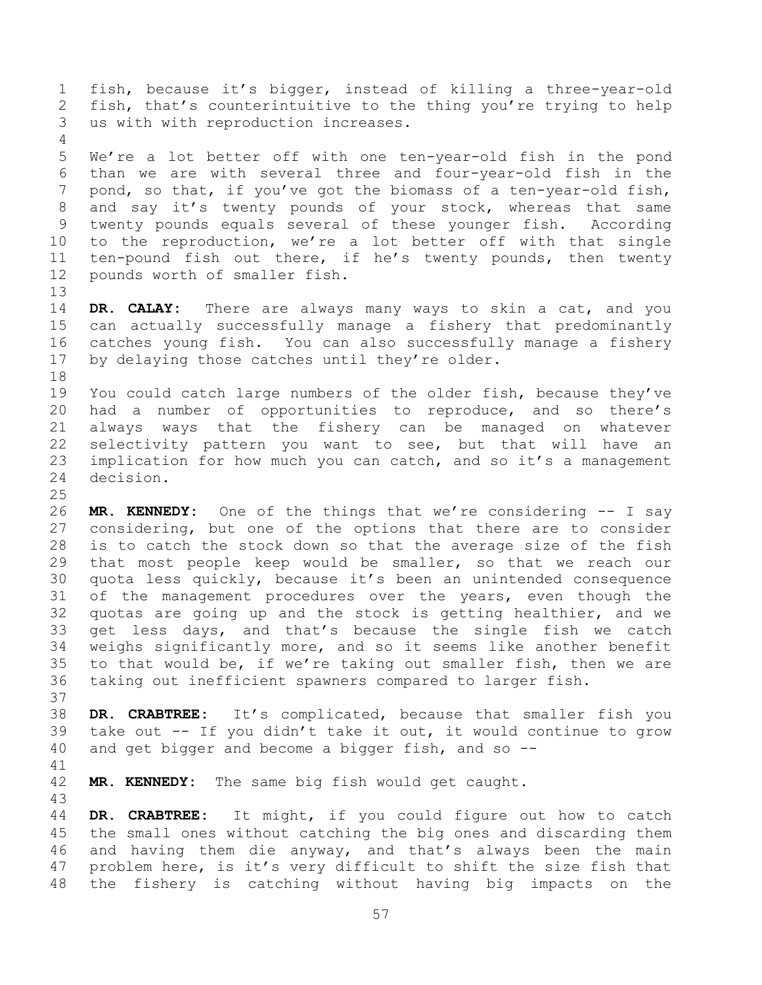fish, because it's bigger, instead of killing a three-year-old fish, that's counterintuitive to the thing you're trying to help us with with reproduction increases.

 We're a lot better off with one ten-year-old fish in the pond than we are with several three and four-year-old fish in the pond, so that, if you've got the biomass of a ten-year-old fish, and say it's twenty pounds of your stock, whereas that same twenty pounds equals several of these younger fish. According to the reproduction, we're a lot better off with that single ten-pound fish out there, if he's twenty pounds, then twenty pounds worth of smaller fish.

 **DR. CALAY:** There are always many ways to skin a cat, and you can actually successfully manage a fishery that predominantly catches young fish. You can also successfully manage a fishery 17 by delaying those catches until they're older. 

 You could catch large numbers of the older fish, because they've had a number of opportunities to reproduce, and so there's always ways that the fishery can be managed on whatever selectivity pattern you want to see, but that will have an 23 implication for how much you can catch, and so it's a management decision.

 **MR. KENNEDY:** One of the things that we're considering -- I say considering, but one of the options that there are to consider is to catch the stock down so that the average size of the fish that most people keep would be smaller, so that we reach our quota less quickly, because it's been an unintended consequence 31 of the management procedures over the years, even though the quotas are going up and the stock is getting healthier, and we get less days, and that's because the single fish we catch weighs significantly more, and so it seems like another benefit to that would be, if we're taking out smaller fish, then we are taking out inefficient spawners compared to larger fish.

 **DR. CRABTREE:** It's complicated, because that smaller fish you take out -- If you didn't take it out, it would continue to grow and get bigger and become a bigger fish, and so --

**MR. KENNEDY:** The same big fish would get caught.

 **DR. CRABTREE:** It might, if you could figure out how to catch the small ones without catching the big ones and discarding them and having them die anyway, and that's always been the main problem here, is it's very difficult to shift the size fish that the fishery is catching without having big impacts on the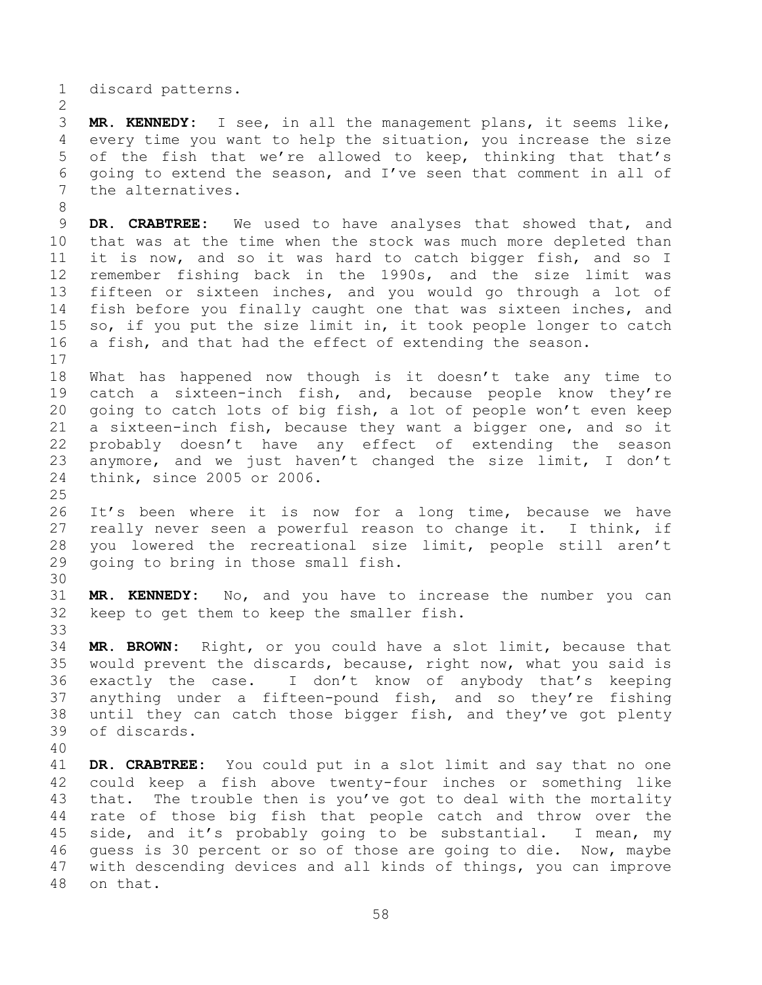discard patterns.

 **MR. KENNEDY:** I see, in all the management plans, it seems like, every time you want to help the situation, you increase the size of the fish that we're allowed to keep, thinking that that's going to extend the season, and I've seen that comment in all of the alternatives.

 **DR. CRABTREE:** We used to have analyses that showed that, and that was at the time when the stock was much more depleted than it is now, and so it was hard to catch bigger fish, and so I remember fishing back in the 1990s, and the size limit was fifteen or sixteen inches, and you would go through a lot of fish before you finally caught one that was sixteen inches, and so, if you put the size limit in, it took people longer to catch a fish, and that had the effect of extending the season. 

 What has happened now though is it doesn't take any time to catch a sixteen-inch fish, and, because people know they're going to catch lots of big fish, a lot of people won't even keep a sixteen-inch fish, because they want a bigger one, and so it probably doesn't have any effect of extending the season anymore, and we just haven't changed the size limit, I don't think, since 2005 or 2006.

 It's been where it is now for a long time, because we have really never seen a powerful reason to change it. I think, if you lowered the recreational size limit, people still aren't going to bring in those small fish.

 **MR. KENNEDY:** No, and you have to increase the number you can keep to get them to keep the smaller fish.

 **MR. BROWN:** Right, or you could have a slot limit, because that would prevent the discards, because, right now, what you said is exactly the case. I don't know of anybody that's keeping anything under a fifteen-pound fish, and so they're fishing until they can catch those bigger fish, and they've got plenty of discards.

 **DR. CRABTREE:** You could put in a slot limit and say that no one could keep a fish above twenty-four inches or something like that. The trouble then is you've got to deal with the mortality rate of those big fish that people catch and throw over the side, and it's probably going to be substantial. I mean, my guess is 30 percent or so of those are going to die. Now, maybe with descending devices and all kinds of things, you can improve on that.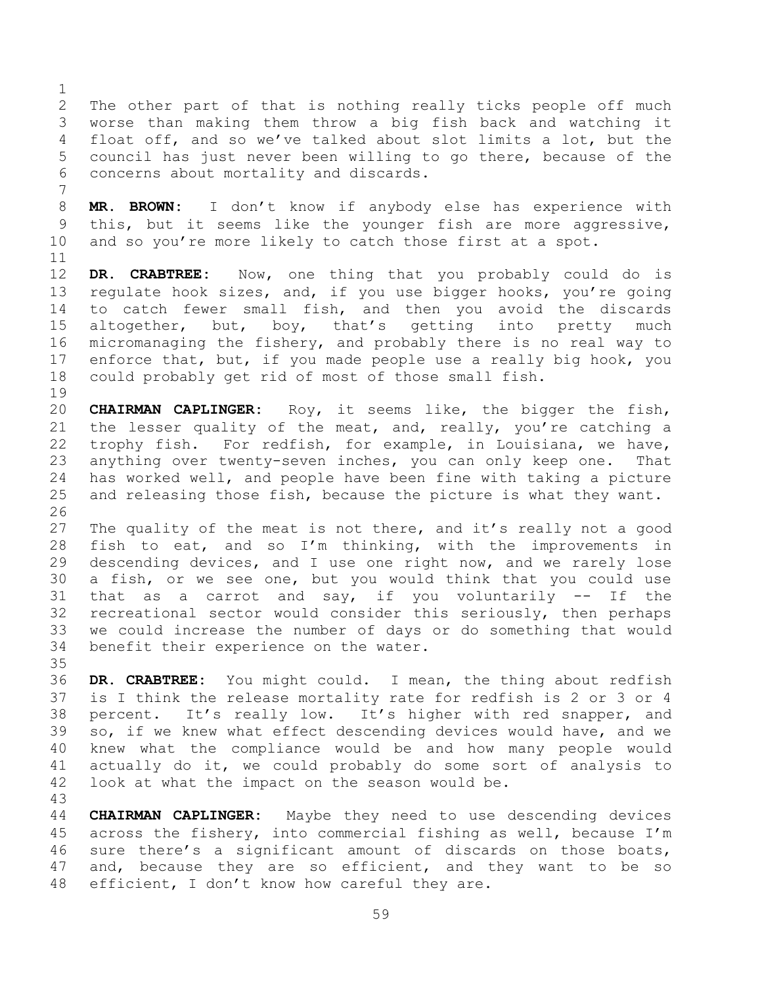The other part of that is nothing really ticks people off much worse than making them throw a big fish back and watching it float off, and so we've talked about slot limits a lot, but the council has just never been willing to go there, because of the concerns about mortality and discards.

 **MR. BROWN:** I don't know if anybody else has experience with this, but it seems like the younger fish are more aggressive, and so you're more likely to catch those first at a spot. 

 **DR. CRABTREE:** Now, one thing that you probably could do is regulate hook sizes, and, if you use bigger hooks, you're going to catch fewer small fish, and then you avoid the discards 15 altogether, but, boy, that's getting into pretty much micromanaging the fishery, and probably there is no real way to 17 enforce that, but, if you made people use a really big hook, you could probably get rid of most of those small fish.

 **CHAIRMAN CAPLINGER:** Roy, it seems like, the bigger the fish, the lesser quality of the meat, and, really, you're catching a trophy fish. For redfish, for example, in Louisiana, we have, anything over twenty-seven inches, you can only keep one. That has worked well, and people have been fine with taking a picture and releasing those fish, because the picture is what they want. 

27 The quality of the meat is not there, and it's really not a good fish to eat, and so I'm thinking, with the improvements in descending devices, and I use one right now, and we rarely lose a fish, or we see one, but you would think that you could use that as a carrot and say, if you voluntarily -- If the recreational sector would consider this seriously, then perhaps we could increase the number of days or do something that would benefit their experience on the water.

 **DR. CRABTREE:** You might could. I mean, the thing about redfish is I think the release mortality rate for redfish is 2 or 3 or 4 percent. It's really low. It's higher with red snapper, and so, if we knew what effect descending devices would have, and we knew what the compliance would be and how many people would actually do it, we could probably do some sort of analysis to look at what the impact on the season would be.

 **CHAIRMAN CAPLINGER:** Maybe they need to use descending devices across the fishery, into commercial fishing as well, because I'm sure there's a significant amount of discards on those boats, 47 and, because they are so efficient, and they want to be so efficient, I don't know how careful they are.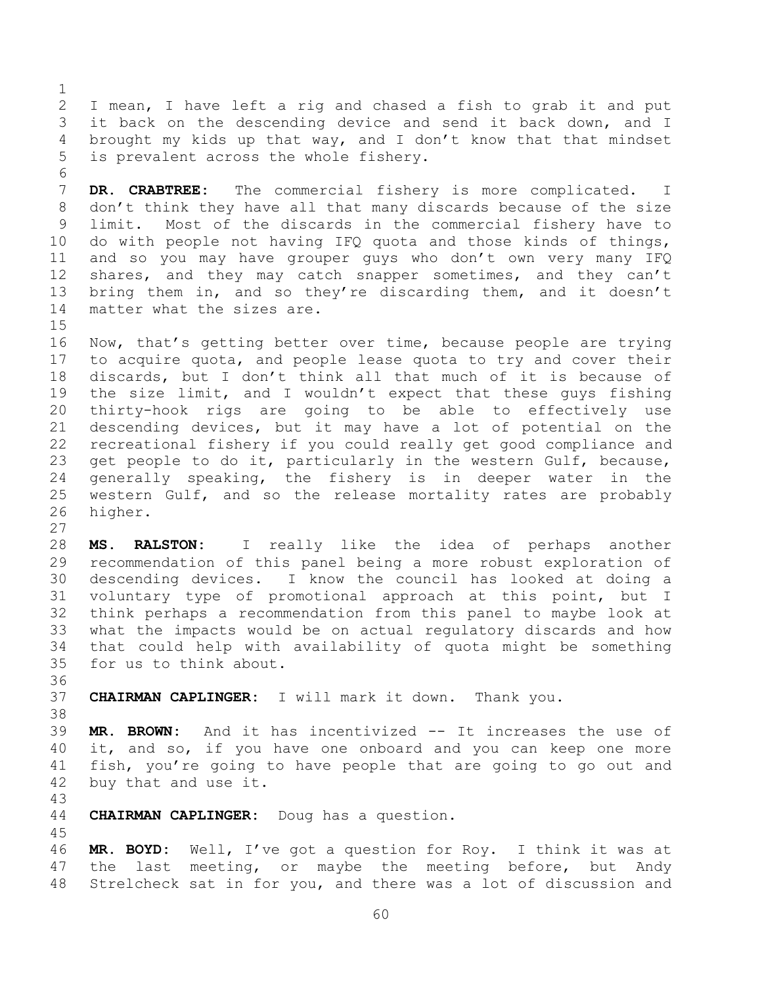I mean, I have left a rig and chased a fish to grab it and put it back on the descending device and send it back down, and I brought my kids up that way, and I don't know that that mindset is prevalent across the whole fishery.

 **DR. CRABTREE:** The commercial fishery is more complicated. I don't think they have all that many discards because of the size limit. Most of the discards in the commercial fishery have to do with people not having IFQ quota and those kinds of things, and so you may have grouper guys who don't own very many IFQ 12 shares, and they may catch snapper sometimes, and they can't bring them in, and so they're discarding them, and it doesn't matter what the sizes are.

 Now, that's getting better over time, because people are trying to acquire quota, and people lease quota to try and cover their discards, but I don't think all that much of it is because of the size limit, and I wouldn't expect that these guys fishing thirty-hook rigs are going to be able to effectively use descending devices, but it may have a lot of potential on the recreational fishery if you could really get good compliance and get people to do it, particularly in the western Gulf, because, generally speaking, the fishery is in deeper water in the western Gulf, and so the release mortality rates are probably higher.

 **MS. RALSTON:** I really like the idea of perhaps another recommendation of this panel being a more robust exploration of descending devices. I know the council has looked at doing a voluntary type of promotional approach at this point, but I think perhaps a recommendation from this panel to maybe look at what the impacts would be on actual regulatory discards and how that could help with availability of quota might be something for us to think about.

**CHAIRMAN CAPLINGER:** I will mark it down. Thank you.

 **MR. BROWN:** And it has incentivized -- It increases the use of it, and so, if you have one onboard and you can keep one more fish, you're going to have people that are going to go out and buy that and use it.

**CHAIRMAN CAPLINGER:** Doug has a question.

 **MR. BOYD:** Well, I've got a question for Roy. I think it was at 47 the last meeting, or maybe the meeting before, but Andy Strelcheck sat in for you, and there was a lot of discussion and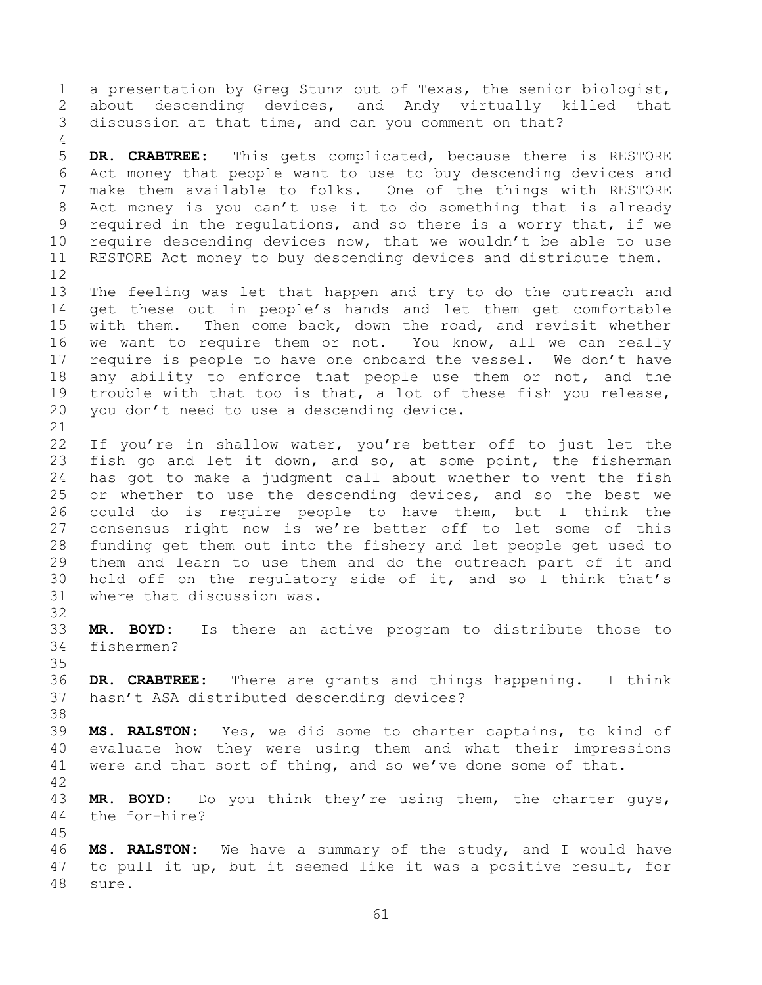a presentation by Greg Stunz out of Texas, the senior biologist, about descending devices, and Andy virtually killed that discussion at that time, and can you comment on that?

 **DR. CRABTREE:** This gets complicated, because there is RESTORE Act money that people want to use to buy descending devices and make them available to folks. One of the things with RESTORE Act money is you can't use it to do something that is already required in the regulations, and so there is a worry that, if we require descending devices now, that we wouldn't be able to use RESTORE Act money to buy descending devices and distribute them. 

 The feeling was let that happen and try to do the outreach and get these out in people's hands and let them get comfortable with them. Then come back, down the road, and revisit whether we want to require them or not. You know, all we can really require is people to have one onboard the vessel. We don't have 18 any ability to enforce that people use them or not, and the trouble with that too is that, a lot of these fish you release, you don't need to use a descending device.

 If you're in shallow water, you're better off to just let the fish go and let it down, and so, at some point, the fisherman has got to make a judgment call about whether to vent the fish or whether to use the descending devices, and so the best we could do is require people to have them, but I think the consensus right now is we're better off to let some of this funding get them out into the fishery and let people get used to them and learn to use them and do the outreach part of it and hold off on the regulatory side of it, and so I think that's where that discussion was.

 **MR. BOYD:** Is there an active program to distribute those to fishermen?

 **DR. CRABTREE:** There are grants and things happening. I think hasn't ASA distributed descending devices?

 **MS. RALSTON:** Yes, we did some to charter captains, to kind of evaluate how they were using them and what their impressions were and that sort of thing, and so we've done some of that.

 **MR. BOYD:** Do you think they're using them, the charter guys, the for-hire?

 **MS. RALSTON:** We have a summary of the study, and I would have to pull it up, but it seemed like it was a positive result, for sure.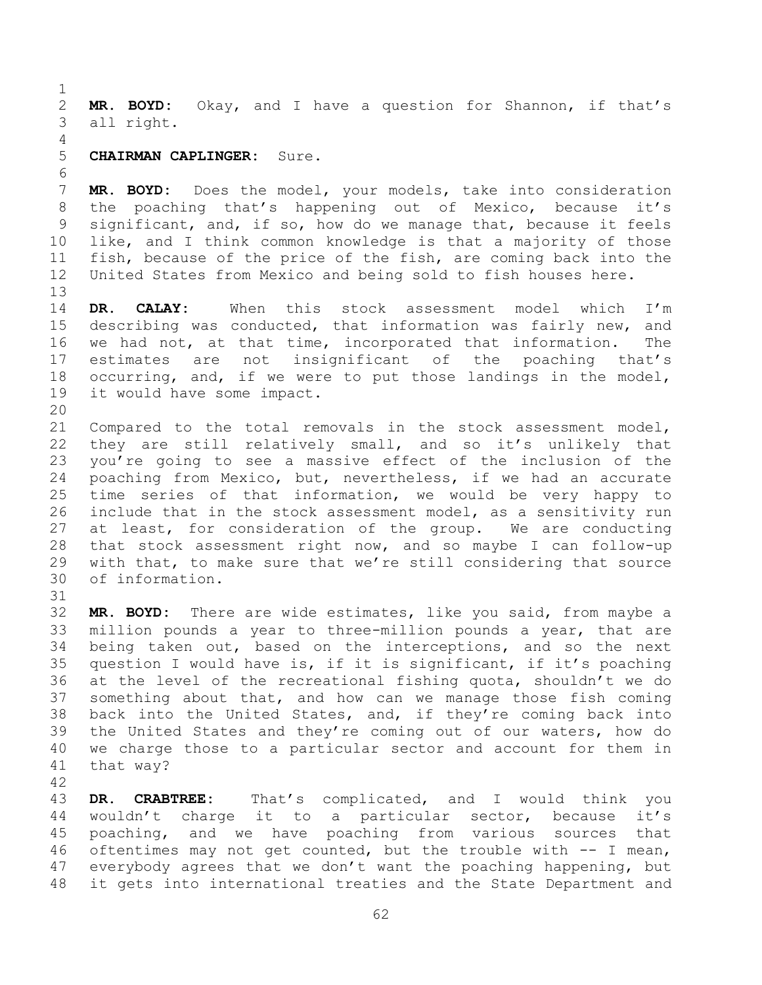**MR. BOYD:** Okay, and I have a question for Shannon, if that's all right.

## **CHAIRMAN CAPLINGER:** Sure.

 **MR. BOYD:** Does the model, your models, take into consideration the poaching that's happening out of Mexico, because it's significant, and, if so, how do we manage that, because it feels like, and I think common knowledge is that a majority of those fish, because of the price of the fish, are coming back into the United States from Mexico and being sold to fish houses here.

 **DR. CALAY:** When this stock assessment model which I'm describing was conducted, that information was fairly new, and we had not, at that time, incorporated that information. The estimates are not insignificant of the poaching that's occurring, and, if we were to put those landings in the model, it would have some impact.

 Compared to the total removals in the stock assessment model, they are still relatively small, and so it's unlikely that you're going to see a massive effect of the inclusion of the poaching from Mexico, but, nevertheless, if we had an accurate time series of that information, we would be very happy to include that in the stock assessment model, as a sensitivity run at least, for consideration of the group. We are conducting that stock assessment right now, and so maybe I can follow-up with that, to make sure that we're still considering that source of information.

 **MR. BOYD:** There are wide estimates, like you said, from maybe a million pounds a year to three-million pounds a year, that are being taken out, based on the interceptions, and so the next question I would have is, if it is significant, if it's poaching at the level of the recreational fishing quota, shouldn't we do something about that, and how can we manage those fish coming back into the United States, and, if they're coming back into the United States and they're coming out of our waters, how do we charge those to a particular sector and account for them in that way?

 **DR. CRABTREE:** That's complicated, and I would think you wouldn't charge it to a particular sector, because it's poaching, and we have poaching from various sources that oftentimes may not get counted, but the trouble with -- I mean, everybody agrees that we don't want the poaching happening, but it gets into international treaties and the State Department and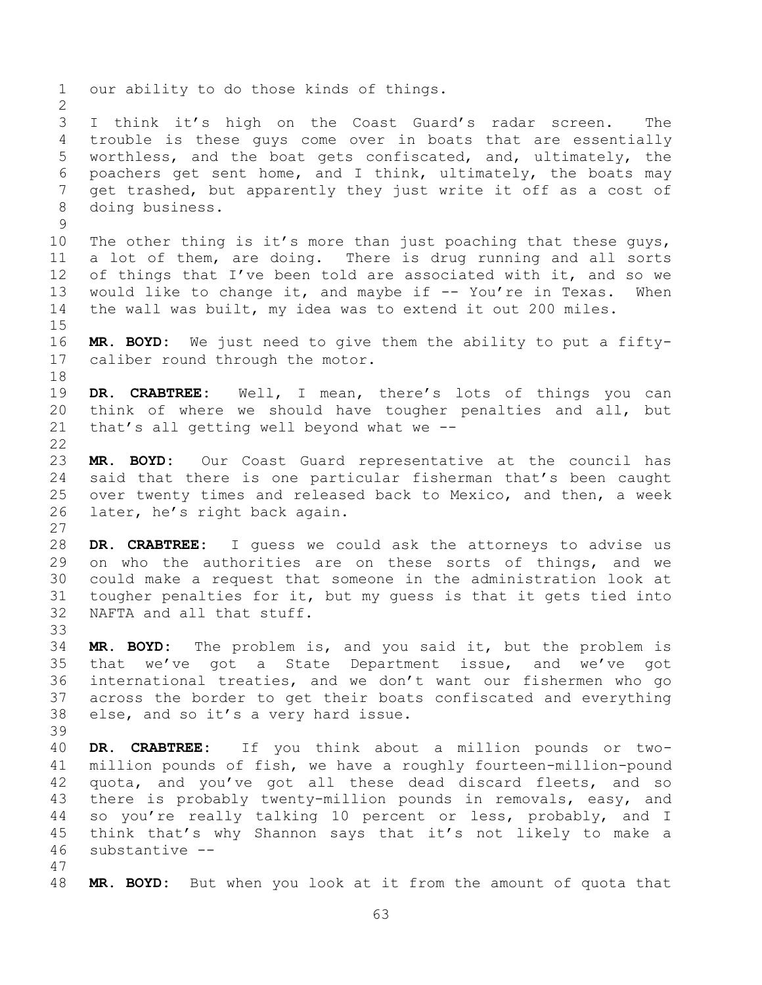our ability to do those kinds of things. I think it's high on the Coast Guard's radar screen. The trouble is these guys come over in boats that are essentially worthless, and the boat gets confiscated, and, ultimately, the poachers get sent home, and I think, ultimately, the boats may get trashed, but apparently they just write it off as a cost of doing business. 10 The other thing is it's more than just poaching that these guys, a lot of them, are doing. There is drug running and all sorts 12 of things that I've been told are associated with it, and so we would like to change it, and maybe if -- You're in Texas. When the wall was built, my idea was to extend it out 200 miles. **MR. BOYD:** We just need to give them the ability to put a fifty- caliber round through the motor. **DR. CRABTREE:** Well, I mean, there's lots of things you can think of where we should have tougher penalties and all, but that's all getting well beyond what we -- **MR. BOYD:** Our Coast Guard representative at the council has said that there is one particular fisherman that's been caught over twenty times and released back to Mexico, and then, a week later, he's right back again. **DR. CRABTREE:** I guess we could ask the attorneys to advise us on who the authorities are on these sorts of things, and we could make a request that someone in the administration look at tougher penalties for it, but my guess is that it gets tied into NAFTA and all that stuff. **MR. BOYD:** The problem is, and you said it, but the problem is that we've got a State Department issue, and we've got international treaties, and we don't want our fishermen who go across the border to get their boats confiscated and everything else, and so it's a very hard issue. **DR. CRABTREE:** If you think about a million pounds or two- million pounds of fish, we have a roughly fourteen-million-pound quota, and you've got all these dead discard fleets, and so there is probably twenty-million pounds in removals, easy, and so you're really talking 10 percent or less, probably, and I think that's why Shannon says that it's not likely to make a substantive -- **MR. BOYD:** But when you look at it from the amount of quota that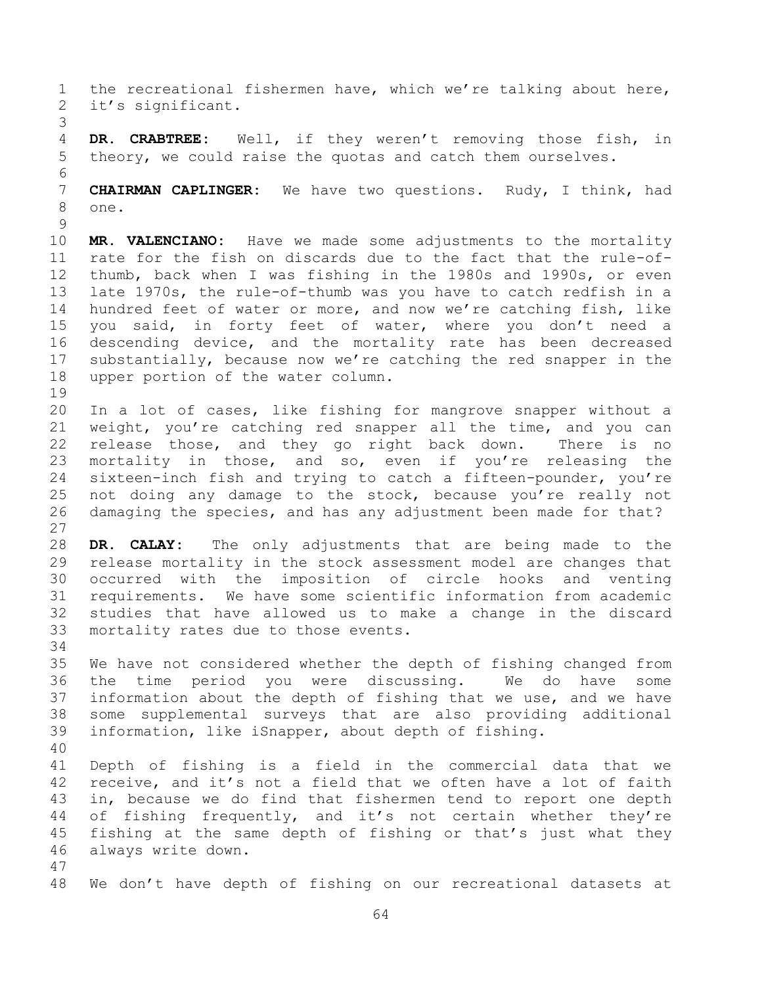the recreational fishermen have, which we're talking about here, it's significant. **DR. CRABTREE:** Well, if they weren't removing those fish, in theory, we could raise the quotas and catch them ourselves. **CHAIRMAN CAPLINGER:** We have two questions. Rudy, I think, had one. **MR. VALENCIANO:** Have we made some adjustments to the mortality rate for the fish on discards due to the fact that the rule-of- thumb, back when I was fishing in the 1980s and 1990s, or even late 1970s, the rule-of-thumb was you have to catch redfish in a hundred feet of water or more, and now we're catching fish, like you said, in forty feet of water, where you don't need a descending device, and the mortality rate has been decreased substantially, because now we're catching the red snapper in the upper portion of the water column. In a lot of cases, like fishing for mangrove snapper without a weight, you're catching red snapper all the time, and you can release those, and they go right back down. There is no mortality in those, and so, even if you're releasing the sixteen-inch fish and trying to catch a fifteen-pounder, you're not doing any damage to the stock, because you're really not damaging the species, and has any adjustment been made for that? **DR. CALAY:** The only adjustments that are being made to the release mortality in the stock assessment model are changes that occurred with the imposition of circle hooks and venting requirements. We have some scientific information from academic studies that have allowed us to make a change in the discard mortality rates due to those events. We have not considered whether the depth of fishing changed from the time period you were discussing. We do have some information about the depth of fishing that we use, and we have some supplemental surveys that are also providing additional information, like iSnapper, about depth of fishing. Depth of fishing is a field in the commercial data that we receive, and it's not a field that we often have a lot of faith in, because we do find that fishermen tend to report one depth of fishing frequently, and it's not certain whether they're fishing at the same depth of fishing or that's just what they always write down. We don't have depth of fishing on our recreational datasets at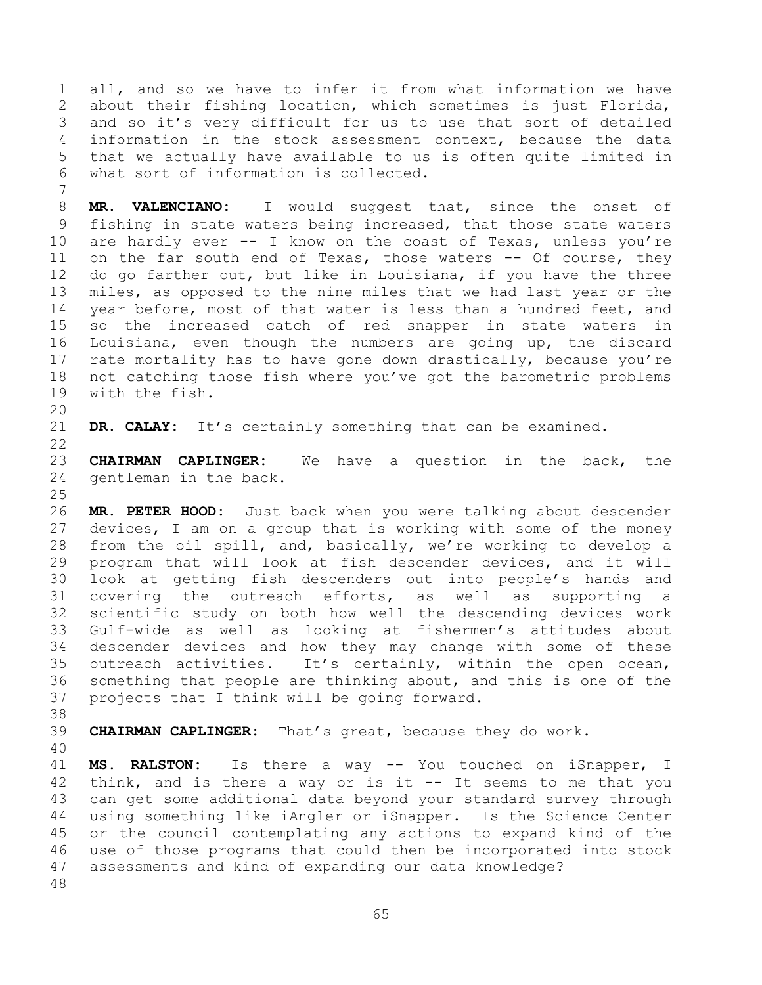all, and so we have to infer it from what information we have about their fishing location, which sometimes is just Florida, and so it's very difficult for us to use that sort of detailed information in the stock assessment context, because the data that we actually have available to us is often quite limited in what sort of information is collected.

 **MR. VALENCIANO:** I would suggest that, since the onset of fishing in state waters being increased, that those state waters are hardly ever -- I know on the coast of Texas, unless you're on the far south end of Texas, those waters -- Of course, they do go farther out, but like in Louisiana, if you have the three miles, as opposed to the nine miles that we had last year or the year before, most of that water is less than a hundred feet, and so the increased catch of red snapper in state waters in Louisiana, even though the numbers are going up, the discard 17 rate mortality has to have gone down drastically, because you're not catching those fish where you've got the barometric problems with the fish.

**DR. CALAY:** It's certainly something that can be examined.

 **CHAIRMAN CAPLINGER:** We have a question in the back, the gentleman in the back.

 **MR. PETER HOOD:** Just back when you were talking about descender devices, I am on a group that is working with some of the money from the oil spill, and, basically, we're working to develop a program that will look at fish descender devices, and it will look at getting fish descenders out into people's hands and covering the outreach efforts, as well as supporting a scientific study on both how well the descending devices work Gulf-wide as well as looking at fishermen's attitudes about descender devices and how they may change with some of these outreach activities. It's certainly, within the open ocean, something that people are thinking about, and this is one of the projects that I think will be going forward.

**CHAIRMAN CAPLINGER:** That's great, because they do work.

 **MS. RALSTON:** Is there a way -- You touched on iSnapper, I think, and is there a way or is it -- It seems to me that you can get some additional data beyond your standard survey through using something like iAngler or iSnapper. Is the Science Center or the council contemplating any actions to expand kind of the use of those programs that could then be incorporated into stock assessments and kind of expanding our data knowledge?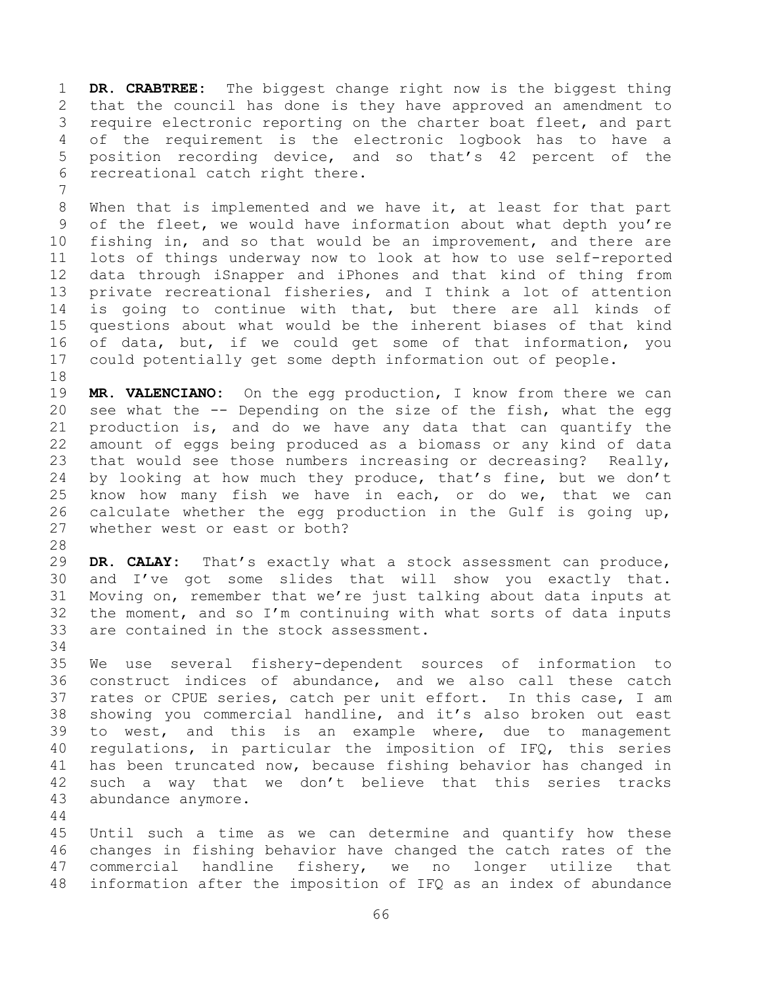**DR. CRABTREE:** The biggest change right now is the biggest thing that the council has done is they have approved an amendment to require electronic reporting on the charter boat fleet, and part of the requirement is the electronic logbook has to have a position recording device, and so that's 42 percent of the recreational catch right there.

 When that is implemented and we have it, at least for that part of the fleet, we would have information about what depth you're fishing in, and so that would be an improvement, and there are lots of things underway now to look at how to use self-reported data through iSnapper and iPhones and that kind of thing from private recreational fisheries, and I think a lot of attention is going to continue with that, but there are all kinds of questions about what would be the inherent biases of that kind of data, but, if we could get some of that information, you could potentially get some depth information out of people.

 **MR. VALENCIANO:** On the egg production, I know from there we can see what the -- Depending on the size of the fish, what the egg production is, and do we have any data that can quantify the amount of eggs being produced as a biomass or any kind of data that would see those numbers increasing or decreasing? Really, by looking at how much they produce, that's fine, but we don't know how many fish we have in each, or do we, that we can calculate whether the egg production in the Gulf is going up, whether west or east or both?

 **DR. CALAY:** That's exactly what a stock assessment can produce, and I've got some slides that will show you exactly that. Moving on, remember that we're just talking about data inputs at the moment, and so I'm continuing with what sorts of data inputs are contained in the stock assessment.

 We use several fishery-dependent sources of information to construct indices of abundance, and we also call these catch rates or CPUE series, catch per unit effort. In this case, I am showing you commercial handline, and it's also broken out east to west, and this is an example where, due to management regulations, in particular the imposition of IFQ, this series has been truncated now, because fishing behavior has changed in such a way that we don't believe that this series tracks abundance anymore.

 Until such a time as we can determine and quantify how these changes in fishing behavior have changed the catch rates of the commercial handline fishery, we no longer utilize that information after the imposition of IFQ as an index of abundance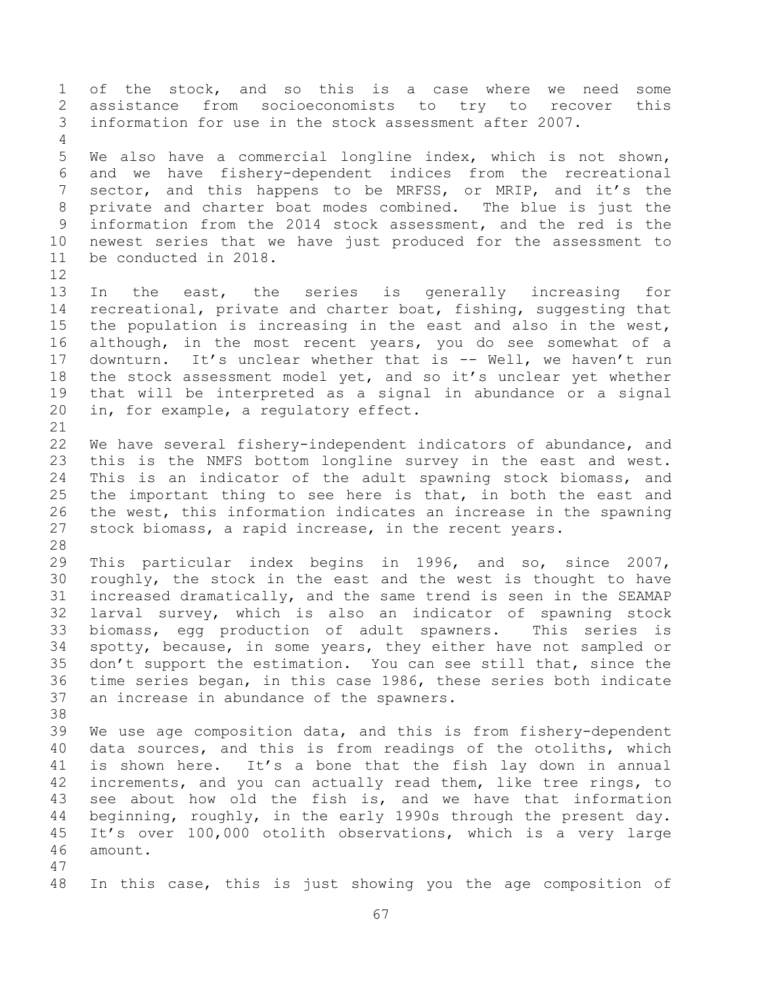of the stock, and so this is a case where we need some assistance from socioeconomists to try to recover this information for use in the stock assessment after 2007. We also have a commercial longline index, which is not shown, and we have fishery-dependent indices from the recreational 7 sector, and this happens to be MRFSS, or MRIP, and it's the private and charter boat modes combined. The blue is just the information from the 2014 stock assessment, and the red is the newest series that we have just produced for the assessment to be conducted in 2018. In the east, the series is generally increasing for recreational, private and charter boat, fishing, suggesting that the population is increasing in the east and also in the west, although, in the most recent years, you do see somewhat of a downturn. It's unclear whether that is -- Well, we haven't run the stock assessment model yet, and so it's unclear yet whether that will be interpreted as a signal in abundance or a signal in, for example, a regulatory effect. We have several fishery-independent indicators of abundance, and this is the NMFS bottom longline survey in the east and west. This is an indicator of the adult spawning stock biomass, and the important thing to see here is that, in both the east and the west, this information indicates an increase in the spawning stock biomass, a rapid increase, in the recent years. This particular index begins in 1996, and so, since 2007, roughly, the stock in the east and the west is thought to have increased dramatically, and the same trend is seen in the SEAMAP larval survey, which is also an indicator of spawning stock biomass, egg production of adult spawners. This series is spotty, because, in some years, they either have not sampled or don't support the estimation. You can see still that, since the time series began, in this case 1986, these series both indicate an increase in abundance of the spawners. We use age composition data, and this is from fishery-dependent data sources, and this is from readings of the otoliths, which is shown here. It's a bone that the fish lay down in annual increments, and you can actually read them, like tree rings, to see about how old the fish is, and we have that information beginning, roughly, in the early 1990s through the present day. It's over 100,000 otolith observations, which is a very large amount. In this case, this is just showing you the age composition of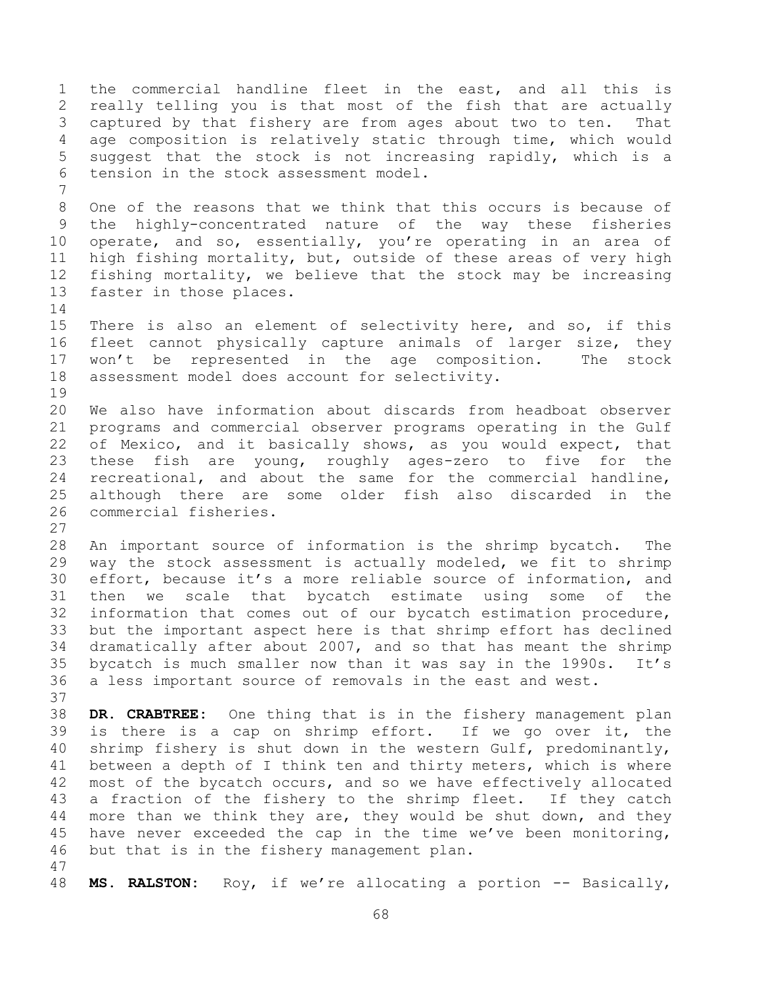the commercial handline fleet in the east, and all this is really telling you is that most of the fish that are actually captured by that fishery are from ages about two to ten. That age composition is relatively static through time, which would suggest that the stock is not increasing rapidly, which is a tension in the stock assessment model. One of the reasons that we think that this occurs is because of the highly-concentrated nature of the way these fisheries operate, and so, essentially, you're operating in an area of high fishing mortality, but, outside of these areas of very high fishing mortality, we believe that the stock may be increasing faster in those places. There is also an element of selectivity here, and so, if this fleet cannot physically capture animals of larger size, they won't be represented in the age composition. The stock assessment model does account for selectivity. We also have information about discards from headboat observer programs and commercial observer programs operating in the Gulf of Mexico, and it basically shows, as you would expect, that these fish are young, roughly ages-zero to five for the recreational, and about the same for the commercial handline, although there are some older fish also discarded in the commercial fisheries. An important source of information is the shrimp bycatch. The way the stock assessment is actually modeled, we fit to shrimp effort, because it's a more reliable source of information, and then we scale that bycatch estimate using some of the information that comes out of our bycatch estimation procedure, but the important aspect here is that shrimp effort has declined dramatically after about 2007, and so that has meant the shrimp bycatch is much smaller now than it was say in the 1990s. It's a less important source of removals in the east and west. **DR. CRABTREE:** One thing that is in the fishery management plan is there is a cap on shrimp effort. If we go over it, the shrimp fishery is shut down in the western Gulf, predominantly, between a depth of I think ten and thirty meters, which is where most of the bycatch occurs, and so we have effectively allocated a fraction of the fishery to the shrimp fleet. If they catch more than we think they are, they would be shut down, and they have never exceeded the cap in the time we've been monitoring, but that is in the fishery management plan. **MS. RALSTON:** Roy, if we're allocating a portion -- Basically,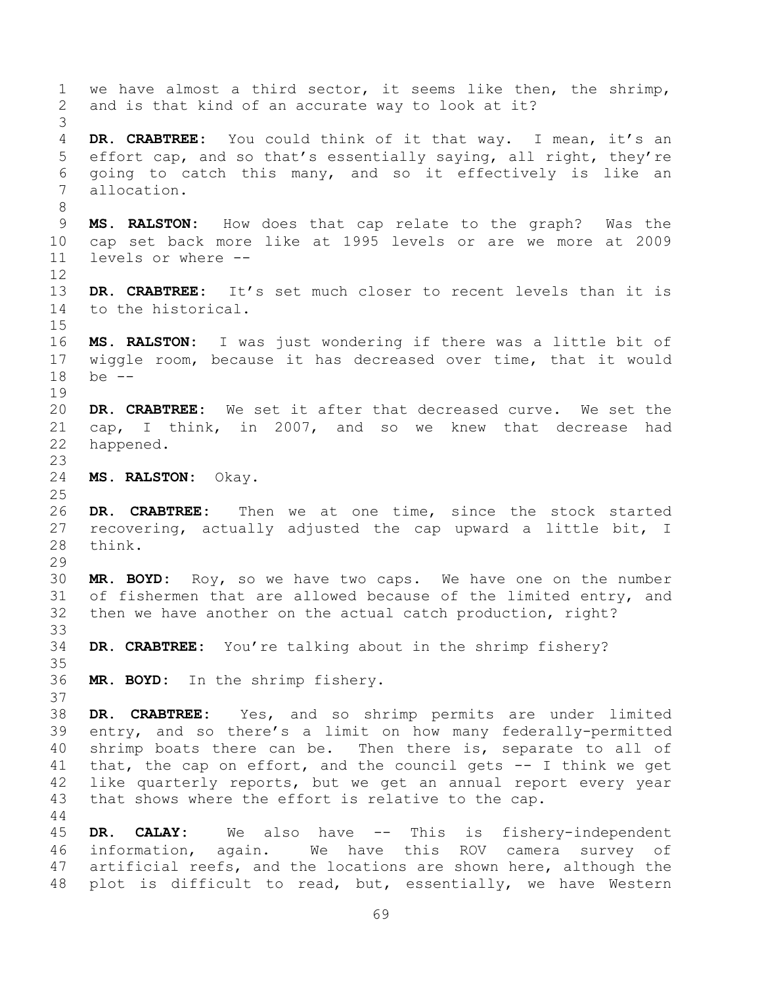we have almost a third sector, it seems like then, the shrimp, and is that kind of an accurate way to look at it? **DR. CRABTREE:** You could think of it that way. I mean, it's an effort cap, and so that's essentially saying, all right, they're going to catch this many, and so it effectively is like an allocation. **MS. RALSTON:** How does that cap relate to the graph? Was the cap set back more like at 1995 levels or are we more at 2009 levels or where -- **DR. CRABTREE:** It's set much closer to recent levels than it is to the historical. **MS. RALSTON:** I was just wondering if there was a little bit of wiggle room, because it has decreased over time, that it would be -- **DR. CRABTREE:** We set it after that decreased curve. We set the cap, I think, in 2007, and so we knew that decrease had happened. **MS. RALSTON:** Okay. **DR. CRABTREE:** Then we at one time, since the stock started recovering, actually adjusted the cap upward a little bit, I think. **MR. BOYD:** Roy, so we have two caps. We have one on the number of fishermen that are allowed because of the limited entry, and then we have another on the actual catch production, right? **DR. CRABTREE:** You're talking about in the shrimp fishery? **MR. BOYD:** In the shrimp fishery. **DR. CRABTREE:** Yes, and so shrimp permits are under limited entry, and so there's a limit on how many federally-permitted shrimp boats there can be. Then there is, separate to all of that, the cap on effort, and the council gets -- I think we get like quarterly reports, but we get an annual report every year that shows where the effort is relative to the cap. **DR. CALAY:** We also have -- This is fishery-independent information, again. We have this ROV camera survey of artificial reefs, and the locations are shown here, although the

plot is difficult to read, but, essentially, we have Western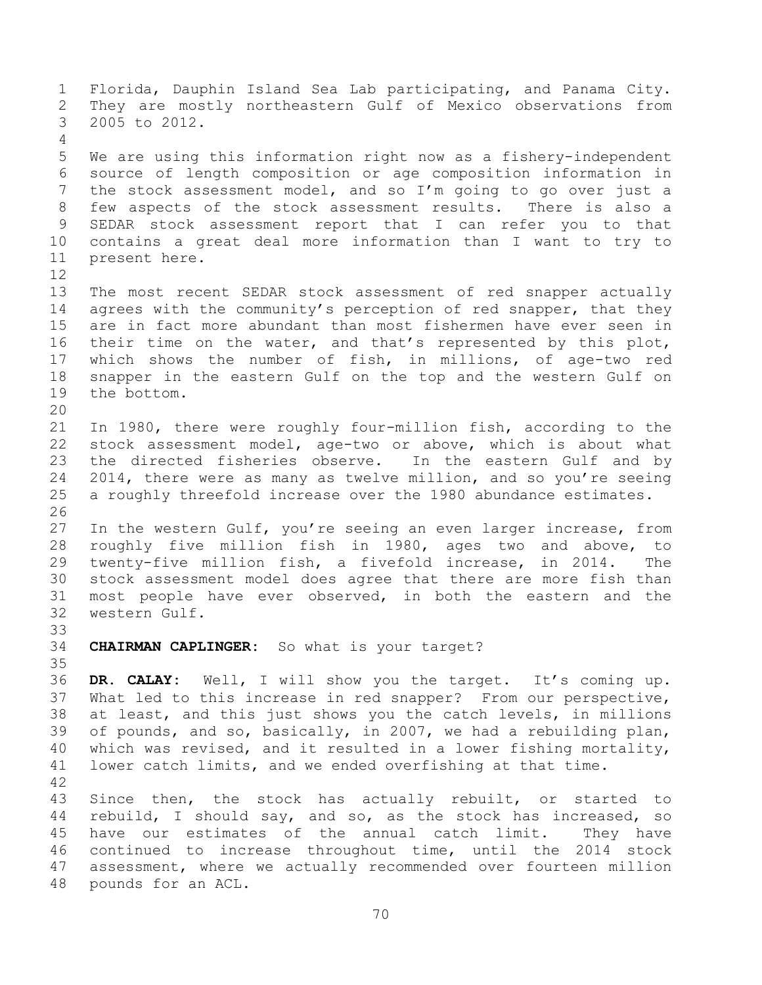Florida, Dauphin Island Sea Lab participating, and Panama City. They are mostly northeastern Gulf of Mexico observations from 2005 to 2012. We are using this information right now as a fishery-independent source of length composition or age composition information in the stock assessment model, and so I'm going to go over just a few aspects of the stock assessment results. There is also a SEDAR stock assessment report that I can refer you to that contains a great deal more information than I want to try to present here. The most recent SEDAR stock assessment of red snapper actually 14 agrees with the community's perception of red snapper, that they are in fact more abundant than most fishermen have ever seen in their time on the water, and that's represented by this plot, which shows the number of fish, in millions, of age-two red snapper in the eastern Gulf on the top and the western Gulf on the bottom. In 1980, there were roughly four-million fish, according to the stock assessment model, age-two or above, which is about what the directed fisheries observe. In the eastern Gulf and by 2014, there were as many as twelve million, and so you're seeing a roughly threefold increase over the 1980 abundance estimates. 27 In the western Gulf, you're seeing an even larger increase, from roughly five million fish in 1980, ages two and above, to twenty-five million fish, a fivefold increase, in 2014. The stock assessment model does agree that there are more fish than most people have ever observed, in both the eastern and the western Gulf. **CHAIRMAN CAPLINGER:** So what is your target? **DR. CALAY:** Well, I will show you the target. It's coming up. What led to this increase in red snapper? From our perspective, at least, and this just shows you the catch levels, in millions of pounds, and so, basically, in 2007, we had a rebuilding plan, which was revised, and it resulted in a lower fishing mortality, lower catch limits, and we ended overfishing at that time. Since then, the stock has actually rebuilt, or started to rebuild, I should say, and so, as the stock has increased, so have our estimates of the annual catch limit. They have continued to increase throughout time, until the 2014 stock assessment, where we actually recommended over fourteen million pounds for an ACL.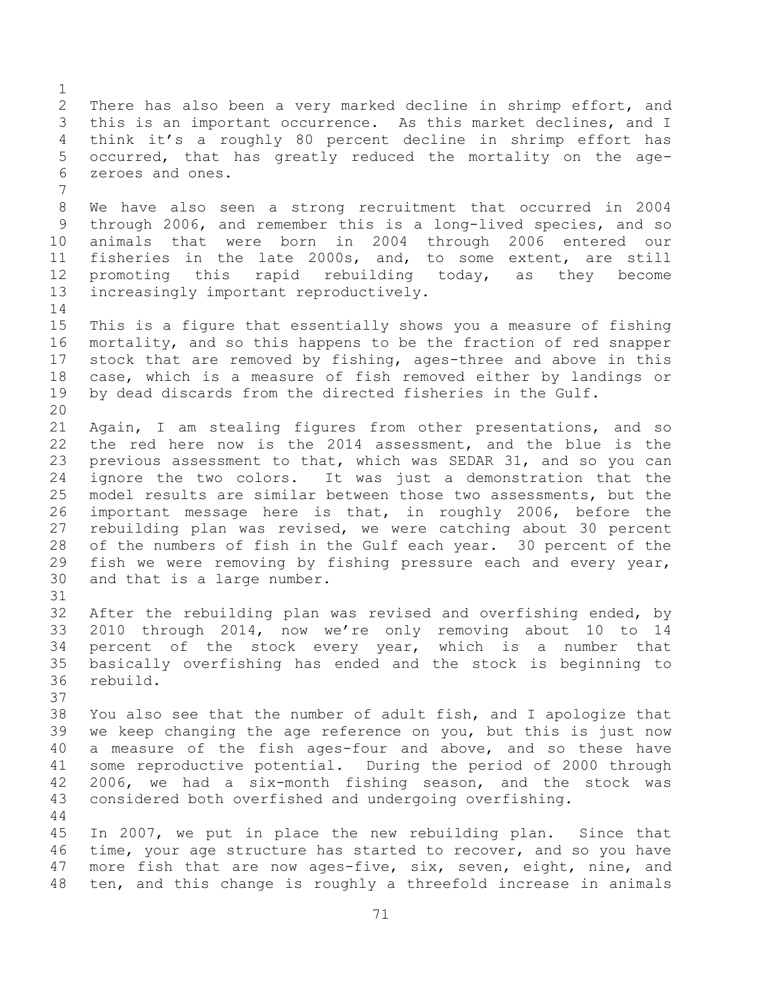There has also been a very marked decline in shrimp effort, and this is an important occurrence. As this market declines, and I think it's a roughly 80 percent decline in shrimp effort has occurred, that has greatly reduced the mortality on the age- zeroes and ones. We have also seen a strong recruitment that occurred in 2004 through 2006, and remember this is a long-lived species, and so animals that were born in 2004 through 2006 entered our fisheries in the late 2000s, and, to some extent, are still promoting this rapid rebuilding today, as they become increasingly important reproductively. This is a figure that essentially shows you a measure of fishing mortality, and so this happens to be the fraction of red snapper stock that are removed by fishing, ages-three and above in this case, which is a measure of fish removed either by landings or by dead discards from the directed fisheries in the Gulf. Again, I am stealing figures from other presentations, and so the red here now is the 2014 assessment, and the blue is the previous assessment to that, which was SEDAR 31, and so you can ignore the two colors. It was just a demonstration that the model results are similar between those two assessments, but the important message here is that, in roughly 2006, before the rebuilding plan was revised, we were catching about 30 percent of the numbers of fish in the Gulf each year. 30 percent of the fish we were removing by fishing pressure each and every year, and that is a large number. After the rebuilding plan was revised and overfishing ended, by 2010 through 2014, now we're only removing about 10 to 14 percent of the stock every year, which is a number that basically overfishing has ended and the stock is beginning to rebuild. You also see that the number of adult fish, and I apologize that we keep changing the age reference on you, but this is just now a measure of the fish ages-four and above, and so these have some reproductive potential. During the period of 2000 through 2006, we had a six-month fishing season, and the stock was considered both overfished and undergoing overfishing. In 2007, we put in place the new rebuilding plan. Since that time, your age structure has started to recover, and so you have more fish that are now ages-five, six, seven, eight, nine, and

ten, and this change is roughly a threefold increase in animals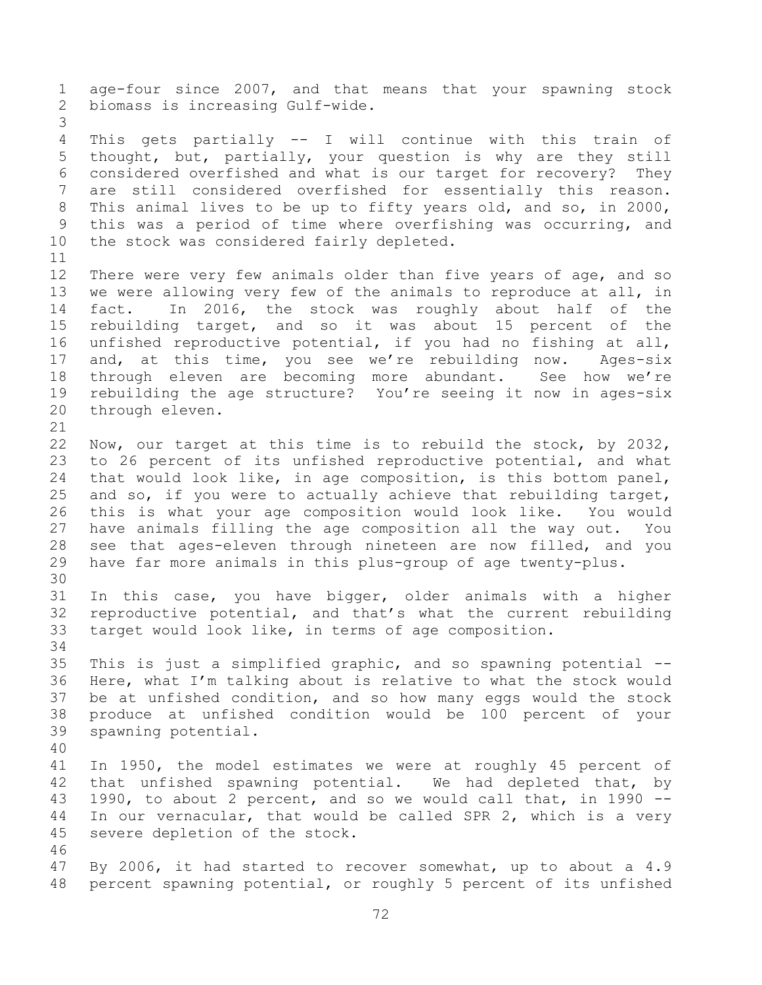age-four since 2007, and that means that your spawning stock biomass is increasing Gulf-wide. This gets partially -- I will continue with this train of thought, but, partially, your question is why are they still considered overfished and what is our target for recovery? They are still considered overfished for essentially this reason. This animal lives to be up to fifty years old, and so, in 2000, this was a period of time where overfishing was occurring, and 10 the stock was considered fairly depleted. There were very few animals older than five years of age, and so we were allowing very few of the animals to reproduce at all, in fact. In 2016, the stock was roughly about half of the rebuilding target, and so it was about 15 percent of the unfished reproductive potential, if you had no fishing at all, and, at this time, you see we're rebuilding now. Ages-six through eleven are becoming more abundant. See how we're rebuilding the age structure? You're seeing it now in ages-six through eleven. Now, our target at this time is to rebuild the stock, by 2032, to 26 percent of its unfished reproductive potential, and what that would look like, in age composition, is this bottom panel, and so, if you were to actually achieve that rebuilding target, this is what your age composition would look like. You would have animals filling the age composition all the way out. You see that ages-eleven through nineteen are now filled, and you have far more animals in this plus-group of age twenty-plus. In this case, you have bigger, older animals with a higher reproductive potential, and that's what the current rebuilding target would look like, in terms of age composition. This is just a simplified graphic, and so spawning potential -- Here, what I'm talking about is relative to what the stock would be at unfished condition, and so how many eggs would the stock produce at unfished condition would be 100 percent of your spawning potential. In 1950, the model estimates we were at roughly 45 percent of that unfished spawning potential. We had depleted that, by 1990, to about 2 percent, and so we would call that, in 1990 -- In our vernacular, that would be called SPR 2, which is a very severe depletion of the stock. By 2006, it had started to recover somewhat, up to about a 4.9 percent spawning potential, or roughly 5 percent of its unfished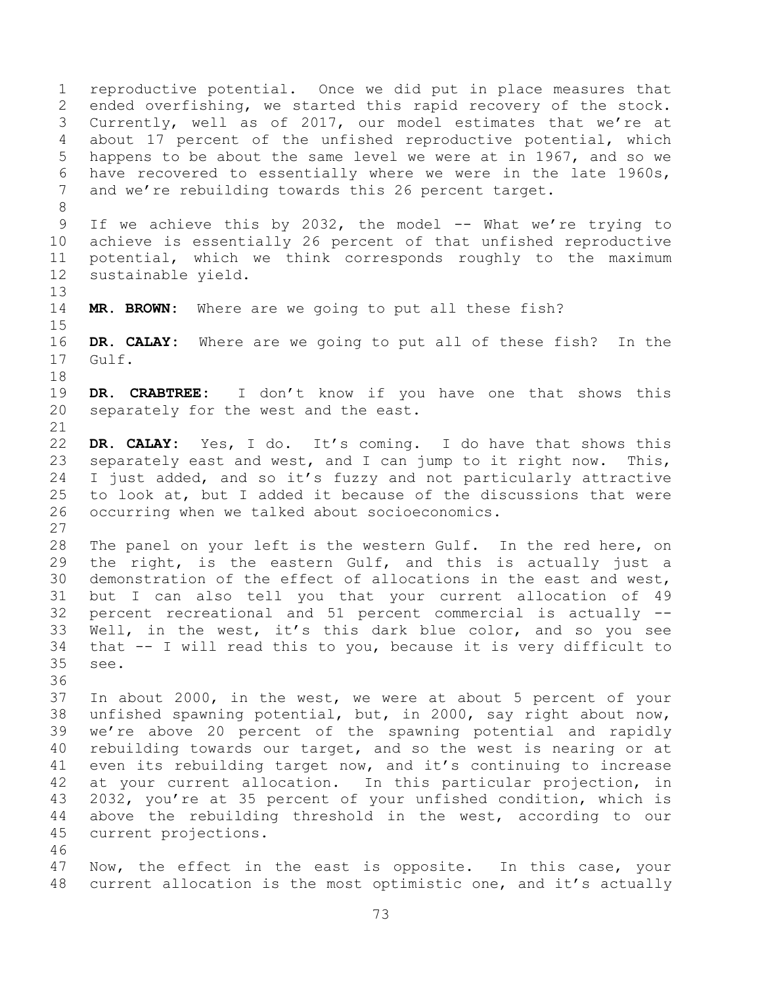reproductive potential. Once we did put in place measures that ended overfishing, we started this rapid recovery of the stock. Currently, well as of 2017, our model estimates that we're at about 17 percent of the unfished reproductive potential, which happens to be about the same level we were at in 1967, and so we have recovered to essentially where we were in the late 1960s, and we're rebuilding towards this 26 percent target. If we achieve this by 2032, the model -- What we're trying to achieve is essentially 26 percent of that unfished reproductive potential, which we think corresponds roughly to the maximum sustainable yield. **MR. BROWN:** Where are we going to put all these fish? **DR. CALAY:** Where are we going to put all of these fish? In the Gulf. **DR. CRABTREE:** I don't know if you have one that shows this separately for the west and the east. **DR. CALAY:** Yes, I do. It's coming. I do have that shows this separately east and west, and I can jump to it right now. This, I just added, and so it's fuzzy and not particularly attractive to look at, but I added it because of the discussions that were occurring when we talked about socioeconomics. The panel on your left is the western Gulf. In the red here, on the right, is the eastern Gulf, and this is actually just a demonstration of the effect of allocations in the east and west, but I can also tell you that your current allocation of 49 percent recreational and 51 percent commercial is actually -- Well, in the west, it's this dark blue color, and so you see that -- I will read this to you, because it is very difficult to see. In about 2000, in the west, we were at about 5 percent of your unfished spawning potential, but, in 2000, say right about now, we're above 20 percent of the spawning potential and rapidly rebuilding towards our target, and so the west is nearing or at even its rebuilding target now, and it's continuing to increase at your current allocation. In this particular projection, in 2032, you're at 35 percent of your unfished condition, which is above the rebuilding threshold in the west, according to our current projections. Now, the effect in the east is opposite. In this case, your current allocation is the most optimistic one, and it's actually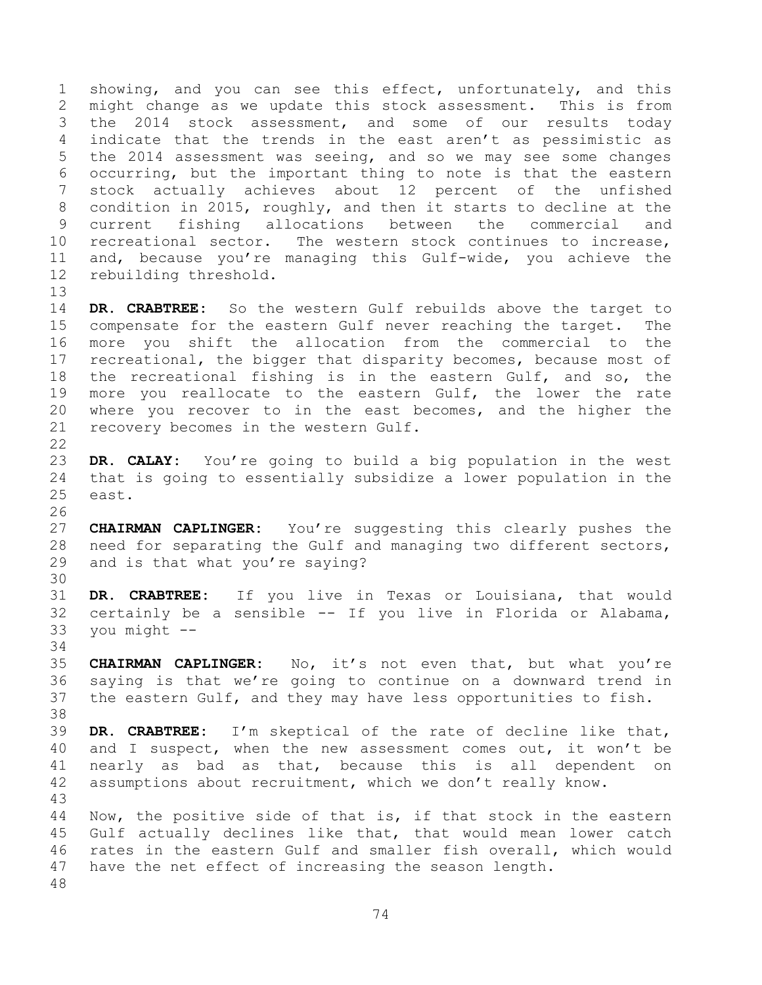showing, and you can see this effect, unfortunately, and this might change as we update this stock assessment. This is from the 2014 stock assessment, and some of our results today indicate that the trends in the east aren't as pessimistic as the 2014 assessment was seeing, and so we may see some changes occurring, but the important thing to note is that the eastern stock actually achieves about 12 percent of the unfished condition in 2015, roughly, and then it starts to decline at the current fishing allocations between the commercial and recreational sector. The western stock continues to increase, and, because you're managing this Gulf-wide, you achieve the rebuilding threshold.

 **DR. CRABTREE:** So the western Gulf rebuilds above the target to compensate for the eastern Gulf never reaching the target. The more you shift the allocation from the commercial to the 17 recreational, the bigger that disparity becomes, because most of the recreational fishing is in the eastern Gulf, and so, the 19 more you reallocate to the eastern Gulf, the lower the rate where you recover to in the east becomes, and the higher the recovery becomes in the western Gulf.

 **DR. CALAY:** You're going to build a big population in the west that is going to essentially subsidize a lower population in the east.

 **CHAIRMAN CAPLINGER:** You're suggesting this clearly pushes the need for separating the Gulf and managing two different sectors, and is that what you're saying?

 **DR. CRABTREE:** If you live in Texas or Louisiana, that would certainly be a sensible -- If you live in Florida or Alabama, you might --

 **CHAIRMAN CAPLINGER:** No, it's not even that, but what you're saying is that we're going to continue on a downward trend in the eastern Gulf, and they may have less opportunities to fish.

 **DR. CRABTREE:** I'm skeptical of the rate of decline like that, and I suspect, when the new assessment comes out, it won't be nearly as bad as that, because this is all dependent on assumptions about recruitment, which we don't really know. 

 Now, the positive side of that is, if that stock in the eastern Gulf actually declines like that, that would mean lower catch rates in the eastern Gulf and smaller fish overall, which would have the net effect of increasing the season length.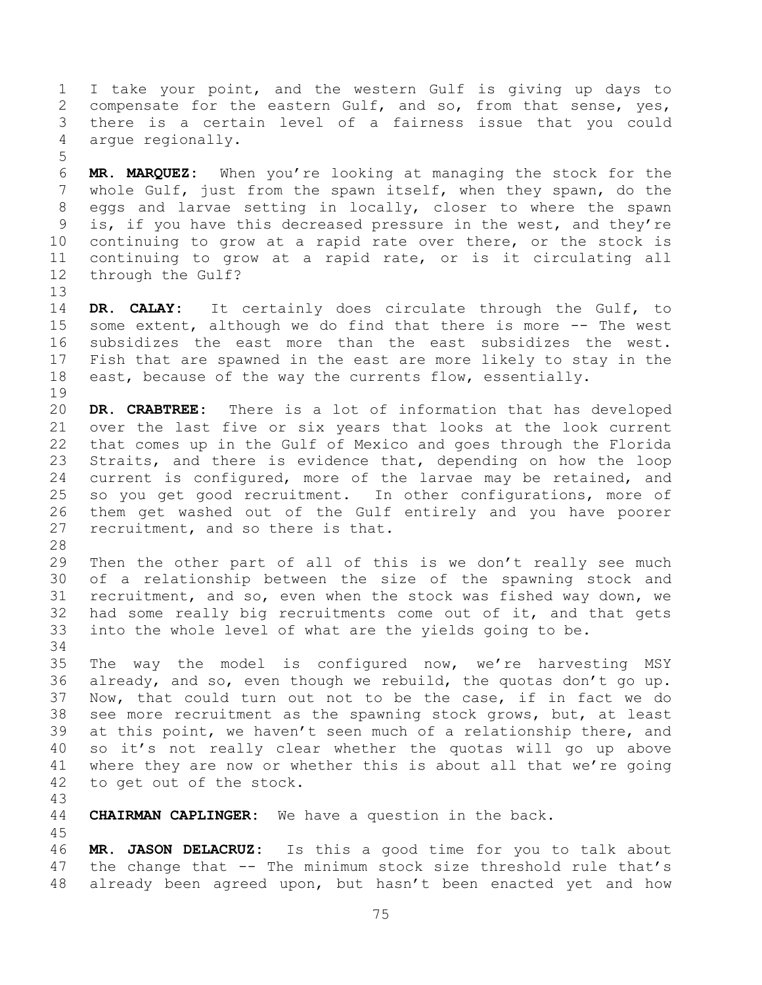I take your point, and the western Gulf is giving up days to compensate for the eastern Gulf, and so, from that sense, yes, there is a certain level of a fairness issue that you could argue regionally. 

 **MR. MARQUEZ:** When you're looking at managing the stock for the whole Gulf, just from the spawn itself, when they spawn, do the eggs and larvae setting in locally, closer to where the spawn is, if you have this decreased pressure in the west, and they're continuing to grow at a rapid rate over there, or the stock is continuing to grow at a rapid rate, or is it circulating all through the Gulf?

 **DR. CALAY:** It certainly does circulate through the Gulf, to some extent, although we do find that there is more -- The west subsidizes the east more than the east subsidizes the west. Fish that are spawned in the east are more likely to stay in the east, because of the way the currents flow, essentially. 

 **DR. CRABTREE:** There is a lot of information that has developed over the last five or six years that looks at the look current that comes up in the Gulf of Mexico and goes through the Florida Straits, and there is evidence that, depending on how the loop current is configured, more of the larvae may be retained, and so you get good recruitment. In other configurations, more of them get washed out of the Gulf entirely and you have poorer recruitment, and so there is that.

 Then the other part of all of this is we don't really see much of a relationship between the size of the spawning stock and recruitment, and so, even when the stock was fished way down, we had some really big recruitments come out of it, and that gets into the whole level of what are the yields going to be.

 The way the model is configured now, we're harvesting MSY already, and so, even though we rebuild, the quotas don't go up. Now, that could turn out not to be the case, if in fact we do see more recruitment as the spawning stock grows, but, at least at this point, we haven't seen much of a relationship there, and so it's not really clear whether the quotas will go up above where they are now or whether this is about all that we're going to get out of the stock.

**CHAIRMAN CAPLINGER:** We have a question in the back.

 **MR. JASON DELACRUZ:** Is this a good time for you to talk about the change that -- The minimum stock size threshold rule that's already been agreed upon, but hasn't been enacted yet and how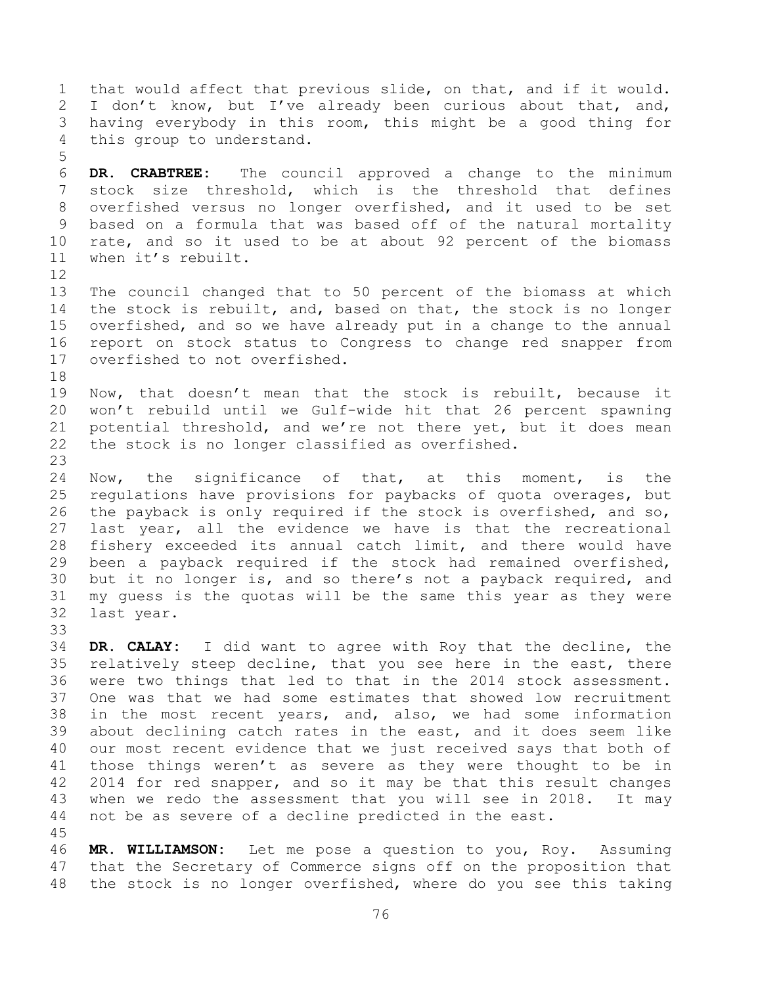that would affect that previous slide, on that, and if it would. 2 I don't know, but I've already been curious about that, and, having everybody in this room, this might be a good thing for this group to understand.

 **DR. CRABTREE:** The council approved a change to the minimum stock size threshold, which is the threshold that defines overfished versus no longer overfished, and it used to be set based on a formula that was based off of the natural mortality rate, and so it used to be at about 92 percent of the biomass when it's rebuilt.

 The council changed that to 50 percent of the biomass at which the stock is rebuilt, and, based on that, the stock is no longer overfished, and so we have already put in a change to the annual report on stock status to Congress to change red snapper from overfished to not overfished.

 Now, that doesn't mean that the stock is rebuilt, because it won't rebuild until we Gulf-wide hit that 26 percent spawning potential threshold, and we're not there yet, but it does mean the stock is no longer classified as overfished.

 Now, the significance of that, at this moment, is the regulations have provisions for paybacks of quota overages, but the payback is only required if the stock is overfished, and so, last year, all the evidence we have is that the recreational fishery exceeded its annual catch limit, and there would have been a payback required if the stock had remained overfished, but it no longer is, and so there's not a payback required, and my guess is the quotas will be the same this year as they were last year.

 **DR. CALAY:** I did want to agree with Roy that the decline, the relatively steep decline, that you see here in the east, there were two things that led to that in the 2014 stock assessment. One was that we had some estimates that showed low recruitment in the most recent years, and, also, we had some information about declining catch rates in the east, and it does seem like our most recent evidence that we just received says that both of those things weren't as severe as they were thought to be in 2014 for red snapper, and so it may be that this result changes when we redo the assessment that you will see in 2018. It may not be as severe of a decline predicted in the east. 

 **MR. WILLIAMSON:** Let me pose a question to you, Roy. Assuming that the Secretary of Commerce signs off on the proposition that the stock is no longer overfished, where do you see this taking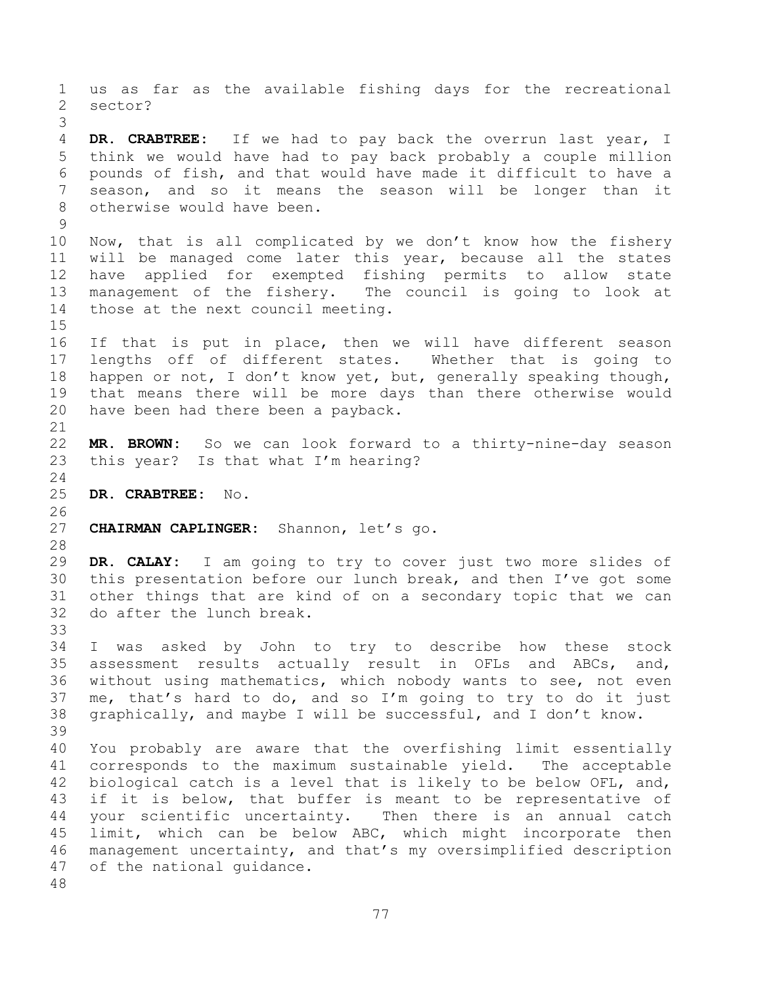us as far as the available fishing days for the recreational sector? **DR. CRABTREE:** If we had to pay back the overrun last year, I think we would have had to pay back probably a couple million pounds of fish, and that would have made it difficult to have a season, and so it means the season will be longer than it otherwise would have been. Now, that is all complicated by we don't know how the fishery will be managed come later this year, because all the states have applied for exempted fishing permits to allow state management of the fishery. The council is going to look at those at the next council meeting. If that is put in place, then we will have different season lengths off of different states. Whether that is going to happen or not, I don't know yet, but, generally speaking though, that means there will be more days than there otherwise would have been had there been a payback. **MR. BROWN:** So we can look forward to a thirty-nine-day season this year? Is that what I'm hearing? **DR. CRABTREE:** No. **CHAIRMAN CAPLINGER:** Shannon, let's go. **DR. CALAY:** I am going to try to cover just two more slides of this presentation before our lunch break, and then I've got some other things that are kind of on a secondary topic that we can do after the lunch break. I was asked by John to try to describe how these stock assessment results actually result in OFLs and ABCs, and, without using mathematics, which nobody wants to see, not even me, that's hard to do, and so I'm going to try to do it just graphically, and maybe I will be successful, and I don't know. You probably are aware that the overfishing limit essentially corresponds to the maximum sustainable yield. The acceptable biological catch is a level that is likely to be below OFL, and, 43 if it is below, that buffer is meant to be representative of your scientific uncertainty. Then there is an annual catch limit, which can be below ABC, which might incorporate then management uncertainty, and that's my oversimplified description of the national guidance.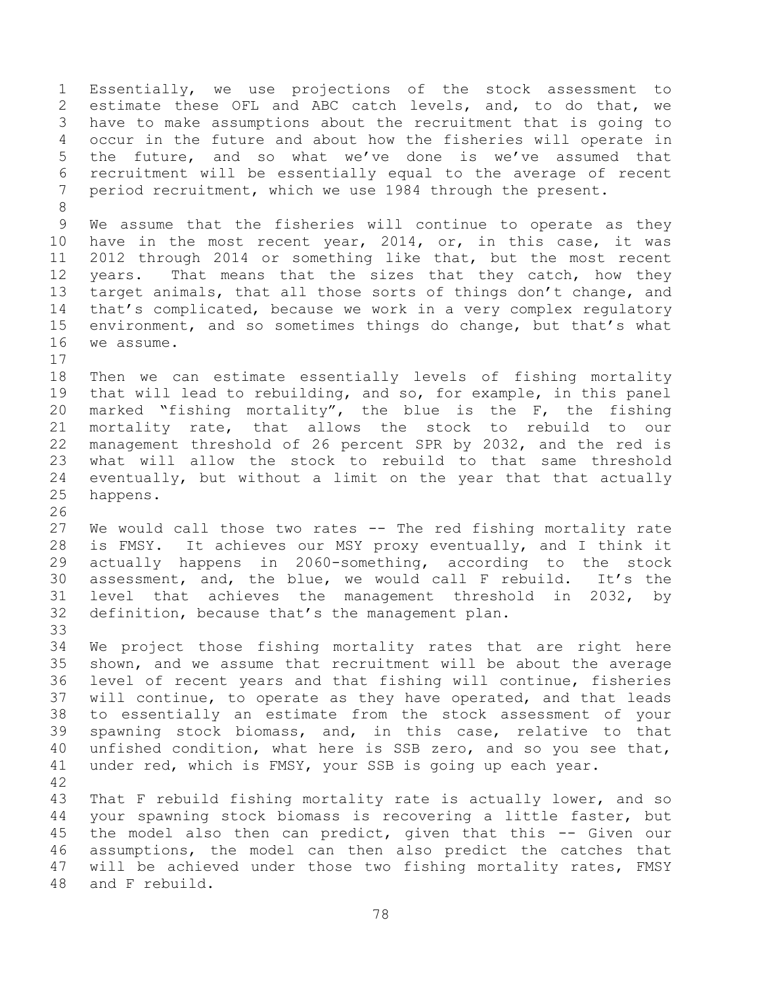Essentially, we use projections of the stock assessment to estimate these OFL and ABC catch levels, and, to do that, we have to make assumptions about the recruitment that is going to occur in the future and about how the fisheries will operate in the future, and so what we've done is we've assumed that recruitment will be essentially equal to the average of recent period recruitment, which we use 1984 through the present. We assume that the fisheries will continue to operate as they have in the most recent year, 2014, or, in this case, it was 2012 through 2014 or something like that, but the most recent 12 years. That means that the sizes that they catch, how they 13 target animals, that all those sorts of things don't change, and that's complicated, because we work in a very complex regulatory environment, and so sometimes things do change, but that's what we assume. Then we can estimate essentially levels of fishing mortality that will lead to rebuilding, and so, for example, in this panel 20 marked "fishing mortality", the blue is the  $F$ , the fishing mortality rate, that allows the stock to rebuild to our management threshold of 26 percent SPR by 2032, and the red is what will allow the stock to rebuild to that same threshold eventually, but without a limit on the year that that actually happens. We would call those two rates -- The red fishing mortality rate is FMSY. It achieves our MSY proxy eventually, and I think it actually happens in 2060-something, according to the stock assessment, and, the blue, we would call F rebuild. It's the level that achieves the management threshold in 2032, by definition, because that's the management plan. We project those fishing mortality rates that are right here shown, and we assume that recruitment will be about the average level of recent years and that fishing will continue, fisheries will continue, to operate as they have operated, and that leads to essentially an estimate from the stock assessment of your spawning stock biomass, and, in this case, relative to that unfished condition, what here is SSB zero, and so you see that, under red, which is FMSY, your SSB is going up each year. That F rebuild fishing mortality rate is actually lower, and so your spawning stock biomass is recovering a little faster, but the model also then can predict, given that this -- Given our assumptions, the model can then also predict the catches that will be achieved under those two fishing mortality rates, FMSY and F rebuild.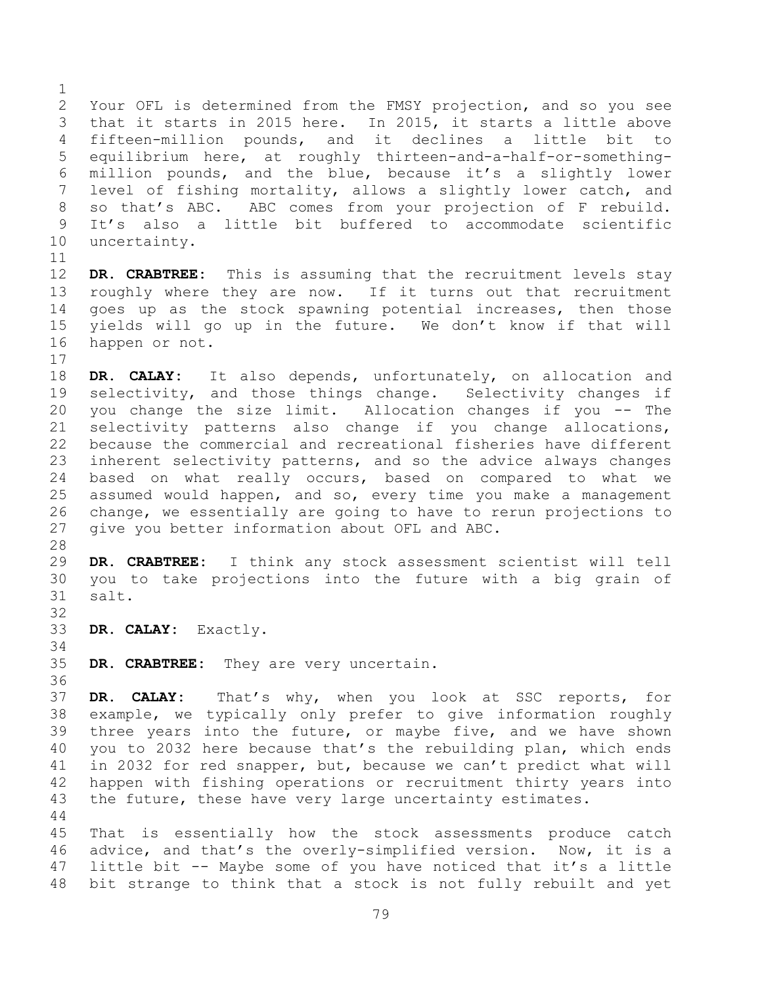Your OFL is determined from the FMSY projection, and so you see that it starts in 2015 here. In 2015, it starts a little above fifteen-million pounds, and it declines a little bit to equilibrium here, at roughly thirteen-and-a-half-or-something- million pounds, and the blue, because it's a slightly lower level of fishing mortality, allows a slightly lower catch, and so that's ABC. ABC comes from your projection of F rebuild. It's also a little bit buffered to accommodate scientific uncertainty. 

 **DR. CRABTREE:** This is assuming that the recruitment levels stay roughly where they are now. If it turns out that recruitment goes up as the stock spawning potential increases, then those yields will go up in the future. We don't know if that will happen or not. 

 **DR. CALAY:** It also depends, unfortunately, on allocation and selectivity, and those things change. Selectivity changes if you change the size limit. Allocation changes if you -- The selectivity patterns also change if you change allocations, because the commercial and recreational fisheries have different inherent selectivity patterns, and so the advice always changes based on what really occurs, based on compared to what we assumed would happen, and so, every time you make a management change, we essentially are going to have to rerun projections to give you better information about OFL and ABC.

 **DR. CRABTREE:** I think any stock assessment scientist will tell you to take projections into the future with a big grain of salt.

- **DR. CALAY:** Exactly.
- 

**DR. CRABTREE:** They are very uncertain.

 **DR. CALAY:** That's why, when you look at SSC reports, for example, we typically only prefer to give information roughly three years into the future, or maybe five, and we have shown you to 2032 here because that's the rebuilding plan, which ends in 2032 for red snapper, but, because we can't predict what will happen with fishing operations or recruitment thirty years into the future, these have very large uncertainty estimates. 

 That is essentially how the stock assessments produce catch advice, and that's the overly-simplified version. Now, it is a little bit -- Maybe some of you have noticed that it's a little bit strange to think that a stock is not fully rebuilt and yet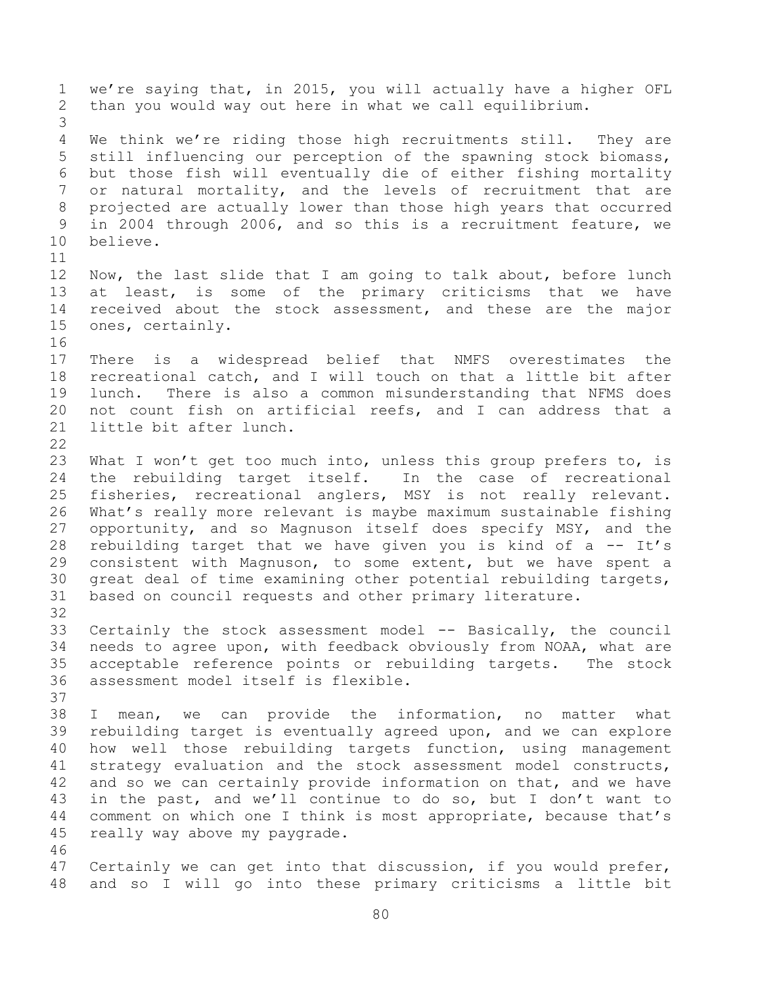we're saying that, in 2015, you will actually have a higher OFL than you would way out here in what we call equilibrium. We think we're riding those high recruitments still. They are still influencing our perception of the spawning stock biomass, but those fish will eventually die of either fishing mortality 7 or natural mortality, and the levels of recruitment that are projected are actually lower than those high years that occurred in 2004 through 2006, and so this is a recruitment feature, we believe. Now, the last slide that I am going to talk about, before lunch at least, is some of the primary criticisms that we have received about the stock assessment, and these are the major ones, certainly. There is a widespread belief that NMFS overestimates the recreational catch, and I will touch on that a little bit after lunch. There is also a common misunderstanding that NFMS does not count fish on artificial reefs, and I can address that a little bit after lunch. 23 What I won't get too much into, unless this group prefers to, is the rebuilding target itself. In the case of recreational fisheries, recreational anglers, MSY is not really relevant. What's really more relevant is maybe maximum sustainable fishing opportunity, and so Magnuson itself does specify MSY, and the rebuilding target that we have given you is kind of a -- It's consistent with Magnuson, to some extent, but we have spent a great deal of time examining other potential rebuilding targets, based on council requests and other primary literature. Certainly the stock assessment model -- Basically, the council needs to agree upon, with feedback obviously from NOAA, what are acceptable reference points or rebuilding targets. The stock assessment model itself is flexible. I mean, we can provide the information, no matter what rebuilding target is eventually agreed upon, and we can explore how well those rebuilding targets function, using management strategy evaluation and the stock assessment model constructs, and so we can certainly provide information on that, and we have in the past, and we'll continue to do so, but I don't want to comment on which one I think is most appropriate, because that's really way above my paygrade. Certainly we can get into that discussion, if you would prefer, and so I will go into these primary criticisms a little bit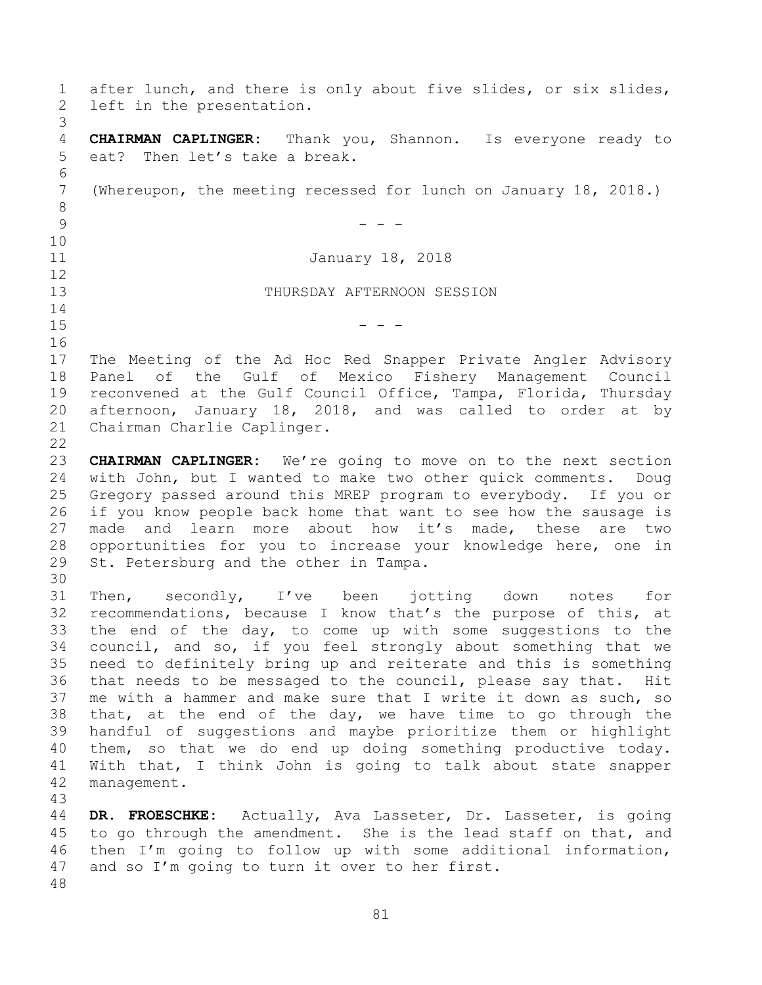after lunch, and there is only about five slides, or six slides, left in the presentation. **CHAIRMAN CAPLINGER:** Thank you, Shannon. Is everyone ready to eat? Then let's take a break. (Whereupon, the meeting recessed for lunch on January 18, 2018.)  $9 - - -$  January 18, 2018 THURSDAY AFTERNOON SESSION - - - The Meeting of the Ad Hoc Red Snapper Private Angler Advisory Panel of the Gulf of Mexico Fishery Management Council reconvened at the Gulf Council Office, Tampa, Florida, Thursday afternoon, January 18, 2018, and was called to order at by Chairman Charlie Caplinger. **CHAIRMAN CAPLINGER:** We're going to move on to the next section with John, but I wanted to make two other quick comments. Doug Gregory passed around this MREP program to everybody. If you or if you know people back home that want to see how the sausage is made and learn more about how it's made, these are two opportunities for you to increase your knowledge here, one in St. Petersburg and the other in Tampa. Then, secondly, I've been jotting down notes for recommendations, because I know that's the purpose of this, at the end of the day, to come up with some suggestions to the council, and so, if you feel strongly about something that we need to definitely bring up and reiterate and this is something that needs to be messaged to the council, please say that. Hit me with a hammer and make sure that I write it down as such, so 38 that, at the end of the day, we have time to go through the handful of suggestions and maybe prioritize them or highlight them, so that we do end up doing something productive today. With that, I think John is going to talk about state snapper management. **DR. FROESCHKE:** Actually, Ava Lasseter, Dr. Lasseter, is going 45 to go through the amendment. She is the lead staff on that, and then I'm going to follow up with some additional information, and so I'm going to turn it over to her first.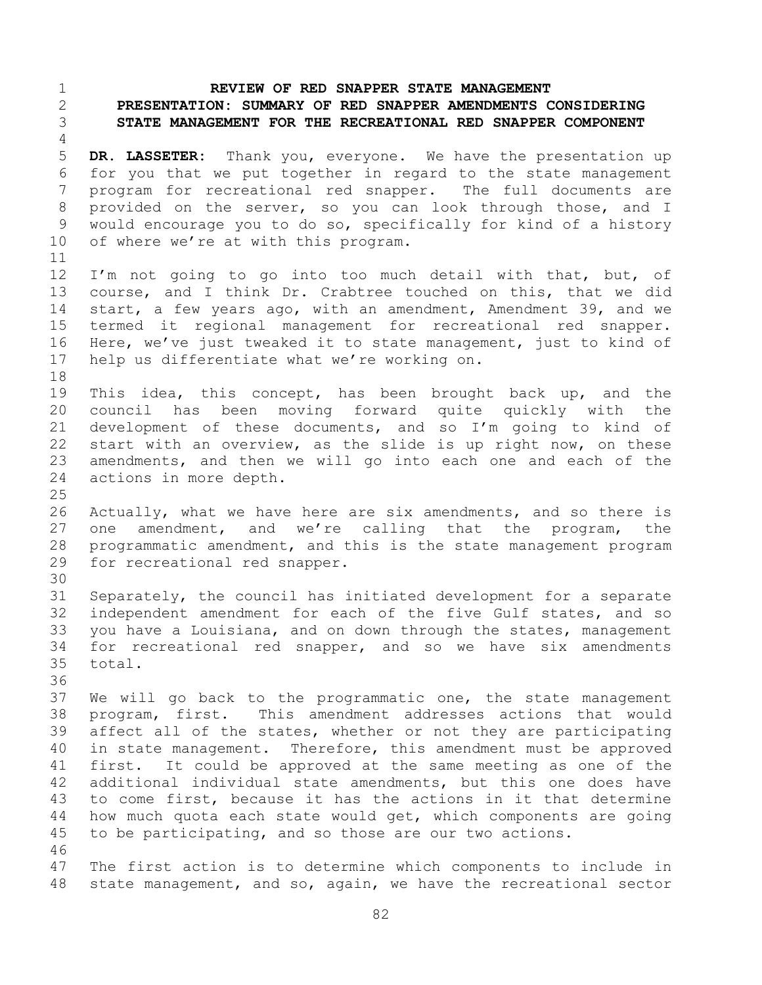## **REVIEW OF RED SNAPPER STATE MANAGEMENT**

## **PRESENTATION: SUMMARY OF RED SNAPPER AMENDMENTS CONSIDERING STATE MANAGEMENT FOR THE RECREATIONAL RED SNAPPER COMPONENT**

 **DR. LASSETER:** Thank you, everyone. We have the presentation up for you that we put together in regard to the state management program for recreational red snapper. The full documents are provided on the server, so you can look through those, and I would encourage you to do so, specifically for kind of a history of where we're at with this program. 

12 I'm not going to go into too much detail with that, but, of course, and I think Dr. Crabtree touched on this, that we did start, a few years ago, with an amendment, Amendment 39, and we termed it regional management for recreational red snapper. Here, we've just tweaked it to state management, just to kind of help us differentiate what we're working on. 

19 This idea, this concept, has been brought back up, and the council has been moving forward quite quickly with the development of these documents, and so I'm going to kind of start with an overview, as the slide is up right now, on these amendments, and then we will go into each one and each of the actions in more depth. 

26 Actually, what we have here are six amendments, and so there is one amendment, and we're calling that the program, the programmatic amendment, and this is the state management program for recreational red snapper. 

 Separately, the council has initiated development for a separate independent amendment for each of the five Gulf states, and so you have a Louisiana, and on down through the states, management for recreational red snapper, and so we have six amendments total.

 We will go back to the programmatic one, the state management program, first. This amendment addresses actions that would affect all of the states, whether or not they are participating in state management. Therefore, this amendment must be approved first. It could be approved at the same meeting as one of the additional individual state amendments, but this one does have to come first, because it has the actions in it that determine how much quota each state would get, which components are going to be participating, and so those are our two actions. 

 The first action is to determine which components to include in state management, and so, again, we have the recreational sector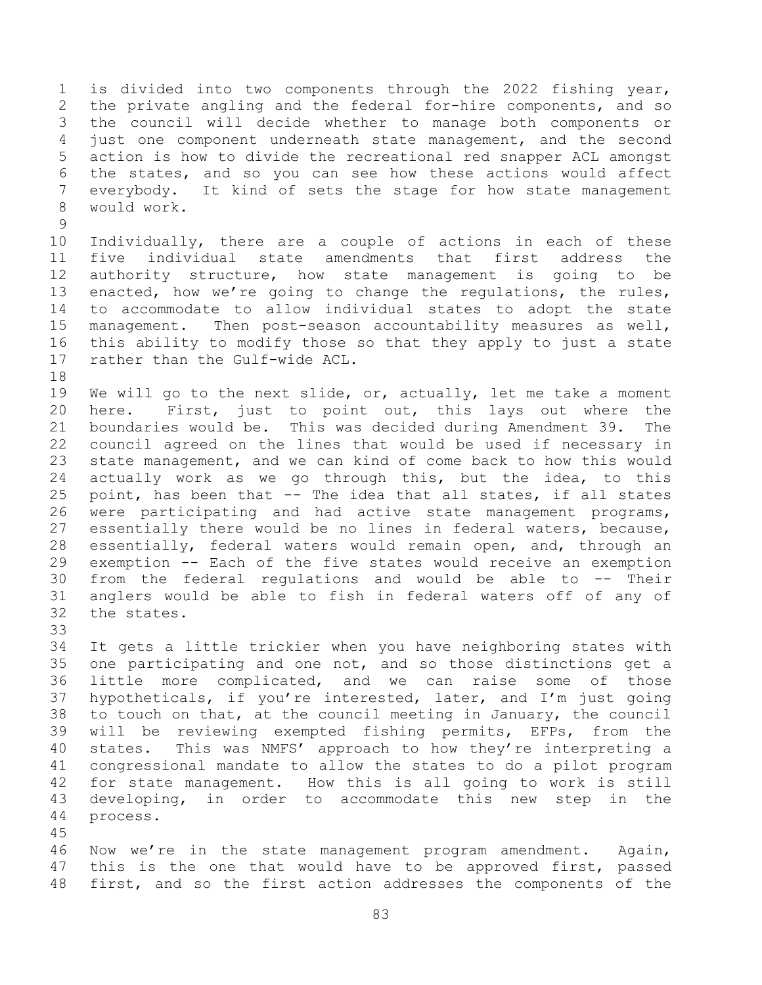is divided into two components through the 2022 fishing year, the private angling and the federal for-hire components, and so the council will decide whether to manage both components or just one component underneath state management, and the second action is how to divide the recreational red snapper ACL amongst the states, and so you can see how these actions would affect everybody. It kind of sets the stage for how state management would work.

 Individually, there are a couple of actions in each of these five individual state amendments that first address the authority structure, how state management is going to be enacted, how we're going to change the regulations, the rules, to accommodate to allow individual states to adopt the state management. Then post-season accountability measures as well, this ability to modify those so that they apply to just a state rather than the Gulf-wide ACL.

19 We will go to the next slide, or, actually, let me take a moment here. First, just to point out, this lays out where the boundaries would be. This was decided during Amendment 39. The council agreed on the lines that would be used if necessary in state management, and we can kind of come back to how this would actually work as we go through this, but the idea, to this point, has been that -- The idea that all states, if all states were participating and had active state management programs, essentially there would be no lines in federal waters, because, essentially, federal waters would remain open, and, through an exemption -- Each of the five states would receive an exemption from the federal regulations and would be able to -- Their anglers would be able to fish in federal waters off of any of the states.

 It gets a little trickier when you have neighboring states with one participating and one not, and so those distinctions get a little more complicated, and we can raise some of those hypotheticals, if you're interested, later, and I'm just going to touch on that, at the council meeting in January, the council will be reviewing exempted fishing permits, EFPs, from the states. This was NMFS' approach to how they're interpreting a congressional mandate to allow the states to do a pilot program for state management. How this is all going to work is still developing, in order to accommodate this new step in the process.

 Now we're in the state management program amendment. Again, 47 this is the one that would have to be approved first, passed first, and so the first action addresses the components of the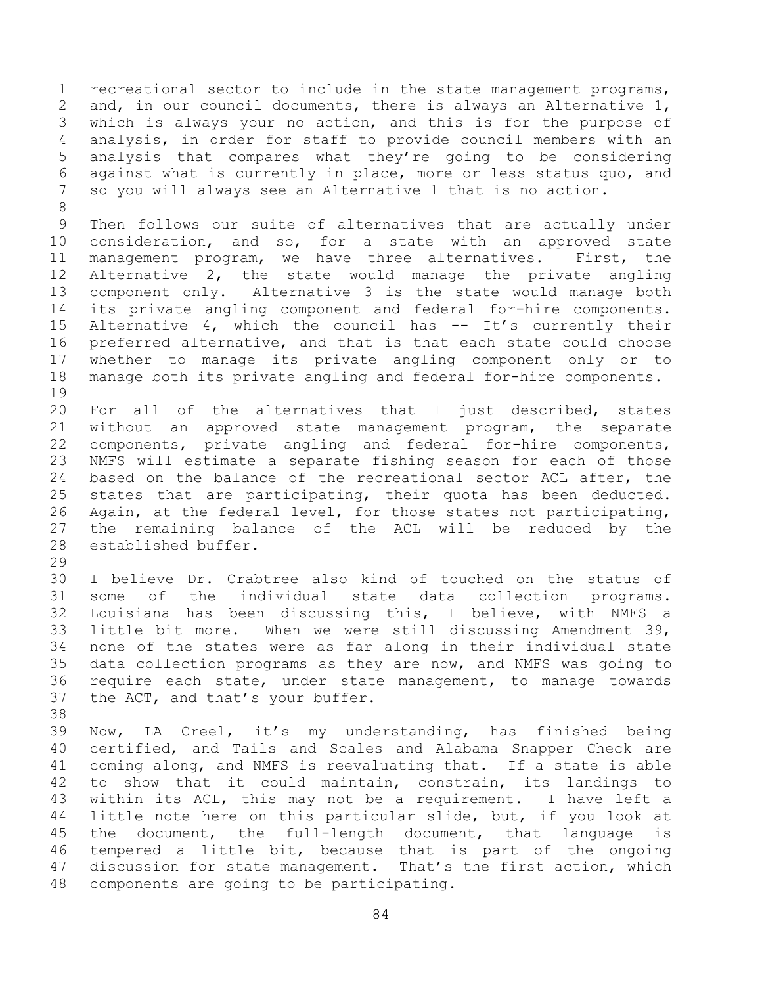recreational sector to include in the state management programs, and, in our council documents, there is always an Alternative 1, which is always your no action, and this is for the purpose of analysis, in order for staff to provide council members with an analysis that compares what they're going to be considering against what is currently in place, more or less status quo, and so you will always see an Alternative 1 that is no action. Then follows our suite of alternatives that are actually under consideration, and so, for a state with an approved state management program, we have three alternatives. First, the Alternative 2, the state would manage the private angling component only. Alternative 3 is the state would manage both its private angling component and federal for-hire components. Alternative 4, which the council has -- It's currently their preferred alternative, and that is that each state could choose whether to manage its private angling component only or to manage both its private angling and federal for-hire components. 

 For all of the alternatives that I just described, states without an approved state management program, the separate components, private angling and federal for-hire components, NMFS will estimate a separate fishing season for each of those based on the balance of the recreational sector ACL after, the states that are participating, their quota has been deducted. Again, at the federal level, for those states not participating, the remaining balance of the ACL will be reduced by the established buffer.

 I believe Dr. Crabtree also kind of touched on the status of some of the individual state data collection programs. Louisiana has been discussing this, I believe, with NMFS a little bit more. When we were still discussing Amendment 39, none of the states were as far along in their individual state data collection programs as they are now, and NMFS was going to require each state, under state management, to manage towards the ACT, and that's your buffer.

 Now, LA Creel, it's my understanding, has finished being certified, and Tails and Scales and Alabama Snapper Check are coming along, and NMFS is reevaluating that. If a state is able to show that it could maintain, constrain, its landings to within its ACL, this may not be a requirement. I have left a little note here on this particular slide, but, if you look at the document, the full-length document, that language is tempered a little bit, because that is part of the ongoing discussion for state management. That's the first action, which components are going to be participating.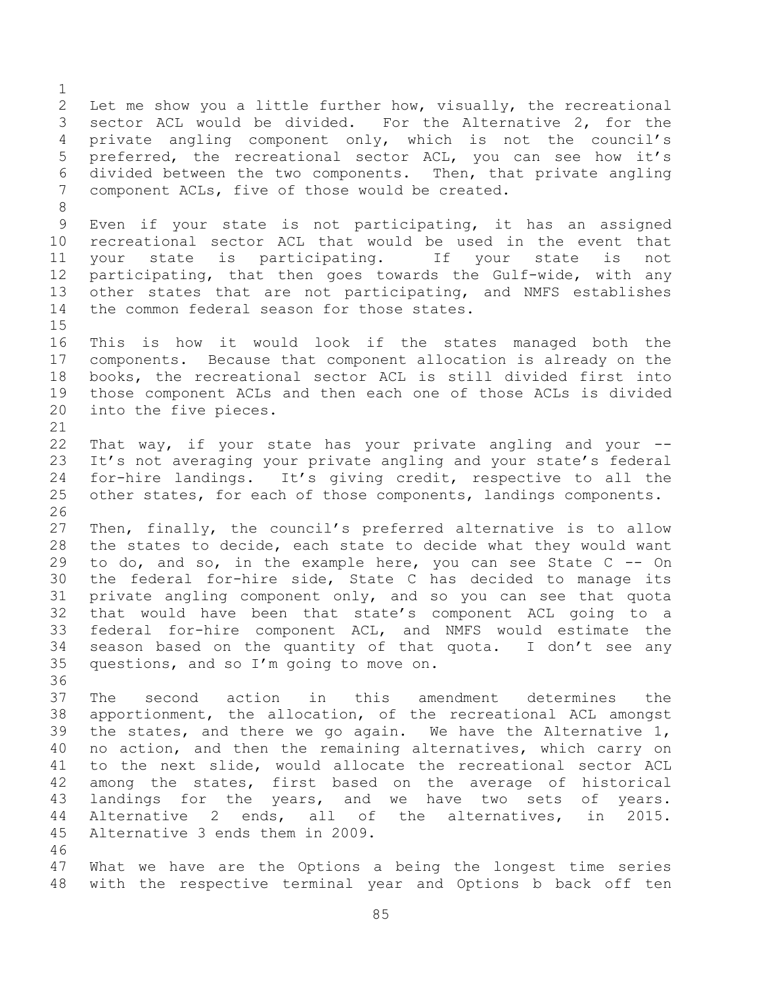Let me show you a little further how, visually, the recreational sector ACL would be divided. For the Alternative 2, for the private angling component only, which is not the council's preferred, the recreational sector ACL, you can see how it's divided between the two components. Then, that private angling component ACLs, five of those would be created. Even if your state is not participating, it has an assigned recreational sector ACL that would be used in the event that your state is participating. If your state is not participating, that then goes towards the Gulf-wide, with any other states that are not participating, and NMFS establishes the common federal season for those states. This is how it would look if the states managed both the components. Because that component allocation is already on the books, the recreational sector ACL is still divided first into those component ACLs and then each one of those ACLs is divided into the five pieces. That way, if your state has your private angling and your -- It's not averaging your private angling and your state's federal for-hire landings. It's giving credit, respective to all the 25 other states, for each of those components, landings components. Then, finally, the council's preferred alternative is to allow the states to decide, each state to decide what they would want to do, and so, in the example here, you can see State C -- On the federal for-hire side, State C has decided to manage its private angling component only, and so you can see that quota that would have been that state's component ACL going to a federal for-hire component ACL, and NMFS would estimate the season based on the quantity of that quota. I don't see any questions, and so I'm going to move on. The second action in this amendment determines the apportionment, the allocation, of the recreational ACL amongst the states, and there we go again. We have the Alternative 1, no action, and then the remaining alternatives, which carry on to the next slide, would allocate the recreational sector ACL among the states, first based on the average of historical landings for the years, and we have two sets of years. Alternative 2 ends, all of the alternatives, in 2015. Alternative 3 ends them in 2009. What we have are the Options a being the longest time series with the respective terminal year and Options b back off ten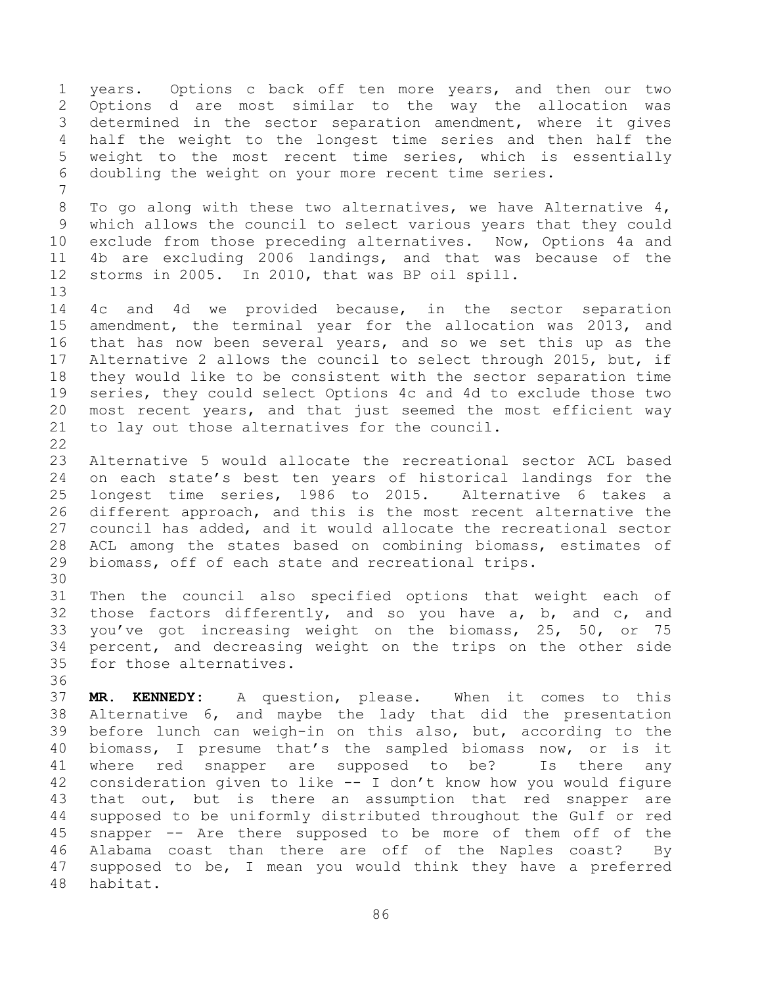years. Options c back off ten more years, and then our two Options d are most similar to the way the allocation was determined in the sector separation amendment, where it gives half the weight to the longest time series and then half the weight to the most recent time series, which is essentially doubling the weight on your more recent time series. To go along with these two alternatives, we have Alternative 4, which allows the council to select various years that they could exclude from those preceding alternatives. Now, Options 4a and 4b are excluding 2006 landings, and that was because of the storms in 2005. In 2010, that was BP oil spill. 4c and 4d we provided because, in the sector separation amendment, the terminal year for the allocation was 2013, and that has now been several years, and so we set this up as the Alternative 2 allows the council to select through 2015, but, if they would like to be consistent with the sector separation time series, they could select Options 4c and 4d to exclude those two most recent years, and that just seemed the most efficient way to lay out those alternatives for the council. Alternative 5 would allocate the recreational sector ACL based on each state's best ten years of historical landings for the longest time series, 1986 to 2015. Alternative 6 takes a different approach, and this is the most recent alternative the council has added, and it would allocate the recreational sector ACL among the states based on combining biomass, estimates of biomass, off of each state and recreational trips. Then the council also specified options that weight each of those factors differently, and so you have a, b, and c, and you've got increasing weight on the biomass, 25, 50, or 75 percent, and decreasing weight on the trips on the other side for those alternatives. **MR. KENNEDY:** A question, please. When it comes to this Alternative 6, and maybe the lady that did the presentation before lunch can weigh-in on this also, but, according to the biomass, I presume that's the sampled biomass now, or is it where red snapper are supposed to be? Is there any consideration given to like -- I don't know how you would figure that out, but is there an assumption that red snapper are supposed to be uniformly distributed throughout the Gulf or red snapper -- Are there supposed to be more of them off of the Alabama coast than there are off of the Naples coast? By supposed to be, I mean you would think they have a preferred habitat.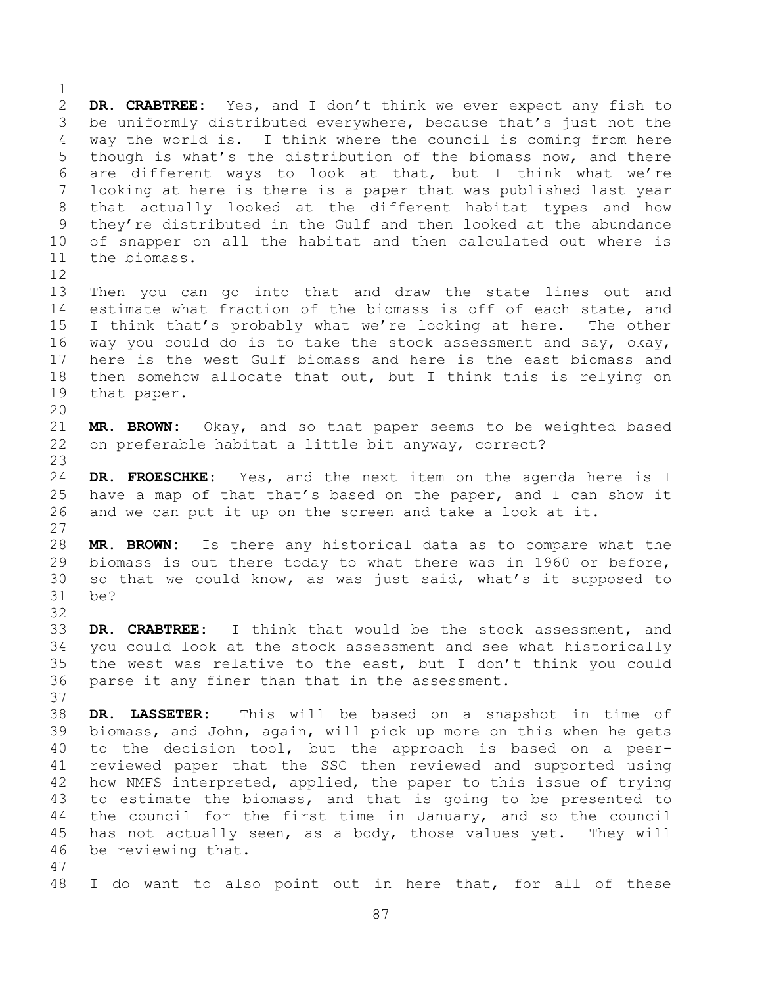**DR. CRABTREE:** Yes, and I don't think we ever expect any fish to be uniformly distributed everywhere, because that's just not the way the world is. I think where the council is coming from here though is what's the distribution of the biomass now, and there are different ways to look at that, but I think what we're looking at here is there is a paper that was published last year that actually looked at the different habitat types and how they're distributed in the Gulf and then looked at the abundance of snapper on all the habitat and then calculated out where is the biomass. 

 Then you can go into that and draw the state lines out and estimate what fraction of the biomass is off of each state, and I think that's probably what we're looking at here. The other way you could do is to take the stock assessment and say, okay, here is the west Gulf biomass and here is the east biomass and then somehow allocate that out, but I think this is relying on that paper.

 **MR. BROWN:** Okay, and so that paper seems to be weighted based on preferable habitat a little bit anyway, correct?

 **DR. FROESCHKE:** Yes, and the next item on the agenda here is I have a map of that that's based on the paper, and I can show it and we can put it up on the screen and take a look at it.

 **MR. BROWN:** Is there any historical data as to compare what the biomass is out there today to what there was in 1960 or before, so that we could know, as was just said, what's it supposed to be?

 **DR. CRABTREE:** I think that would be the stock assessment, and you could look at the stock assessment and see what historically the west was relative to the east, but I don't think you could parse it any finer than that in the assessment.

 **DR. LASSETER:** This will be based on a snapshot in time of biomass, and John, again, will pick up more on this when he gets to the decision tool, but the approach is based on a peer- reviewed paper that the SSC then reviewed and supported using how NMFS interpreted, applied, the paper to this issue of trying to estimate the biomass, and that is going to be presented to the council for the first time in January, and so the council has not actually seen, as a body, those values yet. They will be reviewing that. 

I do want to also point out in here that, for all of these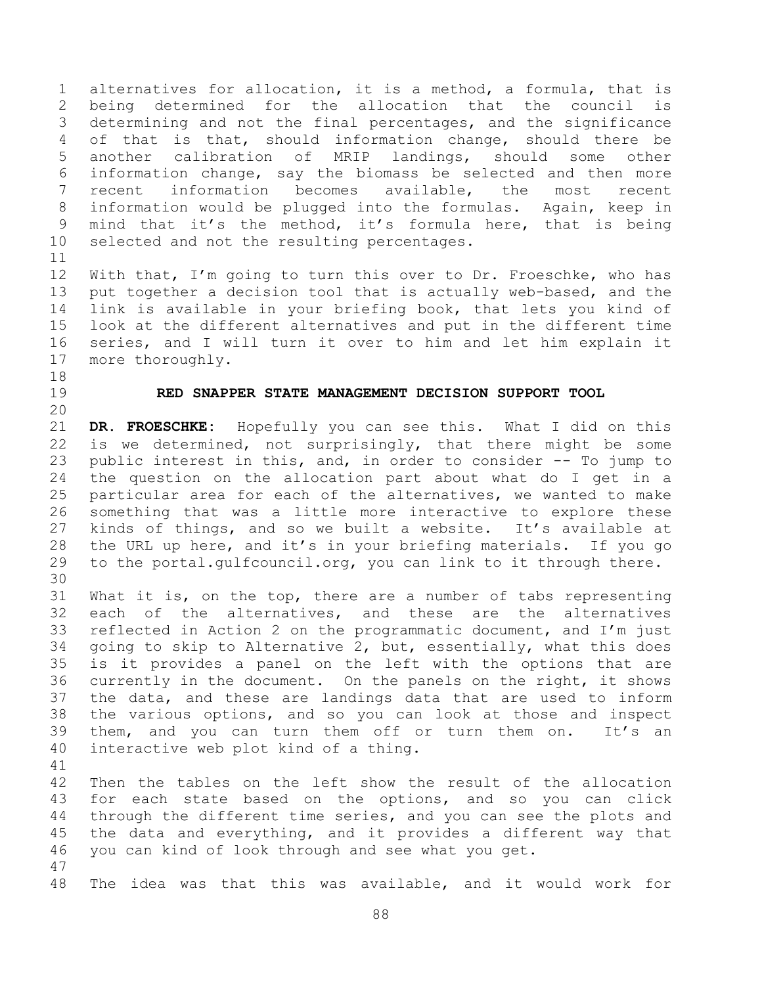alternatives for allocation, it is a method, a formula, that is being determined for the allocation that the council is determining and not the final percentages, and the significance of that is that, should information change, should there be another calibration of MRIP landings, should some other information change, say the biomass be selected and then more recent information becomes available, the most recent information would be plugged into the formulas. Again, keep in mind that it's the method, it's formula here, that is being selected and not the resulting percentages.

 With that, I'm going to turn this over to Dr. Froeschke, who has put together a decision tool that is actually web-based, and the link is available in your briefing book, that lets you kind of look at the different alternatives and put in the different time series, and I will turn it over to him and let him explain it more thoroughly.

- 
- 

## **RED SNAPPER STATE MANAGEMENT DECISION SUPPORT TOOL**

 **DR. FROESCHKE:** Hopefully you can see this. What I did on this is we determined, not surprisingly, that there might be some public interest in this, and, in order to consider -- To jump to the question on the allocation part about what do I get in a particular area for each of the alternatives, we wanted to make something that was a little more interactive to explore these kinds of things, and so we built a website. It's available at the URL up here, and it's in your briefing materials. If you go to the portal.gulfcouncil.org, you can link to it through there. 

 What it is, on the top, there are a number of tabs representing each of the alternatives, and these are the alternatives reflected in Action 2 on the programmatic document, and I'm just going to skip to Alternative 2, but, essentially, what this does is it provides a panel on the left with the options that are currently in the document. On the panels on the right, it shows the data, and these are landings data that are used to inform the various options, and so you can look at those and inspect them, and you can turn them off or turn them on. It's an interactive web plot kind of a thing. 

 Then the tables on the left show the result of the allocation for each state based on the options, and so you can click through the different time series, and you can see the plots and the data and everything, and it provides a different way that you can kind of look through and see what you get. 

The idea was that this was available, and it would work for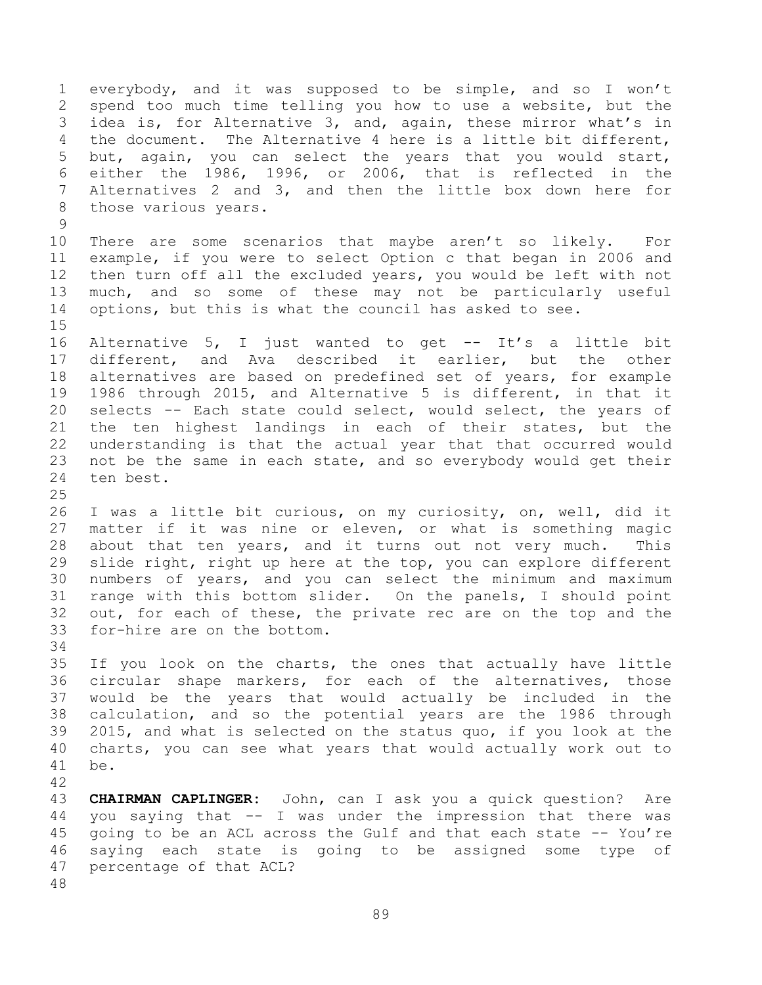everybody, and it was supposed to be simple, and so I won't spend too much time telling you how to use a website, but the idea is, for Alternative 3, and, again, these mirror what's in the document. The Alternative 4 here is a little bit different, but, again, you can select the years that you would start, either the 1986, 1996, or 2006, that is reflected in the Alternatives 2 and 3, and then the little box down here for those various years. There are some scenarios that maybe aren't so likely. For example, if you were to select Option c that began in 2006 and then turn off all the excluded years, you would be left with not much, and so some of these may not be particularly useful options, but this is what the council has asked to see. Alternative 5, I just wanted to get -- It's a little bit different, and Ava described it earlier, but the other alternatives are based on predefined set of years, for example 1986 through 2015, and Alternative 5 is different, in that it selects -- Each state could select, would select, the years of the ten highest landings in each of their states, but the understanding is that the actual year that that occurred would not be the same in each state, and so everybody would get their ten best. I was a little bit curious, on my curiosity, on, well, did it matter if it was nine or eleven, or what is something magic about that ten years, and it turns out not very much. This slide right, right up here at the top, you can explore different numbers of years, and you can select the minimum and maximum range with this bottom slider. On the panels, I should point out, for each of these, the private rec are on the top and the for-hire are on the bottom. If you look on the charts, the ones that actually have little circular shape markers, for each of the alternatives, those would be the years that would actually be included in the calculation, and so the potential years are the 1986 through 2015, and what is selected on the status quo, if you look at the charts, you can see what years that would actually work out to be. 

 **CHAIRMAN CAPLINGER:** John, can I ask you a quick question? Are you saying that -- I was under the impression that there was going to be an ACL across the Gulf and that each state -- You're saying each state is going to be assigned some type of percentage of that ACL?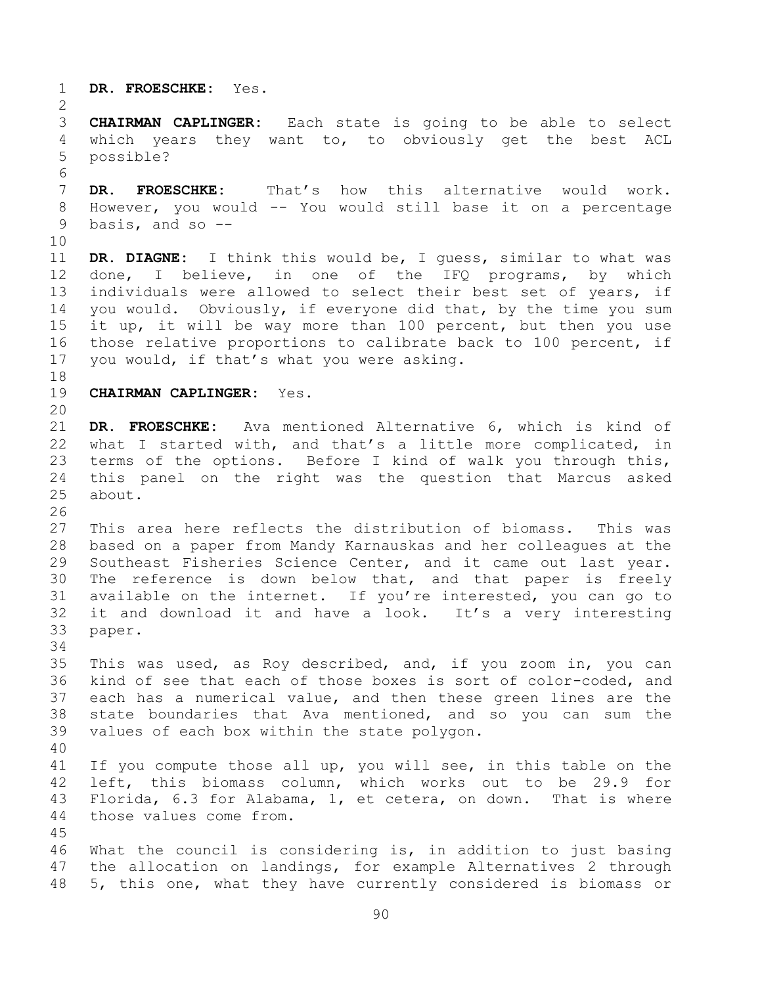**DR. FROESCHKE:** Yes. **CHAIRMAN CAPLINGER:** Each state is going to be able to select which years they want to, to obviously get the best ACL possible? **DR. FROESCHKE:** That's how this alternative would work. However, you would -- You would still base it on a percentage basis, and so -- **DR. DIAGNE:** I think this would be, I guess, similar to what was done, I believe, in one of the IFQ programs, by which individuals were allowed to select their best set of years, if you would. Obviously, if everyone did that, by the time you sum it up, it will be way more than 100 percent, but then you use those relative proportions to calibrate back to 100 percent, if you would, if that's what you were asking. **CHAIRMAN CAPLINGER:** Yes. **DR. FROESCHKE:** Ava mentioned Alternative 6, which is kind of what I started with, and that's a little more complicated, in terms of the options. Before I kind of walk you through this, this panel on the right was the question that Marcus asked about. This area here reflects the distribution of biomass. This was based on a paper from Mandy Karnauskas and her colleagues at the Southeast Fisheries Science Center, and it came out last year. The reference is down below that, and that paper is freely available on the internet. If you're interested, you can go to it and download it and have a look. It's a very interesting paper. This was used, as Roy described, and, if you zoom in, you can kind of see that each of those boxes is sort of color-coded, and each has a numerical value, and then these green lines are the state boundaries that Ava mentioned, and so you can sum the values of each box within the state polygon. If you compute those all up, you will see, in this table on the left, this biomass column, which works out to be 29.9 for Florida, 6.3 for Alabama, 1, et cetera, on down. That is where those values come from. What the council is considering is, in addition to just basing the allocation on landings, for example Alternatives 2 through 5, this one, what they have currently considered is biomass or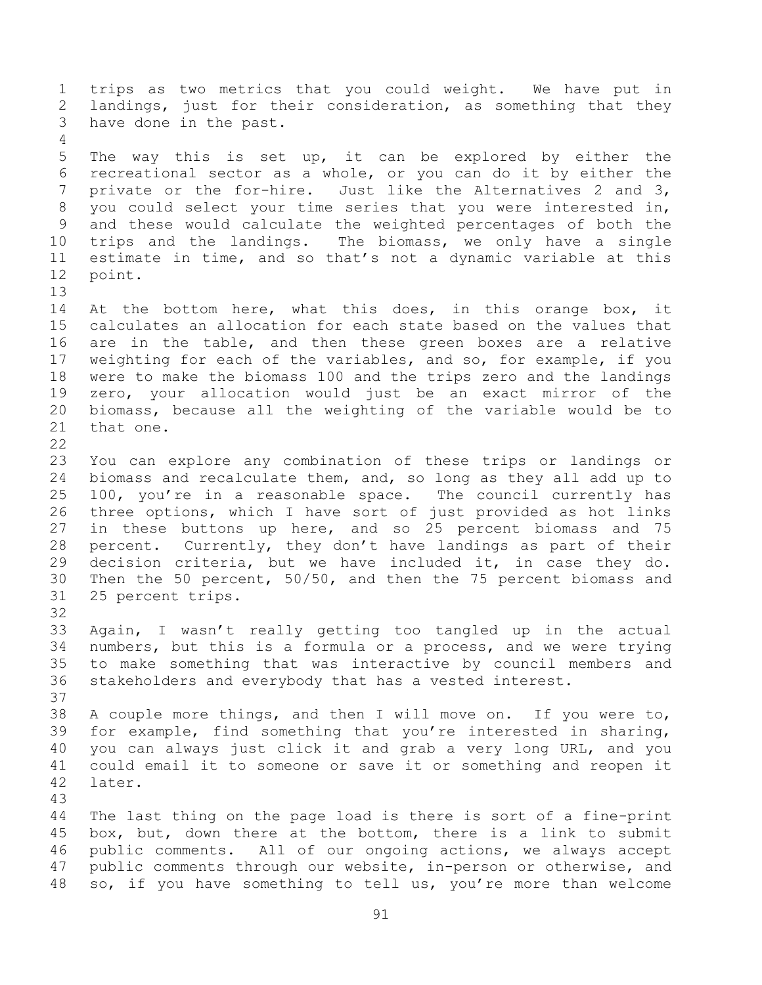trips as two metrics that you could weight. We have put in landings, just for their consideration, as something that they have done in the past. The way this is set up, it can be explored by either the recreational sector as a whole, or you can do it by either the 7 private or the for-hire. Just like the Alternatives 2 and 3, you could select your time series that you were interested in, and these would calculate the weighted percentages of both the trips and the landings. The biomass, we only have a single estimate in time, and so that's not a dynamic variable at this point. 14 At the bottom here, what this does, in this orange box, it calculates an allocation for each state based on the values that are in the table, and then these green boxes are a relative weighting for each of the variables, and so, for example, if you were to make the biomass 100 and the trips zero and the landings zero, your allocation would just be an exact mirror of the biomass, because all the weighting of the variable would be to that one. You can explore any combination of these trips or landings or biomass and recalculate them, and, so long as they all add up to 100, you're in a reasonable space. The council currently has three options, which I have sort of just provided as hot links in these buttons up here, and so 25 percent biomass and 75 percent. Currently, they don't have landings as part of their decision criteria, but we have included it, in case they do. Then the 50 percent, 50/50, and then the 75 percent biomass and 25 percent trips. Again, I wasn't really getting too tangled up in the actual numbers, but this is a formula or a process, and we were trying to make something that was interactive by council members and stakeholders and everybody that has a vested interest. A couple more things, and then I will move on. If you were to, for example, find something that you're interested in sharing, you can always just click it and grab a very long URL, and you could email it to someone or save it or something and reopen it later. The last thing on the page load is there is sort of a fine-print box, but, down there at the bottom, there is a link to submit public comments. All of our ongoing actions, we always accept public comments through our website, in-person or otherwise, and so, if you have something to tell us, you're more than welcome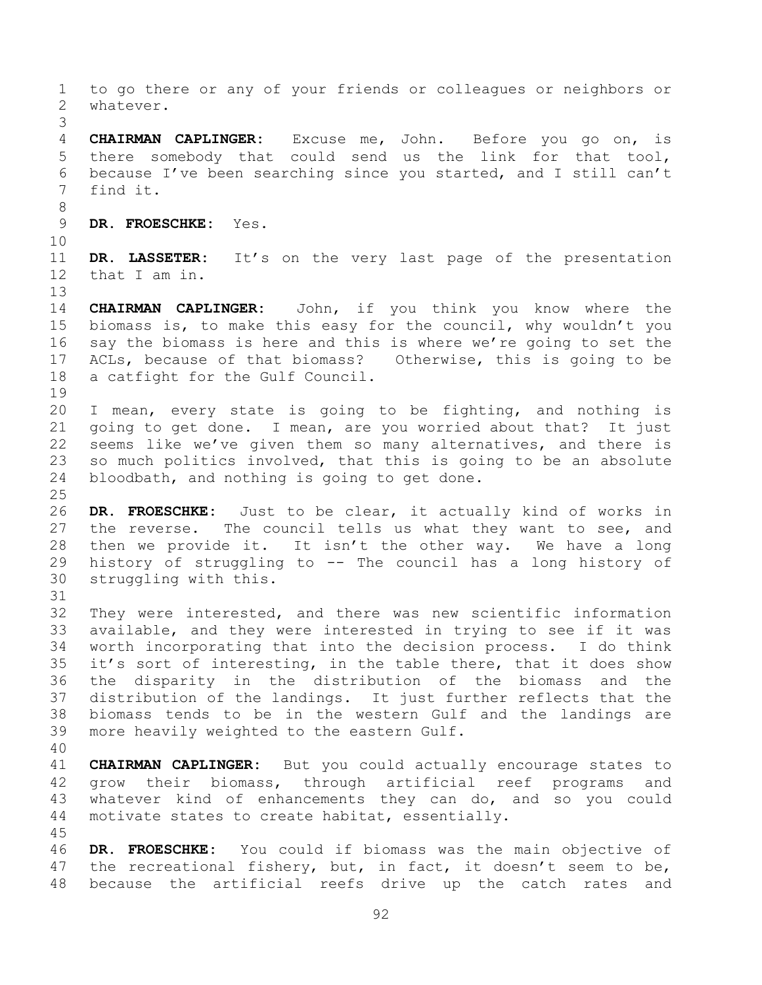to go there or any of your friends or colleagues or neighbors or whatever. **CHAIRMAN CAPLINGER:** Excuse me, John. Before you go on, is there somebody that could send us the link for that tool, because I've been searching since you started, and I still can't find it. **DR. FROESCHKE:** Yes. **DR. LASSETER:** It's on the very last page of the presentation that I am in. **CHAIRMAN CAPLINGER:** John, if you think you know where the biomass is, to make this easy for the council, why wouldn't you say the biomass is here and this is where we're going to set the ACLs, because of that biomass? Otherwise, this is going to be a catfight for the Gulf Council. I mean, every state is going to be fighting, and nothing is going to get done. I mean, are you worried about that? It just seems like we've given them so many alternatives, and there is so much politics involved, that this is going to be an absolute bloodbath, and nothing is going to get done. **DR. FROESCHKE:** Just to be clear, it actually kind of works in the reverse. The council tells us what they want to see, and then we provide it. It isn't the other way. We have a long history of struggling to -- The council has a long history of struggling with this. They were interested, and there was new scientific information available, and they were interested in trying to see if it was worth incorporating that into the decision process. I do think it's sort of interesting, in the table there, that it does show the disparity in the distribution of the biomass and the distribution of the landings. It just further reflects that the biomass tends to be in the western Gulf and the landings are more heavily weighted to the eastern Gulf. **CHAIRMAN CAPLINGER:** But you could actually encourage states to grow their biomass, through artificial reef programs and 43 whatever kind of enhancements they can do, and so you could motivate states to create habitat, essentially. **DR. FROESCHKE:** You could if biomass was the main objective of 47 the recreational fishery, but, in fact, it doesn't seem to be, because the artificial reefs drive up the catch rates and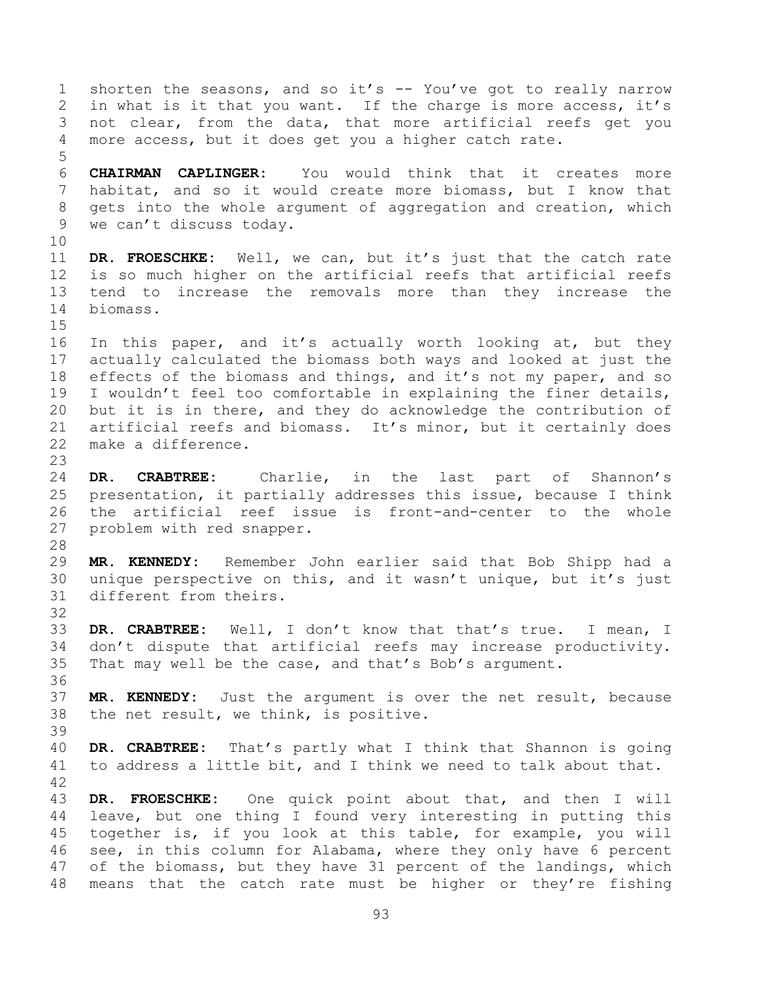shorten the seasons, and so it's -- You've got to really narrow in what is it that you want. If the charge is more access, it's not clear, from the data, that more artificial reefs get you more access, but it does get you a higher catch rate. **CHAIRMAN CAPLINGER:** You would think that it creates more habitat, and so it would create more biomass, but I know that gets into the whole argument of aggregation and creation, which we can't discuss today. **DR. FROESCHKE:** Well, we can, but it's just that the catch rate is so much higher on the artificial reefs that artificial reefs tend to increase the removals more than they increase the biomass. In this paper, and it's actually worth looking at, but they actually calculated the biomass both ways and looked at just the 18 effects of the biomass and things, and it's not my paper, and so I wouldn't feel too comfortable in explaining the finer details, but it is in there, and they do acknowledge the contribution of artificial reefs and biomass. It's minor, but it certainly does make a difference. **DR. CRABTREE:** Charlie, in the last part of Shannon's presentation, it partially addresses this issue, because I think the artificial reef issue is front-and-center to the whole problem with red snapper. **MR. KENNEDY:** Remember John earlier said that Bob Shipp had a unique perspective on this, and it wasn't unique, but it's just different from theirs. **DR. CRABTREE:** Well, I don't know that that's true. I mean, I don't dispute that artificial reefs may increase productivity. That may well be the case, and that's Bob's argument. **MR. KENNEDY:** Just the argument is over the net result, because the net result, we think, is positive. **DR. CRABTREE:** That's partly what I think that Shannon is going to address a little bit, and I think we need to talk about that. **DR. FROESCHKE:** One quick point about that, and then I will leave, but one thing I found very interesting in putting this together is, if you look at this table, for example, you will see, in this column for Alabama, where they only have 6 percent of the biomass, but they have 31 percent of the landings, which means that the catch rate must be higher or they're fishing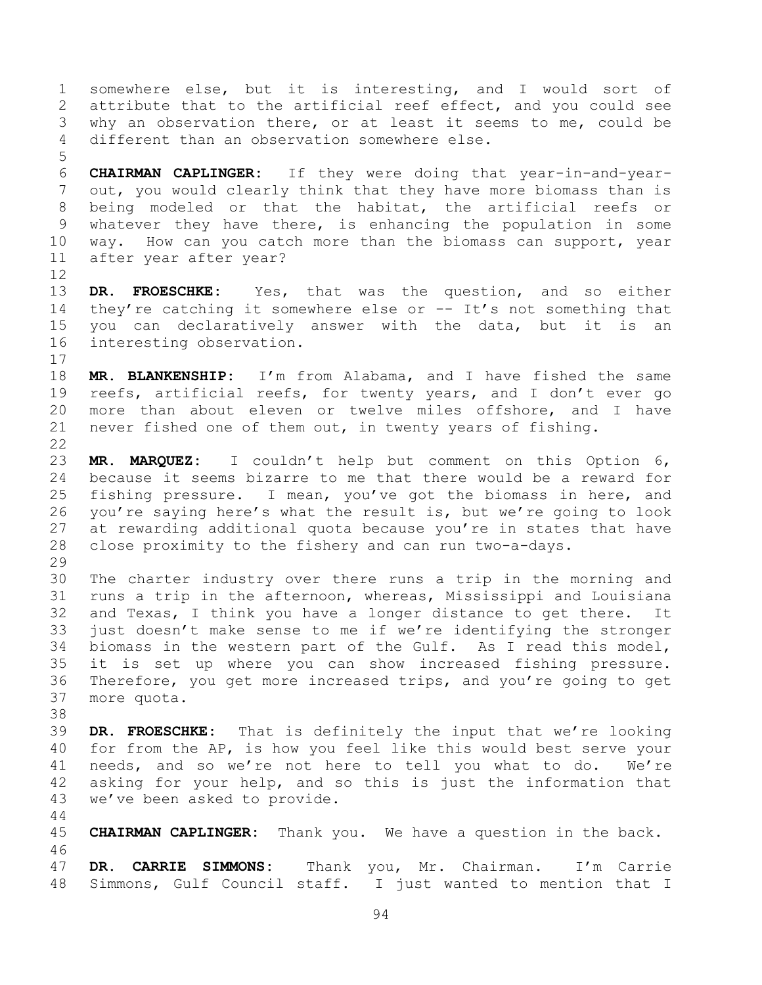somewhere else, but it is interesting, and I would sort of attribute that to the artificial reef effect, and you could see why an observation there, or at least it seems to me, could be different than an observation somewhere else.

 **CHAIRMAN CAPLINGER:** If they were doing that year-in-and-year- out, you would clearly think that they have more biomass than is being modeled or that the habitat, the artificial reefs or whatever they have there, is enhancing the population in some way. How can you catch more than the biomass can support, year after year after year?

 **DR. FROESCHKE:** Yes, that was the question, and so either 14 they're catching it somewhere else or -- It's not something that you can declaratively answer with the data, but it is an interesting observation.

 **MR. BLANKENSHIP:** I'm from Alabama, and I have fished the same reefs, artificial reefs, for twenty years, and I don't ever go more than about eleven or twelve miles offshore, and I have never fished one of them out, in twenty years of fishing. 

 **MR. MARQUEZ:** I couldn't help but comment on this Option 6, because it seems bizarre to me that there would be a reward for fishing pressure. I mean, you've got the biomass in here, and you're saying here's what the result is, but we're going to look 27 at rewarding additional quota because you're in states that have close proximity to the fishery and can run two-a-days. 

 The charter industry over there runs a trip in the morning and runs a trip in the afternoon, whereas, Mississippi and Louisiana and Texas, I think you have a longer distance to get there. It just doesn't make sense to me if we're identifying the stronger biomass in the western part of the Gulf. As I read this model, it is set up where you can show increased fishing pressure. Therefore, you get more increased trips, and you're going to get more quota.

 **DR. FROESCHKE:** That is definitely the input that we're looking for from the AP, is how you feel like this would best serve your needs, and so we're not here to tell you what to do. We're asking for your help, and so this is just the information that we've been asked to provide.

 **CHAIRMAN CAPLINGER:** Thank you. We have a question in the back. **DR. CARRIE SIMMONS:** Thank you, Mr. Chairman. I'm Carrie

Simmons, Gulf Council staff. I just wanted to mention that I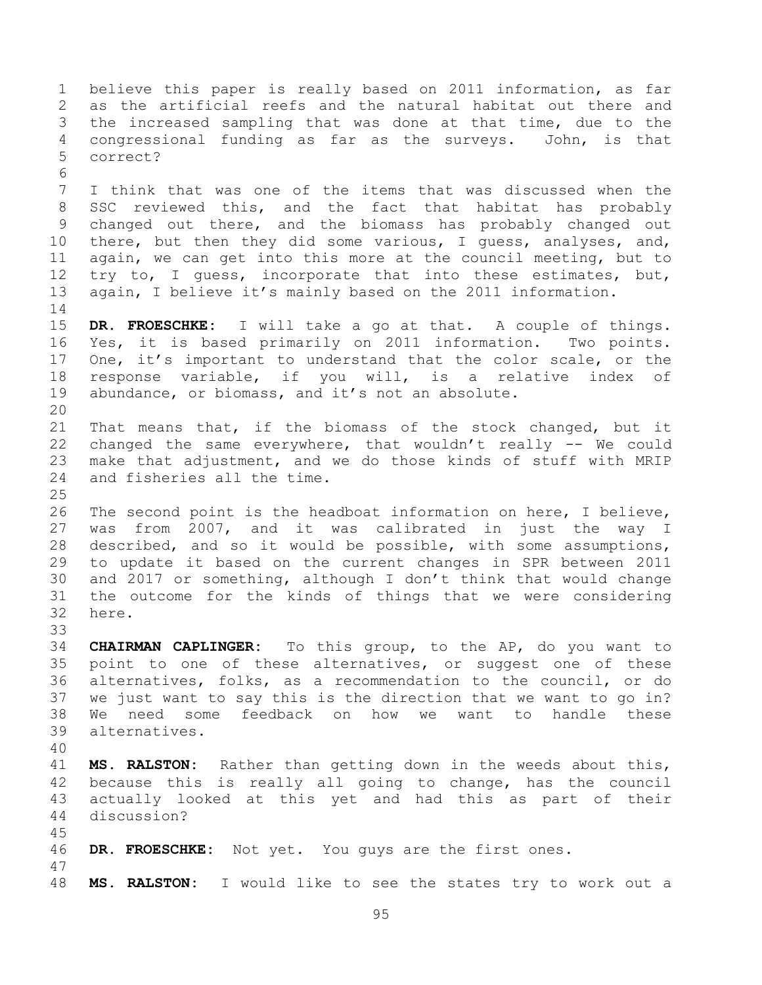believe this paper is really based on 2011 information, as far as the artificial reefs and the natural habitat out there and the increased sampling that was done at that time, due to the congressional funding as far as the surveys. John, is that correct? I think that was one of the items that was discussed when the SSC reviewed this, and the fact that habitat has probably changed out there, and the biomass has probably changed out there, but then they did some various, I guess, analyses, and, again, we can get into this more at the council meeting, but to 12 try to, I guess, incorporate that into these estimates, but, again, I believe it's mainly based on the 2011 information. **DR. FROESCHKE:** I will take a go at that. A couple of things. Yes, it is based primarily on 2011 information. Two points. One, it's important to understand that the color scale, or the response variable, if you will, is a relative index of abundance, or biomass, and it's not an absolute. That means that, if the biomass of the stock changed, but it changed the same everywhere, that wouldn't really -- We could make that adjustment, and we do those kinds of stuff with MRIP and fisheries all the time. The second point is the headboat information on here, I believe, was from 2007, and it was calibrated in just the way I described, and so it would be possible, with some assumptions, to update it based on the current changes in SPR between 2011 and 2017 or something, although I don't think that would change the outcome for the kinds of things that we were considering here. **CHAIRMAN CAPLINGER:** To this group, to the AP, do you want to point to one of these alternatives, or suggest one of these alternatives, folks, as a recommendation to the council, or do we just want to say this is the direction that we want to go in? We need some feedback on how we want to handle these alternatives. **MS. RALSTON:** Rather than getting down in the weeds about this, because this is really all going to change, has the council actually looked at this yet and had this as part of their discussion? **DR. FROESCHKE:** Not yet. You guys are the first ones. **MS. RALSTON:** I would like to see the states try to work out a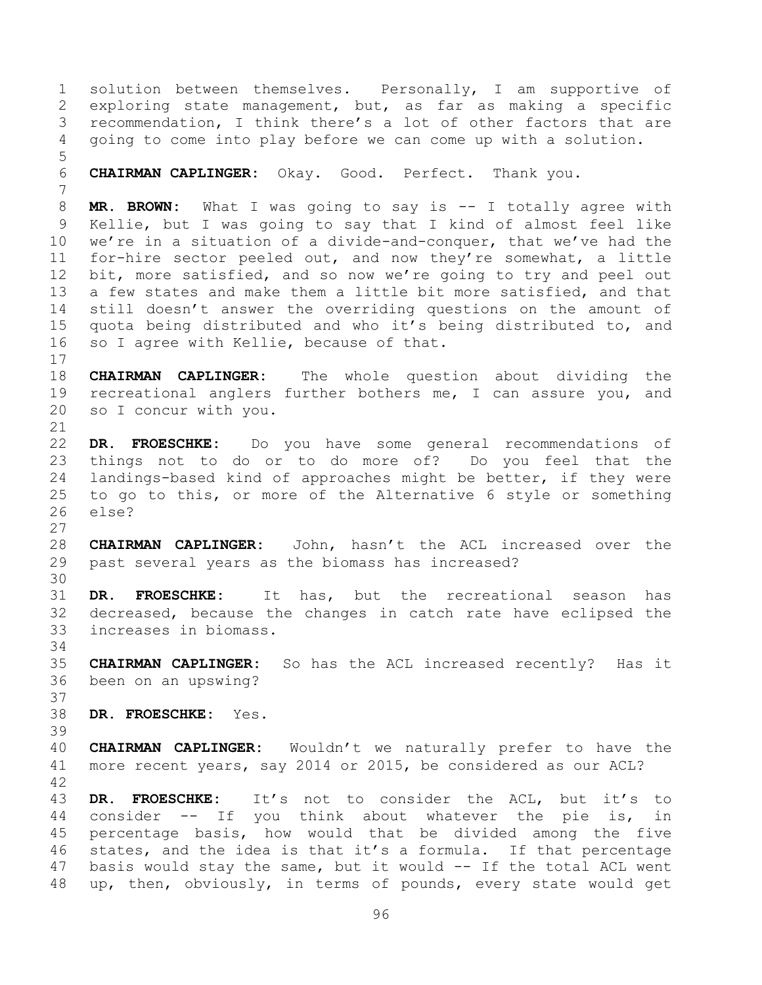solution between themselves. Personally, I am supportive of exploring state management, but, as far as making a specific recommendation, I think there's a lot of other factors that are going to come into play before we can come up with a solution. **CHAIRMAN CAPLINGER:** Okay. Good. Perfect. Thank you. **MR. BROWN:** What I was going to say is -- I totally agree with Kellie, but I was going to say that I kind of almost feel like we're in a situation of a divide-and-conquer, that we've had the for-hire sector peeled out, and now they're somewhat, a little 12 bit, more satisfied, and so now we're going to try and peel out a few states and make them a little bit more satisfied, and that still doesn't answer the overriding questions on the amount of quota being distributed and who it's being distributed to, and so I agree with Kellie, because of that. **CHAIRMAN CAPLINGER:** The whole question about dividing the recreational anglers further bothers me, I can assure you, and so I concur with you. **DR. FROESCHKE:** Do you have some general recommendations of things not to do or to do more of? Do you feel that the landings-based kind of approaches might be better, if they were to go to this, or more of the Alternative 6 style or something else? **CHAIRMAN CAPLINGER:** John, hasn't the ACL increased over the past several years as the biomass has increased? **DR. FROESCHKE:** It has, but the recreational season has decreased, because the changes in catch rate have eclipsed the increases in biomass. **CHAIRMAN CAPLINGER:** So has the ACL increased recently? Has it been on an upswing? **DR. FROESCHKE:** Yes. **CHAIRMAN CAPLINGER:** Wouldn't we naturally prefer to have the more recent years, say 2014 or 2015, be considered as our ACL? **DR. FROESCHKE:** It's not to consider the ACL, but it's to consider -- If you think about whatever the pie is, in percentage basis, how would that be divided among the five states, and the idea is that it's a formula. If that percentage 47 basis would stay the same, but it would -- If the total ACL went up, then, obviously, in terms of pounds, every state would get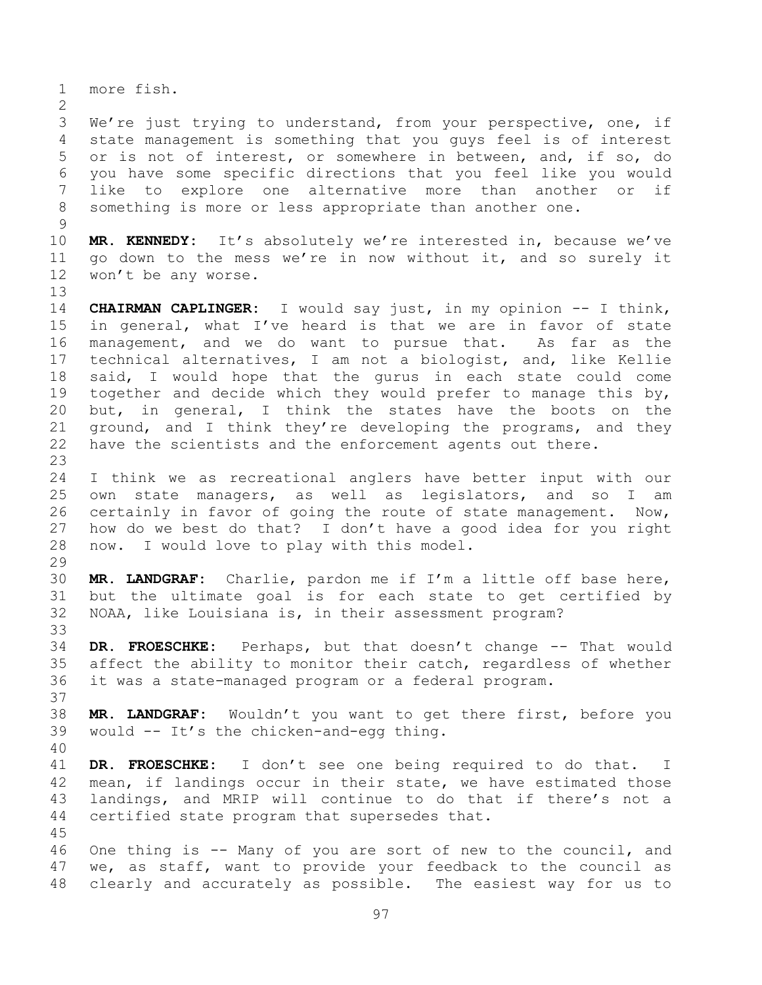more fish. We're just trying to understand, from your perspective, one, if state management is something that you guys feel is of interest or is not of interest, or somewhere in between, and, if so, do you have some specific directions that you feel like you would like to explore one alternative more than another or if something is more or less appropriate than another one. **MR. KENNEDY:** It's absolutely we're interested in, because we've go down to the mess we're in now without it, and so surely it won't be any worse. **CHAIRMAN CAPLINGER:** I would say just, in my opinion -- I think, in general, what I've heard is that we are in favor of state management, and we do want to pursue that. As far as the technical alternatives, I am not a biologist, and, like Kellie said, I would hope that the gurus in each state could come together and decide which they would prefer to manage this by, but, in general, I think the states have the boots on the ground, and I think they're developing the programs, and they have the scientists and the enforcement agents out there. I think we as recreational anglers have better input with our own state managers, as well as legislators, and so I am certainly in favor of going the route of state management. Now, how do we best do that? I don't have a good idea for you right now. I would love to play with this model. **MR. LANDGRAF:** Charlie, pardon me if I'm a little off base here, but the ultimate goal is for each state to get certified by NOAA, like Louisiana is, in their assessment program? **DR. FROESCHKE:** Perhaps, but that doesn't change -- That would affect the ability to monitor their catch, regardless of whether it was a state-managed program or a federal program. **MR. LANDGRAF:** Wouldn't you want to get there first, before you would -- It's the chicken-and-egg thing. **DR. FROESCHKE:** I don't see one being required to do that. I mean, if landings occur in their state, we have estimated those landings, and MRIP will continue to do that if there's not a certified state program that supersedes that. One thing is -- Many of you are sort of new to the council, and we, as staff, want to provide your feedback to the council as clearly and accurately as possible. The easiest way for us to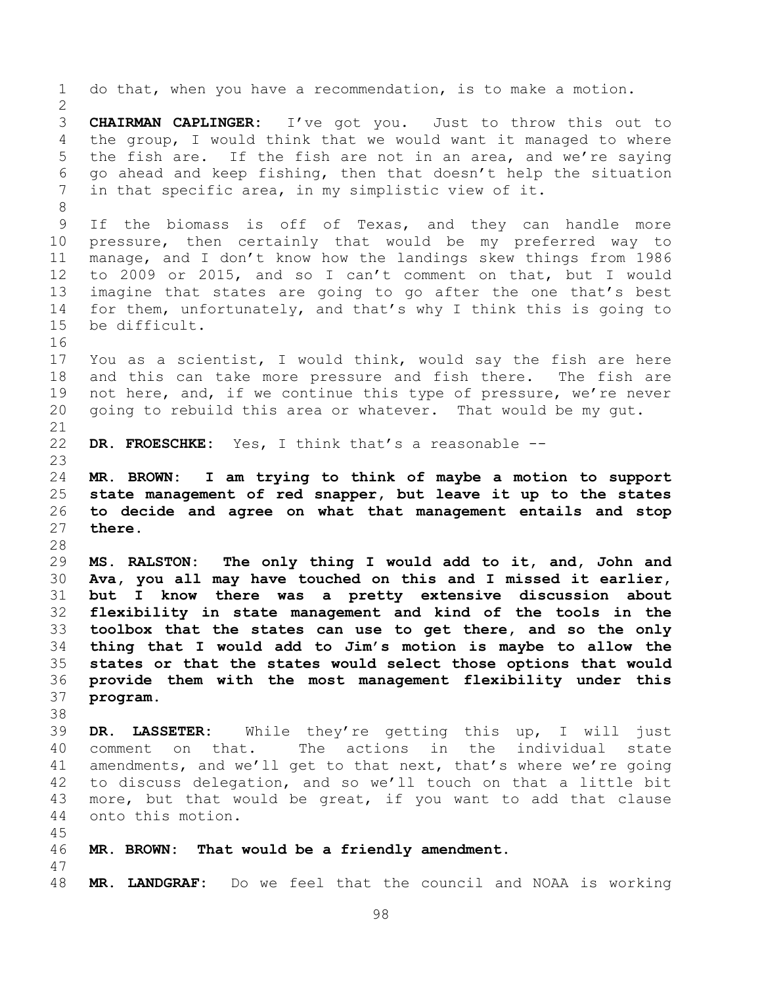do that, when you have a recommendation, is to make a motion. **CHAIRMAN CAPLINGER:** I've got you. Just to throw this out to the group, I would think that we would want it managed to where the fish are. If the fish are not in an area, and we're saying go ahead and keep fishing, then that doesn't help the situation in that specific area, in my simplistic view of it. If the biomass is off of Texas, and they can handle more pressure, then certainly that would be my preferred way to manage, and I don't know how the landings skew things from 1986 to 2009 or 2015, and so I can't comment on that, but I would imagine that states are going to go after the one that's best for them, unfortunately, and that's why I think this is going to be difficult. You as a scientist, I would think, would say the fish are here and this can take more pressure and fish there. The fish are 19 not here, and, if we continue this type of pressure, we're never going to rebuild this area or whatever. That would be my gut. **DR. FROESCHKE:** Yes, I think that's a reasonable -- **MR. BROWN: I am trying to think of maybe a motion to support state management of red snapper, but leave it up to the states to decide and agree on what that management entails and stop there. MS. RALSTON: The only thing I would add to it, and, John and Ava, you all may have touched on this and I missed it earlier, but I know there was a pretty extensive discussion about flexibility in state management and kind of the tools in the toolbox that the states can use to get there, and so the only thing that I would add to Jim's motion is maybe to allow the states or that the states would select those options that would provide them with the most management flexibility under this program. DR. LASSETER:** While they're getting this up, I will just comment on that. The actions in the individual state amendments, and we'll get to that next, that's where we're going to discuss delegation, and so we'll touch on that a little bit more, but that would be great, if you want to add that clause onto this motion. **MR. BROWN: That would be a friendly amendment. MR. LANDGRAF:** Do we feel that the council and NOAA is working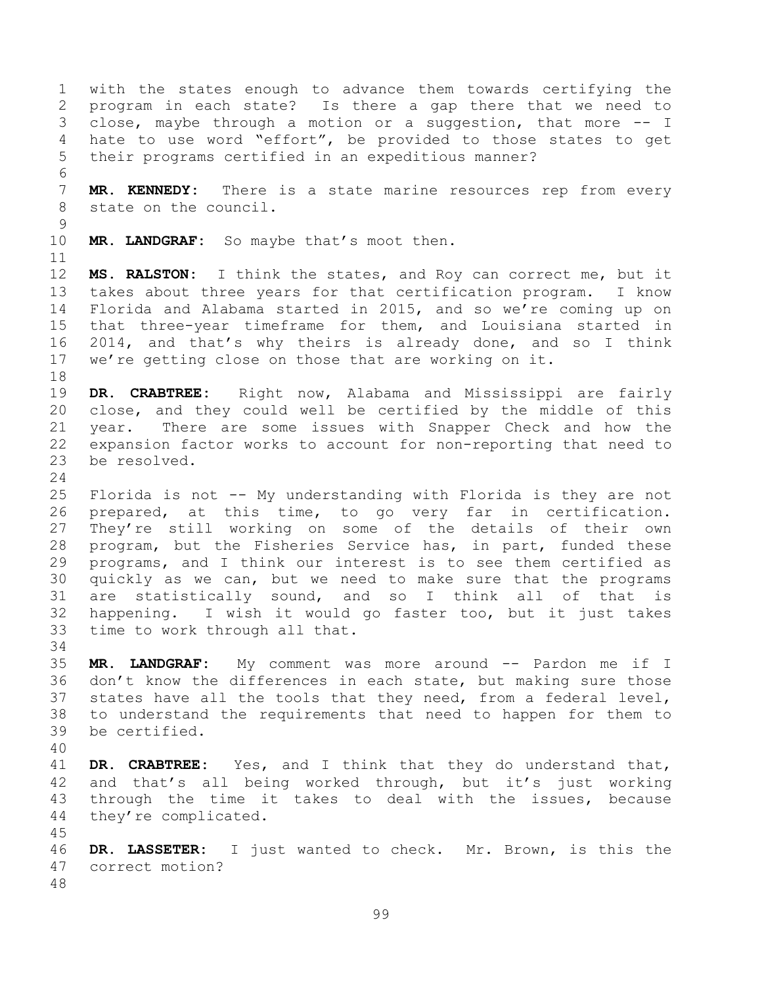with the states enough to advance them towards certifying the program in each state? Is there a gap there that we need to close, maybe through a motion or a suggestion, that more -- I hate to use word "effort", be provided to those states to get their programs certified in an expeditious manner? **MR. KENNEDY:** There is a state marine resources rep from every state on the council. **MR. LANDGRAF:** So maybe that's moot then. **MS. RALSTON:** I think the states, and Roy can correct me, but it takes about three years for that certification program. I know Florida and Alabama started in 2015, and so we're coming up on that three-year timeframe for them, and Louisiana started in 2014, and that's why theirs is already done, and so I think we're getting close on those that are working on it. **DR. CRABTREE:** Right now, Alabama and Mississippi are fairly close, and they could well be certified by the middle of this year. There are some issues with Snapper Check and how the expansion factor works to account for non-reporting that need to be resolved. Florida is not -- My understanding with Florida is they are not prepared, at this time, to go very far in certification. They're still working on some of the details of their own program, but the Fisheries Service has, in part, funded these programs, and I think our interest is to see them certified as quickly as we can, but we need to make sure that the programs are statistically sound, and so I think all of that is happening. I wish it would go faster too, but it just takes time to work through all that. **MR. LANDGRAF:** My comment was more around -- Pardon me if I don't know the differences in each state, but making sure those states have all the tools that they need, from a federal level, to understand the requirements that need to happen for them to be certified. **DR. CRABTREE:** Yes, and I think that they do understand that, and that's all being worked through, but it's just working through the time it takes to deal with the issues, because they're complicated. **DR. LASSETER:** I just wanted to check. Mr. Brown, is this the correct motion?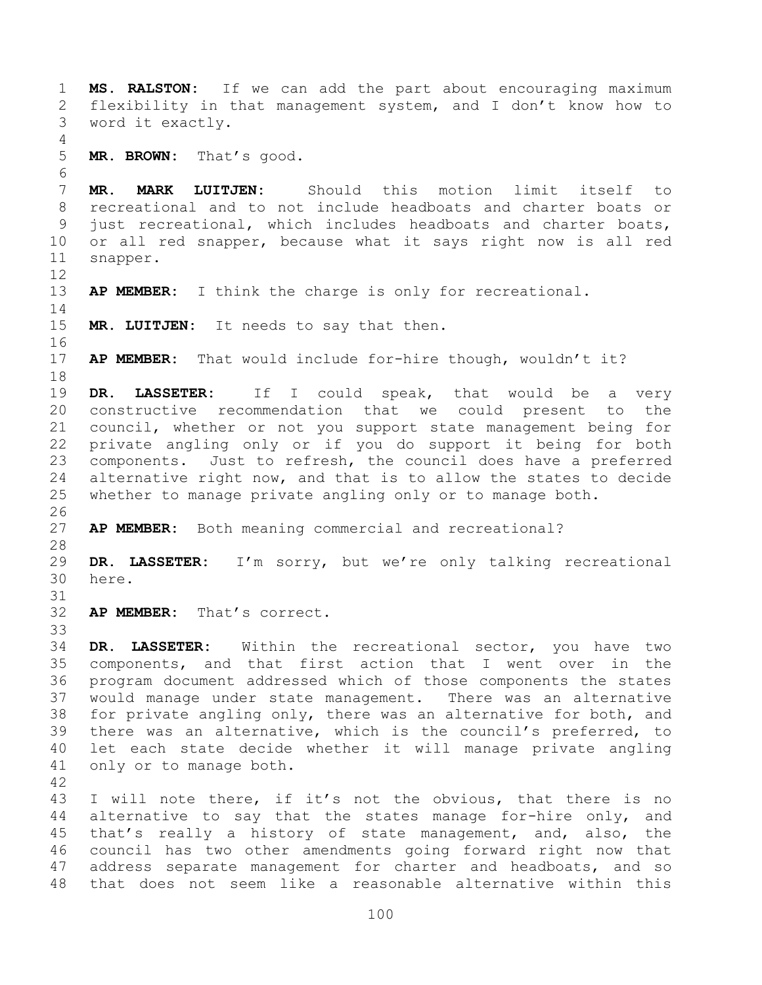**MS. RALSTON:** If we can add the part about encouraging maximum flexibility in that management system, and I don't know how to word it exactly. **MR. BROWN:** That's good. **MR. MARK LUITJEN:** Should this motion limit itself to recreational and to not include headboats and charter boats or just recreational, which includes headboats and charter boats, or all red snapper, because what it says right now is all red snapper. **AP MEMBER:** I think the charge is only for recreational. **MR. LUITJEN:** It needs to say that then. **AP MEMBER:** That would include for-hire though, wouldn't it? **DR. LASSETER:** If I could speak, that would be a very constructive recommendation that we could present to the council, whether or not you support state management being for private angling only or if you do support it being for both components. Just to refresh, the council does have a preferred alternative right now, and that is to allow the states to decide whether to manage private angling only or to manage both. **AP MEMBER:** Both meaning commercial and recreational? **DR. LASSETER:** I'm sorry, but we're only talking recreational here. **AP MEMBER:** That's correct. **DR. LASSETER:** Within the recreational sector, you have two components, and that first action that I went over in the program document addressed which of those components the states would manage under state management. There was an alternative for private angling only, there was an alternative for both, and there was an alternative, which is the council's preferred, to let each state decide whether it will manage private angling only or to manage both. I will note there, if it's not the obvious, that there is no alternative to say that the states manage for-hire only, and that's really a history of state management, and, also, the council has two other amendments going forward right now that

 address separate management for charter and headboats, and so that does not seem like a reasonable alternative within this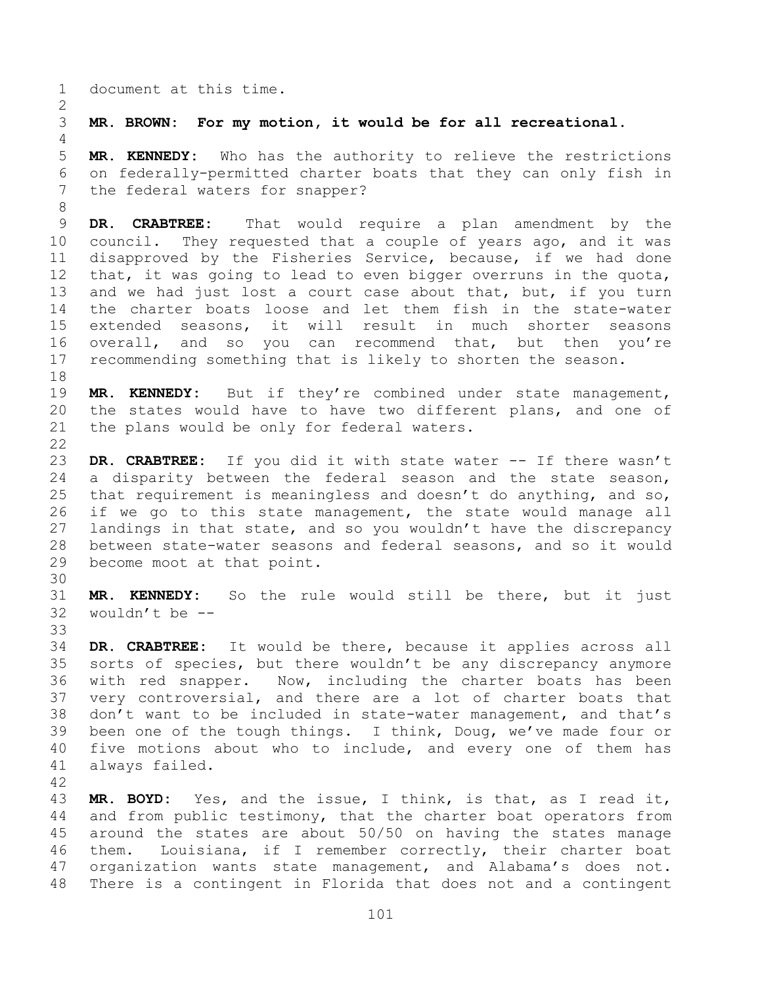document at this time.

**MR. BROWN: For my motion, it would be for all recreational.** 

 **MR. KENNEDY:** Who has the authority to relieve the restrictions on federally-permitted charter boats that they can only fish in the federal waters for snapper?

 **DR. CRABTREE:** That would require a plan amendment by the council. They requested that a couple of years ago, and it was disapproved by the Fisheries Service, because, if we had done that, it was going to lead to even bigger overruns in the quota, 13 and we had just lost a court case about that, but, if you turn the charter boats loose and let them fish in the state-water extended seasons, it will result in much shorter seasons overall, and so you can recommend that, but then you're recommending something that is likely to shorten the season.

 **MR. KENNEDY:** But if they're combined under state management, the states would have to have two different plans, and one of the plans would be only for federal waters.

 **DR. CRABTREE:** If you did it with state water -- If there wasn't a disparity between the federal season and the state season, that requirement is meaningless and doesn't do anything, and so, if we go to this state management, the state would manage all landings in that state, and so you wouldn't have the discrepancy between state-water seasons and federal seasons, and so it would become moot at that point.

 **MR. KENNEDY:** So the rule would still be there, but it just wouldn't be -- 

- **DR. CRABTREE:** It would be there, because it applies across all sorts of species, but there wouldn't be any discrepancy anymore with red snapper. Now, including the charter boats has been very controversial, and there are a lot of charter boats that don't want to be included in state-water management, and that's been one of the tough things. I think, Doug, we've made four or five motions about who to include, and every one of them has always failed.
- 

 **MR. BOYD:** Yes, and the issue, I think, is that, as I read it, and from public testimony, that the charter boat operators from around the states are about 50/50 on having the states manage them. Louisiana, if I remember correctly, their charter boat organization wants state management, and Alabama's does not. There is a contingent in Florida that does not and a contingent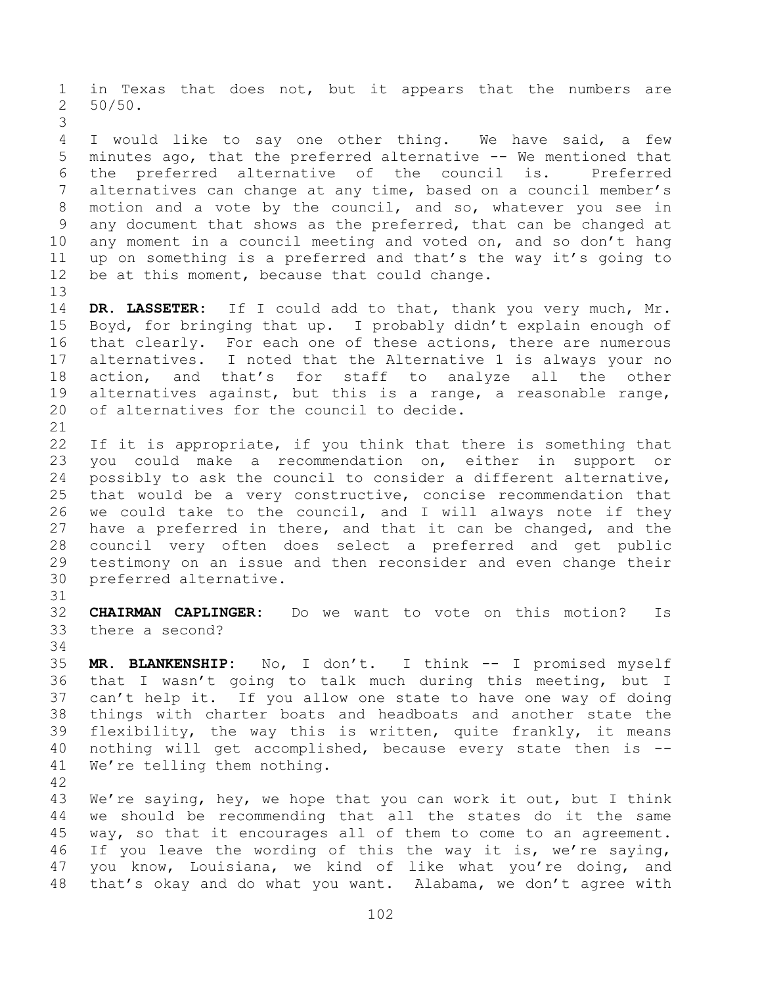in Texas that does not, but it appears that the numbers are 50/50.

 I would like to say one other thing. We have said, a few minutes ago, that the preferred alternative -- We mentioned that the preferred alternative of the council is. Preferred alternatives can change at any time, based on a council member's motion and a vote by the council, and so, whatever you see in any document that shows as the preferred, that can be changed at any moment in a council meeting and voted on, and so don't hang up on something is a preferred and that's the way it's going to be at this moment, because that could change.

 **DR. LASSETER:** If I could add to that, thank you very much, Mr. Boyd, for bringing that up. I probably didn't explain enough of that clearly. For each one of these actions, there are numerous alternatives. I noted that the Alternative 1 is always your no action, and that's for staff to analyze all the other alternatives against, but this is a range, a reasonable range, of alternatives for the council to decide.

22 If it is appropriate, if you think that there is something that you could make a recommendation on, either in support or possibly to ask the council to consider a different alternative, that would be a very constructive, concise recommendation that we could take to the council, and I will always note if they have a preferred in there, and that it can be changed, and the council very often does select a preferred and get public testimony on an issue and then reconsider and even change their preferred alternative.

 **CHAIRMAN CAPLINGER:** Do we want to vote on this motion? Is there a second?

 **MR. BLANKENSHIP:** No, I don't. I think -- I promised myself that I wasn't going to talk much during this meeting, but I can't help it. If you allow one state to have one way of doing things with charter boats and headboats and another state the flexibility, the way this is written, quite frankly, it means nothing will get accomplished, because every state then is -- We're telling them nothing.

 We're saying, hey, we hope that you can work it out, but I think we should be recommending that all the states do it the same way, so that it encourages all of them to come to an agreement. If you leave the wording of this the way it is, we're saying, you know, Louisiana, we kind of like what you're doing, and that's okay and do what you want. Alabama, we don't agree with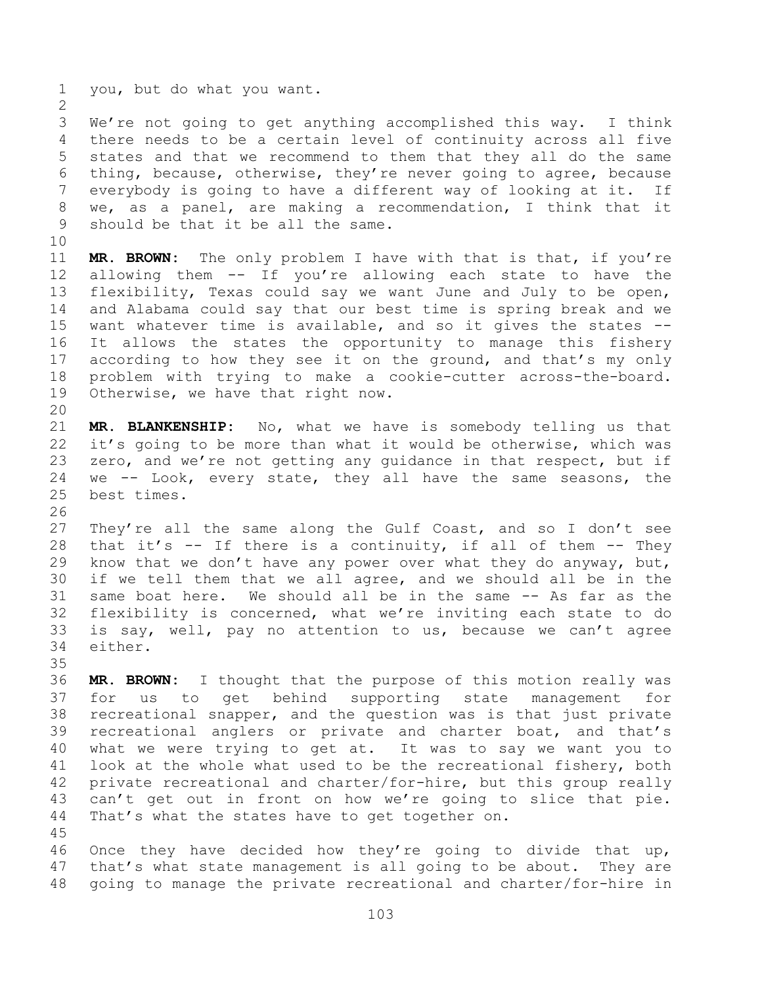you, but do what you want. We're not going to get anything accomplished this way. I think there needs to be a certain level of continuity across all five states and that we recommend to them that they all do the same thing, because, otherwise, they're never going to agree, because everybody is going to have a different way of looking at it. If we, as a panel, are making a recommendation, I think that it should be that it be all the same. **MR. BROWN:** The only problem I have with that is that, if you're allowing them -- If you're allowing each state to have the flexibility, Texas could say we want June and July to be open, and Alabama could say that our best time is spring break and we want whatever time is available, and so it gives the states -- It allows the states the opportunity to manage this fishery 17 according to how they see it on the ground, and that's my only problem with trying to make a cookie-cutter across-the-board. Otherwise, we have that right now.

 **MR. BLANKENSHIP:** No, what we have is somebody telling us that it's going to be more than what it would be otherwise, which was zero, and we're not getting any guidance in that respect, but if we -- Look, every state, they all have the same seasons, the best times.

 They're all the same along the Gulf Coast, and so I don't see that it's -- If there is a continuity, if all of them -- They know that we don't have any power over what they do anyway, but, if we tell them that we all agree, and we should all be in the same boat here. We should all be in the same -- As far as the flexibility is concerned, what we're inviting each state to do is say, well, pay no attention to us, because we can't agree either.

 **MR. BROWN:** I thought that the purpose of this motion really was for us to get behind supporting state management for recreational snapper, and the question was is that just private recreational anglers or private and charter boat, and that's what we were trying to get at. It was to say we want you to look at the whole what used to be the recreational fishery, both private recreational and charter/for-hire, but this group really can't get out in front on how we're going to slice that pie. That's what the states have to get together on. 

 Once they have decided how they're going to divide that up, that's what state management is all going to be about. They are going to manage the private recreational and charter/for-hire in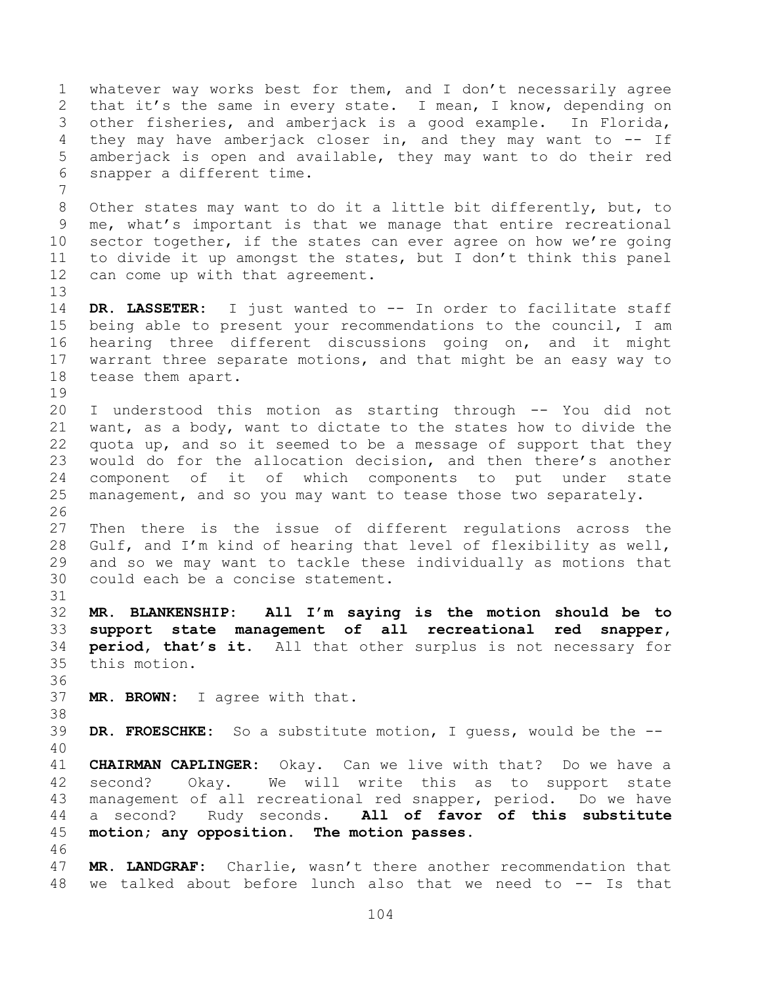whatever way works best for them, and I don't necessarily agree that it's the same in every state. I mean, I know, depending on other fisheries, and amberjack is a good example. In Florida, they may have amberjack closer in, and they may want to -- If amberjack is open and available, they may want to do their red snapper a different time. Other states may want to do it a little bit differently, but, to me, what's important is that we manage that entire recreational sector together, if the states can ever agree on how we're going to divide it up amongst the states, but I don't think this panel can come up with that agreement. **DR. LASSETER:** I just wanted to -- In order to facilitate staff being able to present your recommendations to the council, I am hearing three different discussions going on, and it might warrant three separate motions, and that might be an easy way to tease them apart. I understood this motion as starting through -- You did not want, as a body, want to dictate to the states how to divide the quota up, and so it seemed to be a message of support that they would do for the allocation decision, and then there's another component of it of which components to put under state management, and so you may want to tease those two separately. Then there is the issue of different regulations across the Gulf, and I'm kind of hearing that level of flexibility as well, and so we may want to tackle these individually as motions that could each be a concise statement. **MR. BLANKENSHIP: All I'm saying is the motion should be to support state management of all recreational red snapper, period, that's it.** All that other surplus is not necessary for this motion. **MR. BROWN:** I agree with that. **DR. FROESCHKE:** So a substitute motion, I guess, would be the -- **CHAIRMAN CAPLINGER:** Okay. Can we live with that? Do we have a second? Okay. We will write this as to support state management of all recreational red snapper, period. Do we have a second? Rudy seconds. **All of favor of this substitute motion; any opposition. The motion passes. MR. LANDGRAF:** Charlie, wasn't there another recommendation that we talked about before lunch also that we need to -- Is that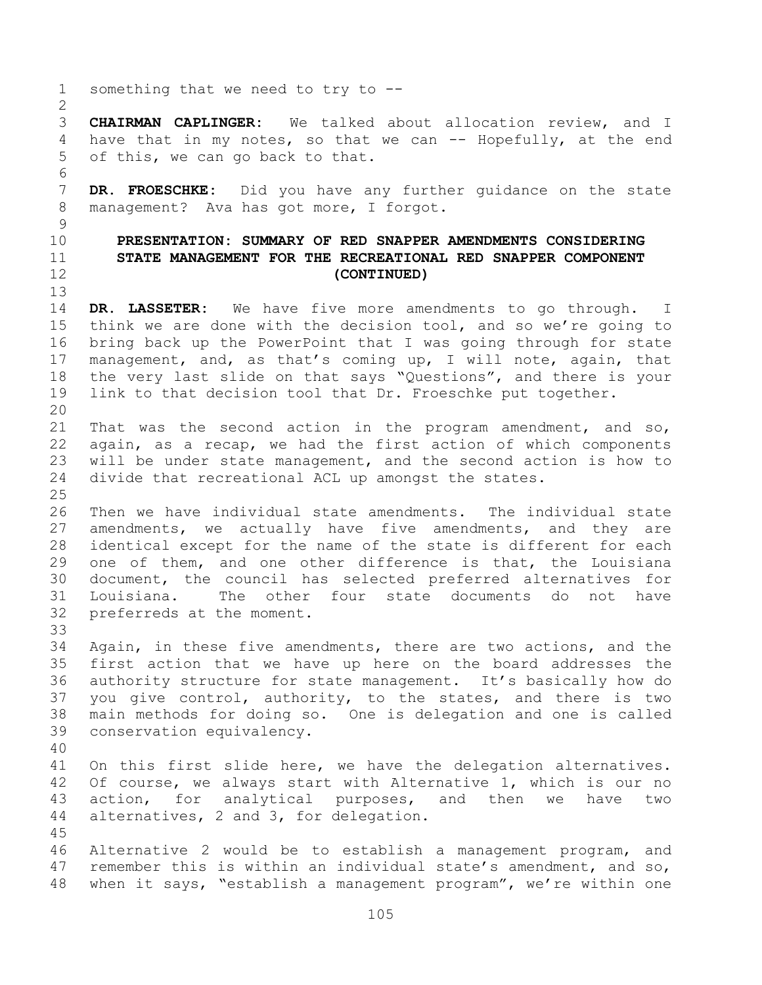something that we need to try to -- **CHAIRMAN CAPLINGER:** We talked about allocation review, and I 4 have that in my notes, so that we can -- Hopefully, at the end of this, we can go back to that. **DR. FROESCHKE:** Did you have any further guidance on the state management? Ava has got more, I forgot. **PRESENTATION: SUMMARY OF RED SNAPPER AMENDMENTS CONSIDERING STATE MANAGEMENT FOR THE RECREATIONAL RED SNAPPER COMPONENT (CONTINUED) DR. LASSETER:** We have five more amendments to go through. I think we are done with the decision tool, and so we're going to bring back up the PowerPoint that I was going through for state management, and, as that's coming up, I will note, again, that the very last slide on that says "Questions", and there is your link to that decision tool that Dr. Froeschke put together. That was the second action in the program amendment, and so, again, as a recap, we had the first action of which components will be under state management, and the second action is how to divide that recreational ACL up amongst the states. Then we have individual state amendments. The individual state amendments, we actually have five amendments, and they are identical except for the name of the state is different for each one of them, and one other difference is that, the Louisiana document, the council has selected preferred alternatives for Louisiana. The other four state documents do not have preferreds at the moment. Again, in these five amendments, there are two actions, and the first action that we have up here on the board addresses the authority structure for state management. It's basically how do you give control, authority, to the states, and there is two main methods for doing so. One is delegation and one is called conservation equivalency. On this first slide here, we have the delegation alternatives. Of course, we always start with Alternative 1, which is our no action, for analytical purposes, and then we have two alternatives, 2 and 3, for delegation. Alternative 2 would be to establish a management program, and remember this is within an individual state's amendment, and so, when it says, "establish a management program", we're within one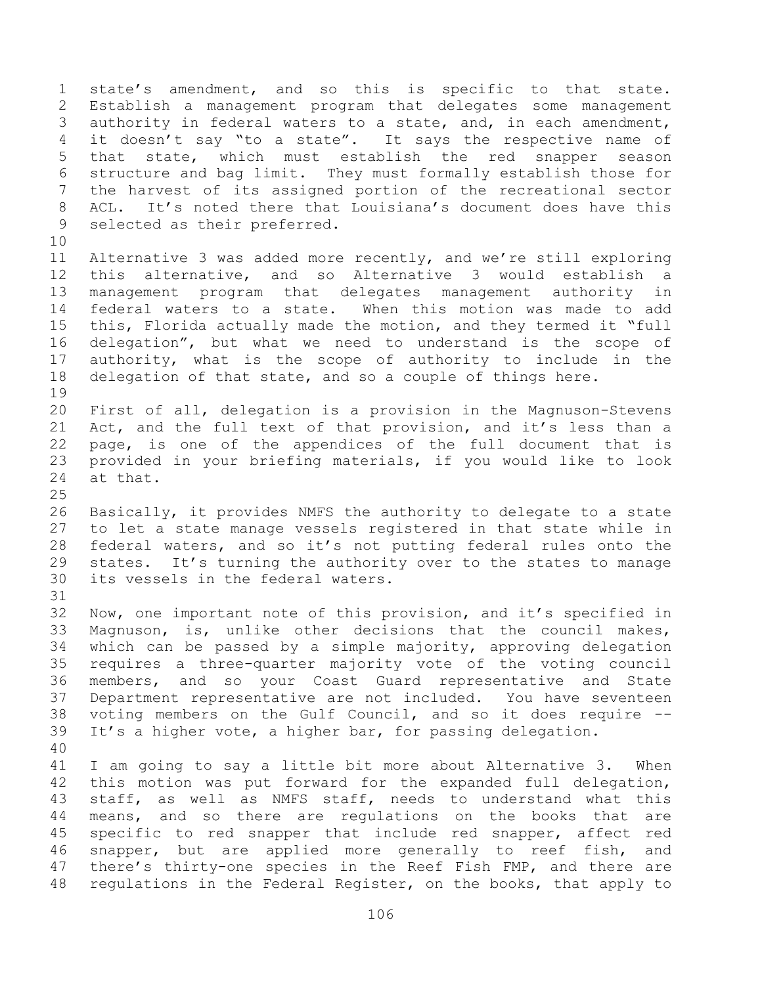state's amendment, and so this is specific to that state. Establish a management program that delegates some management authority in federal waters to a state, and, in each amendment, 4 it doesn't say "to a state". It says the respective name of that state, which must establish the red snapper season structure and bag limit. They must formally establish those for the harvest of its assigned portion of the recreational sector ACL. It's noted there that Louisiana's document does have this selected as their preferred. Alternative 3 was added more recently, and we're still exploring this alternative, and so Alternative 3 would establish a management program that delegates management authority in federal waters to a state. When this motion was made to add this, Florida actually made the motion, and they termed it "full delegation", but what we need to understand is the scope of authority, what is the scope of authority to include in the delegation of that state, and so a couple of things here. First of all, delegation is a provision in the Magnuson-Stevens Act, and the full text of that provision, and it's less than a page, is one of the appendices of the full document that is provided in your briefing materials, if you would like to look at that. Basically, it provides NMFS the authority to delegate to a state to let a state manage vessels registered in that state while in federal waters, and so it's not putting federal rules onto the states. It's turning the authority over to the states to manage its vessels in the federal waters. Now, one important note of this provision, and it's specified in Magnuson, is, unlike other decisions that the council makes, which can be passed by a simple majority, approving delegation requires a three-quarter majority vote of the voting council members, and so your Coast Guard representative and State Department representative are not included. You have seventeen voting members on the Gulf Council, and so it does require -- It's a higher vote, a higher bar, for passing delegation. I am going to say a little bit more about Alternative 3. When this motion was put forward for the expanded full delegation, staff, as well as NMFS staff, needs to understand what this means, and so there are regulations on the books that are specific to red snapper that include red snapper, affect red snapper, but are applied more generally to reef fish, and there's thirty-one species in the Reef Fish FMP, and there are regulations in the Federal Register, on the books, that apply to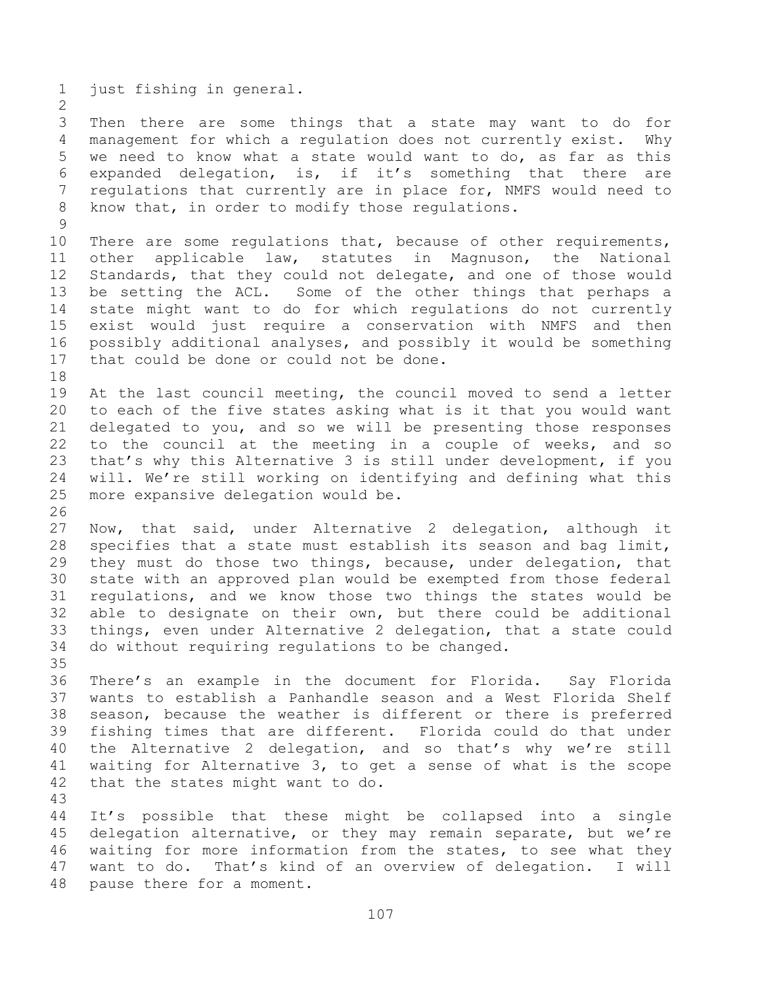just fishing in general.

 Then there are some things that a state may want to do for management for which a regulation does not currently exist. Why we need to know what a state would want to do, as far as this expanded delegation, is, if it's something that there are regulations that currently are in place for, NMFS would need to know that, in order to modify those regulations.

 There are some regulations that, because of other requirements, other applicable law, statutes in Magnuson, the National Standards, that they could not delegate, and one of those would be setting the ACL. Some of the other things that perhaps a state might want to do for which regulations do not currently exist would just require a conservation with NMFS and then possibly additional analyses, and possibly it would be something 17 that could be done or could not be done. 

 At the last council meeting, the council moved to send a letter to each of the five states asking what is it that you would want delegated to you, and so we will be presenting those responses to the council at the meeting in a couple of weeks, and so that's why this Alternative 3 is still under development, if you will. We're still working on identifying and defining what this more expansive delegation would be.

 Now, that said, under Alternative 2 delegation, although it specifies that a state must establish its season and bag limit, they must do those two things, because, under delegation, that state with an approved plan would be exempted from those federal regulations, and we know those two things the states would be able to designate on their own, but there could be additional things, even under Alternative 2 delegation, that a state could do without requiring regulations to be changed. 

 There's an example in the document for Florida. Say Florida wants to establish a Panhandle season and a West Florida Shelf season, because the weather is different or there is preferred fishing times that are different. Florida could do that under the Alternative 2 delegation, and so that's why we're still waiting for Alternative 3, to get a sense of what is the scope that the states might want to do.

 It's possible that these might be collapsed into a single delegation alternative, or they may remain separate, but we're waiting for more information from the states, to see what they want to do. That's kind of an overview of delegation. I will pause there for a moment.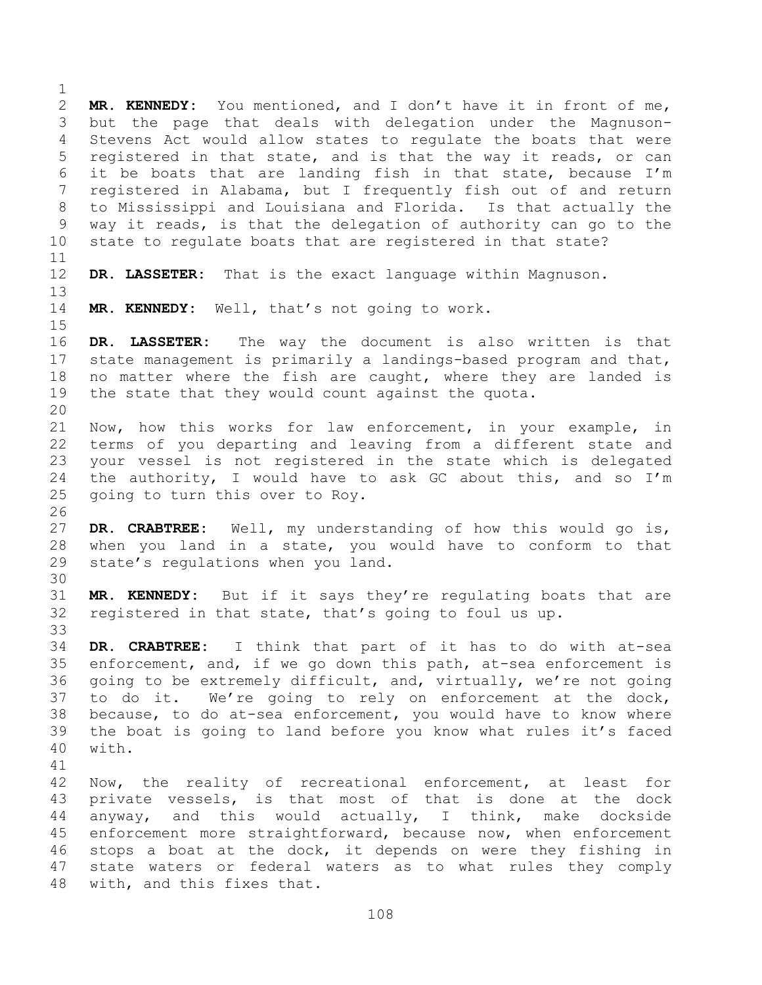**MR. KENNEDY:** You mentioned, and I don't have it in front of me, but the page that deals with delegation under the Magnuson- Stevens Act would allow states to regulate the boats that were registered in that state, and is that the way it reads, or can it be boats that are landing fish in that state, because I'm registered in Alabama, but I frequently fish out of and return to Mississippi and Louisiana and Florida. Is that actually the way it reads, is that the delegation of authority can go to the state to regulate boats that are registered in that state? **DR. LASSETER:** That is the exact language within Magnuson. **MR. KENNEDY:** Well, that's not going to work. **DR. LASSETER:** The way the document is also written is that state management is primarily a landings-based program and that, no matter where the fish are caught, where they are landed is the state that they would count against the quota. Now, how this works for law enforcement, in your example, in terms of you departing and leaving from a different state and your vessel is not registered in the state which is delegated the authority, I would have to ask GC about this, and so I'm going to turn this over to Roy. **DR. CRABTREE:** Well, my understanding of how this would go is, when you land in a state, you would have to conform to that state's regulations when you land. **MR. KENNEDY:** But if it says they're regulating boats that are registered in that state, that's going to foul us up. **DR. CRABTREE:** I think that part of it has to do with at-sea enforcement, and, if we go down this path, at-sea enforcement is going to be extremely difficult, and, virtually, we're not going to do it. We're going to rely on enforcement at the dock, because, to do at-sea enforcement, you would have to know where the boat is going to land before you know what rules it's faced with. Now, the reality of recreational enforcement, at least for private vessels, is that most of that is done at the dock anyway, and this would actually, I think, make dockside enforcement more straightforward, because now, when enforcement stops a boat at the dock, it depends on were they fishing in state waters or federal waters as to what rules they comply with, and this fixes that.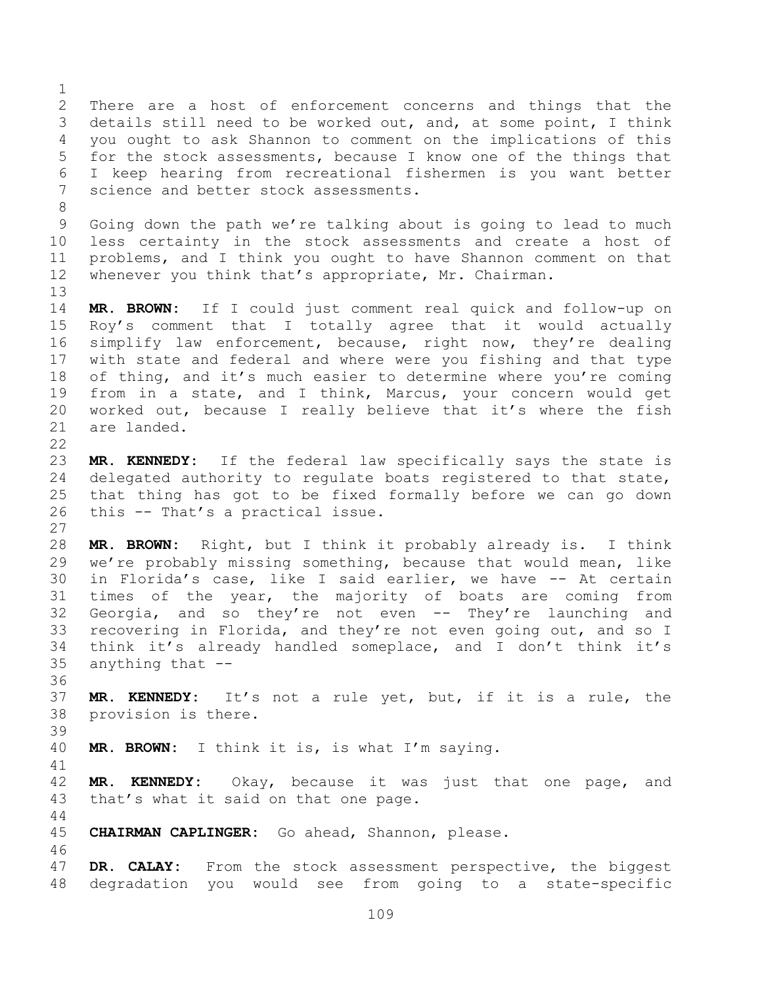There are a host of enforcement concerns and things that the details still need to be worked out, and, at some point, I think you ought to ask Shannon to comment on the implications of this for the stock assessments, because I know one of the things that I keep hearing from recreational fishermen is you want better science and better stock assessments. Going down the path we're talking about is going to lead to much less certainty in the stock assessments and create a host of problems, and I think you ought to have Shannon comment on that whenever you think that's appropriate, Mr. Chairman. **MR. BROWN:** If I could just comment real quick and follow-up on Roy's comment that I totally agree that it would actually simplify law enforcement, because, right now, they're dealing with state and federal and where were you fishing and that type 18 of thing, and it's much easier to determine where you're coming from in a state, and I think, Marcus, your concern would get worked out, because I really believe that it's where the fish are landed. **MR. KENNEDY:** If the federal law specifically says the state is delegated authority to regulate boats registered to that state, that thing has got to be fixed formally before we can go down this -- That's a practical issue. **MR. BROWN:** Right, but I think it probably already is. I think we're probably missing something, because that would mean, like in Florida's case, like I said earlier, we have -- At certain times of the year, the majority of boats are coming from Georgia, and so they're not even -- They're launching and recovering in Florida, and they're not even going out, and so I think it's already handled someplace, and I don't think it's anything that -- **MR. KENNEDY:** It's not a rule yet, but, if it is a rule, the provision is there. **MR. BROWN:** I think it is, is what I'm saying. **MR. KENNEDY:** Okay, because it was just that one page, and that's what it said on that one page. **CHAIRMAN CAPLINGER:** Go ahead, Shannon, please. **DR. CALAY:** From the stock assessment perspective, the biggest degradation you would see from going to a state-specific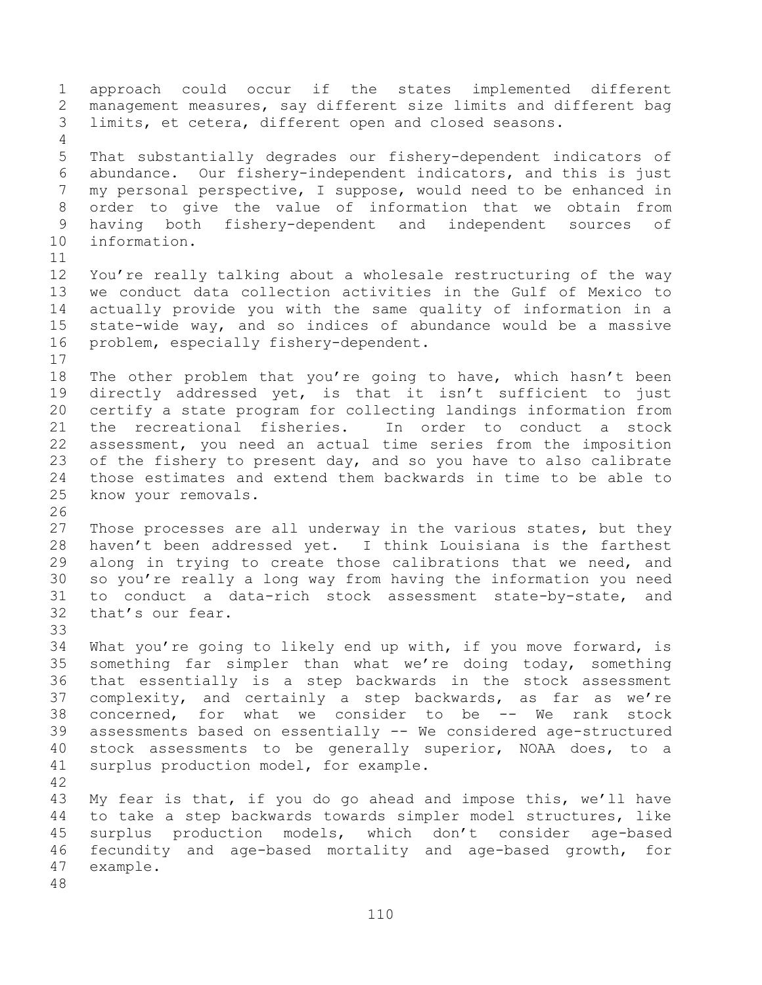approach could occur if the states implemented different management measures, say different size limits and different bag limits, et cetera, different open and closed seasons. That substantially degrades our fishery-dependent indicators of abundance. Our fishery-independent indicators, and this is just my personal perspective, I suppose, would need to be enhanced in order to give the value of information that we obtain from having both fishery-dependent and independent sources of information. You're really talking about a wholesale restructuring of the way we conduct data collection activities in the Gulf of Mexico to actually provide you with the same quality of information in a state-wide way, and so indices of abundance would be a massive problem, especially fishery-dependent. The other problem that you're going to have, which hasn't been directly addressed yet, is that it isn't sufficient to just certify a state program for collecting landings information from the recreational fisheries. In order to conduct a stock assessment, you need an actual time series from the imposition 23 of the fishery to present day, and so you have to also calibrate those estimates and extend them backwards in time to be able to know your removals. 27 Those processes are all underway in the various states, but they haven't been addressed yet. I think Louisiana is the farthest along in trying to create those calibrations that we need, and so you're really a long way from having the information you need to conduct a data-rich stock assessment state-by-state, and that's our fear. What you're going to likely end up with, if you move forward, is something far simpler than what we're doing today, something that essentially is a step backwards in the stock assessment complexity, and certainly a step backwards, as far as we're concerned, for what we consider to be -- We rank stock assessments based on essentially -- We considered age-structured stock assessments to be generally superior, NOAA does, to a surplus production model, for example. My fear is that, if you do go ahead and impose this, we'll have to take a step backwards towards simpler model structures, like surplus production models, which don't consider age-based fecundity and age-based mortality and age-based growth, for example.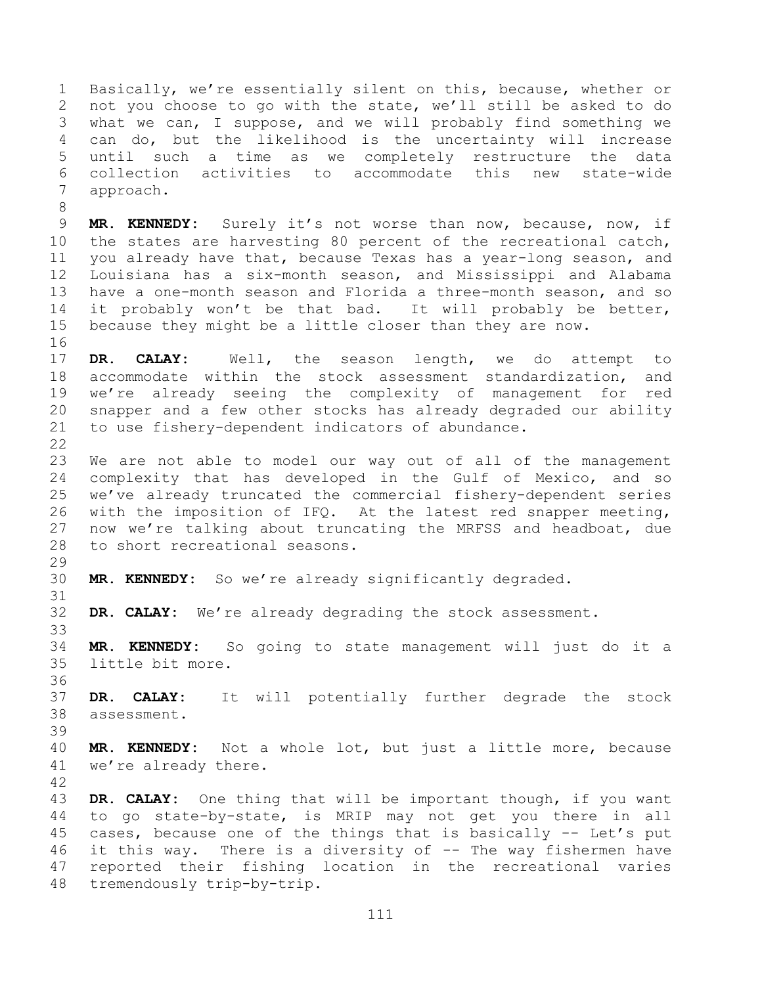Basically, we're essentially silent on this, because, whether or not you choose to go with the state, we'll still be asked to do what we can, I suppose, and we will probably find something we can do, but the likelihood is the uncertainty will increase until such a time as we completely restructure the data collection activities to accommodate this new state-wide approach.

 **MR. KENNEDY:** Surely it's not worse than now, because, now, if the states are harvesting 80 percent of the recreational catch, you already have that, because Texas has a year-long season, and Louisiana has a six-month season, and Mississippi and Alabama have a one-month season and Florida a three-month season, and so it probably won't be that bad. It will probably be better, because they might be a little closer than they are now.

 **DR. CALAY:** Well, the season length, we do attempt to accommodate within the stock assessment standardization, and we're already seeing the complexity of management for red snapper and a few other stocks has already degraded our ability to use fishery-dependent indicators of abundance.

 We are not able to model our way out of all of the management complexity that has developed in the Gulf of Mexico, and so we've already truncated the commercial fishery-dependent series with the imposition of IFQ. At the latest red snapper meeting, now we're talking about truncating the MRFSS and headboat, due to short recreational seasons.

**MR. KENNEDY:** So we're already significantly degraded.

**DR. CALAY:** We're already degrading the stock assessment.

 **MR. KENNEDY:** So going to state management will just do it a little bit more.

 **DR. CALAY:** It will potentially further degrade the stock assessment.

 **MR. KENNEDY:** Not a whole lot, but just a little more, because we're already there. 

 **DR. CALAY:** One thing that will be important though, if you want to go state-by-state, is MRIP may not get you there in all cases, because one of the things that is basically -- Let's put it this way. There is a diversity of -- The way fishermen have reported their fishing location in the recreational varies tremendously trip-by-trip.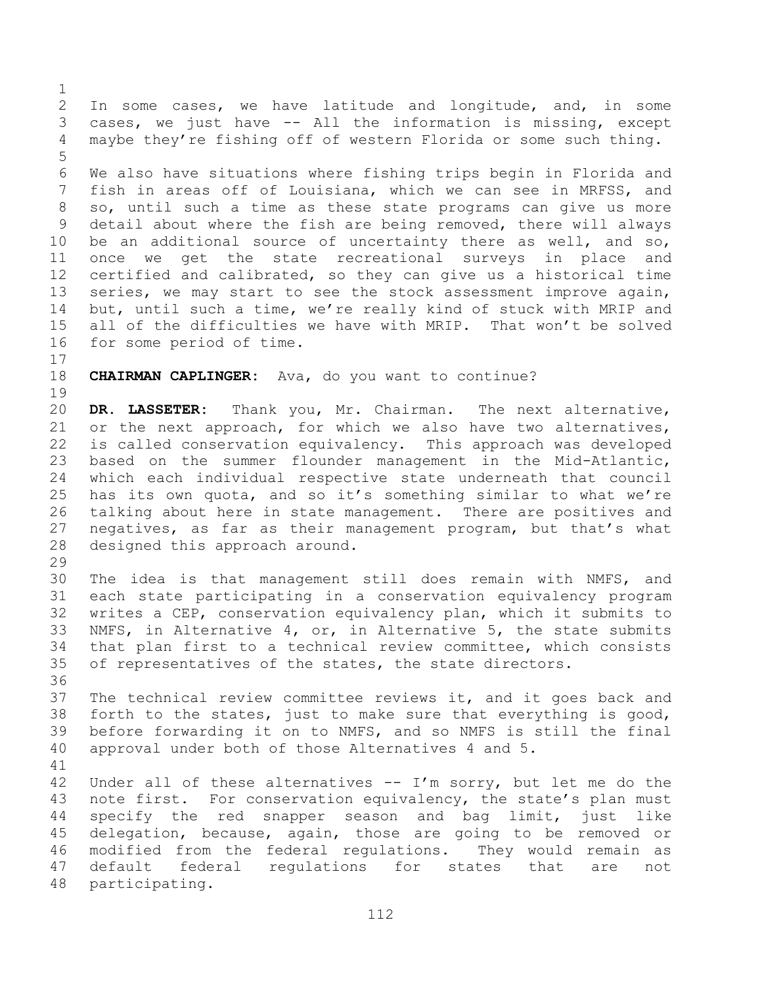In some cases, we have latitude and longitude, and, in some cases, we just have -- All the information is missing, except maybe they're fishing off of western Florida or some such thing. We also have situations where fishing trips begin in Florida and fish in areas off of Louisiana, which we can see in MRFSS, and so, until such a time as these state programs can give us more detail about where the fish are being removed, there will always be an additional source of uncertainty there as well, and so, once we get the state recreational surveys in place and certified and calibrated, so they can give us a historical time series, we may start to see the stock assessment improve again, but, until such a time, we're really kind of stuck with MRIP and all of the difficulties we have with MRIP. That won't be solved

for some period of time.

**CHAIRMAN CAPLINGER:** Ava, do you want to continue?

 **DR. LASSETER:** Thank you, Mr. Chairman. The next alternative, or the next approach, for which we also have two alternatives, is called conservation equivalency. This approach was developed based on the summer flounder management in the Mid-Atlantic, which each individual respective state underneath that council has its own quota, and so it's something similar to what we're talking about here in state management. There are positives and negatives, as far as their management program, but that's what designed this approach around.

 The idea is that management still does remain with NMFS, and each state participating in a conservation equivalency program writes a CEP, conservation equivalency plan, which it submits to NMFS, in Alternative 4, or, in Alternative 5, the state submits that plan first to a technical review committee, which consists of representatives of the states, the state directors.

 The technical review committee reviews it, and it goes back and forth to the states, just to make sure that everything is good, before forwarding it on to NMFS, and so NMFS is still the final approval under both of those Alternatives 4 and 5.

 Under all of these alternatives -- I'm sorry, but let me do the 43 note first. For conservation equivalency, the state's plan must specify the red snapper season and bag limit, just like delegation, because, again, those are going to be removed or modified from the federal regulations. They would remain as default federal regulations for states that are not participating.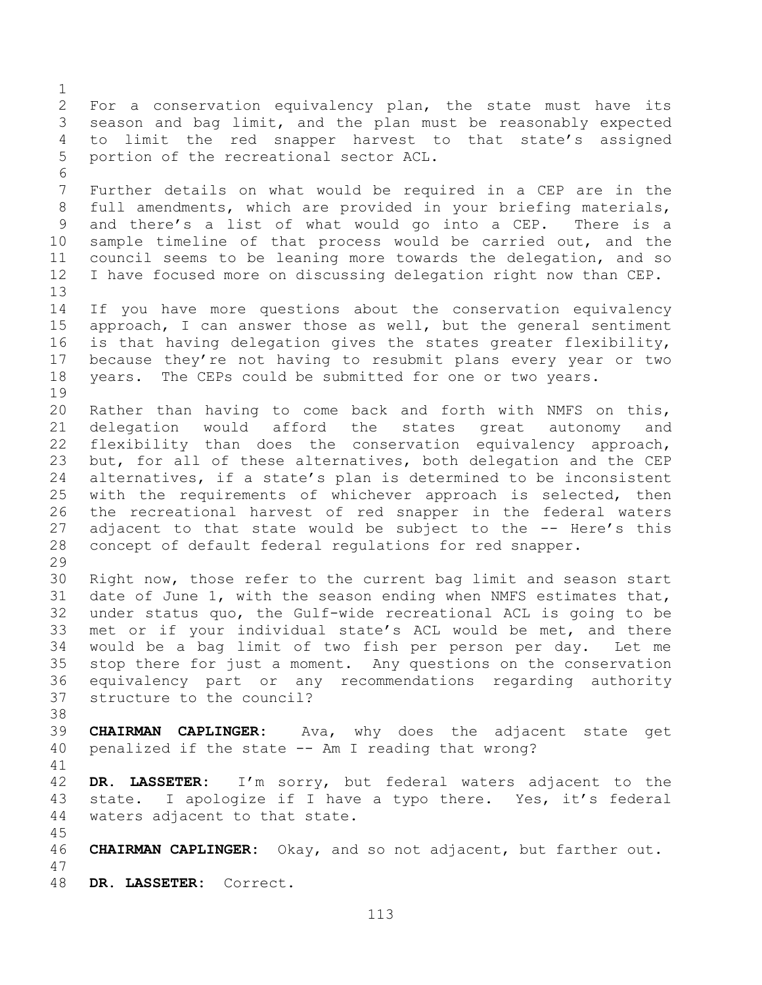For a conservation equivalency plan, the state must have its season and bag limit, and the plan must be reasonably expected to limit the red snapper harvest to that state's assigned portion of the recreational sector ACL. Further details on what would be required in a CEP are in the full amendments, which are provided in your briefing materials, and there's a list of what would go into a CEP. There is a sample timeline of that process would be carried out, and the council seems to be leaning more towards the delegation, and so I have focused more on discussing delegation right now than CEP. If you have more questions about the conservation equivalency approach, I can answer those as well, but the general sentiment is that having delegation gives the states greater flexibility, because they're not having to resubmit plans every year or two years. The CEPs could be submitted for one or two years. Rather than having to come back and forth with NMFS on this, delegation would afford the states great autonomy and flexibility than does the conservation equivalency approach, but, for all of these alternatives, both delegation and the CEP alternatives, if a state's plan is determined to be inconsistent with the requirements of whichever approach is selected, then the recreational harvest of red snapper in the federal waters 27 adjacent to that state would be subject to the -- Here's this concept of default federal regulations for red snapper. Right now, those refer to the current bag limit and season start date of June 1, with the season ending when NMFS estimates that, under status quo, the Gulf-wide recreational ACL is going to be met or if your individual state's ACL would be met, and there would be a bag limit of two fish per person per day. Let me stop there for just a moment. Any questions on the conservation equivalency part or any recommendations regarding authority structure to the council? **CHAIRMAN CAPLINGER:** Ava, why does the adjacent state get penalized if the state -- Am I reading that wrong? **DR. LASSETER:** I'm sorry, but federal waters adjacent to the 43 state. I apologize if I have a typo there. Yes, it's federal waters adjacent to that state. **CHAIRMAN CAPLINGER:** Okay, and so not adjacent, but farther out. **DR. LASSETER:** Correct.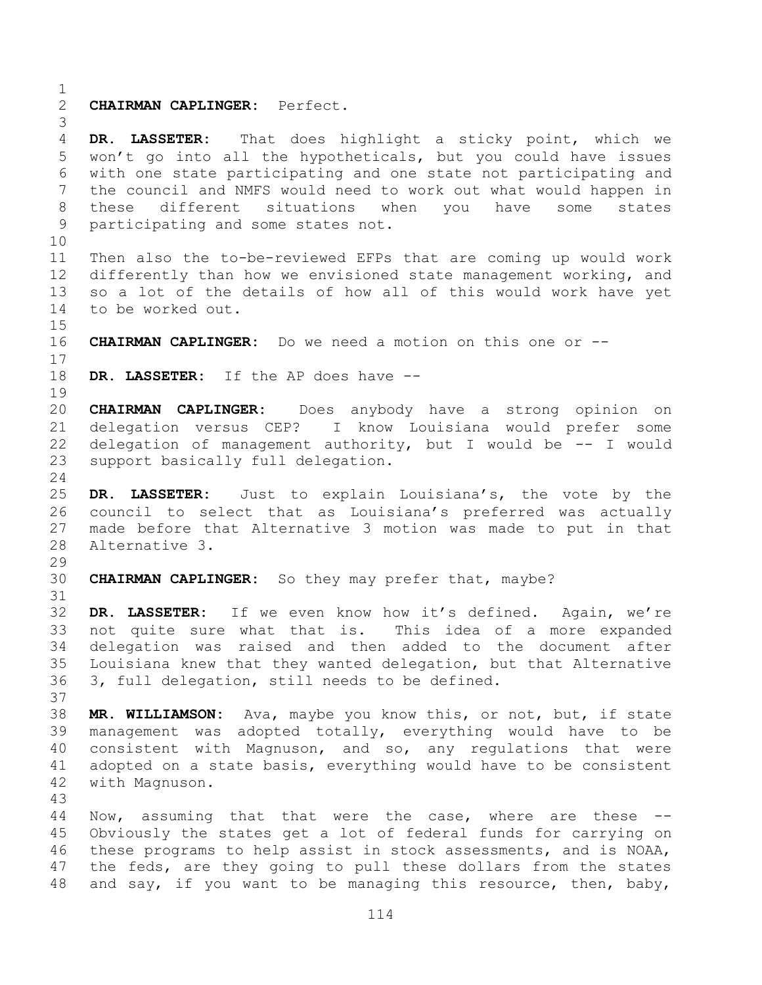**CHAIRMAN CAPLINGER:** Perfect. **DR. LASSETER:** That does highlight a sticky point, which we won't go into all the hypotheticals, but you could have issues with one state participating and one state not participating and the council and NMFS would need to work out what would happen in these different situations when you have some states participating and some states not. Then also the to-be-reviewed EFPs that are coming up would work differently than how we envisioned state management working, and so a lot of the details of how all of this would work have yet to be worked out. **CHAIRMAN CAPLINGER:** Do we need a motion on this one or -- **DR. LASSETER:** If the AP does have -- **CHAIRMAN CAPLINGER:** Does anybody have a strong opinion on delegation versus CEP? I know Louisiana would prefer some delegation of management authority, but I would be -- I would support basically full delegation. **DR. LASSETER:** Just to explain Louisiana's, the vote by the council to select that as Louisiana's preferred was actually made before that Alternative 3 motion was made to put in that Alternative 3. **CHAIRMAN CAPLINGER:** So they may prefer that, maybe? **DR. LASSETER:** If we even know how it's defined. Again, we're not quite sure what that is. This idea of a more expanded delegation was raised and then added to the document after Louisiana knew that they wanted delegation, but that Alternative 3, full delegation, still needs to be defined. **MR. WILLIAMSON:** Ava, maybe you know this, or not, but, if state management was adopted totally, everything would have to be consistent with Magnuson, and so, any regulations that were adopted on a state basis, everything would have to be consistent with Magnuson. Now, assuming that that were the case, where are these -- Obviously the states get a lot of federal funds for carrying on these programs to help assist in stock assessments, and is NOAA, the feds, are they going to pull these dollars from the states

and say, if you want to be managing this resource, then, baby,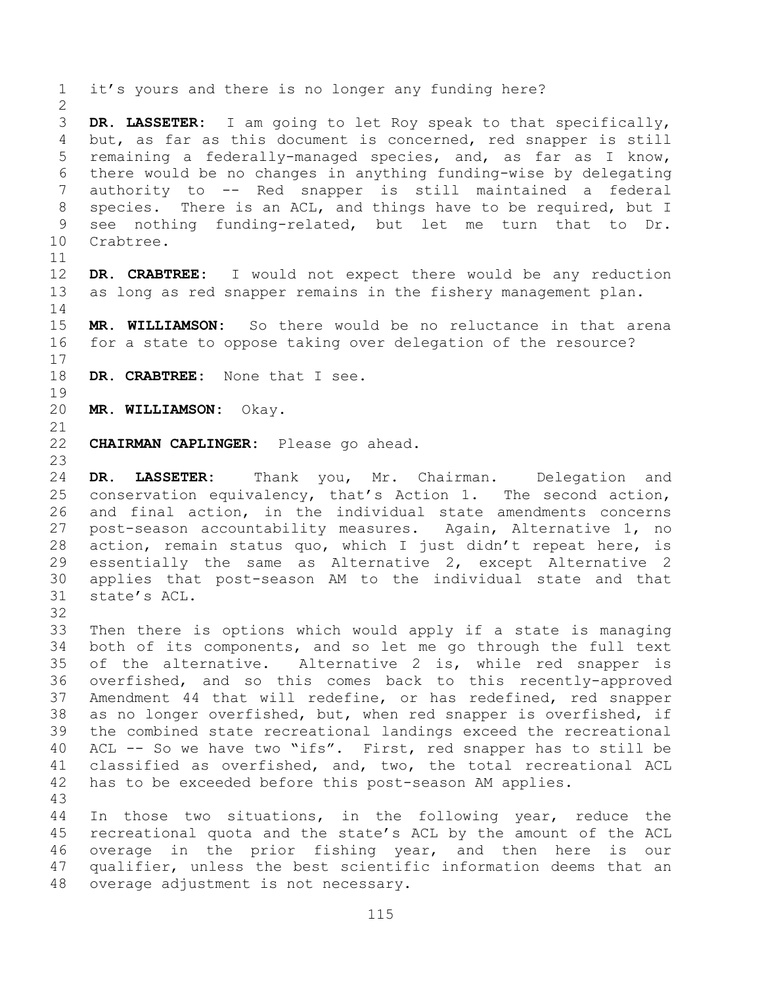**DR. LASSETER:** I am going to let Roy speak to that specifically, but, as far as this document is concerned, red snapper is still remaining a federally-managed species, and, as far as I know, there would be no changes in anything funding-wise by delegating authority to -- Red snapper is still maintained a federal species. There is an ACL, and things have to be required, but I see nothing funding-related, but let me turn that to Dr. Crabtree.

it's yours and there is no longer any funding here?

 **DR. CRABTREE:** I would not expect there would be any reduction as long as red snapper remains in the fishery management plan.

 **MR. WILLIAMSON:** So there would be no reluctance in that arena for a state to oppose taking over delegation of the resource?

**DR. CRABTREE:** None that I see.

**MR. WILLIAMSON:** Okay.

- **CHAIRMAN CAPLINGER:** Please go ahead.
- 

 **DR. LASSETER:** Thank you, Mr. Chairman. Delegation and conservation equivalency, that's Action 1. The second action, and final action, in the individual state amendments concerns post-season accountability measures. Again, Alternative 1, no action, remain status quo, which I just didn't repeat here, is essentially the same as Alternative 2, except Alternative 2 applies that post-season AM to the individual state and that state's ACL.

 Then there is options which would apply if a state is managing both of its components, and so let me go through the full text of the alternative. Alternative 2 is, while red snapper is overfished, and so this comes back to this recently-approved Amendment 44 that will redefine, or has redefined, red snapper as no longer overfished, but, when red snapper is overfished, if the combined state recreational landings exceed the recreational ACL -- So we have two "ifs". First, red snapper has to still be classified as overfished, and, two, the total recreational ACL has to be exceeded before this post-season AM applies. 

 In those two situations, in the following year, reduce the recreational quota and the state's ACL by the amount of the ACL overage in the prior fishing year, and then here is our qualifier, unless the best scientific information deems that an overage adjustment is not necessary.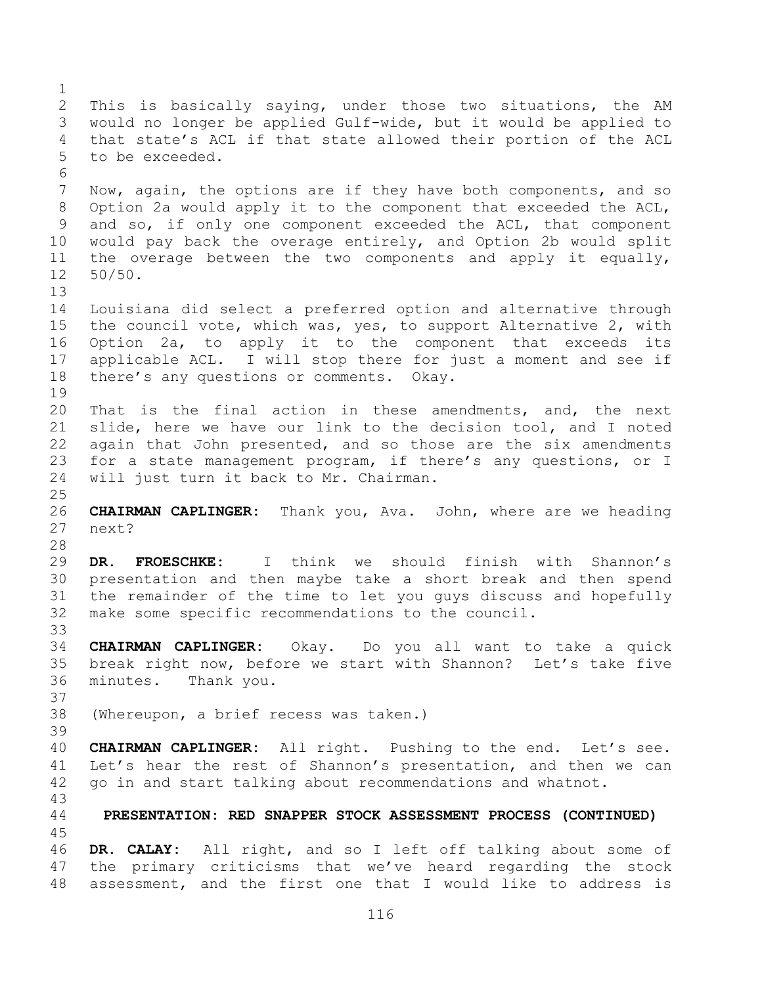This is basically saying, under those two situations, the AM would no longer be applied Gulf-wide, but it would be applied to that state's ACL if that state allowed their portion of the ACL to be exceeded. Now, again, the options are if they have both components, and so Option 2a would apply it to the component that exceeded the ACL, and so, if only one component exceeded the ACL, that component would pay back the overage entirely, and Option 2b would split the overage between the two components and apply it equally, 50/50. Louisiana did select a preferred option and alternative through the council vote, which was, yes, to support Alternative 2, with Option 2a, to apply it to the component that exceeds its applicable ACL. I will stop there for just a moment and see if there's any questions or comments. Okay. That is the final action in these amendments, and, the next slide, here we have our link to the decision tool, and I noted again that John presented, and so those are the six amendments for a state management program, if there's any questions, or I will just turn it back to Mr. Chairman. **CHAIRMAN CAPLINGER:** Thank you, Ava. John, where are we heading next? **DR. FROESCHKE:** I think we should finish with Shannon's presentation and then maybe take a short break and then spend the remainder of the time to let you guys discuss and hopefully make some specific recommendations to the council. **CHAIRMAN CAPLINGER:** Okay. Do you all want to take a quick break right now, before we start with Shannon? Let's take five minutes. Thank you. (Whereupon, a brief recess was taken.) **CHAIRMAN CAPLINGER:** All right. Pushing to the end. Let's see. Let's hear the rest of Shannon's presentation, and then we can go in and start talking about recommendations and whatnot. **PRESENTATION: RED SNAPPER STOCK ASSESSMENT PROCESS (CONTINUED) DR. CALAY:** All right, and so I left off talking about some of the primary criticisms that we've heard regarding the stock assessment, and the first one that I would like to address is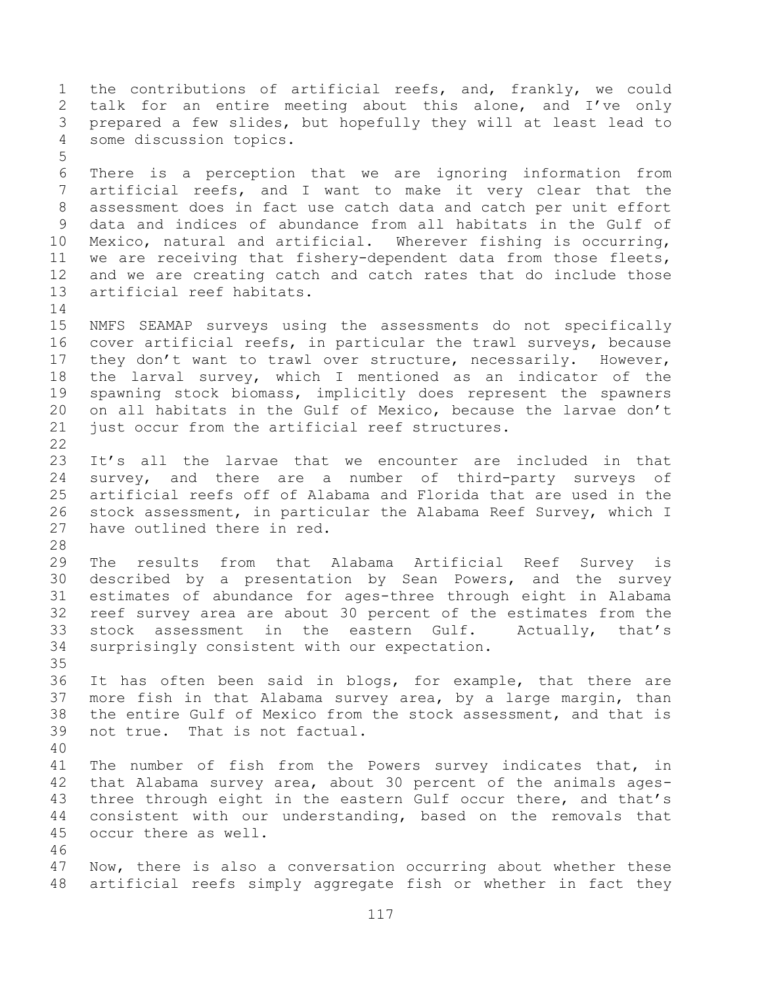the contributions of artificial reefs, and, frankly, we could talk for an entire meeting about this alone, and I've only prepared a few slides, but hopefully they will at least lead to some discussion topics. There is a perception that we are ignoring information from artificial reefs, and I want to make it very clear that the assessment does in fact use catch data and catch per unit effort data and indices of abundance from all habitats in the Gulf of Mexico, natural and artificial. Wherever fishing is occurring, we are receiving that fishery-dependent data from those fleets, and we are creating catch and catch rates that do include those artificial reef habitats. NMFS SEAMAP surveys using the assessments do not specifically cover artificial reefs, in particular the trawl surveys, because they don't want to trawl over structure, necessarily. However, the larval survey, which I mentioned as an indicator of the spawning stock biomass, implicitly does represent the spawners on all habitats in the Gulf of Mexico, because the larvae don't just occur from the artificial reef structures. It's all the larvae that we encounter are included in that survey, and there are a number of third-party surveys of artificial reefs off of Alabama and Florida that are used in the stock assessment, in particular the Alabama Reef Survey, which I have outlined there in red. The results from that Alabama Artificial Reef Survey is described by a presentation by Sean Powers, and the survey estimates of abundance for ages-three through eight in Alabama reef survey area are about 30 percent of the estimates from the stock assessment in the eastern Gulf. Actually, that's surprisingly consistent with our expectation. It has often been said in blogs, for example, that there are more fish in that Alabama survey area, by a large margin, than the entire Gulf of Mexico from the stock assessment, and that is not true. That is not factual. The number of fish from the Powers survey indicates that, in that Alabama survey area, about 30 percent of the animals ages-43 three through eight in the eastern Gulf occur there, and that's consistent with our understanding, based on the removals that occur there as well. Now, there is also a conversation occurring about whether these artificial reefs simply aggregate fish or whether in fact they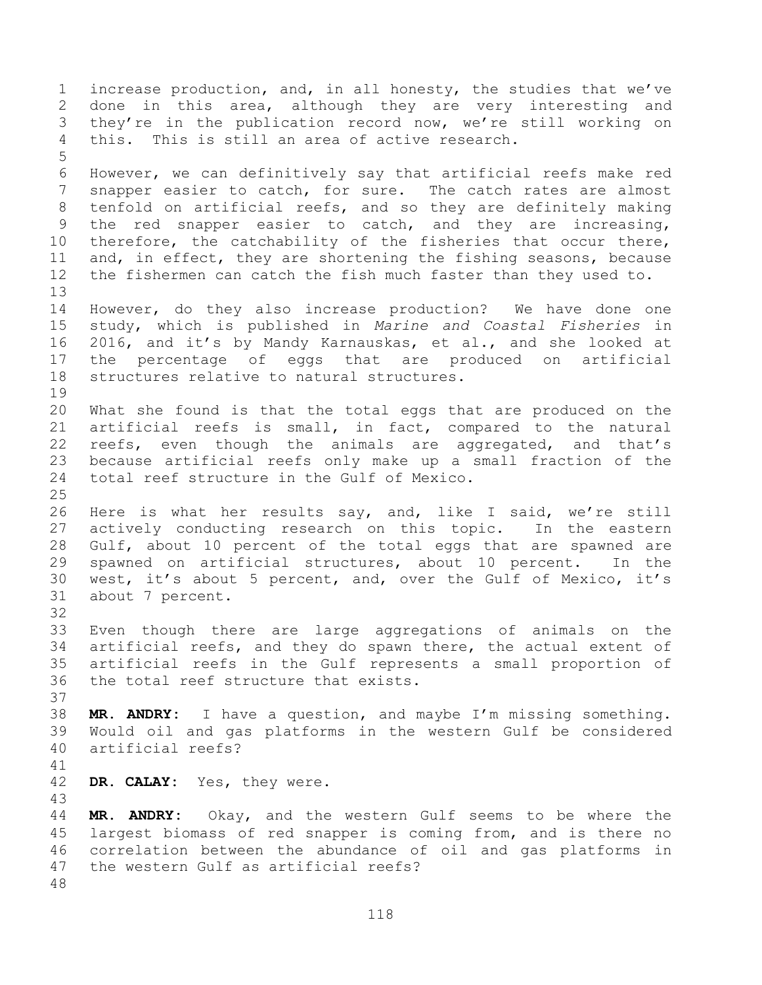increase production, and, in all honesty, the studies that we've done in this area, although they are very interesting and they're in the publication record now, we're still working on this. This is still an area of active research. However, we can definitively say that artificial reefs make red snapper easier to catch, for sure. The catch rates are almost tenfold on artificial reefs, and so they are definitely making the red snapper easier to catch, and they are increasing, therefore, the catchability of the fisheries that occur there, and, in effect, they are shortening the fishing seasons, because the fishermen can catch the fish much faster than they used to. However, do they also increase production? We have done one study, which is published in *Marine and Coastal Fisheries* in 2016, and it's by Mandy Karnauskas, et al., and she looked at the percentage of eggs that are produced on artificial structures relative to natural structures. What she found is that the total eggs that are produced on the artificial reefs is small, in fact, compared to the natural reefs, even though the animals are aggregated, and that's because artificial reefs only make up a small fraction of the total reef structure in the Gulf of Mexico. Here is what her results say, and, like I said, we're still actively conducting research on this topic. In the eastern Gulf, about 10 percent of the total eggs that are spawned are spawned on artificial structures, about 10 percent. In the west, it's about 5 percent, and, over the Gulf of Mexico, it's about 7 percent. Even though there are large aggregations of animals on the artificial reefs, and they do spawn there, the actual extent of artificial reefs in the Gulf represents a small proportion of the total reef structure that exists. **MR. ANDRY:** I have a question, and maybe I'm missing something. Would oil and gas platforms in the western Gulf be considered artificial reefs? **DR. CALAY:** Yes, they were. **MR. ANDRY:** Okay, and the western Gulf seems to be where the largest biomass of red snapper is coming from, and is there no correlation between the abundance of oil and gas platforms in the western Gulf as artificial reefs?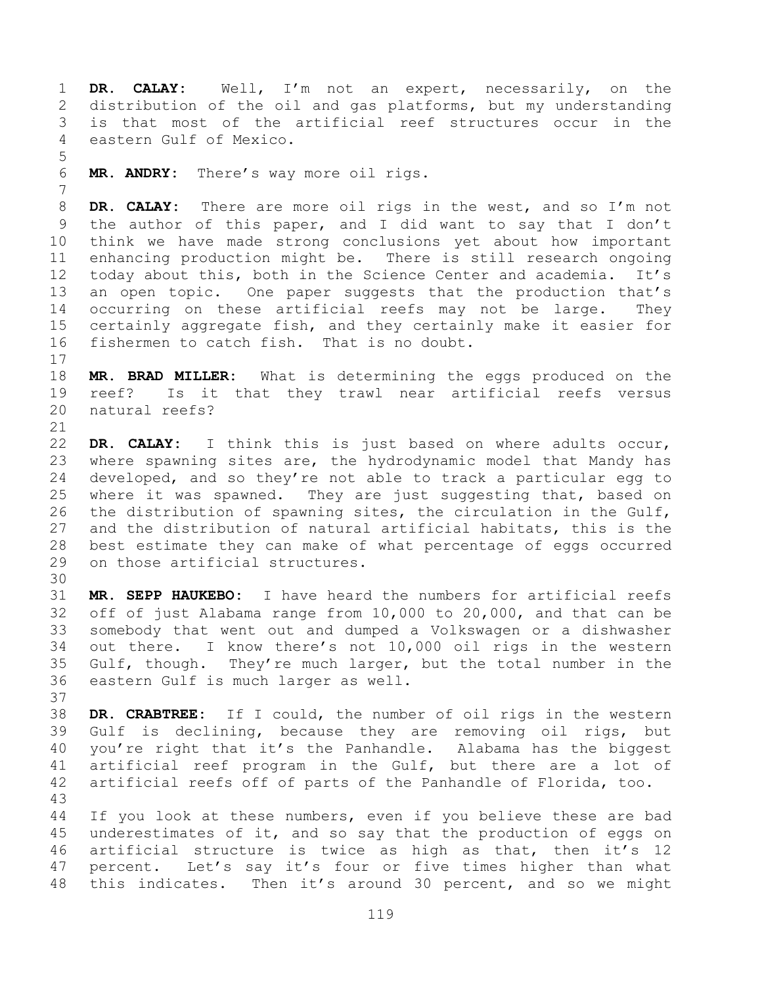**DR. CALAY:** Well, I'm not an expert, necessarily, on the distribution of the oil and gas platforms, but my understanding is that most of the artificial reef structures occur in the eastern Gulf of Mexico.

**MR. ANDRY:** There's way more oil rigs.

 **DR. CALAY:** There are more oil rigs in the west, and so I'm not the author of this paper, and I did want to say that I don't think we have made strong conclusions yet about how important enhancing production might be. There is still research ongoing 12 today about this, both in the Science Center and academia. It's an open topic. One paper suggests that the production that's occurring on these artificial reefs may not be large. They certainly aggregate fish, and they certainly make it easier for fishermen to catch fish. That is no doubt.

 **MR. BRAD MILLER:** What is determining the eggs produced on the reef? Is it that they trawl near artificial reefs versus natural reefs?

 **DR. CALAY:** I think this is just based on where adults occur, where spawning sites are, the hydrodynamic model that Mandy has developed, and so they're not able to track a particular egg to where it was spawned. They are just suggesting that, based on the distribution of spawning sites, the circulation in the Gulf, and the distribution of natural artificial habitats, this is the best estimate they can make of what percentage of eggs occurred on those artificial structures.

 **MR. SEPP HAUKEBO:** I have heard the numbers for artificial reefs off of just Alabama range from 10,000 to 20,000, and that can be somebody that went out and dumped a Volkswagen or a dishwasher out there. I know there's not 10,000 oil rigs in the western Gulf, though. They're much larger, but the total number in the eastern Gulf is much larger as well.

 **DR. CRABTREE:** If I could, the number of oil rigs in the western Gulf is declining, because they are removing oil rigs, but you're right that it's the Panhandle. Alabama has the biggest artificial reef program in the Gulf, but there are a lot of artificial reefs off of parts of the Panhandle of Florida, too. 

 If you look at these numbers, even if you believe these are bad underestimates of it, and so say that the production of eggs on artificial structure is twice as high as that, then it's 12 percent. Let's say it's four or five times higher than what this indicates. Then it's around 30 percent, and so we might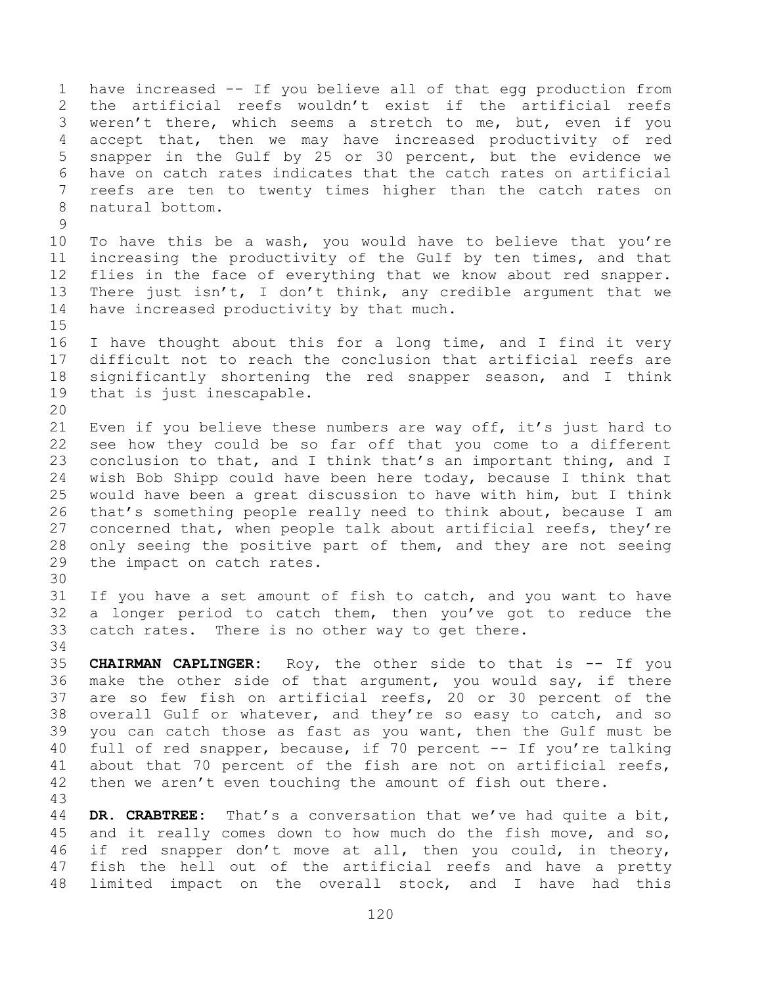have increased -- If you believe all of that egg production from the artificial reefs wouldn't exist if the artificial reefs weren't there, which seems a stretch to me, but, even if you accept that, then we may have increased productivity of red snapper in the Gulf by 25 or 30 percent, but the evidence we have on catch rates indicates that the catch rates on artificial reefs are ten to twenty times higher than the catch rates on natural bottom. To have this be a wash, you would have to believe that you're increasing the productivity of the Gulf by ten times, and that flies in the face of everything that we know about red snapper. There just isn't, I don't think, any credible argument that we have increased productivity by that much. I have thought about this for a long time, and I find it very difficult not to reach the conclusion that artificial reefs are significantly shortening the red snapper season, and I think that is just inescapable. Even if you believe these numbers are way off, it's just hard to see how they could be so far off that you come to a different conclusion to that, and I think that's an important thing, and I wish Bob Shipp could have been here today, because I think that would have been a great discussion to have with him, but I think that's something people really need to think about, because I am concerned that, when people talk about artificial reefs, they're only seeing the positive part of them, and they are not seeing the impact on catch rates. If you have a set amount of fish to catch, and you want to have a longer period to catch them, then you've got to reduce the catch rates. There is no other way to get there. **CHAIRMAN CAPLINGER:** Roy, the other side to that is -- If you make the other side of that argument, you would say, if there are so few fish on artificial reefs, 20 or 30 percent of the overall Gulf or whatever, and they're so easy to catch, and so you can catch those as fast as you want, then the Gulf must be full of red snapper, because, if 70 percent -- If you're talking about that 70 percent of the fish are not on artificial reefs, 42 then we aren't even touching the amount of fish out there. **DR. CRABTREE:** That's a conversation that we've had quite a bit, and it really comes down to how much do the fish move, and so, if red snapper don't move at all, then you could, in theory, fish the hell out of the artificial reefs and have a pretty

limited impact on the overall stock, and I have had this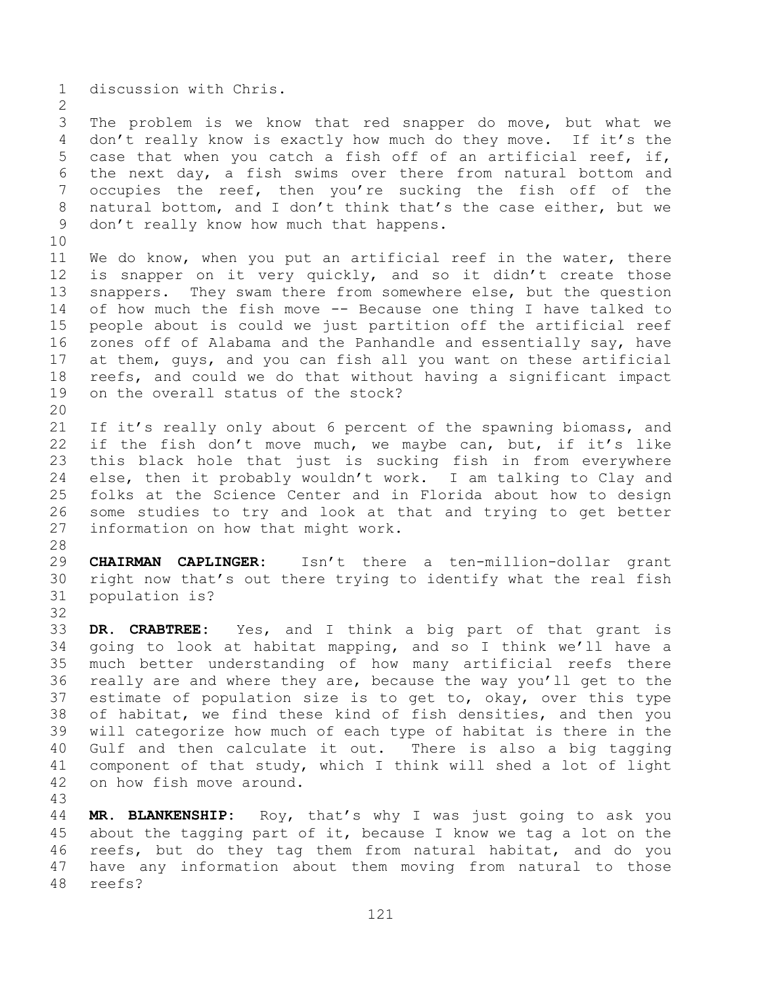discussion with Chris.

 The problem is we know that red snapper do move, but what we don't really know is exactly how much do they move. If it's the case that when you catch a fish off of an artificial reef, if, the next day, a fish swims over there from natural bottom and occupies the reef, then you're sucking the fish off of the natural bottom, and I don't think that's the case either, but we don't really know how much that happens.

 We do know, when you put an artificial reef in the water, there is snapper on it very quickly, and so it didn't create those snappers. They swam there from somewhere else, but the question of how much the fish move -- Because one thing I have talked to people about is could we just partition off the artificial reef zones off of Alabama and the Panhandle and essentially say, have at them, guys, and you can fish all you want on these artificial reefs, and could we do that without having a significant impact on the overall status of the stock? 

21 If it's really only about 6 percent of the spawning biomass, and if the fish don't move much, we maybe can, but, if it's like this black hole that just is sucking fish in from everywhere else, then it probably wouldn't work. I am talking to Clay and folks at the Science Center and in Florida about how to design some studies to try and look at that and trying to get better information on how that might work.

 **CHAIRMAN CAPLINGER:** Isn't there a ten-million-dollar grant right now that's out there trying to identify what the real fish population is? 

 **DR. CRABTREE:** Yes, and I think a big part of that grant is going to look at habitat mapping, and so I think we'll have a much better understanding of how many artificial reefs there really are and where they are, because the way you'll get to the estimate of population size is to get to, okay, over this type of habitat, we find these kind of fish densities, and then you will categorize how much of each type of habitat is there in the Gulf and then calculate it out. There is also a big tagging component of that study, which I think will shed a lot of light on how fish move around.

 **MR. BLANKENSHIP:** Roy, that's why I was just going to ask you about the tagging part of it, because I know we tag a lot on the reefs, but do they tag them from natural habitat, and do you have any information about them moving from natural to those reefs?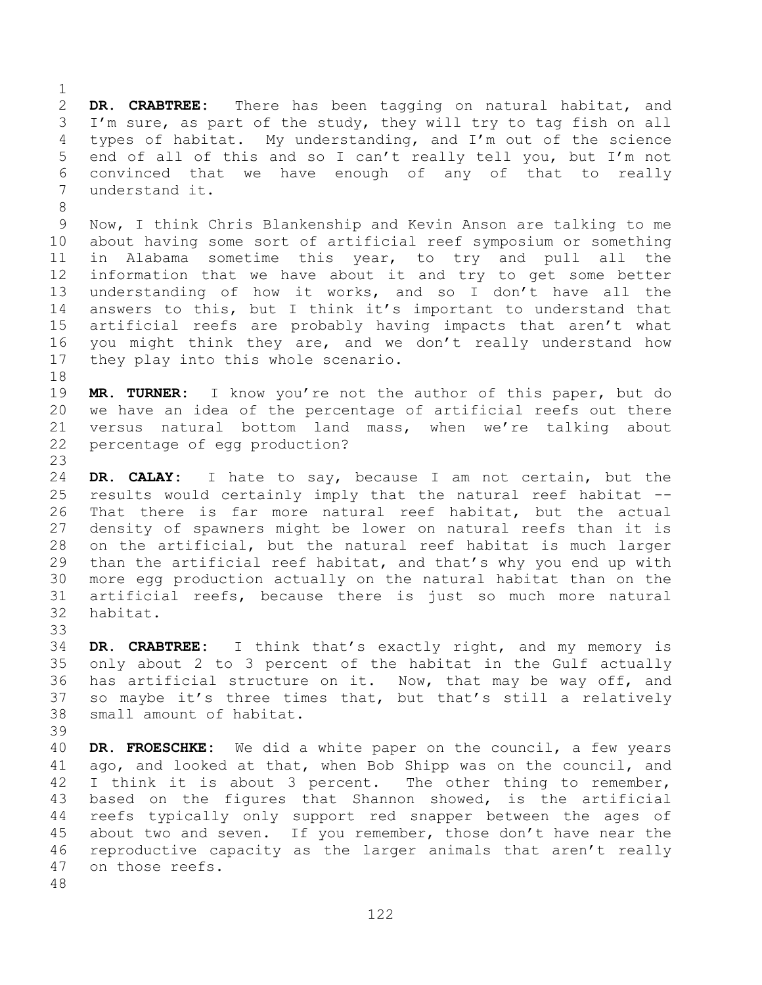**DR. CRABTREE:** There has been tagging on natural habitat, and I'm sure, as part of the study, they will try to tag fish on all types of habitat. My understanding, and I'm out of the science end of all of this and so I can't really tell you, but I'm not convinced that we have enough of any of that to really understand it.

 Now, I think Chris Blankenship and Kevin Anson are talking to me about having some sort of artificial reef symposium or something in Alabama sometime this year, to try and pull all the information that we have about it and try to get some better understanding of how it works, and so I don't have all the answers to this, but I think it's important to understand that artificial reefs are probably having impacts that aren't what you might think they are, and we don't really understand how they play into this whole scenario.

 **MR. TURNER:** I know you're not the author of this paper, but do we have an idea of the percentage of artificial reefs out there versus natural bottom land mass, when we're talking about percentage of egg production?

 **DR. CALAY:** I hate to say, because I am not certain, but the results would certainly imply that the natural reef habitat -- That there is far more natural reef habitat, but the actual density of spawners might be lower on natural reefs than it is on the artificial, but the natural reef habitat is much larger than the artificial reef habitat, and that's why you end up with more egg production actually on the natural habitat than on the artificial reefs, because there is just so much more natural habitat.

 **DR. CRABTREE:** I think that's exactly right, and my memory is only about 2 to 3 percent of the habitat in the Gulf actually has artificial structure on it. Now, that may be way off, and so maybe it's three times that, but that's still a relatively small amount of habitat.

 **DR. FROESCHKE:** We did a white paper on the council, a few years ago, and looked at that, when Bob Shipp was on the council, and 42 I think it is about 3 percent. The other thing to remember, based on the figures that Shannon showed, is the artificial reefs typically only support red snapper between the ages of about two and seven. If you remember, those don't have near the reproductive capacity as the larger animals that aren't really on those reefs.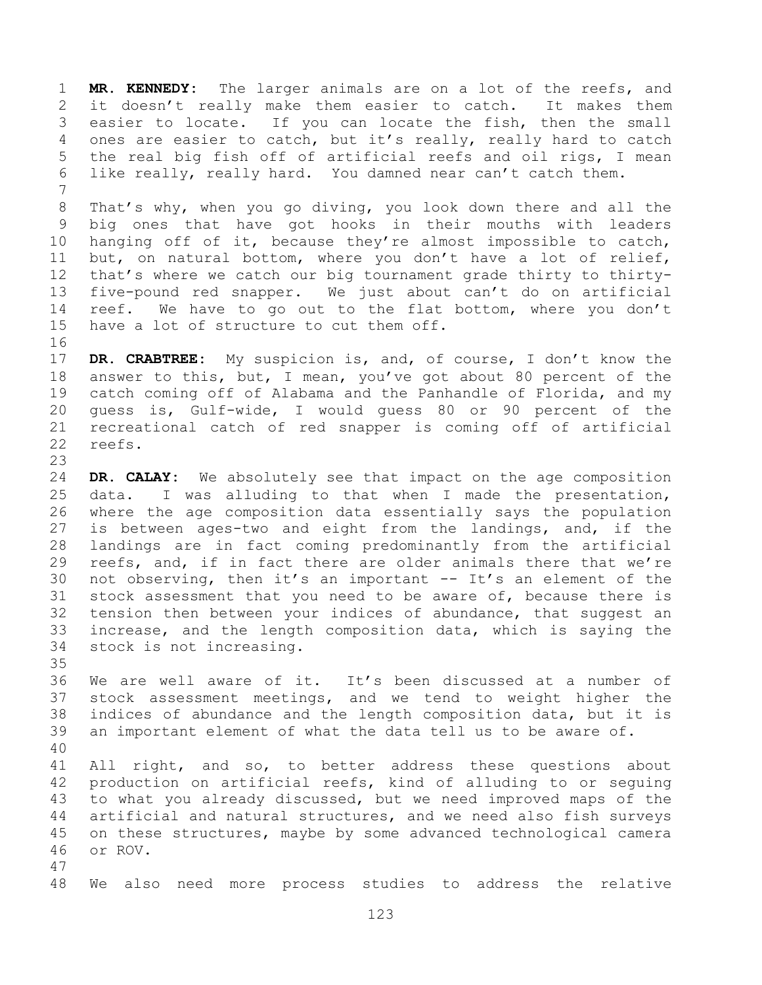**MR. KENNEDY:** The larger animals are on a lot of the reefs, and it doesn't really make them easier to catch. It makes them easier to locate. If you can locate the fish, then the small ones are easier to catch, but it's really, really hard to catch the real big fish off of artificial reefs and oil rigs, I mean like really, really hard. You damned near can't catch them. That's why, when you go diving, you look down there and all the

 big ones that have got hooks in their mouths with leaders hanging off of it, because they're almost impossible to catch, but, on natural bottom, where you don't have a lot of relief, that's where we catch our big tournament grade thirty to thirty- five-pound red snapper. We just about can't do on artificial 14 reef. We have to go out to the flat bottom, where you don't have a lot of structure to cut them off. 

 **DR. CRABTREE:** My suspicion is, and, of course, I don't know the answer to this, but, I mean, you've got about 80 percent of the catch coming off of Alabama and the Panhandle of Florida, and my guess is, Gulf-wide, I would guess 80 or 90 percent of the recreational catch of red snapper is coming off of artificial reefs. 

 **DR. CALAY:** We absolutely see that impact on the age composition data. I was alluding to that when I made the presentation, where the age composition data essentially says the population is between ages-two and eight from the landings, and, if the landings are in fact coming predominantly from the artificial reefs, and, if in fact there are older animals there that we're not observing, then it's an important -- It's an element of the stock assessment that you need to be aware of, because there is tension then between your indices of abundance, that suggest an increase, and the length composition data, which is saying the stock is not increasing.

 We are well aware of it. It's been discussed at a number of stock assessment meetings, and we tend to weight higher the indices of abundance and the length composition data, but it is an important element of what the data tell us to be aware of. 

41 All right, and so, to better address these questions about production on artificial reefs, kind of alluding to or seguing to what you already discussed, but we need improved maps of the artificial and natural structures, and we need also fish surveys on these structures, maybe by some advanced technological camera or ROV. 

We also need more process studies to address the relative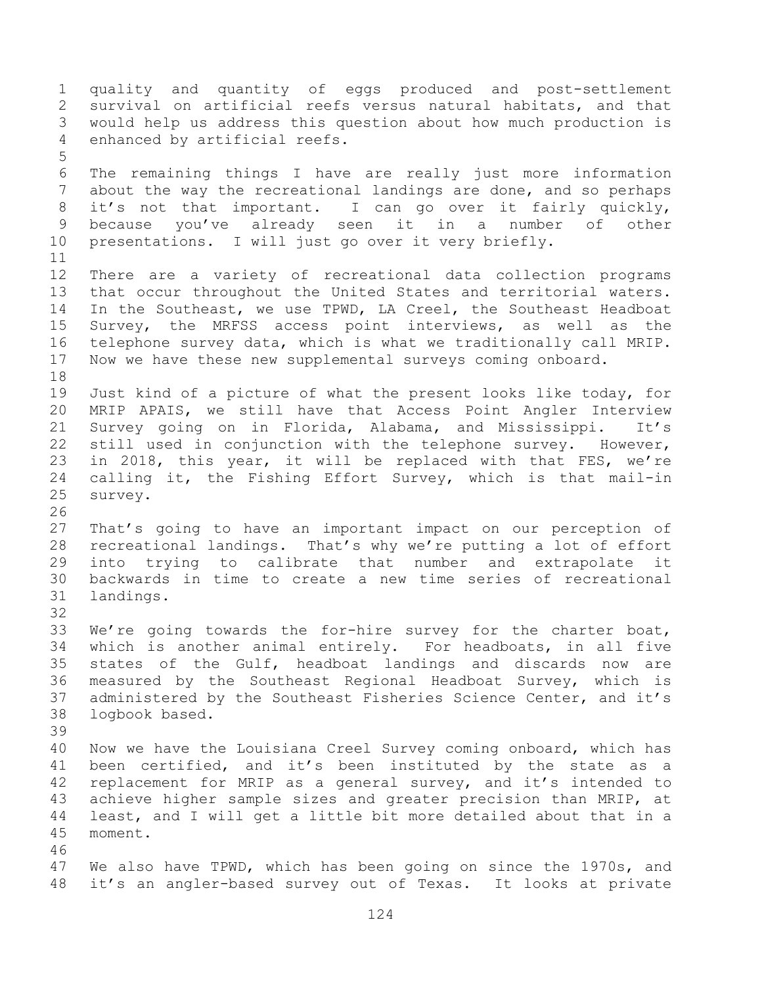quality and quantity of eggs produced and post-settlement survival on artificial reefs versus natural habitats, and that would help us address this question about how much production is enhanced by artificial reefs. The remaining things I have are really just more information about the way the recreational landings are done, and so perhaps it's not that important. I can go over it fairly quickly, because you've already seen it in a number of other presentations. I will just go over it very briefly. There are a variety of recreational data collection programs that occur throughout the United States and territorial waters. In the Southeast, we use TPWD, LA Creel, the Southeast Headboat Survey, the MRFSS access point interviews, as well as the telephone survey data, which is what we traditionally call MRIP. Now we have these new supplemental surveys coming onboard. Just kind of a picture of what the present looks like today, for MRIP APAIS, we still have that Access Point Angler Interview Survey going on in Florida, Alabama, and Mississippi. It's still used in conjunction with the telephone survey. However, in 2018, this year, it will be replaced with that FES, we're calling it, the Fishing Effort Survey, which is that mail-in survey. That's going to have an important impact on our perception of recreational landings. That's why we're putting a lot of effort into trying to calibrate that number and extrapolate it backwards in time to create a new time series of recreational landings. We're going towards the for-hire survey for the charter boat, which is another animal entirely. For headboats, in all five states of the Gulf, headboat landings and discards now are measured by the Southeast Regional Headboat Survey, which is administered by the Southeast Fisheries Science Center, and it's logbook based. Now we have the Louisiana Creel Survey coming onboard, which has been certified, and it's been instituted by the state as a replacement for MRIP as a general survey, and it's intended to achieve higher sample sizes and greater precision than MRIP, at least, and I will get a little bit more detailed about that in a moment. We also have TPWD, which has been going on since the 1970s, and it's an angler-based survey out of Texas. It looks at private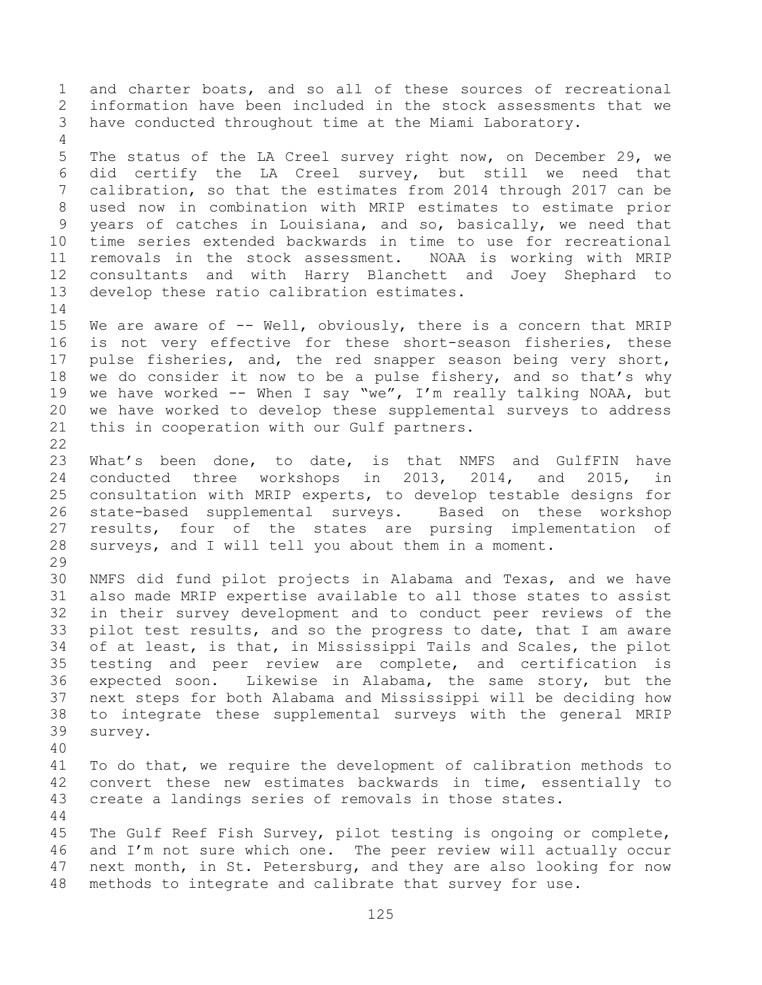and charter boats, and so all of these sources of recreational information have been included in the stock assessments that we have conducted throughout time at the Miami Laboratory. The status of the LA Creel survey right now, on December 29, we did certify the LA Creel survey, but still we need that calibration, so that the estimates from 2014 through 2017 can be used now in combination with MRIP estimates to estimate prior years of catches in Louisiana, and so, basically, we need that time series extended backwards in time to use for recreational removals in the stock assessment. NOAA is working with MRIP consultants and with Harry Blanchett and Joey Shephard to develop these ratio calibration estimates. 15 We are aware of -- Well, obviously, there is a concern that MRIP is not very effective for these short-season fisheries, these pulse fisheries, and, the red snapper season being very short, we do consider it now to be a pulse fishery, and so that's why 19 we have worked -- When I say "we", I'm really talking NOAA, but we have worked to develop these supplemental surveys to address this in cooperation with our Gulf partners. What's been done, to date, is that NMFS and GulfFIN have conducted three workshops in 2013, 2014, and 2015, in consultation with MRIP experts, to develop testable designs for state-based supplemental surveys. Based on these workshop results, four of the states are pursing implementation of surveys, and I will tell you about them in a moment. NMFS did fund pilot projects in Alabama and Texas, and we have also made MRIP expertise available to all those states to assist in their survey development and to conduct peer reviews of the pilot test results, and so the progress to date, that I am aware of at least, is that, in Mississippi Tails and Scales, the pilot testing and peer review are complete, and certification is expected soon. Likewise in Alabama, the same story, but the next steps for both Alabama and Mississippi will be deciding how to integrate these supplemental surveys with the general MRIP survey. To do that, we require the development of calibration methods to convert these new estimates backwards in time, essentially to create a landings series of removals in those states. The Gulf Reef Fish Survey, pilot testing is ongoing or complete, and I'm not sure which one. The peer review will actually occur next month, in St. Petersburg, and they are also looking for now methods to integrate and calibrate that survey for use.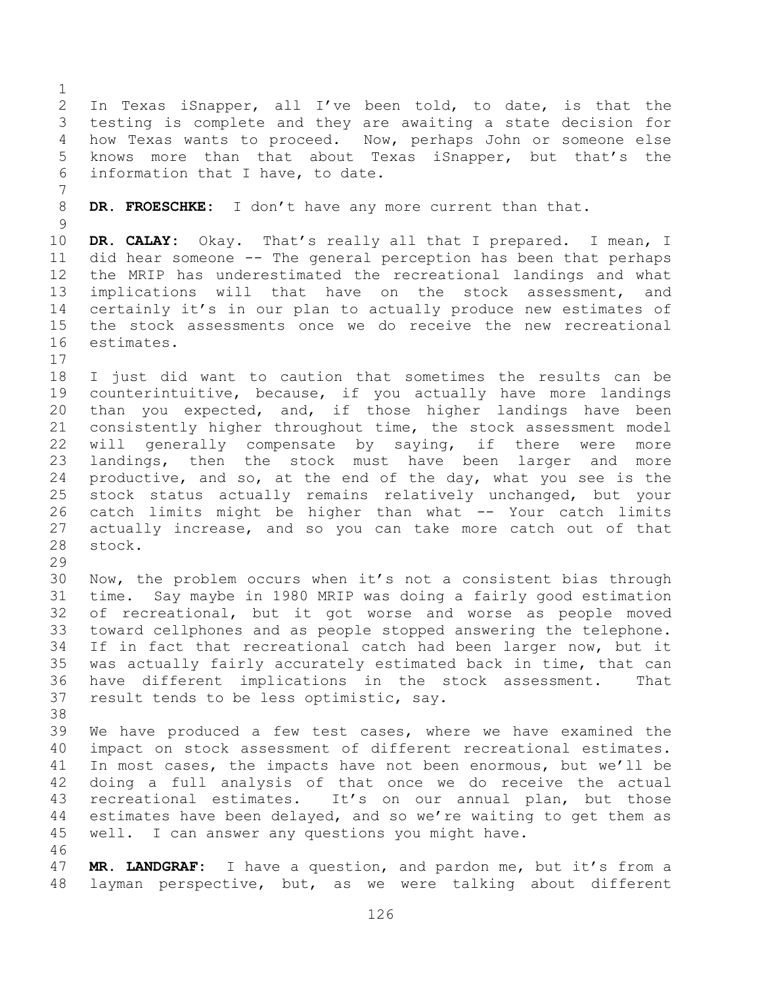In Texas iSnapper, all I've been told, to date, is that the testing is complete and they are awaiting a state decision for how Texas wants to proceed. Now, perhaps John or someone else knows more than that about Texas iSnapper, but that's the information that I have, to date.

**DR. FROESCHKE:** I don't have any more current than that.

 **DR. CALAY:** Okay. That's really all that I prepared. I mean, I did hear someone -- The general perception has been that perhaps the MRIP has underestimated the recreational landings and what implications will that have on the stock assessment, and certainly it's in our plan to actually produce new estimates of the stock assessments once we do receive the new recreational estimates.

 I just did want to caution that sometimes the results can be counterintuitive, because, if you actually have more landings than you expected, and, if those higher landings have been consistently higher throughout time, the stock assessment model will generally compensate by saying, if there were more landings, then the stock must have been larger and more productive, and so, at the end of the day, what you see is the stock status actually remains relatively unchanged, but your catch limits might be higher than what -- Your catch limits actually increase, and so you can take more catch out of that stock.

 Now, the problem occurs when it's not a consistent bias through time. Say maybe in 1980 MRIP was doing a fairly good estimation of recreational, but it got worse and worse as people moved toward cellphones and as people stopped answering the telephone. If in fact that recreational catch had been larger now, but it was actually fairly accurately estimated back in time, that can have different implications in the stock assessment. That result tends to be less optimistic, say.

 We have produced a few test cases, where we have examined the impact on stock assessment of different recreational estimates. In most cases, the impacts have not been enormous, but we'll be doing a full analysis of that once we do receive the actual recreational estimates. It's on our annual plan, but those estimates have been delayed, and so we're waiting to get them as well. I can answer any questions you might have.

 **MR. LANDGRAF:** I have a question, and pardon me, but it's from a layman perspective, but, as we were talking about different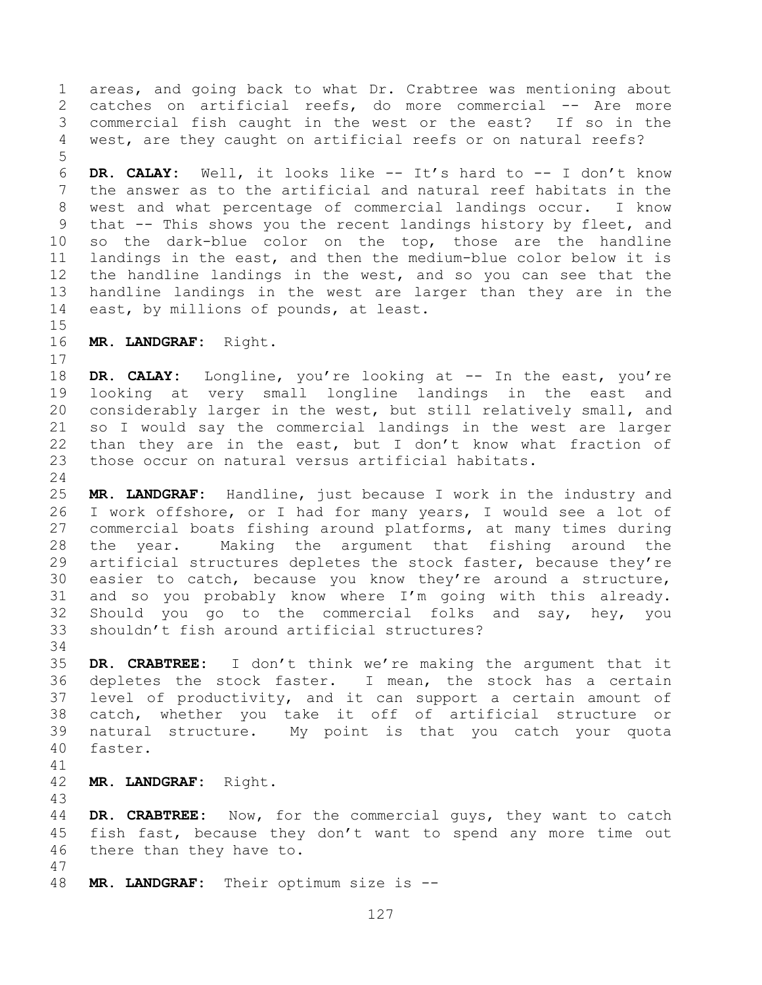areas, and going back to what Dr. Crabtree was mentioning about catches on artificial reefs, do more commercial -- Are more commercial fish caught in the west or the east? If so in the west, are they caught on artificial reefs or on natural reefs?

 **DR. CALAY:** Well, it looks like -- It's hard to -- I don't know the answer as to the artificial and natural reef habitats in the west and what percentage of commercial landings occur. I know that -- This shows you the recent landings history by fleet, and so the dark-blue color on the top, those are the handline landings in the east, and then the medium-blue color below it is the handline landings in the west, and so you can see that the handline landings in the west are larger than they are in the east, by millions of pounds, at least.

**MR. LANDGRAF:** Right.

 **DR. CALAY:** Longline, you're looking at -- In the east, you're looking at very small longline landings in the east and considerably larger in the west, but still relatively small, and so I would say the commercial landings in the west are larger 22 than they are in the east, but I don't know what fraction of those occur on natural versus artificial habitats.

 **MR. LANDGRAF:** Handline, just because I work in the industry and I work offshore, or I had for many years, I would see a lot of commercial boats fishing around platforms, at many times during the year. Making the argument that fishing around the artificial structures depletes the stock faster, because they're easier to catch, because you know they're around a structure, and so you probably know where I'm going with this already. Should you go to the commercial folks and say, hey, you shouldn't fish around artificial structures?

 **DR. CRABTREE:** I don't think we're making the argument that it depletes the stock faster. I mean, the stock has a certain level of productivity, and it can support a certain amount of catch, whether you take it off of artificial structure or natural structure. My point is that you catch your quota faster.

**MR. LANDGRAF:** Right.

 **DR. CRABTREE:** Now, for the commercial guys, they want to catch fish fast, because they don't want to spend any more time out there than they have to. 

**MR. LANDGRAF:** Their optimum size is --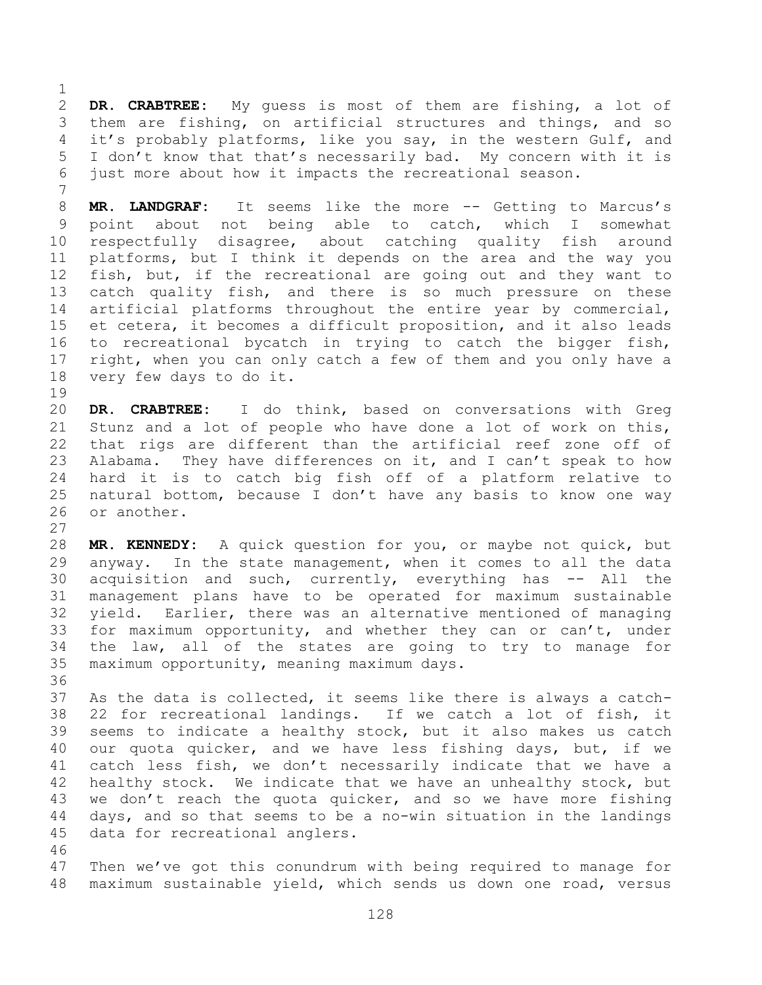**DR. CRABTREE:** My guess is most of them are fishing, a lot of them are fishing, on artificial structures and things, and so it's probably platforms, like you say, in the western Gulf, and I don't know that that's necessarily bad. My concern with it is just more about how it impacts the recreational season.

**MR. LANDGRAF:** It seems like the more -- Getting to Marcus's point about not being able to catch, which I somewhat respectfully disagree, about catching quality fish around platforms, but I think it depends on the area and the way you fish, but, if the recreational are going out and they want to catch quality fish, and there is so much pressure on these artificial platforms throughout the entire year by commercial, et cetera, it becomes a difficult proposition, and it also leads to recreational bycatch in trying to catch the bigger fish, right, when you can only catch a few of them and you only have a very few days to do it.

 **DR. CRABTREE:** I do think, based on conversations with Greg Stunz and a lot of people who have done a lot of work on this, that rigs are different than the artificial reef zone off of Alabama. They have differences on it, and I can't speak to how hard it is to catch big fish off of a platform relative to natural bottom, because I don't have any basis to know one way or another.

 **MR. KENNEDY:** A quick question for you, or maybe not quick, but anyway. In the state management, when it comes to all the data acquisition and such, currently, everything has -- All the management plans have to be operated for maximum sustainable yield. Earlier, there was an alternative mentioned of managing for maximum opportunity, and whether they can or can't, under the law, all of the states are going to try to manage for maximum opportunity, meaning maximum days.

 As the data is collected, it seems like there is always a catch- 22 for recreational landings. If we catch a lot of fish, it seems to indicate a healthy stock, but it also makes us catch our quota quicker, and we have less fishing days, but, if we catch less fish, we don't necessarily indicate that we have a healthy stock. We indicate that we have an unhealthy stock, but we don't reach the quota quicker, and so we have more fishing days, and so that seems to be a no-win situation in the landings data for recreational anglers.

 Then we've got this conundrum with being required to manage for maximum sustainable yield, which sends us down one road, versus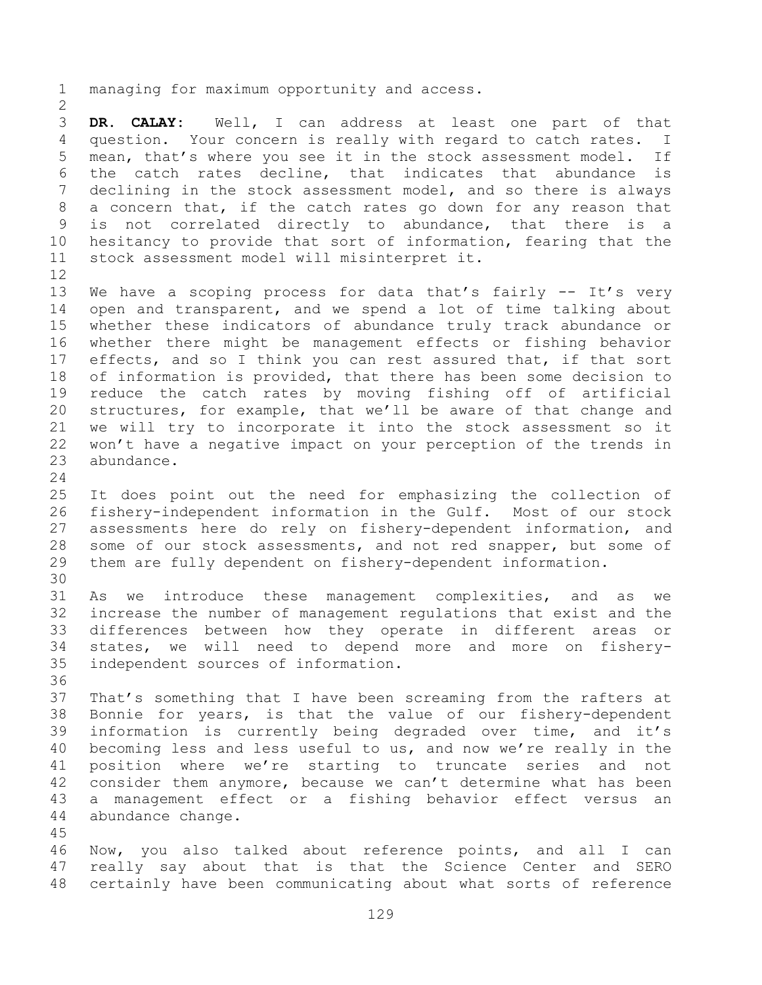managing for maximum opportunity and access.

 **DR. CALAY:** Well, I can address at least one part of that question. Your concern is really with regard to catch rates. I mean, that's where you see it in the stock assessment model. If the catch rates decline, that indicates that abundance is declining in the stock assessment model, and so there is always a concern that, if the catch rates go down for any reason that is not correlated directly to abundance, that there is a hesitancy to provide that sort of information, fearing that the stock assessment model will misinterpret it. 

 We have a scoping process for data that's fairly -- It's very open and transparent, and we spend a lot of time talking about whether these indicators of abundance truly track abundance or whether there might be management effects or fishing behavior effects, and so I think you can rest assured that, if that sort of information is provided, that there has been some decision to reduce the catch rates by moving fishing off of artificial structures, for example, that we'll be aware of that change and we will try to incorporate it into the stock assessment so it won't have a negative impact on your perception of the trends in abundance.

 It does point out the need for emphasizing the collection of fishery-independent information in the Gulf. Most of our stock assessments here do rely on fishery-dependent information, and some of our stock assessments, and not red snapper, but some of them are fully dependent on fishery-dependent information.

 As we introduce these management complexities, and as we increase the number of management regulations that exist and the differences between how they operate in different areas or states, we will need to depend more and more on fishery-independent sources of information.

 That's something that I have been screaming from the rafters at Bonnie for years, is that the value of our fishery-dependent information is currently being degraded over time, and it's becoming less and less useful to us, and now we're really in the position where we're starting to truncate series and not consider them anymore, because we can't determine what has been a management effect or a fishing behavior effect versus an abundance change.

 Now, you also talked about reference points, and all I can really say about that is that the Science Center and SERO certainly have been communicating about what sorts of reference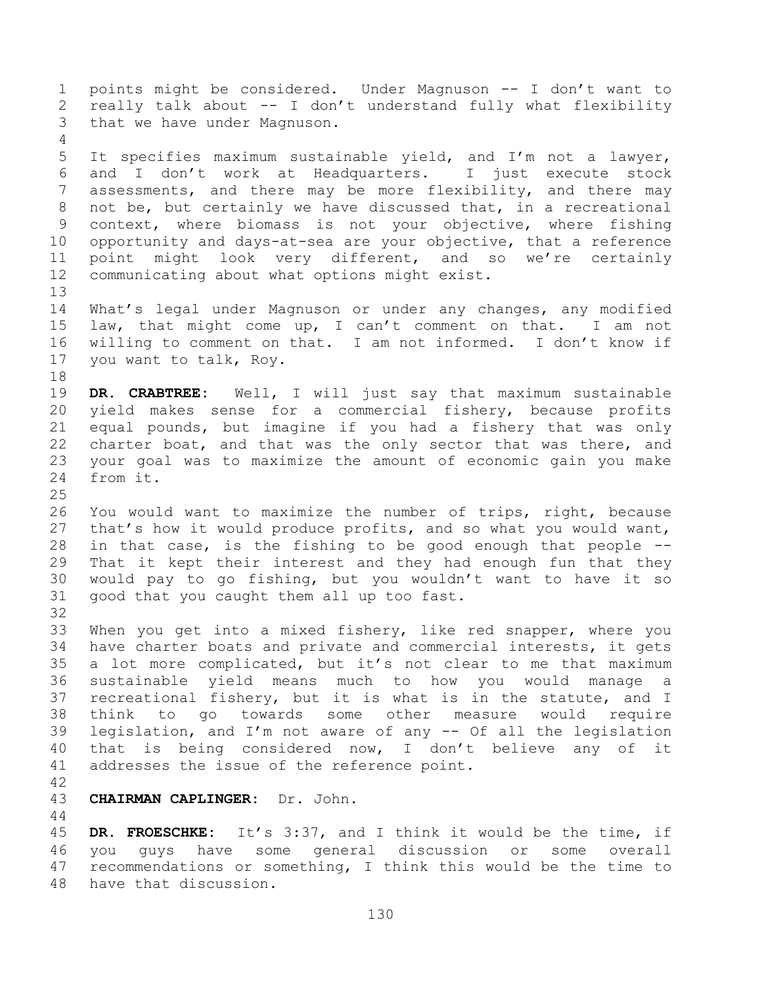points might be considered. Under Magnuson -- I don't want to really talk about -- I don't understand fully what flexibility that we have under Magnuson. It specifies maximum sustainable yield, and I'm not a lawyer, and I don't work at Headquarters. I just execute stock assessments, and there may be more flexibility, and there may not be, but certainly we have discussed that, in a recreational context, where biomass is not your objective, where fishing opportunity and days-at-sea are your objective, that a reference point might look very different, and so we're certainly communicating about what options might exist. What's legal under Magnuson or under any changes, any modified law, that might come up, I can't comment on that. I am not willing to comment on that. I am not informed. I don't know if you want to talk, Roy. **DR. CRABTREE:** Well, I will just say that maximum sustainable yield makes sense for a commercial fishery, because profits equal pounds, but imagine if you had a fishery that was only charter boat, and that was the only sector that was there, and your goal was to maximize the amount of economic gain you make from it. You would want to maximize the number of trips, right, because that's how it would produce profits, and so what you would want, in that case, is the fishing to be good enough that people -- That it kept their interest and they had enough fun that they would pay to go fishing, but you wouldn't want to have it so good that you caught them all up too fast. When you get into a mixed fishery, like red snapper, where you have charter boats and private and commercial interests, it gets a lot more complicated, but it's not clear to me that maximum sustainable yield means much to how you would manage a recreational fishery, but it is what is in the statute, and I think to go towards some other measure would require legislation, and I'm not aware of any -- Of all the legislation that is being considered now, I don't believe any of it addresses the issue of the reference point. **CHAIRMAN CAPLINGER:** Dr. John. 

 **DR. FROESCHKE:** It's 3:37, and I think it would be the time, if you guys have some general discussion or some overall recommendations or something, I think this would be the time to have that discussion.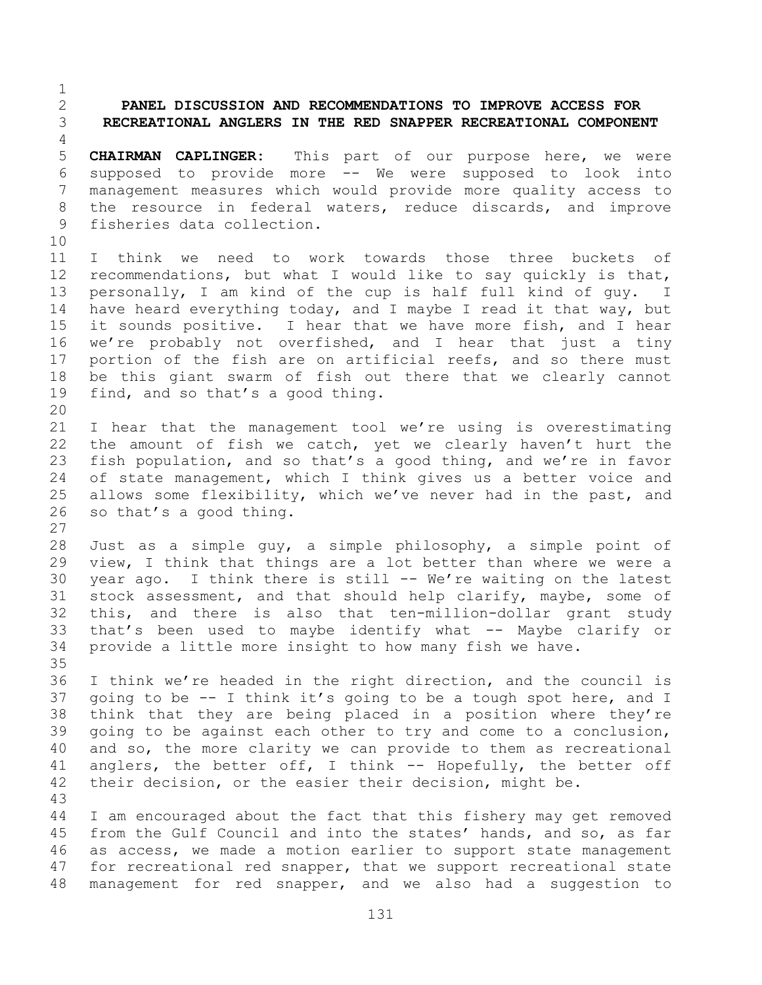## **PANEL DISCUSSION AND RECOMMENDATIONS TO IMPROVE ACCESS FOR RECREATIONAL ANGLERS IN THE RED SNAPPER RECREATIONAL COMPONENT**

 **CHAIRMAN CAPLINGER:** This part of our purpose here, we were supposed to provide more -- We were supposed to look into management measures which would provide more quality access to the resource in federal waters, reduce discards, and improve fisheries data collection.

 I think we need to work towards those three buckets of recommendations, but what I would like to say quickly is that, personally, I am kind of the cup is half full kind of guy. I have heard everything today, and I maybe I read it that way, but it sounds positive. I hear that we have more fish, and I hear we're probably not overfished, and I hear that just a tiny portion of the fish are on artificial reefs, and so there must be this giant swarm of fish out there that we clearly cannot find, and so that's a good thing. 

 I hear that the management tool we're using is overestimating the amount of fish we catch, yet we clearly haven't hurt the fish population, and so that's a good thing, and we're in favor of state management, which I think gives us a better voice and allows some flexibility, which we've never had in the past, and so that's a good thing.

 Just as a simple guy, a simple philosophy, a simple point of view, I think that things are a lot better than where we were a year ago. I think there is still -- We're waiting on the latest stock assessment, and that should help clarify, maybe, some of this, and there is also that ten-million-dollar grant study that's been used to maybe identify what -- Maybe clarify or provide a little more insight to how many fish we have. 

 I think we're headed in the right direction, and the council is going to be -- I think it's going to be a tough spot here, and I think that they are being placed in a position where they're going to be against each other to try and come to a conclusion, and so, the more clarity we can provide to them as recreational 41 anglers, the better off, I think -- Hopefully, the better off their decision, or the easier their decision, might be.

 I am encouraged about the fact that this fishery may get removed from the Gulf Council and into the states' hands, and so, as far as access, we made a motion earlier to support state management 47 for recreational red snapper, that we support recreational state management for red snapper, and we also had a suggestion to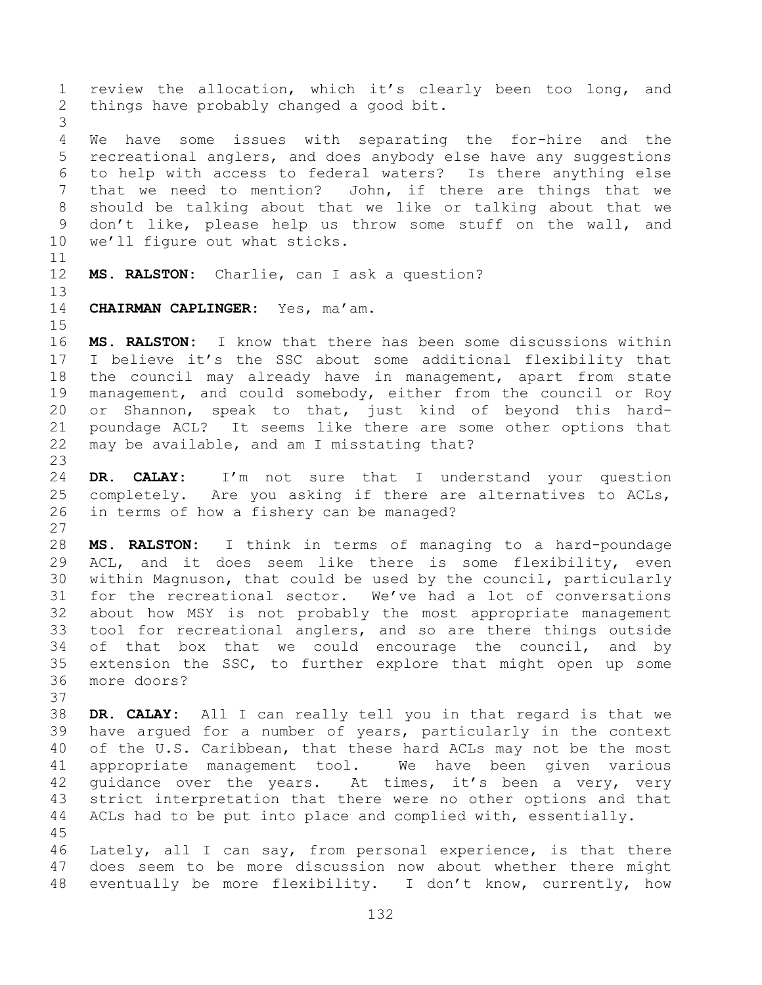review the allocation, which it's clearly been too long, and things have probably changed a good bit. We have some issues with separating the for-hire and the recreational anglers, and does anybody else have any suggestions to help with access to federal waters? Is there anything else that we need to mention? John, if there are things that we should be talking about that we like or talking about that we don't like, please help us throw some stuff on the wall, and we'll figure out what sticks. **MS. RALSTON:** Charlie, can I ask a question? **CHAIRMAN CAPLINGER:** Yes, ma'am. **MS. RALSTON:** I know that there has been some discussions within I believe it's the SSC about some additional flexibility that the council may already have in management, apart from state management, and could somebody, either from the council or Roy or Shannon, speak to that, just kind of beyond this hard- poundage ACL? It seems like there are some other options that may be available, and am I misstating that? **DR. CALAY:** I'm not sure that I understand your question completely. Are you asking if there are alternatives to ACLs, in terms of how a fishery can be managed? **MS. RALSTON:** I think in terms of managing to a hard-poundage ACL, and it does seem like there is some flexibility, even within Magnuson, that could be used by the council, particularly for the recreational sector. We've had a lot of conversations about how MSY is not probably the most appropriate management tool for recreational anglers, and so are there things outside of that box that we could encourage the council, and by extension the SSC, to further explore that might open up some more doors? **DR. CALAY:** All I can really tell you in that regard is that we have argued for a number of years, particularly in the context of the U.S. Caribbean, that these hard ACLs may not be the most appropriate management tool. We have been given various 42 quidance over the years. At times, it's been a very, very strict interpretation that there were no other options and that ACLs had to be put into place and complied with, essentially. Lately, all I can say, from personal experience, is that there does seem to be more discussion now about whether there might eventually be more flexibility. I don't know, currently, how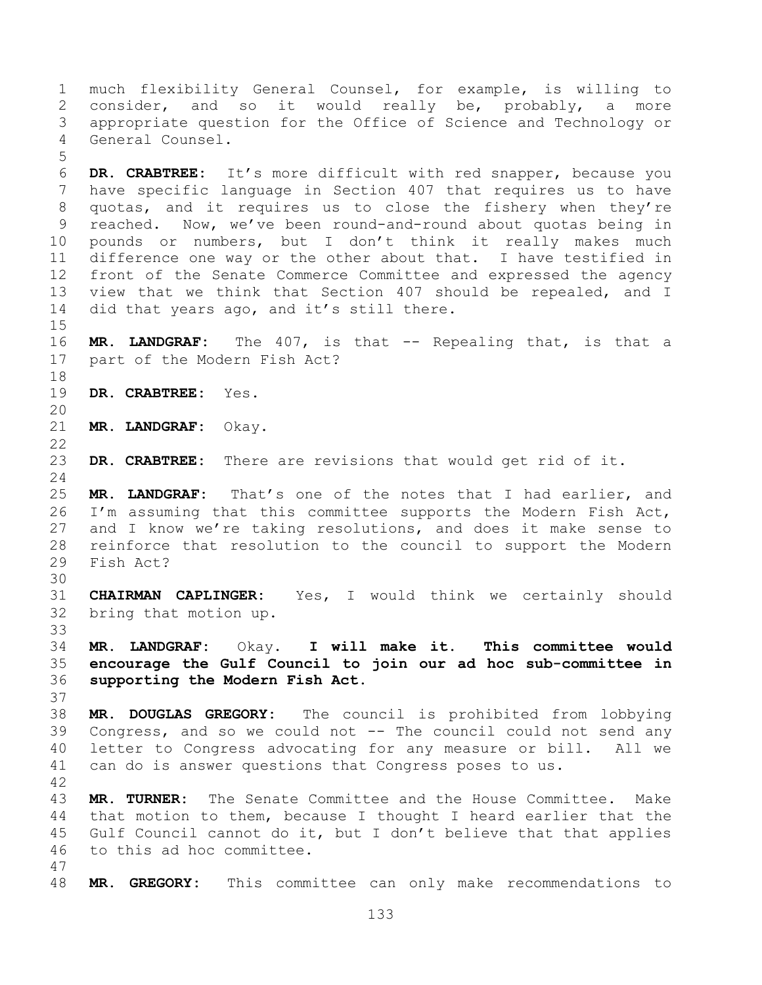much flexibility General Counsel, for example, is willing to consider, and so it would really be, probably, a more appropriate question for the Office of Science and Technology or General Counsel.

 **DR. CRABTREE:** It's more difficult with red snapper, because you have specific language in Section 407 that requires us to have quotas, and it requires us to close the fishery when they're reached. Now, we've been round-and-round about quotas being in pounds or numbers, but I don't think it really makes much difference one way or the other about that. I have testified in front of the Senate Commerce Committee and expressed the agency view that we think that Section 407 should be repealed, and I 14 did that years ago, and it's still there.

 **MR. LANDGRAF:** The 407, is that -- Repealing that, is that a part of the Modern Fish Act?

**DR. CRABTREE:** Yes.

**MR. LANDGRAF:** Okay.

**DR. CRABTREE:** There are revisions that would get rid of it.

 **MR. LANDGRAF:** That's one of the notes that I had earlier, and I'm assuming that this committee supports the Modern Fish Act, and I know we're taking resolutions, and does it make sense to reinforce that resolution to the council to support the Modern Fish Act?

 **CHAIRMAN CAPLINGER:** Yes, I would think we certainly should bring that motion up.

 **MR. LANDGRAF:** Okay. **I will make it. This committee would encourage the Gulf Council to join our ad hoc sub-committee in supporting the Modern Fish Act.**

 **MR. DOUGLAS GREGORY:** The council is prohibited from lobbying Congress, and so we could not -- The council could not send any letter to Congress advocating for any measure or bill. All we can do is answer questions that Congress poses to us.

 **MR. TURNER:** The Senate Committee and the House Committee. Make that motion to them, because I thought I heard earlier that the Gulf Council cannot do it, but I don't believe that that applies to this ad hoc committee.

**MR. GREGORY:** This committee can only make recommendations to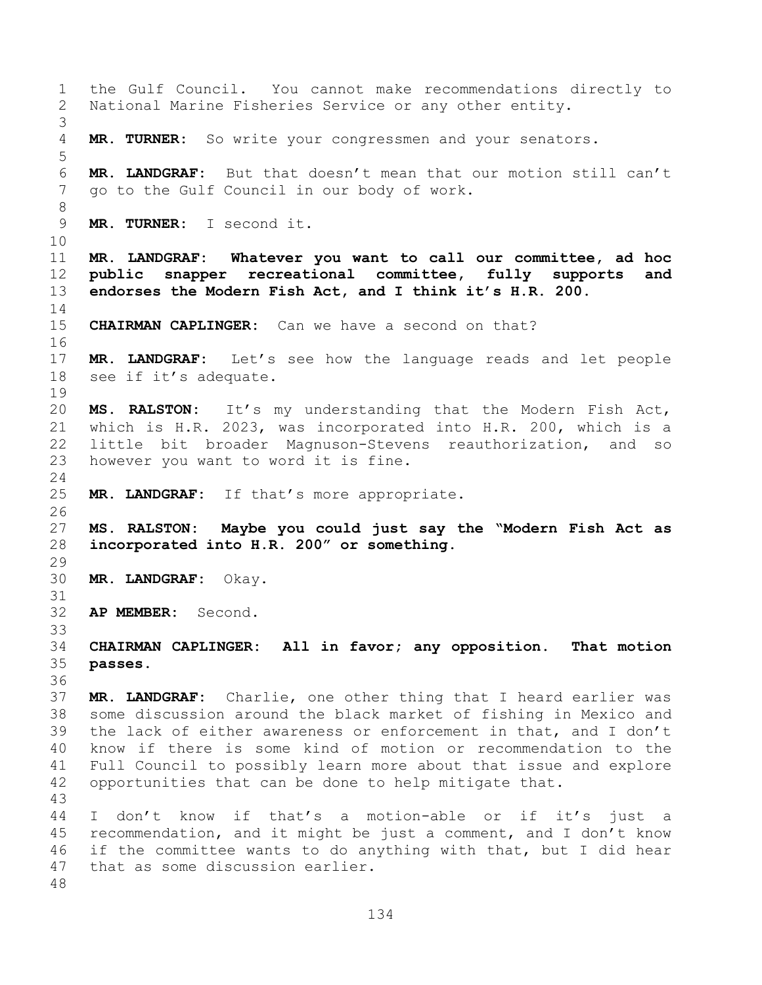the Gulf Council. You cannot make recommendations directly to National Marine Fisheries Service or any other entity. **MR. TURNER:** So write your congressmen and your senators. **MR. LANDGRAF:** But that doesn't mean that our motion still can't go to the Gulf Council in our body of work. **MR. TURNER:** I second it. **MR. LANDGRAF: Whatever you want to call our committee, ad hoc public snapper recreational committee, fully supports and endorses the Modern Fish Act, and I think it's H.R. 200. CHAIRMAN CAPLINGER:** Can we have a second on that? **MR. LANDGRAF:** Let's see how the language reads and let people see if it's adequate. **MS. RALSTON:** It's my understanding that the Modern Fish Act, which is H.R. 2023, was incorporated into H.R. 200, which is a little bit broader Magnuson-Stevens reauthorization, and so however you want to word it is fine. **MR. LANDGRAF:** If that's more appropriate. **MS. RALSTON: Maybe you could just say the "Modern Fish Act as incorporated into H.R. 200" or something. MR. LANDGRAF:** Okay. **AP MEMBER:** Second. **CHAIRMAN CAPLINGER: All in favor; any opposition. That motion passes. MR. LANDGRAF:** Charlie, one other thing that I heard earlier was some discussion around the black market of fishing in Mexico and the lack of either awareness or enforcement in that, and I don't know if there is some kind of motion or recommendation to the Full Council to possibly learn more about that issue and explore opportunities that can be done to help mitigate that. I don't know if that's a motion-able or if it's just a recommendation, and it might be just a comment, and I don't know if the committee wants to do anything with that, but I did hear that as some discussion earlier.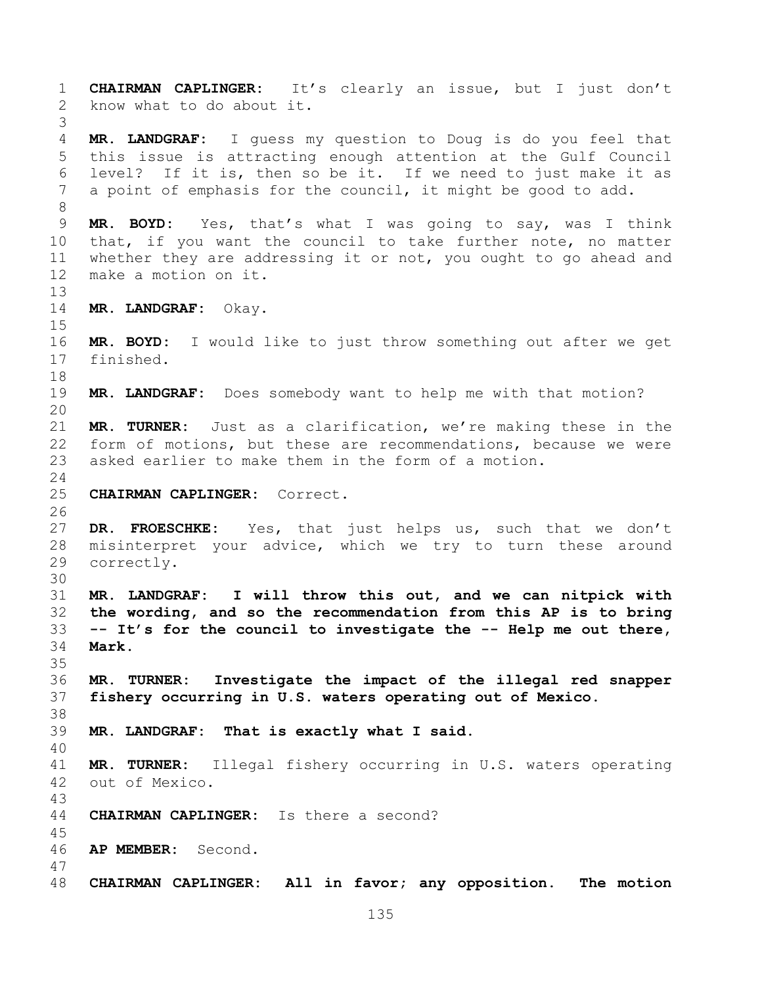**CHAIRMAN CAPLINGER:** It's clearly an issue, but I just don't know what to do about it. **MR. LANDGRAF:** I guess my question to Doug is do you feel that this issue is attracting enough attention at the Gulf Council level? If it is, then so be it. If we need to just make it as a point of emphasis for the council, it might be good to add. **MR. BOYD:** Yes, that's what I was going to say, was I think that, if you want the council to take further note, no matter whether they are addressing it or not, you ought to go ahead and make a motion on it. **MR. LANDGRAF:** Okay. **MR. BOYD:** I would like to just throw something out after we get finished. **MR. LANDGRAF:** Does somebody want to help me with that motion? **MR. TURNER:** Just as a clarification, we're making these in the form of motions, but these are recommendations, because we were asked earlier to make them in the form of a motion. **CHAIRMAN CAPLINGER:** Correct. **DR. FROESCHKE:** Yes, that just helps us, such that we don't misinterpret your advice, which we try to turn these around correctly. **MR. LANDGRAF: I will throw this out, and we can nitpick with the wording, and so the recommendation from this AP is to bring -- It's for the council to investigate the -- Help me out there, Mark. MR. TURNER: Investigate the impact of the illegal red snapper fishery occurring in U.S. waters operating out of Mexico. MR. LANDGRAF: That is exactly what I said. MR. TURNER:** Illegal fishery occurring in U.S. waters operating out of Mexico. **CHAIRMAN CAPLINGER:** Is there a second? **AP MEMBER:** Second. **CHAIRMAN CAPLINGER: All in favor; any opposition. The motion**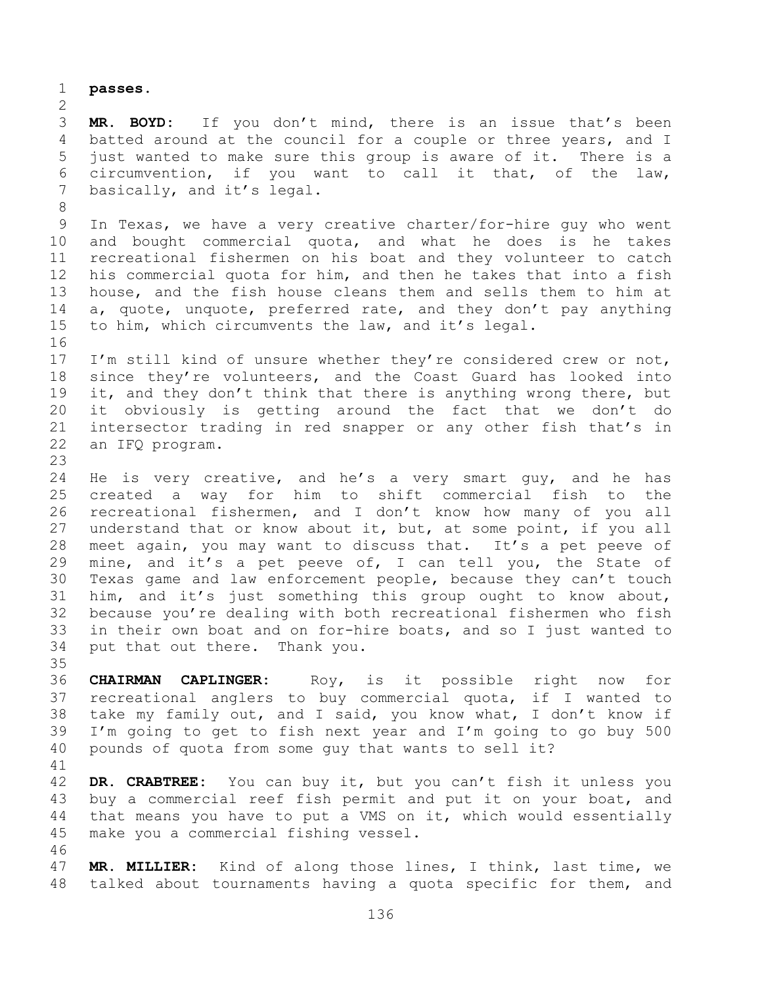**passes.**

 **MR. BOYD:** If you don't mind, there is an issue that's been batted around at the council for a couple or three years, and I just wanted to make sure this group is aware of it. There is a circumvention, if you want to call it that, of the law, 7 basically, and it's legal.

 In Texas, we have a very creative charter/for-hire guy who went and bought commercial quota, and what he does is he takes recreational fishermen on his boat and they volunteer to catch his commercial quota for him, and then he takes that into a fish house, and the fish house cleans them and sells them to him at a, quote, unquote, preferred rate, and they don't pay anything to him, which circumvents the law, and it's legal.

 I'm still kind of unsure whether they're considered crew or not, since they're volunteers, and the Coast Guard has looked into 19 it, and they don't think that there is anything wrong there, but it obviously is getting around the fact that we don't do intersector trading in red snapper or any other fish that's in an IFQ program.

 He is very creative, and he's a very smart guy, and he has created a way for him to shift commercial fish to the recreational fishermen, and I don't know how many of you all understand that or know about it, but, at some point, if you all meet again, you may want to discuss that. It's a pet peeve of mine, and it's a pet peeve of, I can tell you, the State of Texas game and law enforcement people, because they can't touch him, and it's just something this group ought to know about, because you're dealing with both recreational fishermen who fish in their own boat and on for-hire boats, and so I just wanted to put that out there. Thank you.

 **CHAIRMAN CAPLINGER:** Roy, is it possible right now for recreational anglers to buy commercial quota, if I wanted to take my family out, and I said, you know what, I don't know if I'm going to get to fish next year and I'm going to go buy 500 pounds of quota from some guy that wants to sell it?

 **DR. CRABTREE:** You can buy it, but you can't fish it unless you buy a commercial reef fish permit and put it on your boat, and that means you have to put a VMS on it, which would essentially make you a commercial fishing vessel.

 **MR. MILLIER:** Kind of along those lines, I think, last time, we talked about tournaments having a quota specific for them, and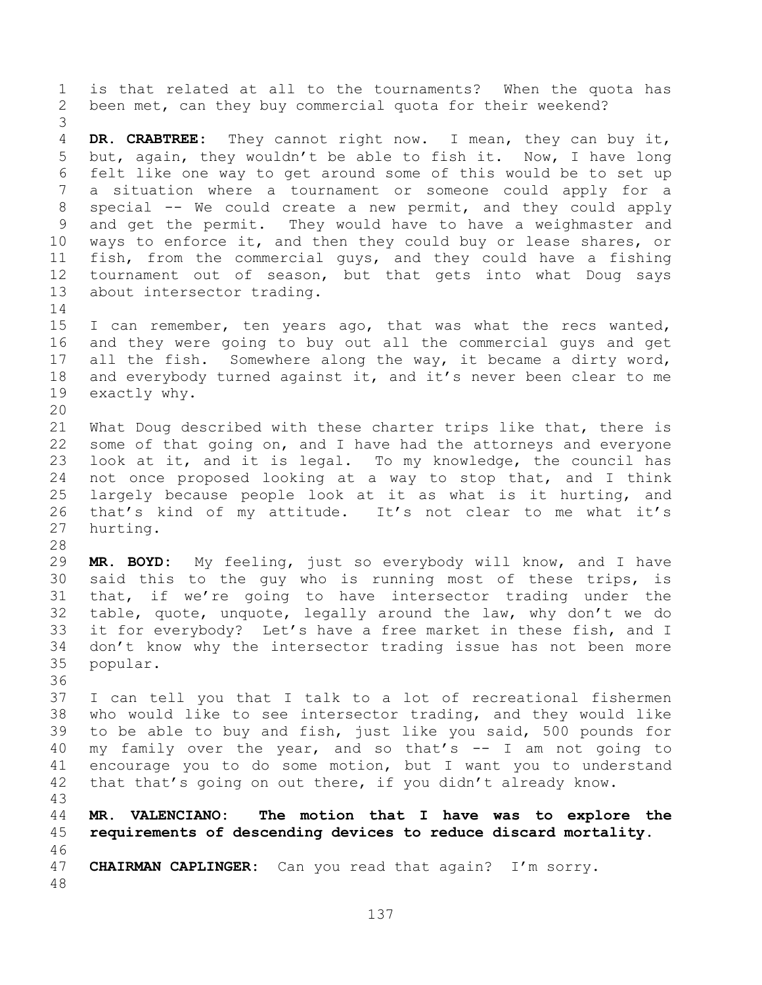is that related at all to the tournaments? When the quota has been met, can they buy commercial quota for their weekend? **DR. CRABTREE:** They cannot right now. I mean, they can buy it, but, again, they wouldn't be able to fish it. Now, I have long felt like one way to get around some of this would be to set up a situation where a tournament or someone could apply for a special -- We could create a new permit, and they could apply and get the permit. They would have to have a weighmaster and ways to enforce it, and then they could buy or lease shares, or fish, from the commercial guys, and they could have a fishing tournament out of season, but that gets into what Doug says about intersector trading. 15 I can remember, ten years ago, that was what the recs wanted, and they were going to buy out all the commercial guys and get all the fish. Somewhere along the way, it became a dirty word, 18 and everybody turned against it, and it's never been clear to me exactly why. What Doug described with these charter trips like that, there is some of that going on, and I have had the attorneys and everyone look at it, and it is legal. To my knowledge, the council has not once proposed looking at a way to stop that, and I think largely because people look at it as what is it hurting, and that's kind of my attitude. It's not clear to me what it's hurting. **MR. BOYD:** My feeling, just so everybody will know, and I have said this to the guy who is running most of these trips, is that, if we're going to have intersector trading under the table, quote, unquote, legally around the law, why don't we do it for everybody? Let's have a free market in these fish, and I don't know why the intersector trading issue has not been more popular. I can tell you that I talk to a lot of recreational fishermen who would like to see intersector trading, and they would like to be able to buy and fish, just like you said, 500 pounds for my family over the year, and so that's -- I am not going to encourage you to do some motion, but I want you to understand 42 that that's going on out there, if you didn't already know. **MR. VALENCIANO: The motion that I have was to explore the requirements of descending devices to reduce discard mortality. CHAIRMAN CAPLINGER:** Can you read that again? I'm sorry.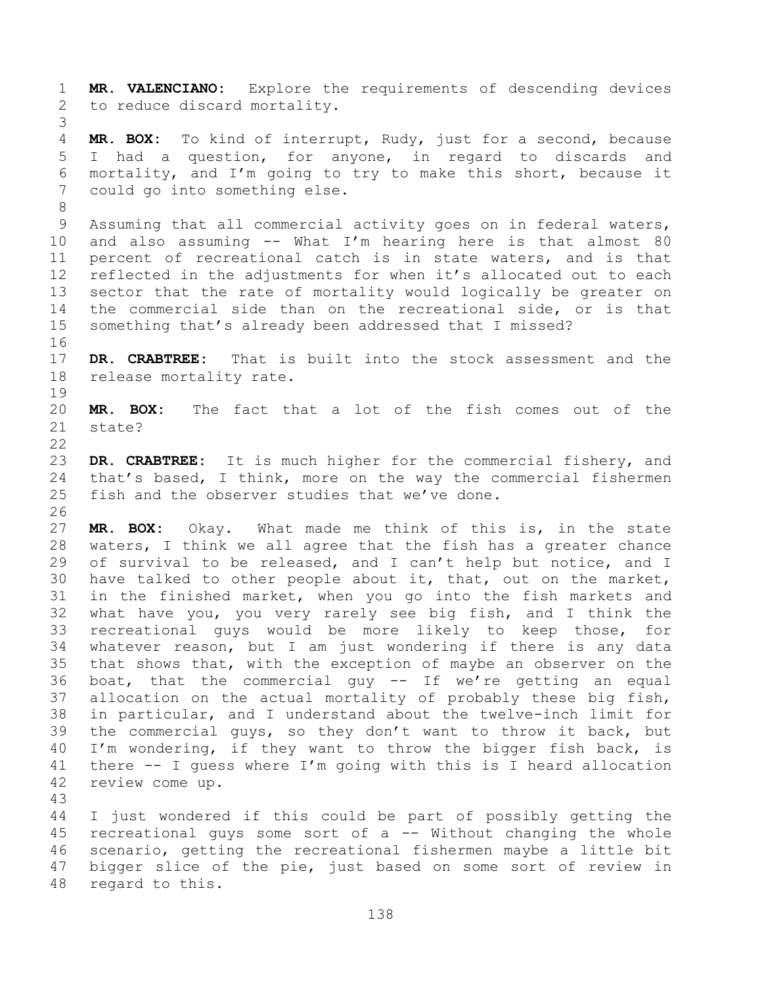**MR. VALENCIANO:** Explore the requirements of descending devices to reduce discard mortality.

 **MR. BOX:** To kind of interrupt, Rudy, just for a second, because I had a question, for anyone, in regard to discards and mortality, and I'm going to try to make this short, because it could go into something else.

 Assuming that all commercial activity goes on in federal waters, and also assuming -- What I'm hearing here is that almost 80 percent of recreational catch is in state waters, and is that reflected in the adjustments for when it's allocated out to each sector that the rate of mortality would logically be greater on the commercial side than on the recreational side, or is that something that's already been addressed that I missed?

 **DR. CRABTREE:** That is built into the stock assessment and the release mortality rate.

 **MR. BOX:** The fact that a lot of the fish comes out of the state?

 **DR. CRABTREE:** It is much higher for the commercial fishery, and that's based, I think, more on the way the commercial fishermen fish and the observer studies that we've done.

 **MR. BOX:** Okay. What made me think of this is, in the state waters, I think we all agree that the fish has a greater chance of survival to be released, and I can't help but notice, and I have talked to other people about it, that, out on the market, in the finished market, when you go into the fish markets and what have you, you very rarely see big fish, and I think the recreational guys would be more likely to keep those, for whatever reason, but I am just wondering if there is any data that shows that, with the exception of maybe an observer on the boat, that the commercial guy -- If we're getting an equal allocation on the actual mortality of probably these big fish, in particular, and I understand about the twelve-inch limit for the commercial guys, so they don't want to throw it back, but I'm wondering, if they want to throw the bigger fish back, is there -- I guess where I'm going with this is I heard allocation review come up.

 I just wondered if this could be part of possibly getting the recreational guys some sort of a -- Without changing the whole scenario, getting the recreational fishermen maybe a little bit bigger slice of the pie, just based on some sort of review in regard to this.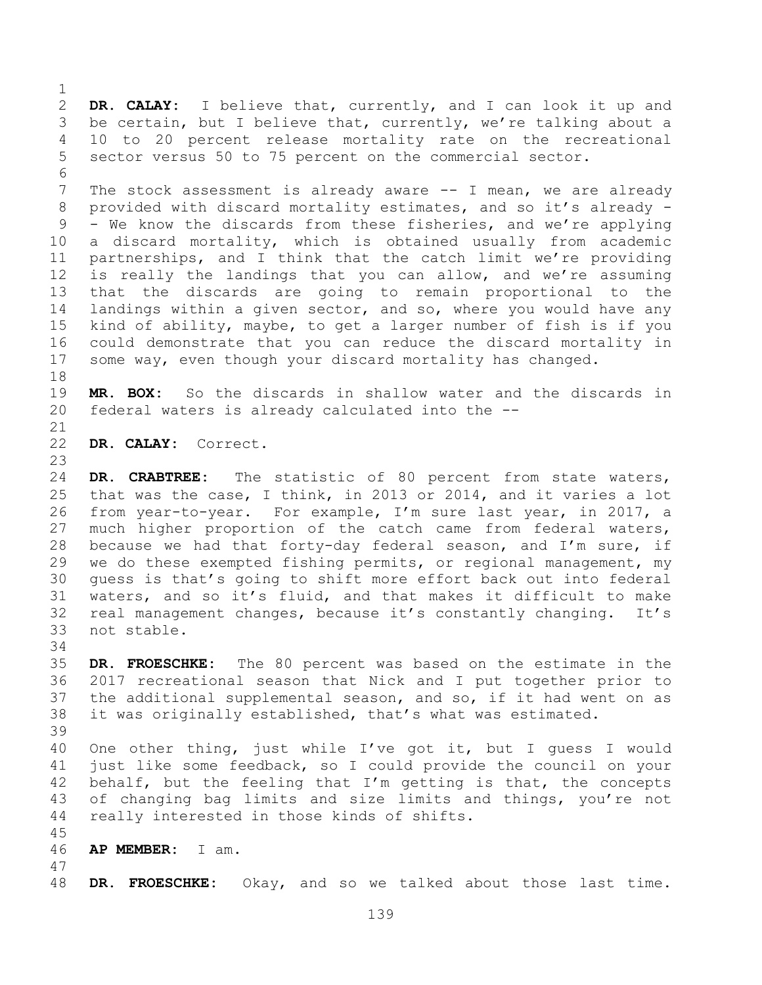**DR. CALAY:** I believe that, currently, and I can look it up and be certain, but I believe that, currently, we're talking about a 10 to 20 percent release mortality rate on the recreational sector versus 50 to 75 percent on the commercial sector.

7 The stock assessment is already aware -- I mean, we are already provided with discard mortality estimates, and so it's already - - We know the discards from these fisheries, and we're applying a discard mortality, which is obtained usually from academic partnerships, and I think that the catch limit we're providing is really the landings that you can allow, and we're assuming that the discards are going to remain proportional to the landings within a given sector, and so, where you would have any kind of ability, maybe, to get a larger number of fish is if you could demonstrate that you can reduce the discard mortality in some way, even though your discard mortality has changed.

 **MR. BOX:** So the discards in shallow water and the discards in federal waters is already calculated into the --

**DR. CALAY:** Correct.

 **DR. CRABTREE:** The statistic of 80 percent from state waters, that was the case, I think, in 2013 or 2014, and it varies a lot from year-to-year. For example, I'm sure last year, in 2017, a much higher proportion of the catch came from federal waters, because we had that forty-day federal season, and I'm sure, if we do these exempted fishing permits, or regional management, my guess is that's going to shift more effort back out into federal waters, and so it's fluid, and that makes it difficult to make real management changes, because it's constantly changing. It's not stable.

- **DR. FROESCHKE:** The 80 percent was based on the estimate in the 2017 recreational season that Nick and I put together prior to the additional supplemental season, and so, if it had went on as it was originally established, that's what was estimated.
- One other thing, just while I've got it, but I guess I would just like some feedback, so I could provide the council on your 42 behalf, but the feeling that I'm getting is that, the concepts of changing bag limits and size limits and things, you're not really interested in those kinds of shifts.
- 

**AP MEMBER:** I am.

**DR. FROESCHKE:** Okay, and so we talked about those last time.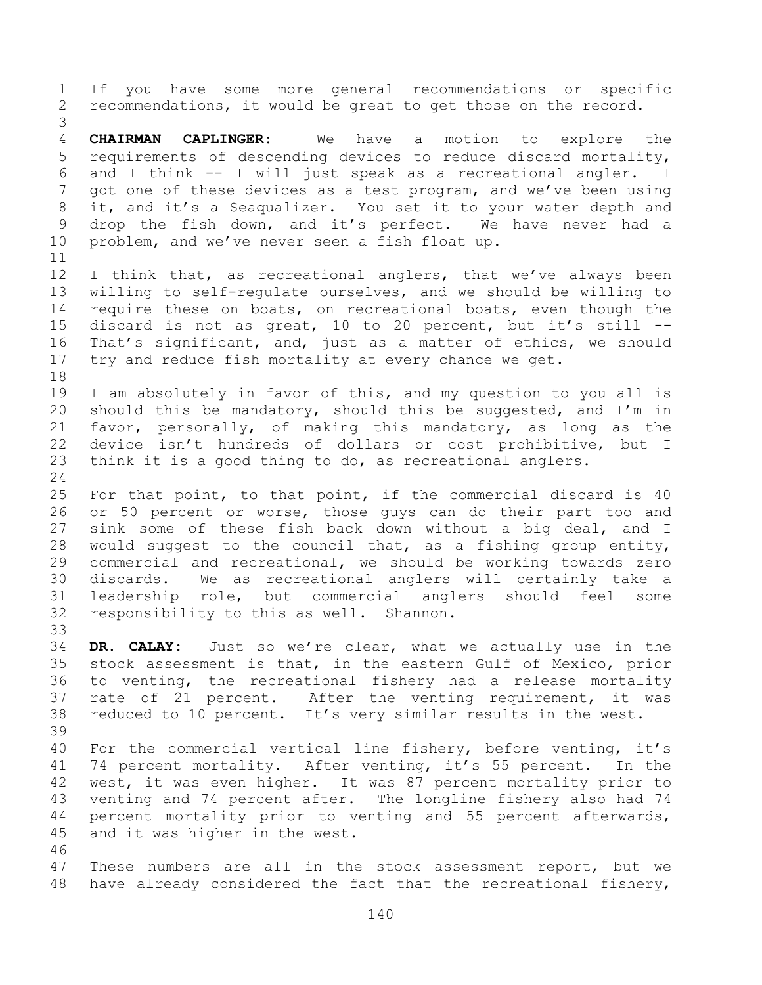If you have some more general recommendations or specific recommendations, it would be great to get those on the record. **CHAIRMAN CAPLINGER:** We have a motion to explore the requirements of descending devices to reduce discard mortality, and I think -- I will just speak as a recreational angler. I got one of these devices as a test program, and we've been using it, and it's a Seaqualizer. You set it to your water depth and drop the fish down, and it's perfect. We have never had a problem, and we've never seen a fish float up. 12 I think that, as recreational anglers, that we've always been willing to self-regulate ourselves, and we should be willing to require these on boats, on recreational boats, even though the discard is not as great, 10 to 20 percent, but it's still -- That's significant, and, just as a matter of ethics, we should try and reduce fish mortality at every chance we get. I am absolutely in favor of this, and my question to you all is should this be mandatory, should this be suggested, and I'm in favor, personally, of making this mandatory, as long as the device isn't hundreds of dollars or cost prohibitive, but I think it is a good thing to do, as recreational anglers. For that point, to that point, if the commercial discard is 40 or 50 percent or worse, those guys can do their part too and sink some of these fish back down without a big deal, and I would suggest to the council that, as a fishing group entity, commercial and recreational, we should be working towards zero discards. We as recreational anglers will certainly take a leadership role, but commercial anglers should feel some responsibility to this as well. Shannon. **DR. CALAY:** Just so we're clear, what we actually use in the stock assessment is that, in the eastern Gulf of Mexico, prior to venting, the recreational fishery had a release mortality rate of 21 percent. After the venting requirement, it was reduced to 10 percent. It's very similar results in the west. For the commercial vertical line fishery, before venting, it's 74 percent mortality. After venting, it's 55 percent. In the west, it was even higher. It was 87 percent mortality prior to venting and 74 percent after. The longline fishery also had 74 percent mortality prior to venting and 55 percent afterwards, and it was higher in the west. These numbers are all in the stock assessment report, but we have already considered the fact that the recreational fishery,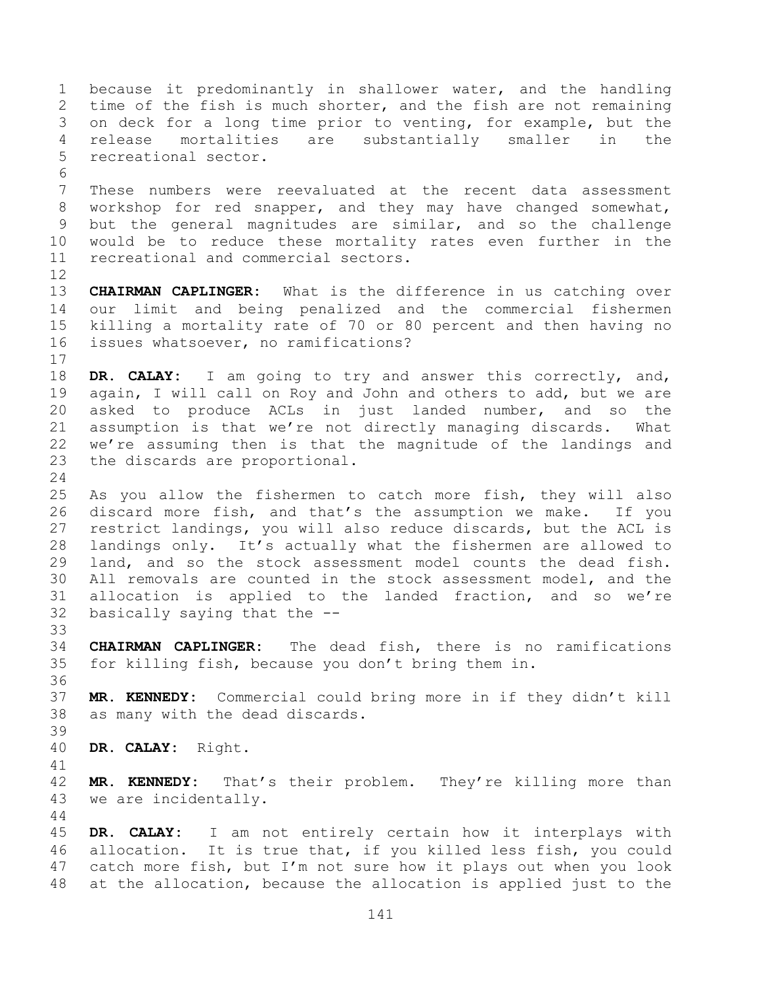because it predominantly in shallower water, and the handling time of the fish is much shorter, and the fish are not remaining on deck for a long time prior to venting, for example, but the release mortalities are substantially smaller in the recreational sector. These numbers were reevaluated at the recent data assessment workshop for red snapper, and they may have changed somewhat, but the general magnitudes are similar, and so the challenge would be to reduce these mortality rates even further in the recreational and commercial sectors. **CHAIRMAN CAPLINGER:** What is the difference in us catching over our limit and being penalized and the commercial fishermen killing a mortality rate of 70 or 80 percent and then having no issues whatsoever, no ramifications? **DR. CALAY:** I am going to try and answer this correctly, and, again, I will call on Roy and John and others to add, but we are asked to produce ACLs in just landed number, and so the assumption is that we're not directly managing discards. What we're assuming then is that the magnitude of the landings and the discards are proportional. As you allow the fishermen to catch more fish, they will also discard more fish, and that's the assumption we make. If you restrict landings, you will also reduce discards, but the ACL is landings only. It's actually what the fishermen are allowed to land, and so the stock assessment model counts the dead fish. All removals are counted in the stock assessment model, and the allocation is applied to the landed fraction, and so we're basically saying that the -- **CHAIRMAN CAPLINGER:** The dead fish, there is no ramifications for killing fish, because you don't bring them in. **MR. KENNEDY:** Commercial could bring more in if they didn't kill as many with the dead discards. **DR. CALAY:** Right. **MR. KENNEDY:** That's their problem. They're killing more than we are incidentally. **DR. CALAY:** I am not entirely certain how it interplays with allocation. It is true that, if you killed less fish, you could catch more fish, but I'm not sure how it plays out when you look at the allocation, because the allocation is applied just to the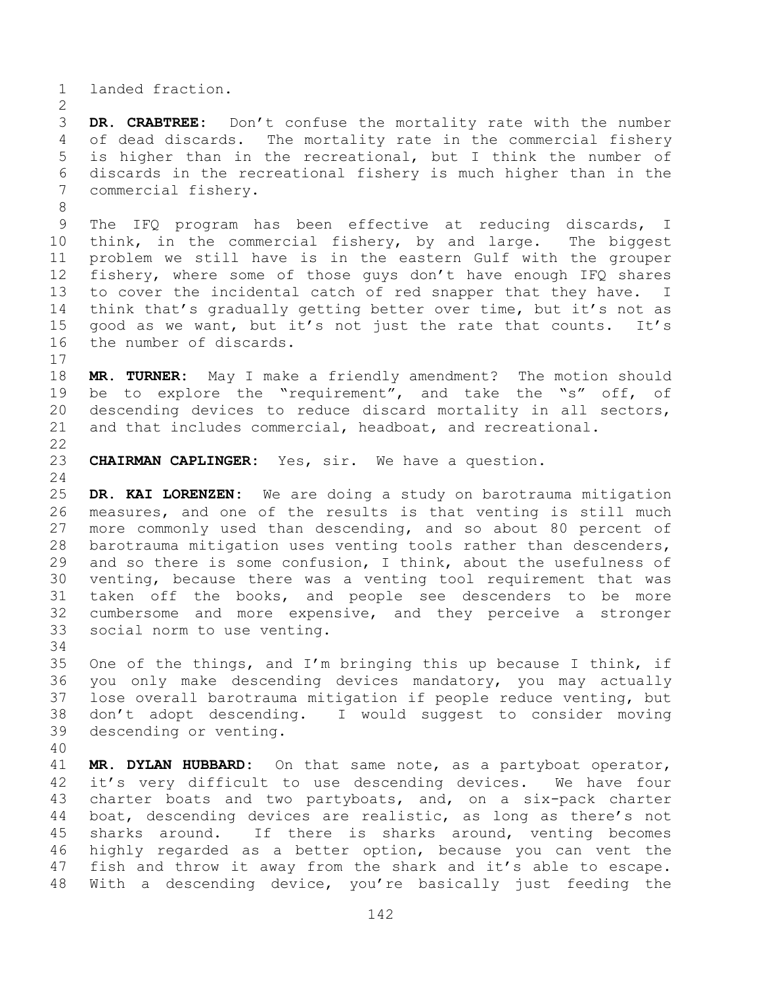landed fraction.

 **DR. CRABTREE:** Don't confuse the mortality rate with the number of dead discards. The mortality rate in the commercial fishery is higher than in the recreational, but I think the number of discards in the recreational fishery is much higher than in the commercial fishery.

 The IFQ program has been effective at reducing discards, I think, in the commercial fishery, by and large. The biggest problem we still have is in the eastern Gulf with the grouper fishery, where some of those guys don't have enough IFQ shares to cover the incidental catch of red snapper that they have. I think that's gradually getting better over time, but it's not as good as we want, but it's not just the rate that counts. It's the number of discards.

 **MR. TURNER:** May I make a friendly amendment? The motion should be to explore the "requirement", and take the "s" off, of descending devices to reduce discard mortality in all sectors, and that includes commercial, headboat, and recreational. 

**CHAIRMAN CAPLINGER:** Yes, sir. We have a question.

 **DR. KAI LORENZEN:** We are doing a study on barotrauma mitigation measures, and one of the results is that venting is still much more commonly used than descending, and so about 80 percent of barotrauma mitigation uses venting tools rather than descenders, and so there is some confusion, I think, about the usefulness of venting, because there was a venting tool requirement that was taken off the books, and people see descenders to be more cumbersome and more expensive, and they perceive a stronger social norm to use venting.

35 One of the things, and I'm bringing this up because I think, if you only make descending devices mandatory, you may actually lose overall barotrauma mitigation if people reduce venting, but don't adopt descending. I would suggest to consider moving descending or venting.

 **MR. DYLAN HUBBARD:** On that same note, as a partyboat operator, it's very difficult to use descending devices. We have four charter boats and two partyboats, and, on a six-pack charter boat, descending devices are realistic, as long as there's not sharks around. If there is sharks around, venting becomes highly regarded as a better option, because you can vent the fish and throw it away from the shark and it's able to escape. With a descending device, you're basically just feeding the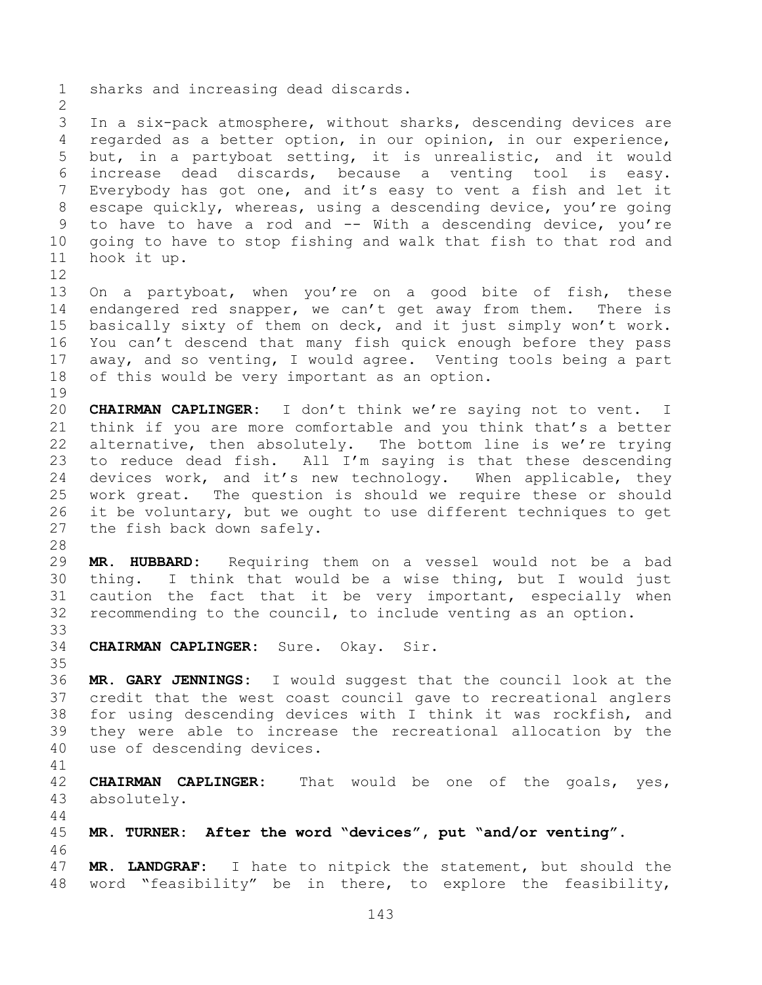sharks and increasing dead discards. In a six-pack atmosphere, without sharks, descending devices are regarded as a better option, in our opinion, in our experience, but, in a partyboat setting, it is unrealistic, and it would increase dead discards, because a venting tool is easy. Everybody has got one, and it's easy to vent a fish and let it escape quickly, whereas, using a descending device, you're going to have to have a rod and -- With a descending device, you're going to have to stop fishing and walk that fish to that rod and hook it up. On a partyboat, when you're on a good bite of fish, these endangered red snapper, we can't get away from them. There is basically sixty of them on deck, and it just simply won't work. You can't descend that many fish quick enough before they pass away, and so venting, I would agree. Venting tools being a part of this would be very important as an option. **CHAIRMAN CAPLINGER:** I don't think we're saying not to vent. I think if you are more comfortable and you think that's a better alternative, then absolutely. The bottom line is we're trying to reduce dead fish. All I'm saying is that these descending devices work, and it's new technology. When applicable, they work great. The question is should we require these or should it be voluntary, but we ought to use different techniques to get the fish back down safely. **MR. HUBBARD:** Requiring them on a vessel would not be a bad thing. I think that would be a wise thing, but I would just caution the fact that it be very important, especially when recommending to the council, to include venting as an option. **CHAIRMAN CAPLINGER:** Sure. Okay. Sir. **MR. GARY JENNINGS:** I would suggest that the council look at the credit that the west coast council gave to recreational anglers for using descending devices with I think it was rockfish, and they were able to increase the recreational allocation by the use of descending devices. **CHAIRMAN CAPLINGER:** That would be one of the goals, yes, absolutely. **MR. TURNER: After the word "devices", put "and/or venting".** 

 **MR. LANDGRAF:** I hate to nitpick the statement, but should the word "feasibility" be in there, to explore the feasibility,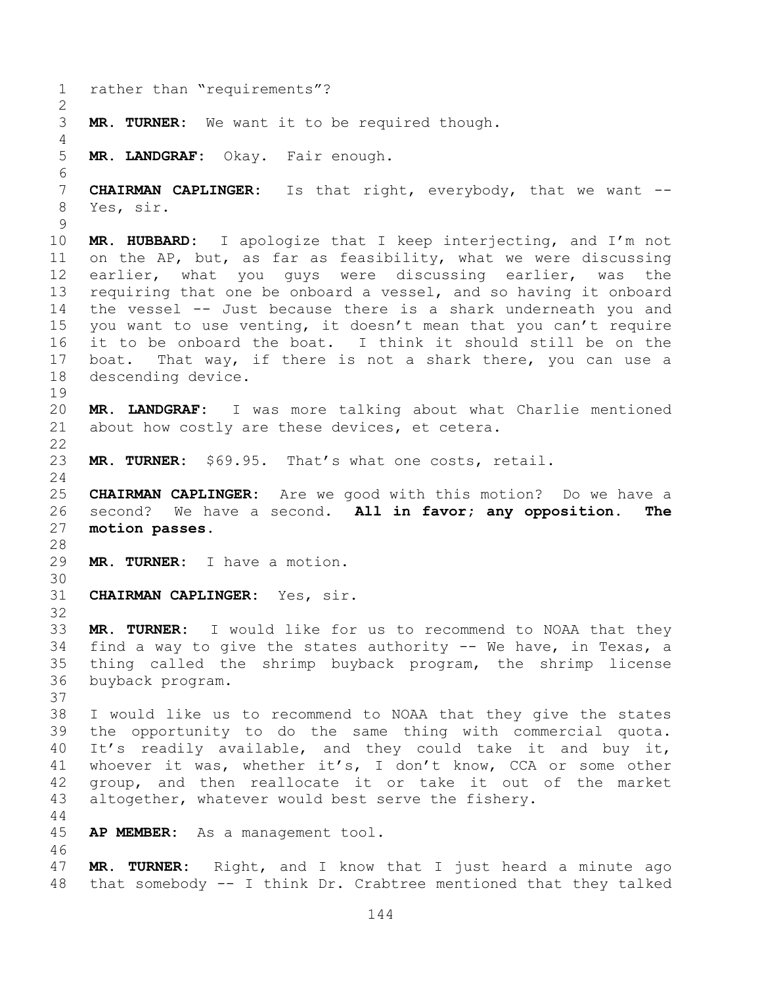```
1 rather than "requirements"?
2
3 MR. TURNER: We want it to be required though.
4
5 MR. LANDGRAF: Okay. Fair enough.
6
7 CHAIRMAN CAPLINGER: Is that right, everybody, that we want --
8 Yes, sir.
9
10 MR. HUBBARD: I apologize that I keep interjecting, and I'm not 
11 on the AP, but, as far as feasibility, what we were discussing 
12 earlier, what you guys were discussing earlier, was the 
13 requiring that one be onboard a vessel, and so having it onboard 
14 the vessel -- Just because there is a shark underneath you and 
15 you want to use venting, it doesn't mean that you can't require 
16 it to be onboard the boat. I think it should still be on the 
17 boat. That way, if there is not a shark there, you can use a 
18 descending device.
19
20 MR. LANDGRAF: I was more talking about what Charlie mentioned 
21 about how costly are these devices, et cetera.
22
23 MR. TURNER: $69.95. That's what one costs, retail.
24
25 CHAIRMAN CAPLINGER: Are we good with this motion? Do we have a 
26 second? We have a second. All in favor; any opposition. The 
27 motion passes. 
28
29 MR. TURNER: I have a motion.
30
31 CHAIRMAN CAPLINGER: Yes, sir.
32
33 MR. TURNER: I would like for us to recommend to NOAA that they 
34 find a way to give the states authority -- We have, in Texas, a 
35 thing called the shrimp buyback program, the shrimp license 
36 buyback program.
37
38 I would like us to recommend to NOAA that they give the states 
39 the opportunity to do the same thing with commercial quota. 
40 It's readily available, and they could take it and buy it, 
41 whoever it was, whether it's, I don't know, CCA or some other 
42 group, and then reallocate it or take it out of the market 
43 altogether, whatever would best serve the fishery.
44
45 AP MEMBER: As a management tool.
46
47 MR. TURNER: Right, and I know that I just heard a minute ago 
48 that somebody -- I think Dr. Crabtree mentioned that they talked
```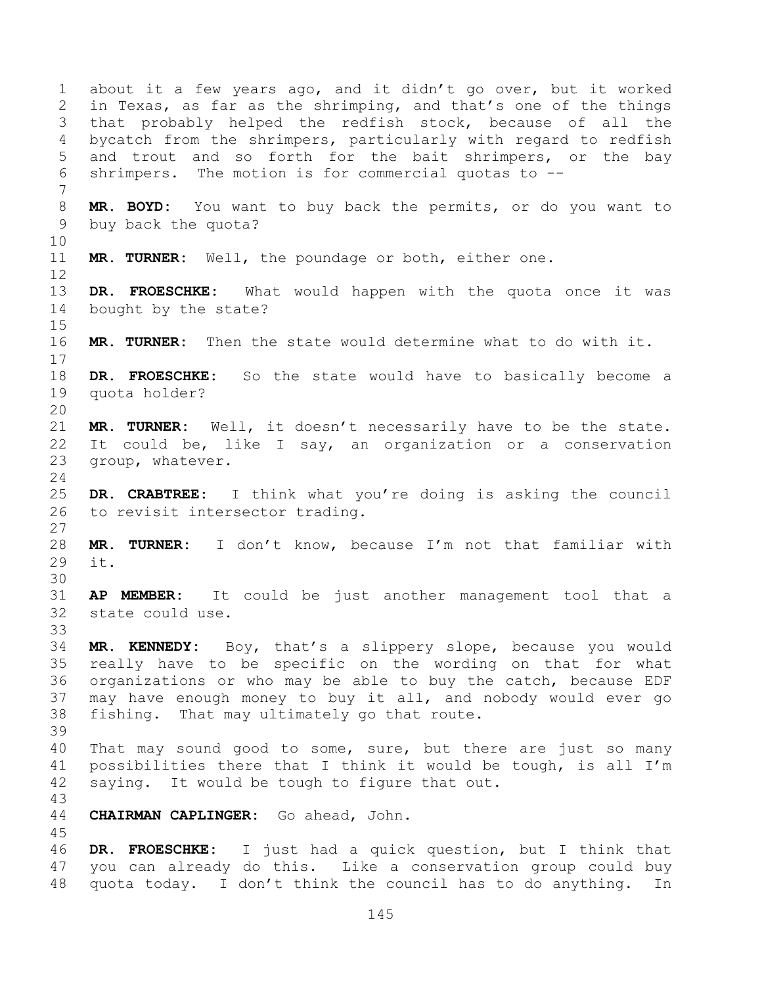about it a few years ago, and it didn't go over, but it worked in Texas, as far as the shrimping, and that's one of the things that probably helped the redfish stock, because of all the bycatch from the shrimpers, particularly with regard to redfish and trout and so forth for the bait shrimpers, or the bay shrimpers. The motion is for commercial quotas to -- **MR. BOYD:** You want to buy back the permits, or do you want to buy back the quota? **MR. TURNER:** Well, the poundage or both, either one. **DR. FROESCHKE:** What would happen with the quota once it was bought by the state? **MR. TURNER:** Then the state would determine what to do with it. **DR. FROESCHKE:** So the state would have to basically become a quota holder? **MR. TURNER:** Well, it doesn't necessarily have to be the state. It could be, like I say, an organization or a conservation group, whatever. **DR. CRABTREE:** I think what you're doing is asking the council to revisit intersector trading. **MR. TURNER:** I don't know, because I'm not that familiar with it. **AP MEMBER:** It could be just another management tool that a state could use. **MR. KENNEDY:** Boy, that's a slippery slope, because you would really have to be specific on the wording on that for what organizations or who may be able to buy the catch, because EDF may have enough money to buy it all, and nobody would ever go fishing. That may ultimately go that route. That may sound good to some, sure, but there are just so many possibilities there that I think it would be tough, is all I'm saying. It would be tough to figure that out. **CHAIRMAN CAPLINGER:** Go ahead, John. **DR. FROESCHKE:** I just had a quick question, but I think that you can already do this. Like a conservation group could buy quota today. I don't think the council has to do anything. In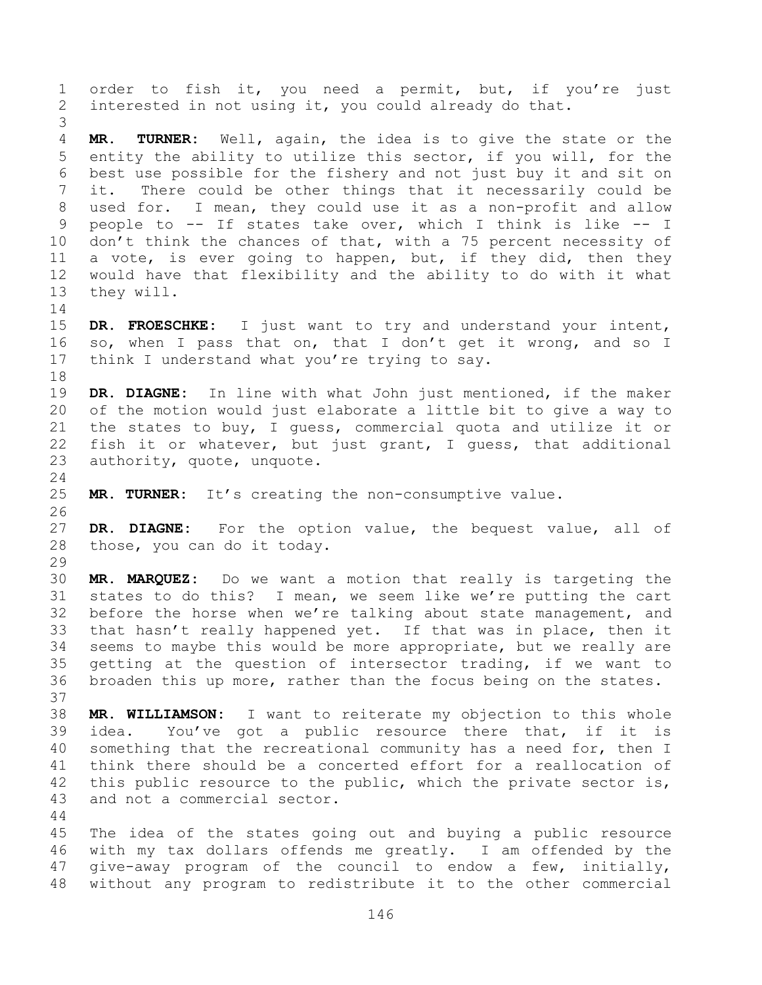order to fish it, you need a permit, but, if you're just interested in not using it, you could already do that. **MR. TURNER:** Well, again, the idea is to give the state or the entity the ability to utilize this sector, if you will, for the best use possible for the fishery and not just buy it and sit on it. There could be other things that it necessarily could be used for. I mean, they could use it as a non-profit and allow people to -- If states take over, which I think is like -- I don't think the chances of that, with a 75 percent necessity of a vote, is ever going to happen, but, if they did, then they would have that flexibility and the ability to do with it what they will. **DR. FROESCHKE:** I just want to try and understand your intent, so, when I pass that on, that I don't get it wrong, and so I 17 think I understand what you're trying to say. **DR. DIAGNE:** In line with what John just mentioned, if the maker of the motion would just elaborate a little bit to give a way to the states to buy, I guess, commercial quota and utilize it or fish it or whatever, but just grant, I guess, that additional authority, quote, unquote. **MR. TURNER:** It's creating the non-consumptive value. **DR. DIAGNE:** For the option value, the bequest value, all of those, you can do it today. **MR. MARQUEZ:** Do we want a motion that really is targeting the states to do this? I mean, we seem like we're putting the cart before the horse when we're talking about state management, and that hasn't really happened yet. If that was in place, then it seems to maybe this would be more appropriate, but we really are getting at the question of intersector trading, if we want to broaden this up more, rather than the focus being on the states. **MR. WILLIAMSON:** I want to reiterate my objection to this whole idea. You've got a public resource there that, if it is something that the recreational community has a need for, then I think there should be a concerted effort for a reallocation of this public resource to the public, which the private sector is, and not a commercial sector. The idea of the states going out and buying a public resource with my tax dollars offends me greatly. I am offended by the give-away program of the council to endow a few, initially, without any program to redistribute it to the other commercial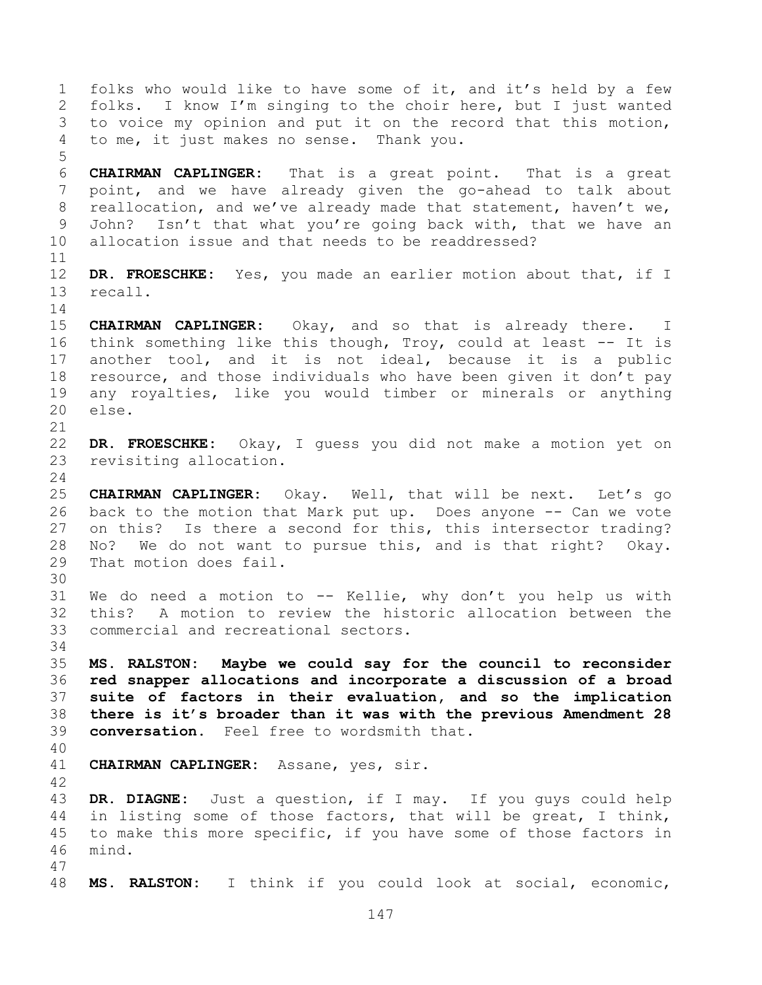folks who would like to have some of it, and it's held by a few folks. I know I'm singing to the choir here, but I just wanted to voice my opinion and put it on the record that this motion, to me, it just makes no sense. Thank you. **CHAIRMAN CAPLINGER:** That is a great point. That is a great point, and we have already given the go-ahead to talk about reallocation, and we've already made that statement, haven't we, John? Isn't that what you're going back with, that we have an allocation issue and that needs to be readdressed? **DR. FROESCHKE:** Yes, you made an earlier motion about that, if I recall. **CHAIRMAN CAPLINGER:** Okay, and so that is already there. I think something like this though, Troy, could at least -- It is another tool, and it is not ideal, because it is a public resource, and those individuals who have been given it don't pay any royalties, like you would timber or minerals or anything else. **DR. FROESCHKE:** Okay, I guess you did not make a motion yet on revisiting allocation. **CHAIRMAN CAPLINGER:** Okay. Well, that will be next. Let's go back to the motion that Mark put up. Does anyone -- Can we vote on this? Is there a second for this, this intersector trading? No? We do not want to pursue this, and is that right? Okay. That motion does fail. We do need a motion to -- Kellie, why don't you help us with this? A motion to review the historic allocation between the commercial and recreational sectors. **MS. RALSTON: Maybe we could say for the council to reconsider red snapper allocations and incorporate a discussion of a broad suite of factors in their evaluation, and so the implication there is it's broader than it was with the previous Amendment 28 conversation.** Feel free to wordsmith that. **CHAIRMAN CAPLINGER:** Assane, yes, sir. **DR. DIAGNE:** Just a question, if I may. If you guys could help in listing some of those factors, that will be great, I think, to make this more specific, if you have some of those factors in mind. **MS. RALSTON:** I think if you could look at social, economic,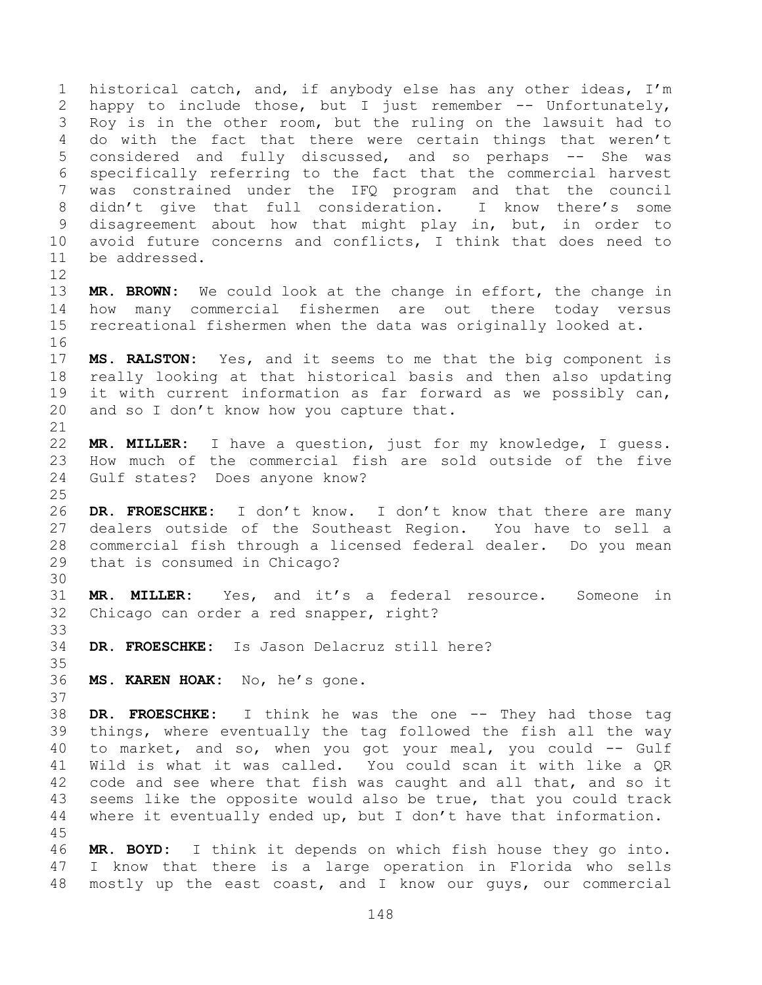historical catch, and, if anybody else has any other ideas, I'm happy to include those, but I just remember -- Unfortunately, Roy is in the other room, but the ruling on the lawsuit had to do with the fact that there were certain things that weren't 5 considered and fully discussed, and so perhaps -- She was specifically referring to the fact that the commercial harvest was constrained under the IFQ program and that the council didn't give that full consideration. I know there's some disagreement about how that might play in, but, in order to avoid future concerns and conflicts, I think that does need to be addressed.

 **MR. BROWN:** We could look at the change in effort, the change in how many commercial fishermen are out there today versus recreational fishermen when the data was originally looked at. 

 **MS. RALSTON:** Yes, and it seems to me that the big component is really looking at that historical basis and then also updating it with current information as far forward as we possibly can, 20 and so I don't know how you capture that.

 **MR. MILLER:** I have a question, just for my knowledge, I guess. How much of the commercial fish are sold outside of the five Gulf states? Does anyone know?

 **DR. FROESCHKE:** I don't know. I don't know that there are many dealers outside of the Southeast Region. You have to sell a commercial fish through a licensed federal dealer. Do you mean that is consumed in Chicago?

 **MR. MILLER:** Yes, and it's a federal resource. Someone in Chicago can order a red snapper, right?

**DR. FROESCHKE:** Is Jason Delacruz still here?

**MS. KAREN HOAK:** No, he's gone.

 **DR. FROESCHKE:** I think he was the one -- They had those tag things, where eventually the tag followed the fish all the way to market, and so, when you got your meal, you could -- Gulf Wild is what it was called. You could scan it with like a QR code and see where that fish was caught and all that, and so it seems like the opposite would also be true, that you could track where it eventually ended up, but I don't have that information. 

 **MR. BOYD:** I think it depends on which fish house they go into. I know that there is a large operation in Florida who sells mostly up the east coast, and I know our guys, our commercial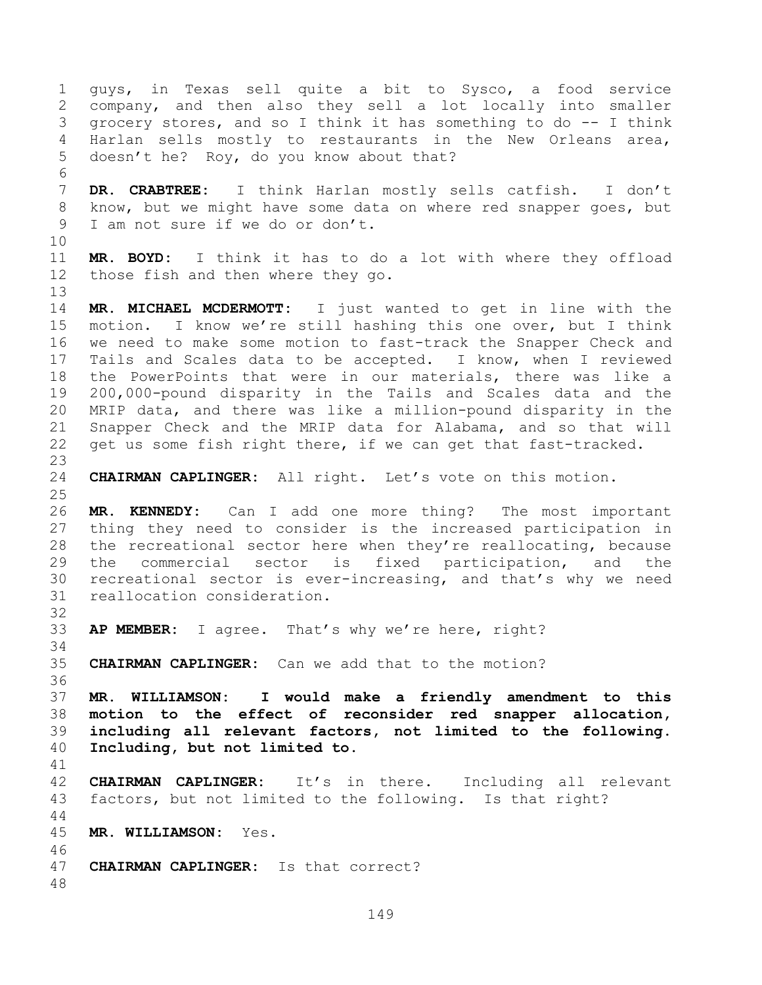guys, in Texas sell quite a bit to Sysco, a food service company, and then also they sell a lot locally into smaller grocery stores, and so I think it has something to do -- I think Harlan sells mostly to restaurants in the New Orleans area, doesn't he? Roy, do you know about that? **DR. CRABTREE:** I think Harlan mostly sells catfish. I don't know, but we might have some data on where red snapper goes, but I am not sure if we do or don't. **MR. BOYD:** I think it has to do a lot with where they offload those fish and then where they go. **MR. MICHAEL MCDERMOTT:** I just wanted to get in line with the motion. I know we're still hashing this one over, but I think we need to make some motion to fast-track the Snapper Check and Tails and Scales data to be accepted. I know, when I reviewed the PowerPoints that were in our materials, there was like a 200,000-pound disparity in the Tails and Scales data and the MRIP data, and there was like a million-pound disparity in the Snapper Check and the MRIP data for Alabama, and so that will get us some fish right there, if we can get that fast-tracked. **CHAIRMAN CAPLINGER:** All right. Let's vote on this motion. **MR. KENNEDY:** Can I add one more thing? The most important thing they need to consider is the increased participation in the recreational sector here when they're reallocating, because the commercial sector is fixed participation, and the recreational sector is ever-increasing, and that's why we need reallocation consideration. **AP MEMBER:** I agree. That's why we're here, right? **CHAIRMAN CAPLINGER:** Can we add that to the motion? **MR. WILLIAMSON: I would make a friendly amendment to this motion to the effect of reconsider red snapper allocation, including all relevant factors, not limited to the following. Including, but not limited to. CHAIRMAN CAPLINGER:** It's in there. Including all relevant factors, but not limited to the following. Is that right? **MR. WILLIAMSON:** Yes. **CHAIRMAN CAPLINGER:** Is that correct?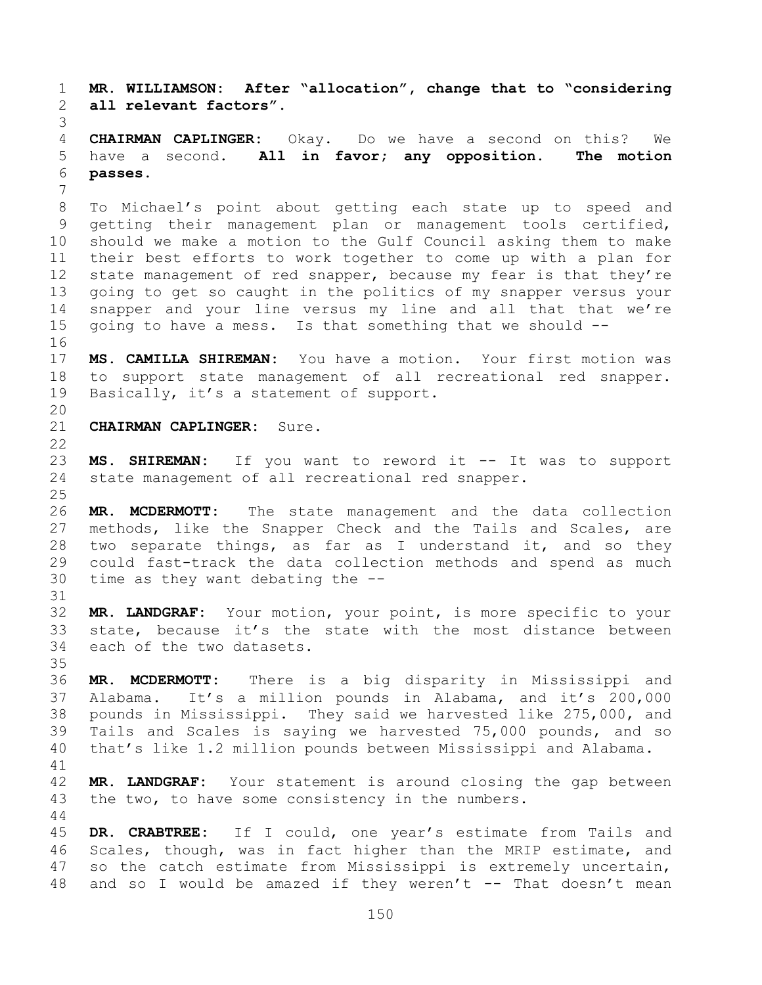**MR. WILLIAMSON: After "allocation", change that to "considering all relevant factors". CHAIRMAN CAPLINGER:** Okay. Do we have a second on this? We have a second. **All in favor; any opposition. The motion passes.**  To Michael's point about getting each state up to speed and getting their management plan or management tools certified, should we make a motion to the Gulf Council asking them to make their best efforts to work together to come up with a plan for 12 state management of red snapper, because my fear is that they're going to get so caught in the politics of my snapper versus your snapper and your line versus my line and all that that we're going to have a mess. Is that something that we should -- **MS. CAMILLA SHIREMAN:** You have a motion. Your first motion was to support state management of all recreational red snapper. 19 Basically, it's a statement of support. **CHAIRMAN CAPLINGER:** Sure. **MS. SHIREMAN:** If you want to reword it -- It was to support state management of all recreational red snapper. **MR. MCDERMOTT:** The state management and the data collection methods, like the Snapper Check and the Tails and Scales, are two separate things, as far as I understand it, and so they could fast-track the data collection methods and spend as much time as they want debating the -- **MR. LANDGRAF:** Your motion, your point, is more specific to your state, because it's the state with the most distance between each of the two datasets. **MR. MCDERMOTT:** There is a big disparity in Mississippi and Alabama. It's a million pounds in Alabama, and it's 200,000 pounds in Mississippi. They said we harvested like 275,000, and Tails and Scales is saying we harvested 75,000 pounds, and so that's like 1.2 million pounds between Mississippi and Alabama. **MR. LANDGRAF:** Your statement is around closing the gap between the two, to have some consistency in the numbers. **DR. CRABTREE:** If I could, one year's estimate from Tails and

 Scales, though, was in fact higher than the MRIP estimate, and so the catch estimate from Mississippi is extremely uncertain, and so I would be amazed if they weren't -- That doesn't mean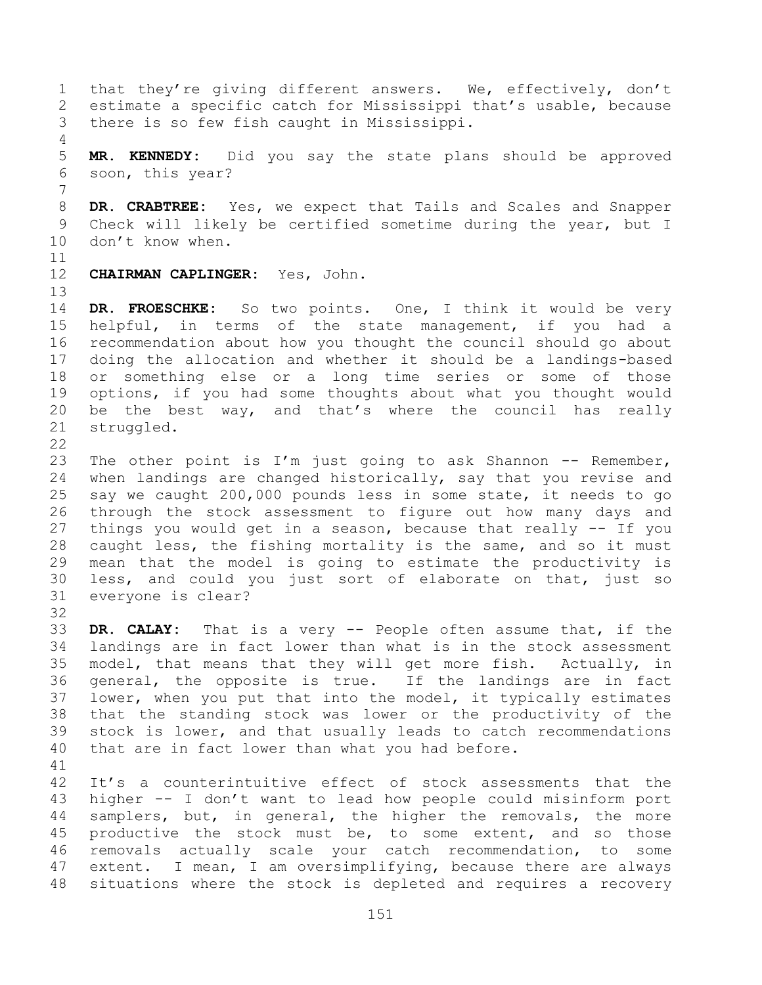1 that they're giving different answers. We, effectively, don't estimate a specific catch for Mississippi that's usable, because there is so few fish caught in Mississippi. **MR. KENNEDY:** Did you say the state plans should be approved soon, this year? **DR. CRABTREE:** Yes, we expect that Tails and Scales and Snapper Check will likely be certified sometime during the year, but I 10 don't know when. **CHAIRMAN CAPLINGER:** Yes, John. **DR. FROESCHKE:** So two points. One, I think it would be very helpful, in terms of the state management, if you had a recommendation about how you thought the council should go about doing the allocation and whether it should be a landings-based or something else or a long time series or some of those options, if you had some thoughts about what you thought would be the best way, and that's where the council has really struggled. The other point is I'm just going to ask Shannon -- Remember, when landings are changed historically, say that you revise and say we caught 200,000 pounds less in some state, it needs to go through the stock assessment to figure out how many days and things you would get in a season, because that really -- If you caught less, the fishing mortality is the same, and so it must mean that the model is going to estimate the productivity is less, and could you just sort of elaborate on that, just so everyone is clear? **DR. CALAY:** That is a very -- People often assume that, if the landings are in fact lower than what is in the stock assessment model, that means that they will get more fish. Actually, in general, the opposite is true. If the landings are in fact lower, when you put that into the model, it typically estimates that the standing stock was lower or the productivity of the stock is lower, and that usually leads to catch recommendations that are in fact lower than what you had before. It's a counterintuitive effect of stock assessments that the higher -- I don't want to lead how people could misinform port samplers, but, in general, the higher the removals, the more productive the stock must be, to some extent, and so those removals actually scale your catch recommendation, to some extent. I mean, I am oversimplifying, because there are always situations where the stock is depleted and requires a recovery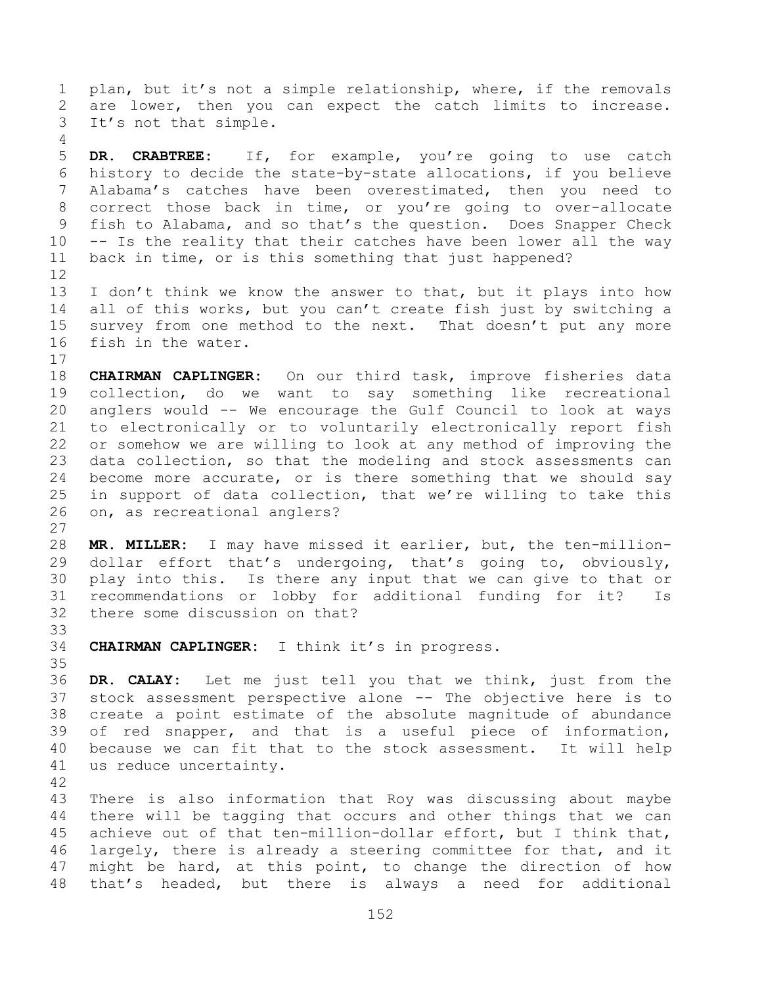plan, but it's not a simple relationship, where, if the removals are lower, then you can expect the catch limits to increase. It's not that simple.

 **DR. CRABTREE:** If, for example, you're going to use catch history to decide the state-by-state allocations, if you believe Alabama's catches have been overestimated, then you need to correct those back in time, or you're going to over-allocate fish to Alabama, and so that's the question. Does Snapper Check -- Is the reality that their catches have been lower all the way back in time, or is this something that just happened? 

 I don't think we know the answer to that, but it plays into how all of this works, but you can't create fish just by switching a survey from one method to the next. That doesn't put any more fish in the water.

 **CHAIRMAN CAPLINGER:** On our third task, improve fisheries data collection, do we want to say something like recreational anglers would -- We encourage the Gulf Council to look at ways to electronically or to voluntarily electronically report fish or somehow we are willing to look at any method of improving the data collection, so that the modeling and stock assessments can become more accurate, or is there something that we should say in support of data collection, that we're willing to take this on, as recreational anglers?

 **MR. MILLER:** I may have missed it earlier, but, the ten-million- dollar effort that's undergoing, that's going to, obviously, play into this. Is there any input that we can give to that or recommendations or lobby for additional funding for it? Is there some discussion on that?

**CHAIRMAN CAPLINGER:** I think it's in progress.

 **DR. CALAY:** Let me just tell you that we think, just from the stock assessment perspective alone -- The objective here is to create a point estimate of the absolute magnitude of abundance of red snapper, and that is a useful piece of information, because we can fit that to the stock assessment. It will help us reduce uncertainty.

 There is also information that Roy was discussing about maybe there will be tagging that occurs and other things that we can achieve out of that ten-million-dollar effort, but I think that, largely, there is already a steering committee for that, and it might be hard, at this point, to change the direction of how that's headed, but there is always a need for additional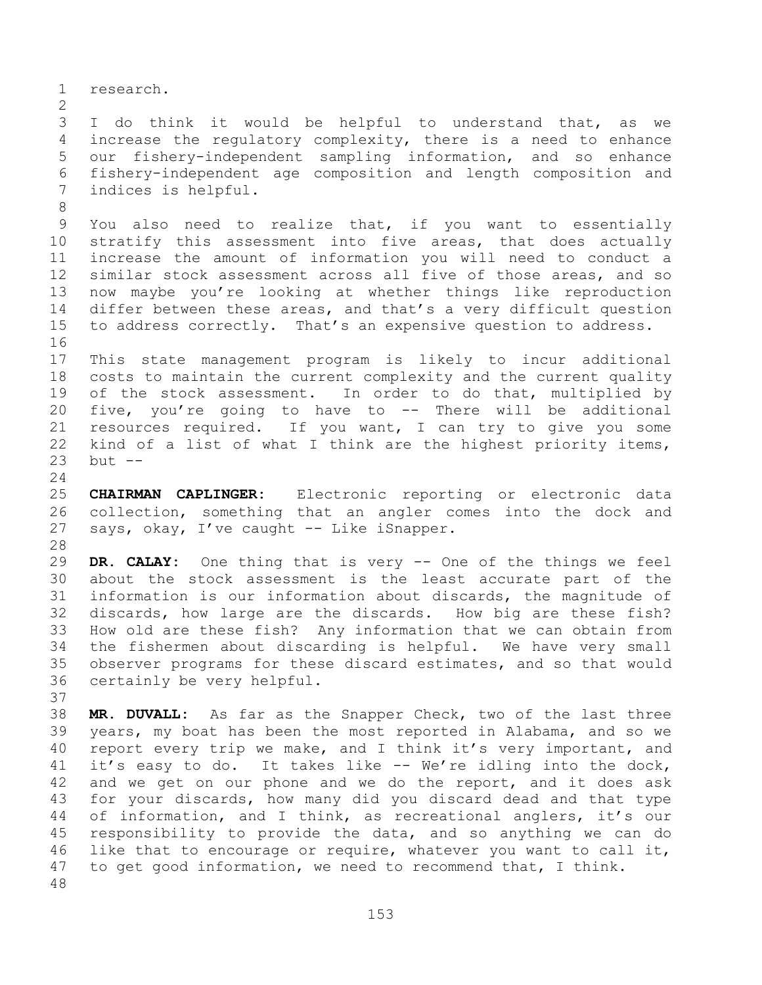research.

 I do think it would be helpful to understand that, as we increase the regulatory complexity, there is a need to enhance our fishery-independent sampling information, and so enhance fishery-independent age composition and length composition and indices is helpful.

 You also need to realize that, if you want to essentially stratify this assessment into five areas, that does actually increase the amount of information you will need to conduct a similar stock assessment across all five of those areas, and so now maybe you're looking at whether things like reproduction differ between these areas, and that's a very difficult question to address correctly. That's an expensive question to address. 

 This state management program is likely to incur additional costs to maintain the current complexity and the current quality 19 of the stock assessment. In order to do that, multiplied by five, you're going to have to -- There will be additional resources required. If you want, I can try to give you some kind of a list of what I think are the highest priority items, but --

 **CHAIRMAN CAPLINGER:** Electronic reporting or electronic data collection, something that an angler comes into the dock and says, okay, I've caught -- Like iSnapper.

 **DR. CALAY:** One thing that is very -- One of the things we feel about the stock assessment is the least accurate part of the information is our information about discards, the magnitude of discards, how large are the discards. How big are these fish? How old are these fish? Any information that we can obtain from the fishermen about discarding is helpful. We have very small observer programs for these discard estimates, and so that would certainly be very helpful.

 **MR. DUVALL:** As far as the Snapper Check, two of the last three years, my boat has been the most reported in Alabama, and so we report every trip we make, and I think it's very important, and it's easy to do. It takes like -- We're idling into the dock, and we get on our phone and we do the report, and it does ask for your discards, how many did you discard dead and that type of information, and I think, as recreational anglers, it's our responsibility to provide the data, and so anything we can do like that to encourage or require, whatever you want to call it, to get good information, we need to recommend that, I think.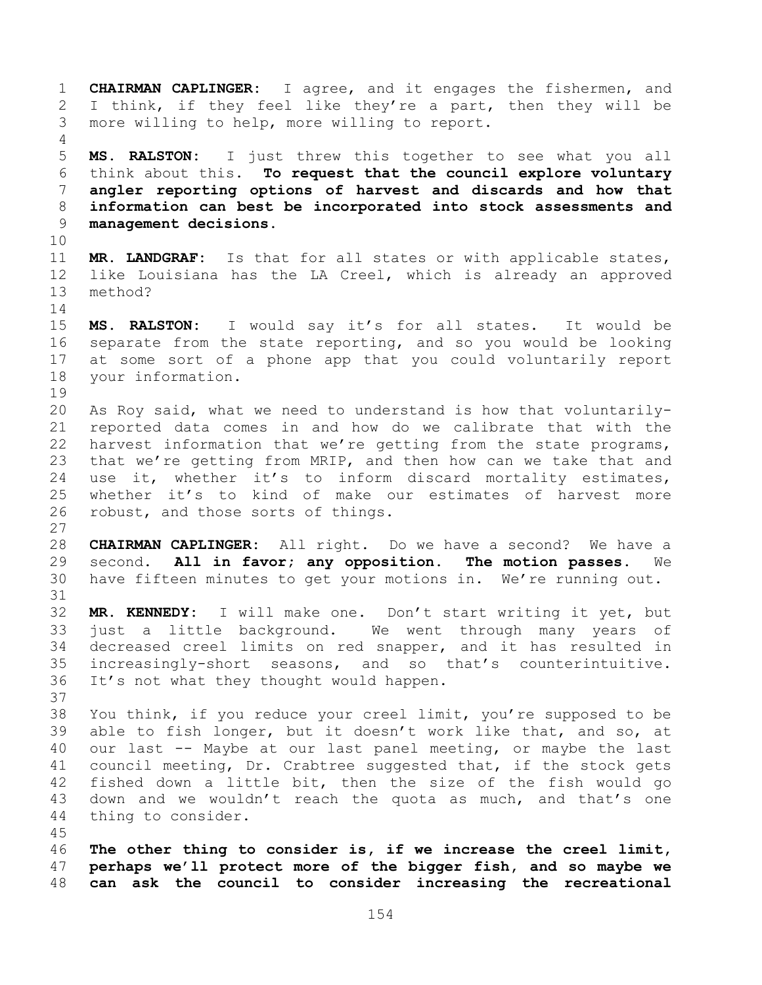**CHAIRMAN CAPLINGER:** I agree, and it engages the fishermen, and I think, if they feel like they're a part, then they will be more willing to help, more willing to report. **MS. RALSTON:** I just threw this together to see what you all think about this. **To request that the council explore voluntary angler reporting options of harvest and discards and how that information can best be incorporated into stock assessments and management decisions. MR. LANDGRAF:** Is that for all states or with applicable states, like Louisiana has the LA Creel, which is already an approved method? **MS. RALSTON:** I would say it's for all states. It would be separate from the state reporting, and so you would be looking at some sort of a phone app that you could voluntarily report your information. As Roy said, what we need to understand is how that voluntarily- reported data comes in and how do we calibrate that with the harvest information that we're getting from the state programs, that we're getting from MRIP, and then how can we take that and use it, whether it's to inform discard mortality estimates, whether it's to kind of make our estimates of harvest more robust, and those sorts of things. **CHAIRMAN CAPLINGER:** All right. Do we have a second? We have a second. **All in favor; any opposition. The motion passes.** We have fifteen minutes to get your motions in. We're running out. **MR. KENNEDY:** I will make one. Don't start writing it yet, but just a little background. We went through many years of decreased creel limits on red snapper, and it has resulted in increasingly-short seasons, and so that's counterintuitive. It's not what they thought would happen. You think, if you reduce your creel limit, you're supposed to be able to fish longer, but it doesn't work like that, and so, at our last -- Maybe at our last panel meeting, or maybe the last council meeting, Dr. Crabtree suggested that, if the stock gets fished down a little bit, then the size of the fish would go down and we wouldn't reach the quota as much, and that's one thing to consider. **The other thing to consider is, if we increase the creel limit, perhaps we'll protect more of the bigger fish, and so maybe we can ask the council to consider increasing the recreational**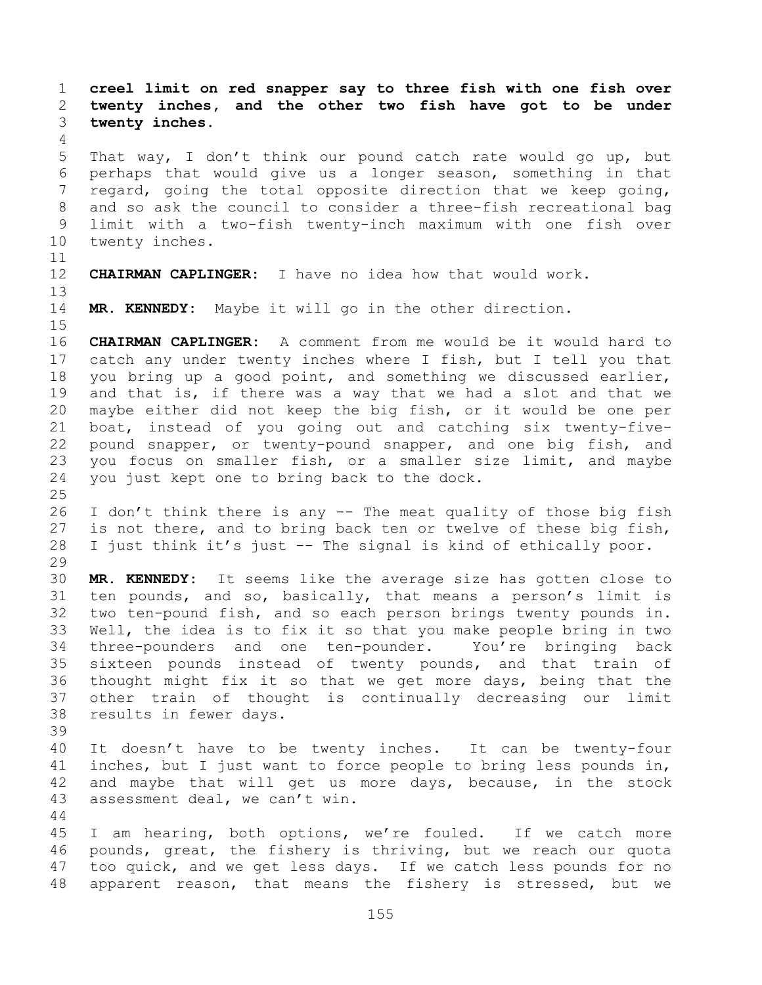**creel limit on red snapper say to three fish with one fish over twenty inches, and the other two fish have got to be under twenty inches.**  That way, I don't think our pound catch rate would go up, but perhaps that would give us a longer season, something in that regard, going the total opposite direction that we keep going, and so ask the council to consider a three-fish recreational bag limit with a two-fish twenty-inch maximum with one fish over twenty inches. **CHAIRMAN CAPLINGER:** I have no idea how that would work. **MR. KENNEDY:** Maybe it will go in the other direction. **CHAIRMAN CAPLINGER:** A comment from me would be it would hard to catch any under twenty inches where I fish, but I tell you that you bring up a good point, and something we discussed earlier, and that is, if there was a way that we had a slot and that we maybe either did not keep the big fish, or it would be one per boat, instead of you going out and catching six twenty-five- pound snapper, or twenty-pound snapper, and one big fish, and you focus on smaller fish, or a smaller size limit, and maybe you just kept one to bring back to the dock. I don't think there is any -- The meat quality of those big fish 27 is not there, and to bring back ten or twelve of these big fish, I just think it's just -- The signal is kind of ethically poor. **MR. KENNEDY:** It seems like the average size has gotten close to ten pounds, and so, basically, that means a person's limit is two ten-pound fish, and so each person brings twenty pounds in. Well, the idea is to fix it so that you make people bring in two three-pounders and one ten-pounder. You're bringing back sixteen pounds instead of twenty pounds, and that train of thought might fix it so that we get more days, being that the other train of thought is continually decreasing our limit results in fewer days. It doesn't have to be twenty inches. It can be twenty-four inches, but I just want to force people to bring less pounds in, and maybe that will get us more days, because, in the stock assessment deal, we can't win. I am hearing, both options, we're fouled. If we catch more pounds, great, the fishery is thriving, but we reach our quota too quick, and we get less days. If we catch less pounds for no apparent reason, that means the fishery is stressed, but we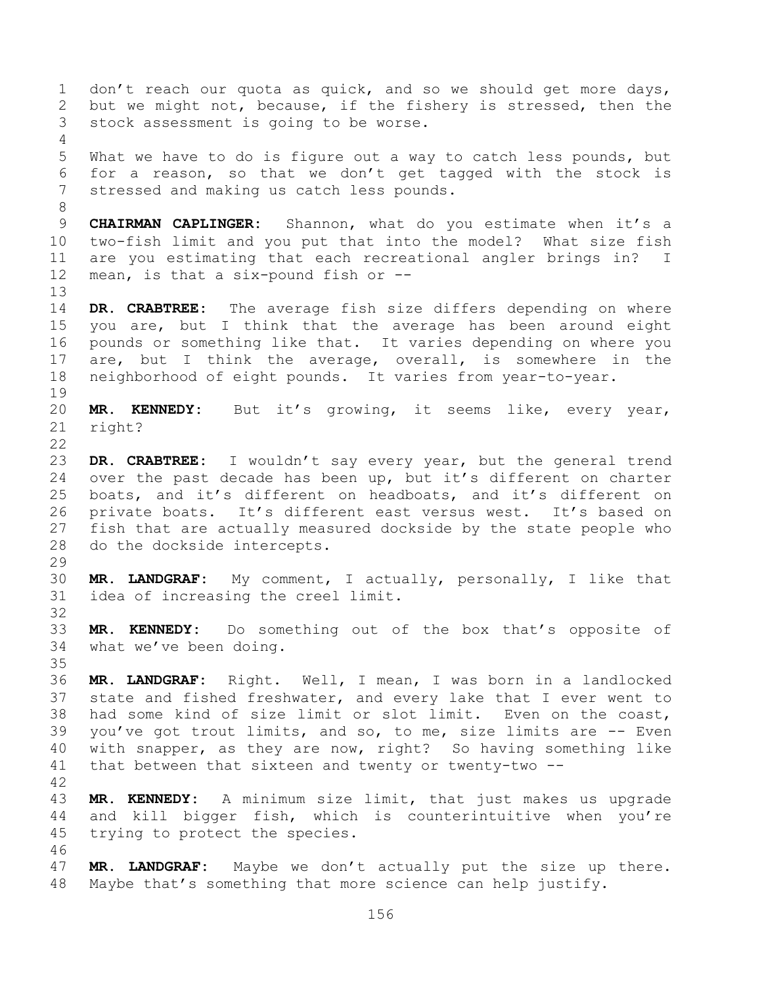1 don't reach our quota as quick, and so we should get more days, but we might not, because, if the fishery is stressed, then the stock assessment is going to be worse. What we have to do is figure out a way to catch less pounds, but for a reason, so that we don't get tagged with the stock is stressed and making us catch less pounds. **CHAIRMAN CAPLINGER:** Shannon, what do you estimate when it's a two-fish limit and you put that into the model? What size fish are you estimating that each recreational angler brings in? I mean, is that a six-pound fish or -- **DR. CRABTREE:** The average fish size differs depending on where you are, but I think that the average has been around eight pounds or something like that. It varies depending on where you 17 are, but I think the average, overall, is somewhere in the neighborhood of eight pounds. It varies from year-to-year. **MR. KENNEDY:** But it's growing, it seems like, every year, right? **DR. CRABTREE:** I wouldn't say every year, but the general trend over the past decade has been up, but it's different on charter boats, and it's different on headboats, and it's different on private boats. It's different east versus west. It's based on fish that are actually measured dockside by the state people who do the dockside intercepts. **MR. LANDGRAF:** My comment, I actually, personally, I like that idea of increasing the creel limit. **MR. KENNEDY:** Do something out of the box that's opposite of what we've been doing. **MR. LANDGRAF:** Right. Well, I mean, I was born in a landlocked state and fished freshwater, and every lake that I ever went to had some kind of size limit or slot limit. Even on the coast, you've got trout limits, and so, to me, size limits are -- Even with snapper, as they are now, right? So having something like that between that sixteen and twenty or twenty-two -- **MR. KENNEDY:** A minimum size limit, that just makes us upgrade and kill bigger fish, which is counterintuitive when you're trying to protect the species. **MR. LANDGRAF:** Maybe we don't actually put the size up there. Maybe that's something that more science can help justify.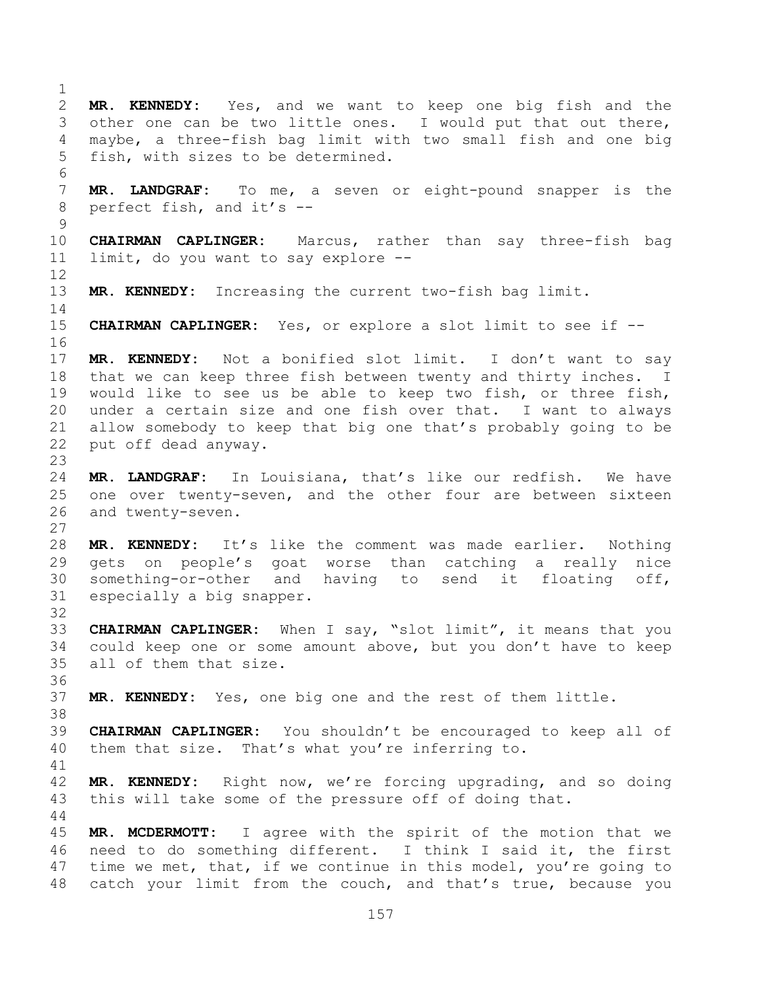**MR. KENNEDY:** Yes, and we want to keep one big fish and the other one can be two little ones. I would put that out there, maybe, a three-fish bag limit with two small fish and one big fish, with sizes to be determined. **MR. LANDGRAF:** To me, a seven or eight-pound snapper is the perfect fish, and it's -- **CHAIRMAN CAPLINGER:** Marcus, rather than say three-fish bag limit, do you want to say explore -- **MR. KENNEDY:** Increasing the current two-fish bag limit. **CHAIRMAN CAPLINGER:** Yes, or explore a slot limit to see if -- **MR. KENNEDY:** Not a bonified slot limit. I don't want to say that we can keep three fish between twenty and thirty inches. I would like to see us be able to keep two fish, or three fish, under a certain size and one fish over that. I want to always allow somebody to keep that big one that's probably going to be put off dead anyway. **MR. LANDGRAF:** In Louisiana, that's like our redfish. We have one over twenty-seven, and the other four are between sixteen and twenty-seven. **MR. KENNEDY:** It's like the comment was made earlier. Nothing gets on people's goat worse than catching a really nice something-or-other and having to send it floating off, especially a big snapper. **CHAIRMAN CAPLINGER:** When I say, "slot limit", it means that you could keep one or some amount above, but you don't have to keep all of them that size. **MR. KENNEDY:** Yes, one big one and the rest of them little. **CHAIRMAN CAPLINGER:** You shouldn't be encouraged to keep all of them that size. That's what you're inferring to. **MR. KENNEDY:** Right now, we're forcing upgrading, and so doing this will take some of the pressure off of doing that. **MR. MCDERMOTT:** I agree with the spirit of the motion that we need to do something different. I think I said it, the first 47 time we met, that, if we continue in this model, you're going to catch your limit from the couch, and that's true, because you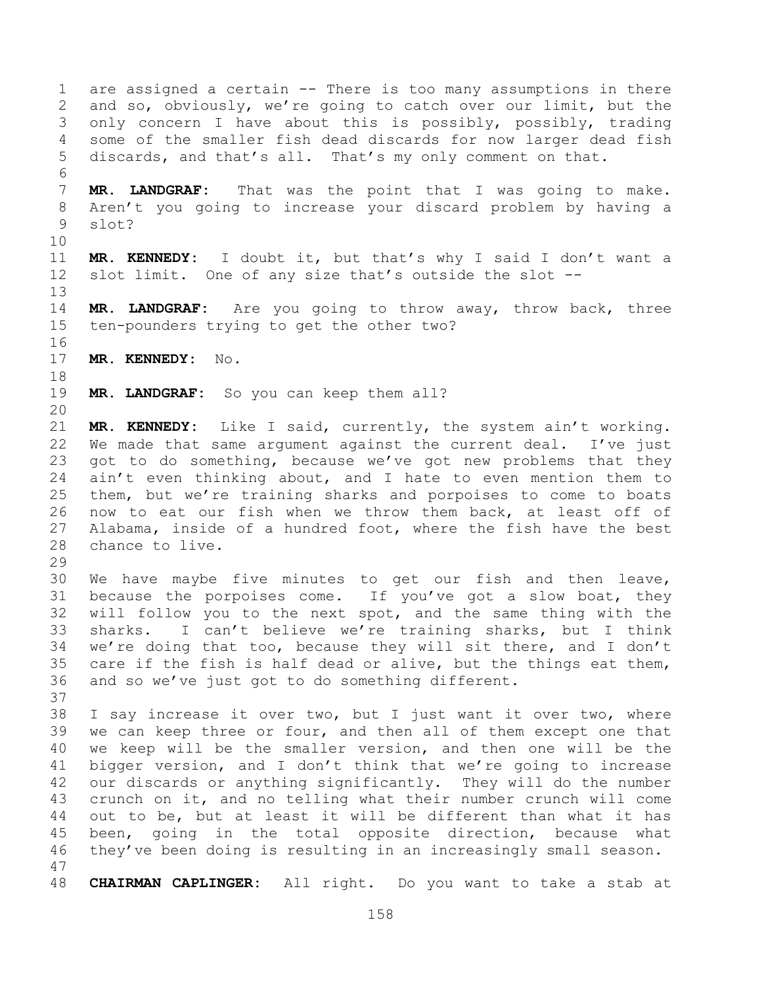are assigned a certain -- There is too many assumptions in there and so, obviously, we're going to catch over our limit, but the only concern I have about this is possibly, possibly, trading some of the smaller fish dead discards for now larger dead fish discards, and that's all. That's my only comment on that. **MR. LANDGRAF:** That was the point that I was going to make. Aren't you going to increase your discard problem by having a slot? **MR. KENNEDY:** I doubt it, but that's why I said I don't want a slot limit. One of any size that's outside the slot -- **MR. LANDGRAF:** Are you going to throw away, throw back, three ten-pounders trying to get the other two? **MR. KENNEDY:** No. **MR. LANDGRAF:** So you can keep them all? **MR. KENNEDY:** Like I said, currently, the system ain't working. We made that same argument against the current deal. I've just got to do something, because we've got new problems that they ain't even thinking about, and I hate to even mention them to them, but we're training sharks and porpoises to come to boats now to eat our fish when we throw them back, at least off of Alabama, inside of a hundred foot, where the fish have the best chance to live. We have maybe five minutes to get our fish and then leave, because the porpoises come. If you've got a slow boat, they will follow you to the next spot, and the same thing with the sharks. I can't believe we're training sharks, but I think we're doing that too, because they will sit there, and I don't care if the fish is half dead or alive, but the things eat them, and so we've just got to do something different. I say increase it over two, but I just want it over two, where we can keep three or four, and then all of them except one that we keep will be the smaller version, and then one will be the bigger version, and I don't think that we're going to increase our discards or anything significantly. They will do the number crunch on it, and no telling what their number crunch will come out to be, but at least it will be different than what it has been, going in the total opposite direction, because what they've been doing is resulting in an increasingly small season. **CHAIRMAN CAPLINGER:** All right. Do you want to take a stab at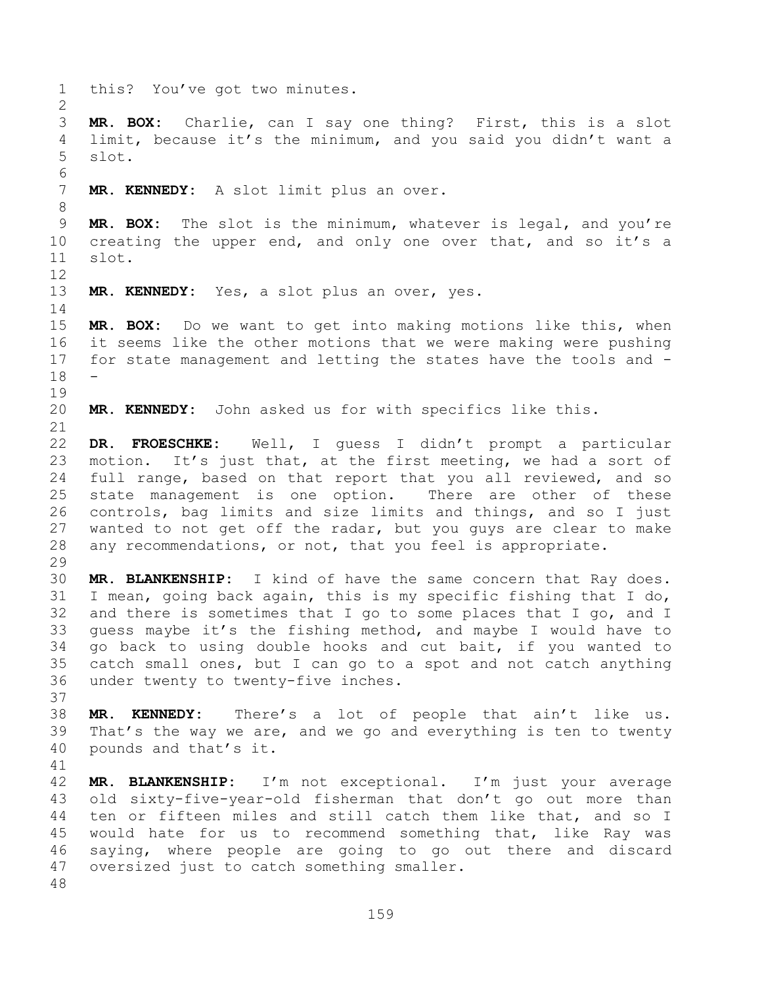this? You've got two minutes. **MR. BOX:** Charlie, can I say one thing? First, this is a slot limit, because it's the minimum, and you said you didn't want a slot. **MR. KENNEDY:** A slot limit plus an over. **MR. BOX:** The slot is the minimum, whatever is legal, and you're 10 creating the upper end, and only one over that, and so it's a slot. **MR. KENNEDY:** Yes, a slot plus an over, yes. **MR. BOX:** Do we want to get into making motions like this, when it seems like the other motions that we were making were pushing for state management and letting the states have the tools and - - **MR. KENNEDY:** John asked us for with specifics like this. **DR. FROESCHKE:** Well, I guess I didn't prompt a particular motion. It's just that, at the first meeting, we had a sort of full range, based on that report that you all reviewed, and so state management is one option. There are other of these controls, bag limits and size limits and things, and so I just wanted to not get off the radar, but you guys are clear to make any recommendations, or not, that you feel is appropriate. **MR. BLANKENSHIP:** I kind of have the same concern that Ray does. I mean, going back again, this is my specific fishing that I do, and there is sometimes that I go to some places that I go, and I guess maybe it's the fishing method, and maybe I would have to go back to using double hooks and cut bait, if you wanted to catch small ones, but I can go to a spot and not catch anything under twenty to twenty-five inches. **MR. KENNEDY:** There's a lot of people that ain't like us. That's the way we are, and we go and everything is ten to twenty pounds and that's it. **MR. BLANKENSHIP:** I'm not exceptional. I'm just your average old sixty-five-year-old fisherman that don't go out more than ten or fifteen miles and still catch them like that, and so I would hate for us to recommend something that, like Ray was saying, where people are going to go out there and discard oversized just to catch something smaller.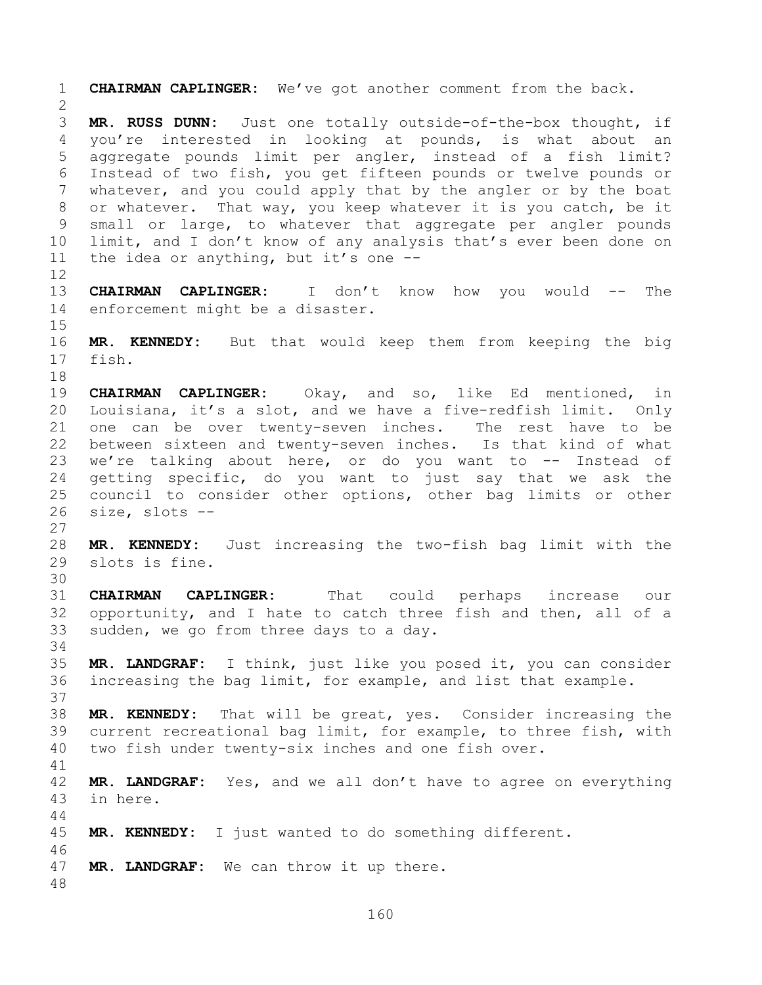**CHAIRMAN CAPLINGER:** We've got another comment from the back. **MR. RUSS DUNN:** Just one totally outside-of-the-box thought, if you're interested in looking at pounds, is what about an aggregate pounds limit per angler, instead of a fish limit? Instead of two fish, you get fifteen pounds or twelve pounds or whatever, and you could apply that by the angler or by the boat or whatever. That way, you keep whatever it is you catch, be it small or large, to whatever that aggregate per angler pounds limit, and I don't know of any analysis that's ever been done on the idea or anything, but it's one -- **CHAIRMAN CAPLINGER:** I don't know how you would -- The enforcement might be a disaster. **MR. KENNEDY:** But that would keep them from keeping the big fish. **CHAIRMAN CAPLINGER:** Okay, and so, like Ed mentioned, in Louisiana, it's a slot, and we have a five-redfish limit. Only one can be over twenty-seven inches. The rest have to be between sixteen and twenty-seven inches. Is that kind of what we're talking about here, or do you want to -- Instead of getting specific, do you want to just say that we ask the council to consider other options, other bag limits or other size, slots -- **MR. KENNEDY:** Just increasing the two-fish bag limit with the slots is fine. **CHAIRMAN CAPLINGER:** That could perhaps increase our opportunity, and I hate to catch three fish and then, all of a sudden, we go from three days to a day. **MR. LANDGRAF:** I think, just like you posed it, you can consider increasing the bag limit, for example, and list that example. **MR. KENNEDY:** That will be great, yes. Consider increasing the current recreational bag limit, for example, to three fish, with two fish under twenty-six inches and one fish over. **MR. LANDGRAF:** Yes, and we all don't have to agree on everything in here. **MR. KENNEDY:** I just wanted to do something different. **MR. LANDGRAF:** We can throw it up there.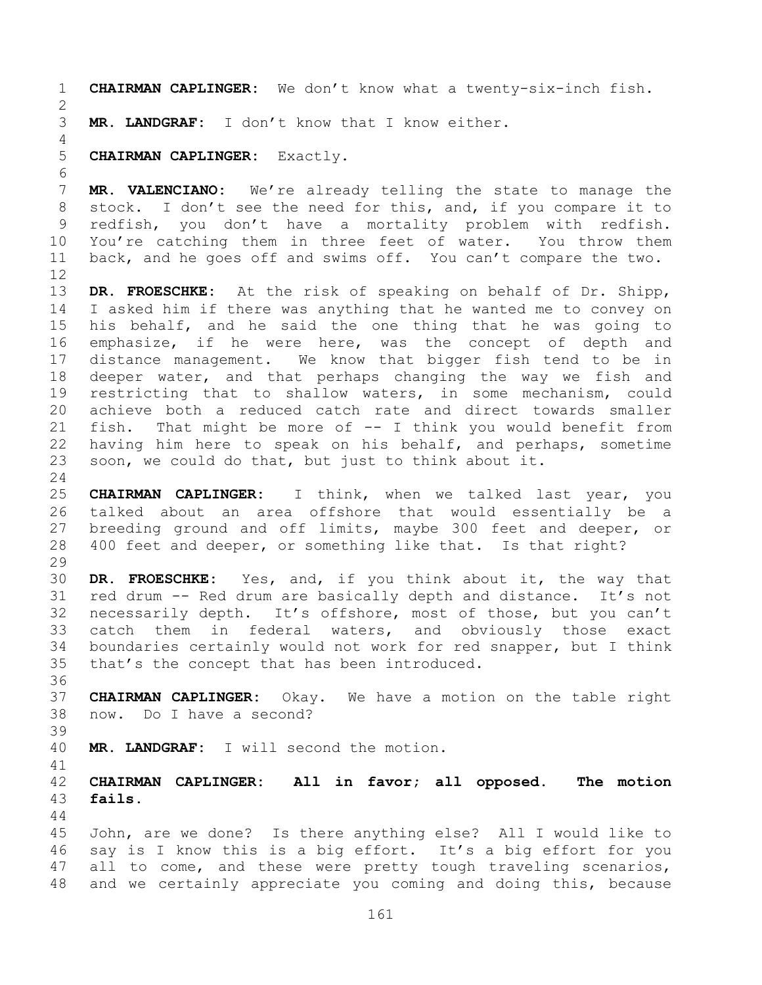**CHAIRMAN CAPLINGER:** We don't know what a twenty-six-inch fish. **MR. LANDGRAF:** I don't know that I know either. **CHAIRMAN CAPLINGER:** Exactly. **MR. VALENCIANO:** We're already telling the state to manage the stock. I don't see the need for this, and, if you compare it to redfish, you don't have a mortality problem with redfish. You're catching them in three feet of water. You throw them back, and he goes off and swims off. You can't compare the two. **DR. FROESCHKE:** At the risk of speaking on behalf of Dr. Shipp, I asked him if there was anything that he wanted me to convey on his behalf, and he said the one thing that he was going to emphasize, if he were here, was the concept of depth and distance management. We know that bigger fish tend to be in deeper water, and that perhaps changing the way we fish and restricting that to shallow waters, in some mechanism, could achieve both a reduced catch rate and direct towards smaller fish. That might be more of -- I think you would benefit from having him here to speak on his behalf, and perhaps, sometime soon, we could do that, but just to think about it. **CHAIRMAN CAPLINGER:** I think, when we talked last year, you talked about an area offshore that would essentially be a breeding ground and off limits, maybe 300 feet and deeper, or 400 feet and deeper, or something like that. Is that right? **DR. FROESCHKE:** Yes, and, if you think about it, the way that red drum -- Red drum are basically depth and distance. It's not necessarily depth. It's offshore, most of those, but you can't catch them in federal waters, and obviously those exact boundaries certainly would not work for red snapper, but I think that's the concept that has been introduced. **CHAIRMAN CAPLINGER:** Okay. We have a motion on the table right now. Do I have a second? **MR. LANDGRAF:** I will second the motion. **CHAIRMAN CAPLINGER: All in favor; all opposed. The motion fails.** John, are we done? Is there anything else? All I would like to say is I know this is a big effort. It's a big effort for you all to come, and these were pretty tough traveling scenarios, and we certainly appreciate you coming and doing this, because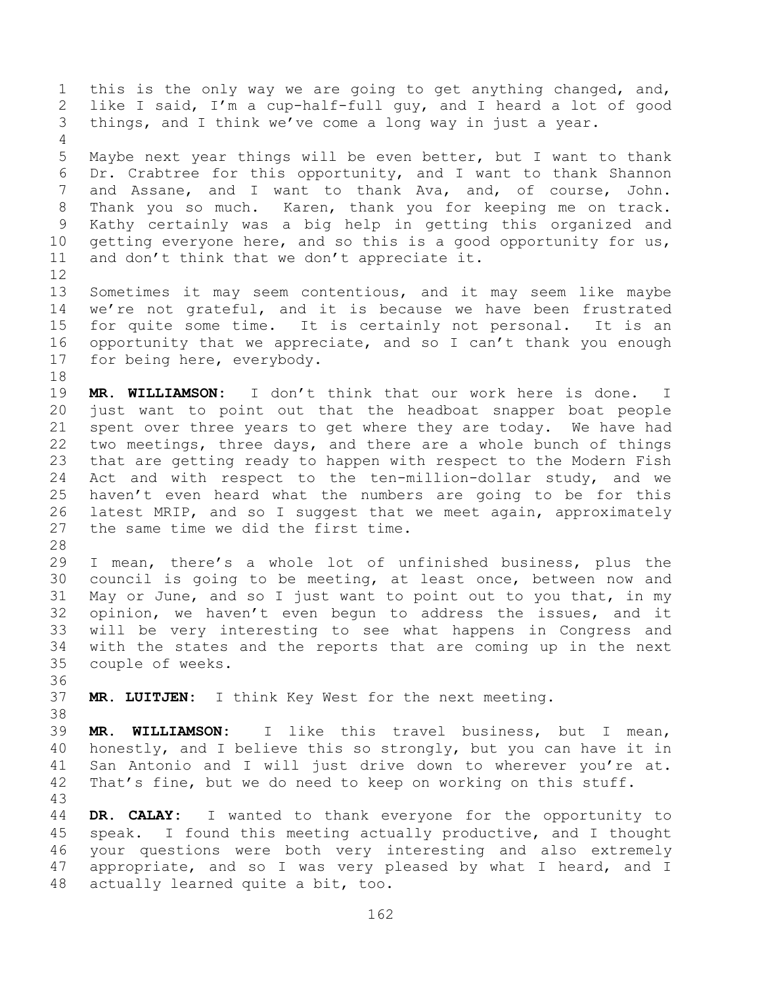this is the only way we are going to get anything changed, and, like I said, I'm a cup-half-full guy, and I heard a lot of good things, and I think we've come a long way in just a year. Maybe next year things will be even better, but I want to thank Dr. Crabtree for this opportunity, and I want to thank Shannon and Assane, and I want to thank Ava, and, of course, John. Thank you so much. Karen, thank you for keeping me on track. Kathy certainly was a big help in getting this organized and 10 getting everyone here, and so this is a good opportunity for us, and don't think that we don't appreciate it. Sometimes it may seem contentious, and it may seem like maybe we're not grateful, and it is because we have been frustrated for quite some time. It is certainly not personal. It is an opportunity that we appreciate, and so I can't thank you enough for being here, everybody. **MR. WILLIAMSON:** I don't think that our work here is done. I just want to point out that the headboat snapper boat people spent over three years to get where they are today. We have had two meetings, three days, and there are a whole bunch of things that are getting ready to happen with respect to the Modern Fish Act and with respect to the ten-million-dollar study, and we haven't even heard what the numbers are going to be for this latest MRIP, and so I suggest that we meet again, approximately the same time we did the first time. I mean, there's a whole lot of unfinished business, plus the council is going to be meeting, at least once, between now and May or June, and so I just want to point out to you that, in my opinion, we haven't even begun to address the issues, and it will be very interesting to see what happens in Congress and with the states and the reports that are coming up in the next couple of weeks. **MR. LUITJEN:** I think Key West for the next meeting. **MR. WILLIAMSON:** I like this travel business, but I mean, honestly, and I believe this so strongly, but you can have it in San Antonio and I will just drive down to wherever you're at. That's fine, but we do need to keep on working on this stuff. **DR. CALAY:** I wanted to thank everyone for the opportunity to speak. I found this meeting actually productive, and I thought your questions were both very interesting and also extremely appropriate, and so I was very pleased by what I heard, and I actually learned quite a bit, too.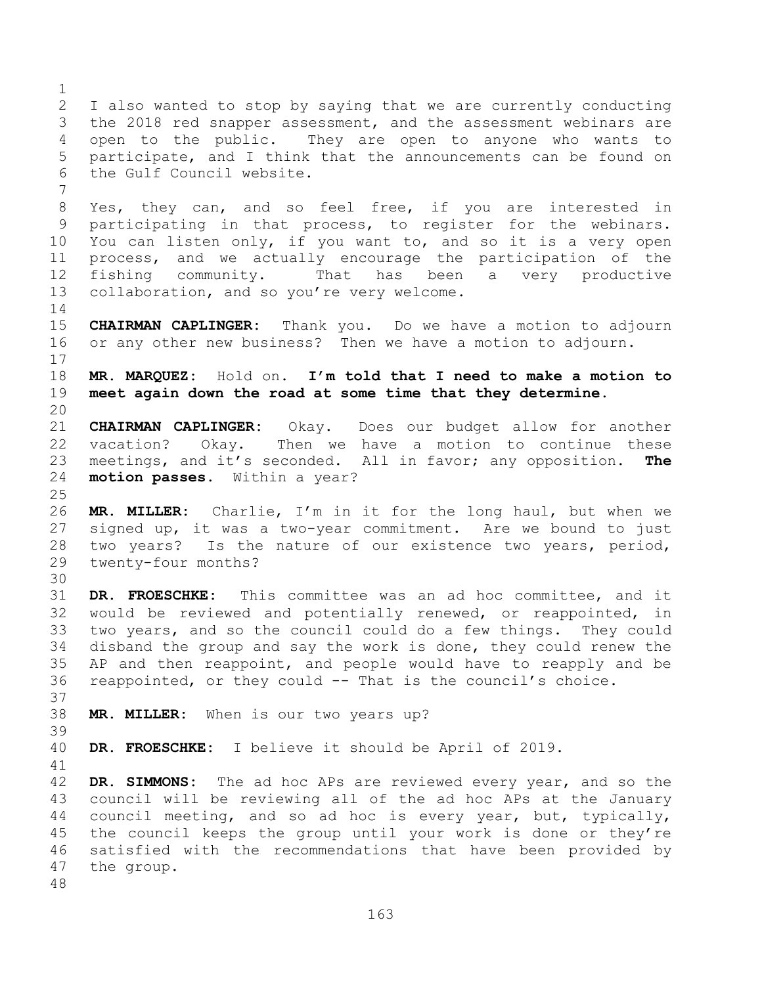I also wanted to stop by saying that we are currently conducting the 2018 red snapper assessment, and the assessment webinars are open to the public. They are open to anyone who wants to participate, and I think that the announcements can be found on the Gulf Council website. Yes, they can, and so feel free, if you are interested in participating in that process, to register for the webinars. You can listen only, if you want to, and so it is a very open process, and we actually encourage the participation of the fishing community. That has been a very productive collaboration, and so you're very welcome. **CHAIRMAN CAPLINGER:** Thank you. Do we have a motion to adjourn or any other new business? Then we have a motion to adjourn. **MR. MARQUEZ:** Hold on. **I'm told that I need to make a motion to meet again down the road at some time that they determine. CHAIRMAN CAPLINGER:** Okay. Does our budget allow for another vacation? Okay. Then we have a motion to continue these meetings, and it's seconded. All in favor; any opposition. **The motion passes**. Within a year? **MR. MILLER:** Charlie, I'm in it for the long haul, but when we signed up, it was a two-year commitment. Are we bound to just two years? Is the nature of our existence two years, period, twenty-four months? **DR. FROESCHKE:** This committee was an ad hoc committee, and it would be reviewed and potentially renewed, or reappointed, in two years, and so the council could do a few things. They could disband the group and say the work is done, they could renew the AP and then reappoint, and people would have to reapply and be reappointed, or they could -- That is the council's choice. **MR. MILLER:** When is our two years up? **DR. FROESCHKE:** I believe it should be April of 2019. **DR. SIMMONS:** The ad hoc APs are reviewed every year, and so the council will be reviewing all of the ad hoc APs at the January council meeting, and so ad hoc is every year, but, typically, the council keeps the group until your work is done or they're satisfied with the recommendations that have been provided by

 the group.